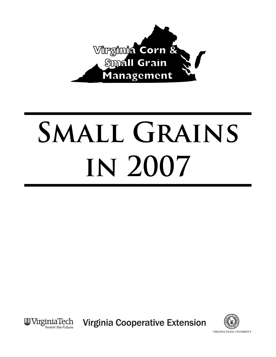

# **Small Grains in 2007**



**Virginia Cooperative Extension** 

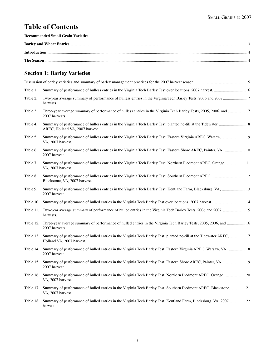# **Table of Contents**

# **Section 1: Barley Varieties**

| Table 1.  |                                                                                                                                                    |
|-----------|----------------------------------------------------------------------------------------------------------------------------------------------------|
| Table 2.  | harvests.                                                                                                                                          |
| Table 3.  | 2007 harvests.                                                                                                                                     |
| Table 4.  | AREC, Holland VA, 2007 harvest.                                                                                                                    |
| Table 5.  | Summary of performance of hulless entries in the Virginia Tech Barley Test, Eastern Virginia AREC, Warsaw,  9<br>VA, 2007 harvest.                 |
| Table 6.  | Summary of performance of hulless entries in the Virginia Tech Barley Test, Eastern Shore AREC, Painter, VA,  10<br>2007 harvest.                  |
| Table 7.  | Summary of performance of hulless entries in the Virginia Tech Barley Test, Northern Piedmont AREC, Orange,  11<br>VA, 2007 harvest.               |
| Table 8.  | Summary of performance of hulless entries in the Virginia Tech Barley Test, Southern Piedmont AREC,  12<br>Blackstone, VA, 2007 harvest.           |
| Table 9.  | Summary of performance of hulless entries in the Virginia Tech Barley Test, Kentland Farm, Blacksburg, VA,  13<br>2007 harvest.                    |
| Table 10. | Summary of performance of hulled entries in the Virginia Tech Barley Test over locations, 2007 harvest.  14                                        |
| Table 11. | Two-year average summary of performance of hulled entries in the Virginia Tech Barley Tests, 2006 and 2007  15<br>harvests.                        |
| Table 12. | Three-year average summary of performance of hulled entries in the Virginia Tech Barley Tests, 2005, 2006, and  16<br>2007 harvests.               |
| Table 13. | Summary of performance of hulled entries in the Virginia Tech Barley Test, planted no-till at the Tidewater AREC,  17<br>Holland VA, 2007 harvest. |
| Table 14. | Summary of performance of hulled entries in the Virginia Tech Barley Test, Eastern Virginia AREC, Warsaw, VA,  18<br>2007 harvest.                 |
| Table 15. | Summary of performance of hulled entries in the Virginia Tech Barley Test, Eastern Shore AREC, Painter, VA,  19<br>2007 harvest.                   |
| Table 16. | Summary of performance of hulled entries in the Virginia Tech Barley Test, Northern Piedmont AREC, Orange,  20<br>VA, 2007 harvest.                |
| Table 17. | Summary of performance of hulled entries in the Virginia Tech Barley Test, Southern Piedmont AREC, Blackstone,  21<br>VA, 2007 harvest.            |
| Table 18. | Summary of performance of hulled entries in the Virginia Tech Barley Test, Kentland Farm, Blacksburg, VA, 2007  22<br>harvest.                     |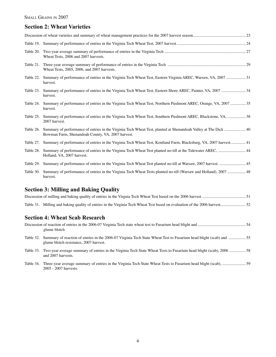# **Section 2: Wheat Varieties**

|           | Wheat Tests, 2006 and 2007 harvests.                                                                                                       |
|-----------|--------------------------------------------------------------------------------------------------------------------------------------------|
|           | Wheat Tests, 2005, 2006, and 2007 harvests.                                                                                                |
|           | Table 22. Summary of performance of entries in the Virginia Tech Wheat Test, Eastern Virginia AREC, Warsaw, VA, 2007  31<br>harvest.       |
| Table 23. | Summary of performance of entries in the Virginia Tech Wheat Test, Eastern Shore AREC, Painter, VA, 2007  34<br>harvest.                   |
|           | Table 24. Summary of performance of entries in the Virginia Tech Wheat Test, Northern Piedmont AREC, Orange, VA, 2007  35<br>harvest.      |
| Table 25. | Summary of performance of entries in the Virginia Tech Wheat Test, Southern Piedmont AREC, Blackstone, VA,  38<br>2007 harvest.            |
| Table 26. | Bowman Farm, Shenandoah County, VA, 2007 harvest.                                                                                          |
|           | Table 27. Summary of performance of entries in the Virginia Tech Wheat Test, Kentland Farm, Blacksburg, VA, 2007 harvest 41                |
| Table 28. | Summary of performance of entries in the Virginia Tech Wheat Test planted no-till at the Tidewater AREC,  44<br>Holland, VA, 2007 harvest. |
| Table 29. | Summary of performance of entries in the Virginia Tech Wheat Test planted no-till at Warsaw, 2007 harvest 45                               |
| Table 30. | Summary of performance of entries in the Virginia Tech Wheat Tests planted no-till (Warsaw and Holland), 2007  48<br>harvest.              |

# **Section 3: Milling and Baking Quality**

| <b>Section 4: Wheat Scab Research</b>                                                                                                                                                                                                                                                         |  |
|-----------------------------------------------------------------------------------------------------------------------------------------------------------------------------------------------------------------------------------------------------------------------------------------------|--|
| $\mathbf{D}^*$ , the property of $\mathbf{A}$ and $\mathbf{A}$ and $\mathbf{A}$ and $\mathbf{A}$ and $\mathbf{A}$ and $\mathbf{A}$ and $\mathbf{A}$ and $\mathbf{A}$ and $\mathbf{A}$ and $\mathbf{A}$ and $\mathbf{A}$ and $\mathbf{A}$ and $\mathbf{A}$ and $\mathbf{A}$ and $\mathbf{A}$ a |  |

|           | glume blotch                                                                                                                                                           |  |
|-----------|------------------------------------------------------------------------------------------------------------------------------------------------------------------------|--|
|           | Table 32. Summary of reaction of entries in the 2006-07 Virginia Tech State Wheat Test to Fusarium head blight (scab) and 55<br>glume blotch resistance, 2007 harvest. |  |
|           | Table 33. Two-year average summary of entries in the Virginia Tech State Wheat Tests to Fusarium head blight (scab), 2006  58<br>and 2007 harvests.                    |  |
| Table 34. | 2005 - 2007 harvests.                                                                                                                                                  |  |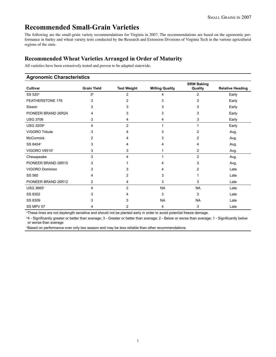# **Recommended Small-Grain Varieties**

The following are the small-grain variety recommendations for Virginia in 2007. The recommendations are based on the agronomic performance in barley and wheat variety tests conducted by the Research and Extension Divisions of Virginia Tech in the various agricultural regions of the state.

## **Recommended Wheat Varieties Arranged in Order of Maturity**

All varieties have been extensively tested and proven to be adapted statewide.

| <b>Agronomic Characteristics</b> |                    |                    |                        |                              |                         |
|----------------------------------|--------------------|--------------------|------------------------|------------------------------|-------------------------|
| <b>Cultivar</b>                  | <b>Grain Yield</b> | <b>Test Weight</b> | <b>Milling Quality</b> | <b>SRW Baking</b><br>Quality | <b>Relative Heading</b> |
| SS 520 <sup>a</sup>              | 3 <sup>b</sup>     | $\overline{2}$     | 4                      | $\overline{2}$               | Early                   |
| FEATHERSTONE 176                 | 3                  | 2                  | 3                      | 3                            | Early                   |
| Sisson                           | 3                  | 3                  | 3                      | 3                            | Early                   |
| PIONEER BRAND 26R24              | 4                  | 3                  | 3                      | 3                            | Early                   |
| <b>USG 3706</b>                  | 3                  | 4                  | 4                      | 3                            | Early                   |
| <b>USG 3209</b> <sup>a</sup>     | 4                  | 2                  | 1                      |                              | Early                   |
| <b>VIGORO Tribute</b>            | 3                  | 4                  | 3                      | 2                            | Avg.                    |
| <b>McCormick</b>                 | 2                  | 4                  | 3                      | 2                            | Avg.                    |
| SS 8404°                         | 3                  | 4                  | 4                      | 4                            | Avg.                    |
| VIGORO V9510°                    | 3                  | 3                  | 1                      | 2                            | Avg.                    |
| Chesapeake                       | 3                  | 4                  | 1                      | $\overline{2}$               | Avg.                    |
| PIONEER BRAND 26R15              | 3                  |                    | 4                      | 3                            | Avg.                    |
| <b>VIGORO Dominion</b>           | 3                  | 3                  | 4                      | $\overline{c}$               | Late                    |
| SS 560                           | 4                  | 2                  | 3                      |                              | Late                    |
| PIONEER BRAND 26R12              | 2                  | 4                  | 3                      | 3                            | Late                    |
| <b>USG 3665°</b>                 | 4                  | 2                  | <b>NA</b>              | <b>NA</b>                    | Late                    |
| SS 8302                          | 3                  |                    | 3                      | 3                            | Late                    |
| SS 8309                          | 3                  | 3                  | <b>NA</b>              | <b>NA</b>                    | Late                    |
| SS MPV 57                        | 4                  | 2                  | 4                      | 3                            | Late                    |

a These lines are not daylength sensitive and should not be planted early in order to avoid potential freeze damage.

b 4 - Significantly greater or better than average; 3 - Greater or better than average; 2 - Below or worse than average; 1 - Significantly below or worse than average

c Based on performance over only two season and may be less reliable than other recommendations.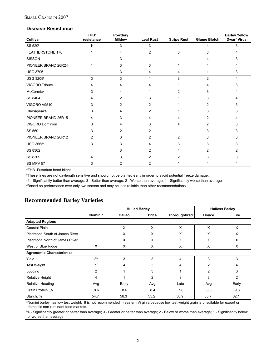#### **Disease Resistance**

| Cultivar              | FHB <sup>a</sup><br>resistance | Powdery<br><b>Mildew</b> | <b>Leaf Rust</b> | <b>Stripe Rust</b> | <b>Glume Blotch</b> | <b>Barley Yellow</b><br><b>Dwarf Virus</b> |
|-----------------------|--------------------------------|--------------------------|------------------|--------------------|---------------------|--------------------------------------------|
| SS 520 <sup>b</sup>   | 1 <sup>c</sup>                 | 3                        | 3                |                    | Δ                   | 3                                          |
| FEATHERSTONE 176      |                                |                          | 2                |                    |                     |                                            |
| <b>SISSON</b>         |                                | 3                        |                  |                    |                     |                                            |
| PIONEER BRAND 26R24   |                                | 3                        | 3                |                    |                     |                                            |
| <b>USG 3706</b>       |                                | 3                        | 4                |                    |                     | 3                                          |
| USG 3209 <sup>b</sup> | 3                              | 3                        |                  | 3                  | $\overline{2}$      | 4                                          |
| VIGORO Tribute        |                                |                          |                  |                    |                     |                                            |
| <b>McCormick</b>      | 3                              | 4                        |                  |                    | 3                   |                                            |
| SS 8404               | 4                              | 2                        | 3                |                    | 3                   |                                            |
| VIGORO V9510          | 3                              | 2                        | 2                |                    | 2                   | 3                                          |
| Chesapeake            | 3                              | 4                        | $\overline{c}$   |                    | 3                   | 3                                          |
| PIONEER BRAND 26R15   | 4                              | 3                        |                  |                    | 2                   |                                            |
| VIGORO Dominion       | 3                              | Δ                        | 3                |                    | 2                   |                                            |
| SS 560                | 3                              | 2                        | 2                |                    | 3                   |                                            |
| PIONEER BRAND 26R12   | 2                              | 3                        | 2                | 2                  | 3                   | 3                                          |
| <b>USG 3665d</b>      | 3                              | 3                        | 4                | 3                  | 3                   | 3                                          |
| SS 8302               |                                | 3                        | 2                |                    | 2                   |                                            |
| SS 8309               |                                |                          | 2                |                    |                     |                                            |
| SS MPV 57             | 3                              | 2                        | $\overline{c}$   |                    |                     | 4                                          |

a FHB -Fusarium head blight

b These lines are not daylength sensitive and should not be planted early in order to avoid potential freeze damage.

c 4 - Significantly better than average; 3 - Better than average; 2 - Worse than average; 1 - Significantly worse than average

d Based on performance over only two season and may be less reliable than other recommendations.

# **Recommended Barley Varieties**

|                                  |                            | <b>Hulled Barley</b> |       | <b>Hulless Barley</b> |                |       |
|----------------------------------|----------------------------|----------------------|-------|-----------------------|----------------|-------|
|                                  | <b>Nomini</b> <sup>a</sup> | Callao               | Price | Thoroughbred          | <b>Doyce</b>   | Eve   |
| <b>Adapted Regions</b>           |                            |                      |       |                       |                |       |
| Coastal Plain                    |                            | X                    | X     | X                     | X              | X     |
| Piedmont, South of James River   |                            | X                    | X     | X                     | X              | X     |
| Piedmont, North of James River   |                            | X                    | X     | X                     | X              | X     |
| West of Blue Ridge               | X                          | X                    | Χ     | X                     | X              | X     |
| <b>Agronomic Characteristics</b> |                            |                      |       |                       |                |       |
| Yield                            | 3 <sup>b</sup>             | 3                    | 3     | 4                     | 3              | 3     |
| <b>Test Weight</b>               |                            | 4                    | 3     | 4                     | 2              | 4     |
| Lodging                          | 2                          |                      | 3     |                       | $\overline{2}$ | 3     |
| <b>Relative Height</b>           | 4                          |                      | 2     | 3                     | 3              | 2     |
| Relative Heading                 | Avg                        | Early                | Avg   | Late                  | Avg            | Early |
| Grain Protein, %                 | 8.6                        | 8.6                  | 8.4   | 7.8                   | 8.6            | 9.3   |
| Starch, %                        | 54.7                       | 56.3                 | 55.2  | 58.9                  | 63.7           | 62.1  |

a Nomini barley has low test weight. It is not recommended in eastern Virginia because low test weight grain is unsuitable for export or domestic non-ruminant feed markets.

b 4 - Significantly greater or better than average; 3 - Greater or better than average; 2 - Below or worse than average; 1 - Significantly below or worse than average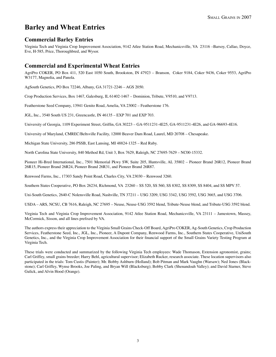# **Barley and Wheat Entries**

#### **Commercial Barley Entries**

Virginia Tech and Virginia Crop Improvement Association, 9142 Atlee Station Road, Mechanicsville, VA 23116 –Barsoy, Callao, Doyce, Eve, H-585, Price, Thoroughbred, and Wysor.

#### **Commercial and Experimental Wheat Entries**

AgriPro COKER, PO Box 411, 520 East 1050 South, Brookston, IN 47923 – Branson, Coker 9184, Coker 9436, Coker 9553, AgriPro W3177, Magnolia, and Panola.

AgSouth Genetics, PO Box 72246, Albany, GA 31721-2246 – AGS 2050.

Crop Production Services, Box 1467, Galesburg, IL 61402-1467 – Dominion, Tribute, V9510, and V9713.

Featherstone Seed Company, 13941 Genito Road, Amelia, VA 23002 – Featherstone 176.

JGL, Inc., 3540 South US 231, Greencastle, IN 46135 – EXP 701 and EXP 703.

University of Georgia, 1109 Experiment Street, Griffin, GA 30223 – GA-9511231-4E25, GA-9511231-4E26, and GA-96693-4E16.

University of Maryland, CMREC/Beltsville Facility, 12000 Beaver Dam Road, Laurel, MD 20708 – Chesapeake.

Michigan State University, 286 PSSB, East Lansing, MI 48824-1325 – Red Ruby.

North Carolina State University, 840 Method Rd, Unit 3, Box 7629, Raleigh, NC 27695-7629 – NC00-15332.

Pioneer Hi-Bred International, Inc., 7501 Memorial Pkwy SW, Suite 205, Huntsville, AL 35802 – Pioneer Brand 26R12, Pioneer Brand 26R15, Pioneer Brand 26R24, Pioneer Brand 26R31, and Pioneer Brand 26R87.

Renwood Farms, Inc., 17303 Sandy Point Road, Charles City, VA 23030 – Renwood 3260.

Southern States Cooperative, PO Box 26234, Richmond, VA 23260 – SS 520, SS 560, SS 8302, SS 8309, SS 8404, and SS MPV 57.

Uni-South Genetics, 2640-C Nolensville Road, Nashville, TN 37211 – USG 3209, USG 3342, USG 3592, USG 3665, and USG 3706.

USDA – ARS, NCSU, CB 7616, Raleigh, NC 27695 – Neuse, Neuse-USG 3592 blend, Tribute-Neuse blend, and Tribute-USG 3592 blend.

Virginia Tech and Virginia Crop Improvement Association, 9142 Atlee Station Road, Mechanicsville, VA 23111 – Jamestown, Massey, McCormick, Sisson, and all lines prefixed by VA.

The authors express their appreciation to the Virginia Small Grains Check-Off Board, AgriPro COKER, Ag-South Genetics, Crop Production Services, Featherstone Seed, Inc., JGL, Inc., Pioneer, A Dupont Company, Renwood Farms, Inc., Southern States Cooperative, UniSouth Genetics, Inc., and the Virginia Crop Improvement Association for their financial support of the Small Grains Variety Testing Program at Virginia Tech.

These trials were conducted and summarized by the following Virginia Tech employees: Wade Thomason, Extension agronomist, grains; Carl Griffey, small grains breeder; Harry Behl, agricultural supervisor; Elizabeth Rucker, research associate. These location supervisors also participated in the trials: Tom Custis (Painter); Mr. Bobby Ashburn (Holland); Bob Pitman and Mark Vaughn (Warsaw); Ned Jones (Blackstone); Carl Griffey, Wynse Brooks, Joe Paling, and Bryan Will (Blacksburg); Bobby Clark (Shenandoah Valley); and David Starner, Steve Gulick, and Alvin Hood (Orange).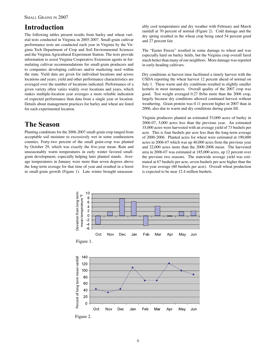# **Introduction**

The following tables present results from barley and wheat varietal tests conducted in Virginia in 2005-2007. Small-grain cultivar performance tests are conducted each year in Virginia by the Virginia Tech Department of Crop and Soil Environmental Sciences and the Virginia Agricultural Experiment Station. The tests provide information to assist Virginia Cooperative Extension agents in formulating cultivar recommendations for small-grain producers and to companies developing cultivars and/or marketing seed within the state. Yield data are given for individual locations and across locations and years; yield and other performance characteristics are averaged over the number of locations indicated. Performance of a given variety often varies widely over locations and years, which makes multiple-location year averages a more reliable indication of expected performance than data from a single year or location. Details about management practices for barley and wheat are listed for each experimental location.

# **The Season**

Planting conditions for the 2006-2007 small-grain crop ranged from acceptable soil moisture to excessively wet in some southeastern counties. Forty-two percent of the small grain-crop was planted by October 29, which was exactly the five-year mean. Rain and unseasonably warm temperatures in early winter favored smallgrain development, especially helping later planted stands. Average temperatures in January were more than seven degrees above the long-term average for that time of year and resulted in a boost in small-grain growth (Figure 1). Late winter brought unseason-

ably cool temperatures and dry weather with February and March rainfall at 70 percent of normal (Figure 2). Cold damage and the dry spring resulted in the wheat crop being rated 54 percent good and 27 percent fair.

The "Easter Freeze" resulted in some damage to wheat and was especially hard on barley fields, but the Virginia crop overall fared much better than many of our neighbors. More damage was reported in early-heading cultivars.

Dry conditions at harvest time facilitated a timely harvest with the USDA reporting the wheat harvest 12 percent ahead of normal on July 1. These warm and dry conditions resulted in slightly smaller kernels in most instances. Overall quality of the 2007 crop was good. Test weight averaged 0.27 lb/bu more than the 2006 crop, largely because dry conditions allowed continued harvest without weathering. Grain protein was 0.11 percent higher in 2007 than in 2006, also due to warm and dry conditions during grain fill.

Virginia producers planted an estimated 53,000 acres of barley in 2006-07, 5,000 acres less than the previous year. An estimated 35,000 acres were harvested with an average yield of 73 bushels per acre. This is four bushels per acre less than the long-term average of 2000-2006. Planted acres for wheat were estimated at 190,000 acres in 2006-07 which was up 40,000 acres from the previous year and 22,000 acres more than the 2000-2006 mean. The harvested area in 2006-07 was estimated at 185,000 acres, up 12 percent over the previous two seasons. The statewide average yield was estimated at 67 bushels per acre, seven bushels per acre higher than the five-year average (60 bushels per acre). Overall wheat production is expected to be near 12.4 million bushels.



Figure 2.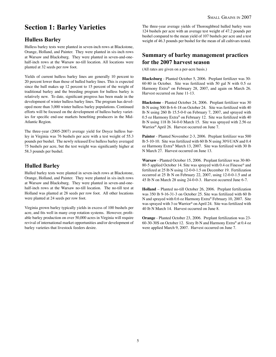# **Section 1: Barley Varieties**

## **Hulless Barley**

Hulless barley tests were planted in seven-inch rows at Blackstone, Orange, Holland, and Painter. They were planted in six-inch rows at Warsaw and Blacksburg. They were planted in seven-and-onehalf-inch rows at the Warsaw no-till location. All locations were planted at 32 seeds per row foot.

Yields of current hulless barley lines are generally 10 percent to 20 percent lower than those of hulled barley lines. This is expected since the hull makes up 12 percent to 15 percent of the weight of traditional barley and the breeding program for hulless barley is relatively new. To date, significant progress has been made in the development of winter hulless barley lines. The program has developed more than 3,000 winter hulless barley populations. Continued efforts will be focused on the development of hulless barley varieties for specific end-use markets benefiting producers in the Mid-Atlantic Region.

The three-year (2005-2007) average yield for Doyce hulless barley in Virginia was 76 bushels per acre with a test weight of 55.3 pounds per bushel. The newly released Eve hulless barley averaged 75 bushels per acre, but the test weight was significantly higher at 58.3 pounds per bushel.

# **Hulled Barley**

Hulled barley tests were planted in seven-inch rows at Blackstone, Orange, Holland, and Painter. They were planted in six-inch rows at Warsaw and Blacksburg. They were planted in seven-and-onehalf-inch rows at the Warsaw no-till location. The no-till test at Holland was planted at 28 seeds per row foot. All other locations were planted at 24 seeds per row foot.

Virginia grown barley typically yields in excess of 100 bushels per acre, and fits well in many crop rotation systems. However, profitable barley production on over 50,000 acres in Virginia will require revival of international market opportunities and/or development of barley varieties that livestock feeders desire.

The three-year average yields of Thoroughbred hulled barley were 124 bushels per acre with an average test weight of 47.2 pounds per bushel compared to the mean yield of 107 bushels per acre and a test weight of 46.3 pounds per bushel for the mean of all cultivars tested.

## **Summary of barley management practices for the 2007 harvest season**

(All rates are given on a per-acre basis.)

**Blacksburg** - Planted October 5, 2006. Preplant fertilizer was 30- 60-80 in October. Site was fertilized with 50 gal N with 0.5 oz Harmony Extra® on February 28, 2007, and again on March 26. Harvest occurred on June 11-13.

**Blackstone** - Planted October 24, 2006. Preplant fertilizer was 30 lb N using 500 lb 6-6-18 on October 24. Site was fertilized with 40 lb N using 260 lb 15.5-0-0 on February 7, 2007, and sprayed with 0.5 oz Harmony Extra® on February 12. Site was fertilized with 40 lb N using 118 lb 34-0-0 March 15. Site was sprayed with 2.56 oz Warrior® April 26. Harvest occurred on June 7.

**Painter** - Planted November 2-3, 2006. Preplant fertilizer was 500 lb 5-10-10. Site was fertilized with 60 lb N using 30%UAN and 0.4 oz Harmony Extra® March 13, 2007. Site was fertilized with 30 lb N March 27. Harvest occurred on June 13.

**Warsaw** - Planted October 15, 2006. Preplant fertilizer was 30-80- 80-5 applied October 14. Site was sprayed with 0.4 oz Finesse® and fertilized at 25 lb N using 12-0-0-1.5 on December 19. Fertilization occurred at 25 lb N on February 22, 2007, using 12-0-0-1.5 and at 45 lb N on March 28 using 24-0-0-3. Harvest occurred June 6-7.

**Holland** – Planted no-till October 26, 2006. Preplant fertilization was 350 lb 9-16-31-3 on October 25. Site was fertilized with 60 lb N and sprayed with 0.6 oz Harmony Extra® February 10, 2007. Site was sprayed with 3 oz Warrior® on April 24. Site was fertilized with 40 lb N March 14. Harvest occurred on June 8.

**Orange** - Planted October 23, 2006. Preplant fertilization was 23- 60-30-30S on October 12. Sixty lb N and Harmony Extra® at 0.4 oz were applied March 9, 2007. Harvest occurred on June 7.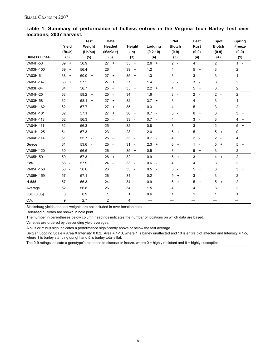#### **Table 1. Summary of performance of hulless entries in the Virginia Tech Barley Test over locations, 2007 harvest.**

|                      |                                | <b>Test</b>            | <b>Date</b>                    |                                |                                 | <b>Net</b>                            | Leaf                                       | Spot                        | Spring         |
|----------------------|--------------------------------|------------------------|--------------------------------|--------------------------------|---------------------------------|---------------------------------------|--------------------------------------------|-----------------------------|----------------|
|                      | Yield                          | Weight                 | Headed                         | Height                         | Lodging                         | <b>Blotch</b>                         | <b>Rust</b>                                | <b>Blotch</b>               | Freeze         |
|                      | (Bu/a)                         | (Lb/bu)                | $(Mar31+)$                     | $(\ln)$                        | $(0.2 - 10)$                    | $(0-9)$                               | $(0-9)$                                    | $(0-9)$                     | $(0-9)$        |
| <b>Hulless Lines</b> | (5)                            | (5)                    | (3)                            | (3)                            | (4)                             | (3)                                   | (4)                                        | (4)                         | (1)            |
| VA04H-53             | 69 +                           | 56.9                   | $27 +$                         | $35 +$                         | $2.6 +$                         | $2 -$                                 | 4                                          | $\overline{2}$              | $1 -$          |
| VA03H-100            | 69<br>$\ddot{}$                | 56.4                   | 26                             | 39<br>$\ddot{}$                | 1.2                             | 4                                     | 5<br>$\overline{+}$                        | 3                           | 2              |
| VA03H-61             | 68<br>$\ddot{}$                | 60.0<br>$\overline{+}$ | 27<br>$\ddot{}$                | 35<br>$\ddot{}$                | 1.3                             | 3<br>$\overline{\phantom{a}}$         | 3<br>$\overline{\phantom{a}}$              | 3                           | $1 -$          |
| VA05H-147            | 68<br>$+$                      | 57.2                   | 27<br>$\ddot{}$                | 37<br>$\ddot{}$                | 1.4                             | 3<br>$\overline{\phantom{a}}$         | 3<br>$\overline{\phantom{a}}$              | 3                           | $\overline{c}$ |
| VA03H-64             | 64                             | 56.7                   | 25<br>$\sim$                   | 35<br>$\ddot{}$                | 2.2<br>$+$                      | $\overline{4}$                        | 5<br>$^{+}$                                | 3                           | 2              |
| VA04H-25             | 63                             | $58.2 +$               | $25 -$                         | 34                             | 1.6                             | 3<br>$\overline{\phantom{a}}$         | $\overline{2}$<br>$\sim$                   | $2 -$                       | $\overline{2}$ |
| VA03H-58             | 62                             | 58.1<br>$\overline{+}$ | $27 +$                         | 32<br>$\overline{\phantom{a}}$ | $3.7 +$                         | 3<br>$\overline{\phantom{a}}$         | 4                                          | 3                           | $1 -$          |
| VA05H-162            | 62                             | 57.7<br>$\ddot{}$      | 27<br>$\ddot{}$                | 35<br>$\ddot{}$                | 0.3<br>$\overline{\phantom{a}}$ | 4                                     | 5<br>$\ddot{}$                             | 3                           | 2              |
| VA05H-161            | 62                             | 57.1                   | 27<br>$\ddot{}$                | 36<br>$\ddot{}$                | 0.7<br>$\overline{\phantom{a}}$ | 3<br>$\overline{\phantom{a}}$         | 6<br>$+$                                   | 3                           | 3<br>$\ddot{}$ |
| VA04H-113            | 62                             | 56.3                   | 25<br>$\sim$                   | 33<br>$\overline{\phantom{a}}$ | $0.7 -$                         | $\overline{4}$                        | 3<br>$\overline{\phantom{a}}$              | 3                           | 4<br>$\ddot{}$ |
| VA04H-111            | 62                             | 56.3                   | $25 -$                         | 32<br>$\overline{\phantom{a}}$ | 0.8<br>$\sim$                   | 3<br>$\overline{\phantom{a}}$         | 3<br>$\overline{\phantom{a}}$              | $2 -$                       | $5 +$          |
| VA01H-125            | 61                             | 57.3                   | $23 -$                         | 28<br>$\overline{\phantom{a}}$ | 2.0                             | 6<br>$\ddot{}$                        | 5<br>$+$                                   | 5<br>$\overline{+}$         | $0 -$          |
| VA04H-114            | 61                             | $55.7 -$               | 25<br>$\sim$ $-$               | 33<br>$\overline{\phantom{a}}$ | 0.7<br>$\overline{\phantom{a}}$ | 4                                     | $\overline{c}$<br>$\overline{\phantom{a}}$ | $\overline{2}$<br>$\sim$    | 4<br>$\ddot{}$ |
| <b>Doyce</b>         | 61                             | 53.6<br>$\sim$         | 25<br>$\overline{\phantom{a}}$ | 31<br>$\overline{\phantom{a}}$ | 2.3<br>$\ddot{}$                | 6<br>$\overline{+}$                   | 1<br>$\overline{\phantom{a}}$              | 5<br>$\ddot{}$              | 5<br>$\ddot{}$ |
| VA05H-120            | 60                             | 56.6                   | 26                             | 35<br>$\ddot{}$                | 0.5<br>$\overline{\phantom{a}}$ | 3<br>$\overline{\phantom{a}}$         | 5<br>$+$                                   | 3                           | 2              |
| VA05H-59             | 59<br>$\overline{\phantom{a}}$ | 57.3                   | $28 +$                         | 32<br>$\overline{\phantom{a}}$ | 0.9<br>$\overline{\phantom{a}}$ | 5<br>$\begin{array}{c} + \end{array}$ | 3<br>$\overline{\phantom{a}}$              | $\overline{4}$<br>$\ddot{}$ | $\overline{2}$ |
| Eve                  | 58<br>$\sim$                   | 57.9<br>$\overline{+}$ | $24 -$                         | 33<br>$\overline{\phantom{a}}$ | 0.6<br>$\overline{\phantom{a}}$ | 4                                     | 4                                          | 3                           | $\overline{c}$ |
| VA05H-158            | 58<br>$\sim$                   | 56.6                   | 26                             | 33<br>$\overline{\phantom{a}}$ | 0.5<br>$\overline{\phantom{a}}$ | 3<br>$\overline{\phantom{a}}$         | 5<br>$\ddot{}$                             | 3                           | 3<br>$\ddot{}$ |
| VA05H-159            | $57 -$                         | 57.1                   | 26                             | 34                             | 0.2<br>$\overline{\phantom{a}}$ | 5<br>$\ddot{}$                        | 3<br>$\overline{\phantom{a}}$              | 3                           | 2              |
| H-585                | 57<br>$\sim$                   | 56.3                   | $24 -$                         | 34                             | 0.9<br>$\overline{\phantom{a}}$ | 6<br>$\ddot{}$                        | 5<br>$+$                                   | 5<br>$+$                    | $\overline{2}$ |
| Average              | 62                             | 56.8                   | 26                             | 34                             | 1.5                             | 4                                     | 4                                          | 3                           | $\overline{c}$ |
| LSD (0.05)           | 3                              | 0.9                    | 1                              | 1                              | 0.6                             | 1                                     | 1                                          | 1                           | 1              |
| C.V.                 | 9                              | 2.7                    | $\overline{c}$                 | 4                              |                                 |                                       |                                            |                             |                |

Blacksburg yields and test weights are not included in over-location data.

Released cultivars are shown in bold print.

The number in parentheses below column headings indicates the number of locations on which data are based.

Varieties are ordered by descending yield averages.

A plus or minus sign indicates a performance significantly above or below the test average.

Belgian Lodging Scale = Area X Intensity X 0.2. Area = 1-10, where 1 is barley unaffected and 10 is entire plot affected and Intensity = 1-5, where 1 is barley standing upright and 5 is barley totally flat.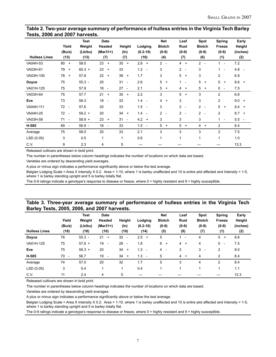#### **Table 2. Two-year average summary of performance of hulless entries in the Virginia Tech Barley Tests, 2006 and 2007 harvests.**

|                      | Yield<br>(Bu/a)                | <b>Test</b><br>Weight<br>(Lb/bu) | <b>Date</b><br>Headed<br>$(Mar31+)$ | Height<br>$(\ln)$              | Lodging<br>$(0.2 - 10)$         | <b>Net</b><br><b>Blotch</b><br>$(0-9)$ | Leaf<br><b>Rust</b><br>$(0-9)$             | Spot<br><b>Blotch</b><br>$(0-9)$           | Spring<br>Freeze<br>$(0-9)$    | Early<br>Height<br>(inches) |
|----------------------|--------------------------------|----------------------------------|-------------------------------------|--------------------------------|---------------------------------|----------------------------------------|--------------------------------------------|--------------------------------------------|--------------------------------|-----------------------------|
| <b>Hulless Lines</b> | (13)                           | (13)                             | (7)                                 | (7)                            | (10)                            | (4)                                    | (7)                                        | (6)                                        | (1)                            | (2)                         |
| VA04H-53             | 80<br>$\overline{+}$           | 58.0                             | 23<br>$\ddot{}$                     | 35<br>$+$                      | $2.8 +$                         | $2 -$                                  | $4 +$                                      | $2 -$                                      | $1 -$                          | 7.2                         |
| VA03H-61             | 79<br>$^{+}$                   | $60.3 +$                         | 23<br>$\ddot{}$                     | 33                             | $1.2 -$                         | 3                                      | $2 -$                                      | 3                                          | 1.<br>$\overline{\phantom{a}}$ | $4.8 -$                     |
| VA03H-100            | 78<br>$^{+}$                   | 57.8                             | 22<br>$\ddot{}$                     | 38<br>$+$                      | 1.7                             | 3                                      | 5<br>$\overline{+}$                        | 3                                          | 2                              | 6.9                         |
| Doyce                | 75                             | $55.3 -$                         | 20                                  | 31<br>$\overline{\phantom{a}}$ | 2.6                             | 5<br>$\overline{+}$                    | $\mathbf{1}$<br>$\overline{\phantom{a}}$   | 5<br>$\ddot{}$                             | 5<br>$\ddot{}$                 | $8.6 +$                     |
| VA01H-125            | 75                             | 57.9                             | 18<br>$\overline{\phantom{a}}$      | 27<br>$\overline{\phantom{a}}$ | 2.1                             | 5<br>$^{+}$                            | $\overline{4}$<br>$^{+}$                   | 5<br>$\ddot{}$                             | $0 -$                          | 7.5                         |
| VA03H-64             | 75                             | 57.7                             | 21<br>$\ddot{}$                     | 35<br>$^{+}$                   | 2.2                             | 3                                      | 5<br>$\overline{+}$                        | 3                                          | $\overline{c}$                 | 6.8                         |
| Eve                  | 73                             | 58.3                             | 18<br>$\overline{\phantom{a}}$      | 33                             | $1.4 -$                         | $\overline{4}$<br>$+$                  | 3                                          | 3                                          | 2                              | 9.0<br>$+$                  |
| VA04H-111            | 72<br>$\overline{\phantom{a}}$ | 57.6                             | 20                                  | 33                             | 1.5<br>$\overline{\phantom{a}}$ | 3                                      | $\overline{2}$<br>$\overline{\phantom{a}}$ | 2<br>$\overline{\phantom{a}}$              | 5<br>$\ddot{}$                 | 9.4<br>$\overline{+}$       |
| VA04H-25             | 72<br>$\overline{\phantom{a}}$ | $59.2 +$                         | 20                                  | 34<br>$+$                      | $1.4 -$                         | $\overline{2}$<br>$\sim$               | $\overline{2}$<br>$\overline{\phantom{a}}$ | $\overline{c}$<br>$\overline{\phantom{a}}$ | $\overline{c}$                 | 8.7<br>$+$                  |
| VA03H-58             | 71<br>$\overline{\phantom{a}}$ | $58.9 +$                         | 23<br>$\ddot{}$                     | 31<br>$\overline{\phantom{a}}$ | $4.2 +$                         | 3                                      | 3                                          | 3                                          | 1.<br>$\overline{\phantom{a}}$ | $5.5 -$                     |
| H-585                | 69<br>$\overline{\phantom{a}}$ | $56.9 -$                         | 18<br>$\overline{\phantom{a}}$      | 33                             | 1.5<br>$\sim$                   | 5<br>$\ddot{}$                         | 5<br>$\overline{+}$                        | 4<br>$\ddot{}$                             | $\overline{c}$                 | 8.4                         |
| Average              | 75                             | 58.0                             | 20                                  | 33                             | 2.1                             | 3                                      | 3                                          | 3                                          | $\overline{c}$                 | 7.5                         |
| LSD (0.05)           | 3                              | 0.5                              | 1                                   | $\mathbf{1}$                   | 0.6                             | 1                                      | 1                                          | $\mathbf{1}$                               | 1                              | 1.0                         |
| C.V.                 | 9                              | 2.3                              | 4                                   | 5                              |                                 |                                        |                                            |                                            |                                | 13.3                        |

Released cultivars are shown in bold print.

The number in parentheses below column headings indicates the number of locations on which data are based.

Varieties are ordered by descending yield averages.

A plus or minus sign indicates a performance significantly above or below the test average.

Belgian Lodging Scale = Area X Intensity X 0.2. Area = 1-10, where 1 is barley unaffected and 10 is entire plot affected and Intensity = 1-5, where 1 is barley standing upright and 5 is barley totally flat.

The 0-9 ratings indicate a genotype's response to disease or freeze, where 0 = highly resistant and 9 = highly susceptible.

#### **Table 3. Three-year average summary of performance of hulless entries in the Virginia Tech Barley Tests, 2005, 2006, and 2007 harvests.**

| <b>Hulless Lines</b> | Yield<br>(Bu/a)<br>(18)        | <b>Test</b><br>Weight<br>(Lb/bu)<br>(18) | <b>Date</b><br>Headed<br>$(Mar31+)$<br>(10) | Height<br>$(\ln)$<br>(10)      | Lodging<br>$(0.2 - 10)$<br>(14) | <b>Net</b><br><b>Blotch</b><br>$(0-9)$<br>(5) | Leaf<br><b>Rust</b><br>$(0-9)$<br>(9) | <b>Spot</b><br><b>Blotch</b><br>$(0-9)$<br>(7) | <b>Spring</b><br>Freeze<br>$(0-9)$<br>(1) | Early<br>Height<br>(inches)<br>(2) |
|----------------------|--------------------------------|------------------------------------------|---------------------------------------------|--------------------------------|---------------------------------|-----------------------------------------------|---------------------------------------|------------------------------------------------|-------------------------------------------|------------------------------------|
| Doyce                | 76                             | $55.3 -$                                 | 21<br>$\ddot{}$                             | 32<br>$\overline{\phantom{a}}$ | $2.5 +$                         | 5                                             | $\overline{\phantom{a}}$              | 4                                              | 5<br>$\ddot{}$                            | 8.6                                |
| VA01H-125            | 75                             | $57.6 +$                                 | 19<br>$\overline{\phantom{a}}$              | 28<br>$\overline{\phantom{a}}$ | 1.8                             | 6<br>$^{+}$                                   | 4<br>$^{+}$                           | 4                                              | 0<br>$\overline{\phantom{a}}$             | 7.5                                |
| Eve                  | 75                             | $58.3 +$                                 | 20                                          | 34<br>$+$                      | 1.3<br>$\overline{\phantom{a}}$ | 4<br>$\overline{\phantom{0}}$                 | 3                                     | 3<br>$\overline{\phantom{a}}$                  | 2                                         | 9.0                                |
| H-585                | 70<br>$\overline{\phantom{a}}$ | 56.7                                     | 19<br>$\overline{\phantom{a}}$              | 34<br>$+$                      | 1.3<br>$\overline{\phantom{a}}$ | 5                                             | 4<br>$^{+}$                           | 4                                              | 2                                         | 8.4                                |
| Average              | 74                             | 57.0                                     | 20                                          | 32                             | 1.7                             | 5                                             | 3                                     | 4                                              | 2                                         | 8.4                                |
| LSD (0.05)           | 3                              | 0.4                                      |                                             |                                | 0.4                             |                                               |                                       |                                                |                                           | 1.1                                |
| C.V.                 | 11                             | 2.4                                      | 4                                           | 5                              |                                 |                                               |                                       |                                                |                                           | 12.3                               |

Released cultivars are shown in bold print.

The number in parentheses below column headings indicates the number of locations on which data are based.

Varieties are ordered by descending yield averages.

A plus or minus sign indicates a performance significantly above or below the test average.

Belgian Lodging Scale = Area X Intensity X 0.2. Area = 1-10, where 1 is barley unaffected and 10 is entire plot affected and Intensity = 1-5, where 1 is barley standing upright and 5 is barley totally flat.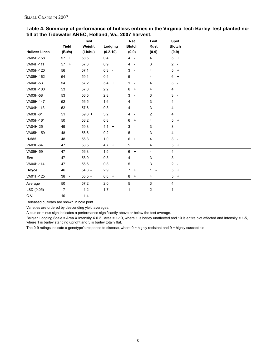| Table 4. Summary of performance of hulless entries in the Virginia Tech Barley Test planted no- |
|-------------------------------------------------------------------------------------------------|
| till at the Tidewater AREC, Holland, Va., 2007 harvest.                                         |

|                      |        | <b>Test</b> |              | <b>Net</b>                    | Leaf                          | Spot                                       |
|----------------------|--------|-------------|--------------|-------------------------------|-------------------------------|--------------------------------------------|
|                      | Yield  | Weight      | Lodging      | <b>Blotch</b>                 | <b>Rust</b>                   | <b>Blotch</b>                              |
| <b>Hulless Lines</b> | (Bu/a) | (Lb/bu)     | $(0.2 - 10)$ | $(0-9)$                       | $(0-9)$                       | $(0-9)$                                    |
| VA05H-158            | $57 +$ | 58.5        | 0.4          | $4 -$                         | $\overline{4}$                | $5 +$                                      |
| VA04H-111            | $57 +$ | 57.3        | 0.9          | $4 -$                         | 3                             | $2 -$                                      |
| VA05H-120            | 56     | 57.1        | $0.3 -$      | $3 -$                         | 4                             | 5<br>$\ddot{}$                             |
| VA05H-162            | 54     | 59.1        | 0.4          | 5                             | 4                             | 6<br>$\begin{array}{c} + \end{array}$      |
| VA04H-53             | 54     | 57.2        | $5.4 +$      | 1<br>$\sim$                   | 4                             | $\mathbf{3}$<br>$\overline{\phantom{a}}$   |
| VA03H-100            | 53     | 57.0        | 2.2          | $6 +$                         | 4                             | 4                                          |
| VA03H-58             | 53     | 56.5        | 2.8          | 3<br>$\overline{\phantom{a}}$ | 3                             | $\mathfrak{S}$<br>$\overline{\phantom{a}}$ |
| VA05H-147            | 52     | 56.5        | 1.6          | $4 -$                         | 3                             | 4                                          |
| VA04H-113            | 52     | 57.6        | 0.8          | $4 -$                         | 3                             | 4                                          |
| VA03H-61             | 51     | $59.6 +$    | 3.2          | $4 -$                         | $\overline{c}$                | 4                                          |
| VA05H-161            | 50     | 58.2        | 0.8          | $6 +$                         | 4                             | 5<br>$+$                                   |
| VA04H-25             | 49     | 59.3        | $4.1 +$      | 3<br>$\overline{\phantom{a}}$ | 3                             | 3<br>$\overline{\phantom{a}}$              |
| VA05H-159            | 48     | 56.6        | $0.2 -$      | 5                             | 3                             | 4                                          |
| H-585                | 48     | 56.3        | 1.0          | 6<br>$+$                      | 4                             | 3<br>$\overline{\phantom{a}}$              |
| VA03H-64             | 47     | 56.5        | $47 +$       | $\mathbf 5$                   | 4                             | 5<br>$\ddot{}$                             |
| VA05H-59             | 47     | 56.3        | 1.5          | $6 +$                         | 4                             | 4                                          |
| Eve                  | 47     | 58.0        | $0.3 -$      | 4<br>$\sim$ $-$               | 3                             | 3<br>$\overline{\phantom{a}}$              |
| VA04H-114            | 47     | 56.6        | 0.8          | 5                             | 3                             | $2 -$                                      |
| <b>Doyce</b>         | 46     | $54.8 -$    | 2.9          | $7 +$                         | 1<br>$\overline{\phantom{a}}$ | 5<br>$\ddot{}$                             |
| VA01H-125            | 38 -   | $55.5 -$    | $6.8 +$      | $8 +$                         | 4                             | 5<br>$+$                                   |
| Average              | 50     | 57.2        | 2.0          | 5                             | 3                             | 4                                          |
| LSD (0.05)           | 7      | $1.2$       | 1.7          | 1                             | $\overline{c}$                | 1                                          |
| C.V.                 | 10     | 1.4         |              |                               |                               |                                            |

Released cultivars are shown in bold print.

Varieties are ordered by descending yield averages.

A plus or minus sign indicates a performance significantly above or below the test average.

Belgian Lodging Scale = Area X Intensity X 0.2. Area = 1-10, where 1 is barley unaffected and 10 is entire plot affected and Intensity = 1-5, where 1 is barley standing upright and 5 is barley totally flat.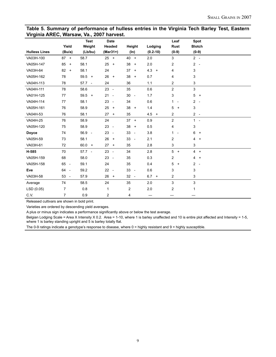#### **Table 5. Summary of performance of hulless entries in the Virginia Tech Barley Test, Eastern Virginia AREC, Warsaw, Va., 2007 harvest.**

|                      |                                | <b>Test</b> | <b>Date</b>                    |                                |              | Leaf                                     | Spot                          |
|----------------------|--------------------------------|-------------|--------------------------------|--------------------------------|--------------|------------------------------------------|-------------------------------|
|                      | Yield                          | Weight      | Headed                         | Height                         | Lodging      | <b>Rust</b>                              | <b>Blotch</b>                 |
| <b>Hulless Lines</b> | (Bu/a)                         | (Lb/bu)     | $(Mar31+)$                     | $(\ln)$                        | $(0.2 - 10)$ | $(0-9)$                                  | $(0-9)$                       |
| VA03H-100            | $87 +$                         | 58.7        | $25 +$                         | $40 +$                         | 2.0          | 3                                        | $2 -$                         |
| VA05H-147            | 85<br>$+$                      | 58.1        | 25<br>$+$                      | 38<br>$\ddot{}$                | 2.0          | 2                                        | $2 -$                         |
| VA03H-64             | $82 +$                         | 58.1        | 24                             | 37 <sup>2</sup><br>$+$         | $4.3 +$      | 4                                        | 3                             |
| VA05H-162            | 78                             | $59.5 +$    | 26<br>$+$                      | 38<br>$+$                      | 0.7          | 4                                        | 3                             |
| VA04H-113            | 78                             | $57.7 -$    | 24                             | 36                             | 1.1          | $\overline{2}$                           | 3                             |
| VA04H-111            | 78                             | 58.6        | $23 -$                         | 35                             | 0.6          | $\overline{2}$                           | 3                             |
| VA01H-125            | 77                             | $59.5 +$    | $21 -$                         | 30<br>$\overline{\phantom{a}}$ | 1.7          | 3                                        | 5<br>$+$                      |
| VA04H-114            | 77                             | 58.1        | 23<br>$\sim$                   | 34                             | 0.6          | $\mathbf{1}$<br>$\overline{\phantom{a}}$ | 2<br>$\overline{\phantom{a}}$ |
| VA05H-161            | 76                             | 58.9        | 25<br>$+$                      | 38<br>$\ddot{}$                | 1.4          | 5<br>$+$                                 | 3                             |
| VA04H-53             | 76                             | 58.1        | $27 +$                         | 35                             | $4.5 +$      | $\overline{2}$                           | $2 -$                         |
| VA04H-25             | 76                             | 58.9        | 24                             | $37 +$                         | 0.9          | $\overline{c}$                           | $1 -$                         |
| VA05H-120            | 75                             | 58.9        | 23<br>$\sim$ $-$               | 38<br>$^{+}$                   | 0.5          | 4                                        | 3                             |
| Doyce                | 74                             | 56.9 -      | 23<br>$\overline{\phantom{a}}$ | 33<br>$\overline{\phantom{a}}$ | 3.8          | $\mathbf{1}$<br>$\overline{\phantom{a}}$ | 6<br>$+$                      |
| VA05H-59             | 73                             | 58.1        | 26<br>$\ddot{}$                | 33<br>$\overline{\phantom{a}}$ | 2.1          | $\overline{c}$                           | 4<br>$+$                      |
| VA03H-61             | 72                             | $60.0 +$    | $27 +$                         | 35                             | 2.8          | 3                                        | 3                             |
| H-585                | 70                             | $57.7 -$    | $23 -$                         | 34                             | 2.8          | 5<br>$+$                                 | $4 +$                         |
| VA05H-159            | 68                             | 58.0        | $23 -$                         | 35                             | 0.3          | $\overline{2}$                           | 4<br>$+$                      |
| VA05H-158            | 65 -                           | 59.1        | 24                             | 35                             | 0.4          | 5<br>$+$                                 | 2<br>$\overline{\phantom{a}}$ |
| Eve                  | 64<br>$\sim$                   | 59.2        | 22<br>$\sim$                   | 33<br>$\overline{\phantom{a}}$ | 0.6          | 3                                        | 3                             |
| VA03H-58             | 53<br>$\overline{\phantom{a}}$ | 57.9        | $26 +$                         | $32 -$                         | $6.7 +$      | 2                                        | 3                             |
| Average              | 74                             | 58.5        | 24                             | 35                             | 2.0          | 3                                        | 3                             |
| LSD(0.05)            | 7                              | 0.8         | 1                              | 2                              | 2.0          | $\overline{c}$                           | 1                             |
| C.V.                 | 7                              | 0.9         | 2                              | 4                              | —            |                                          |                               |

Released cultivars are shown in bold print.

Varieties are ordered by descending yield averages.

A plus or minus sign indicates a performance significantly above or below the test average.

Belgian Lodging Scale = Area X Intensity X 0.2. Area = 1-10, where 1 is barley unaffected and 10 is entire plot affected and Intensity = 1-5, where 1 is barley standing upright and 5 is barley totally flat.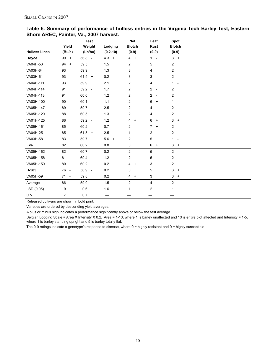|                      |                | <b>Test</b>    |                          | <b>Net</b>                             | Leaf                                       | <b>Spot</b>                   |  |
|----------------------|----------------|----------------|--------------------------|----------------------------------------|--------------------------------------------|-------------------------------|--|
|                      | Yield          | Weight         | Lodging                  | <b>Blotch</b>                          | <b>Rust</b>                                | <b>Blotch</b>                 |  |
| <b>Hulless Lines</b> | (Bu/a)         | (Lb/bu)        | $(0.2 - 10)$             | $(0-9)$                                | $(0-9)$                                    | $(0-9)$                       |  |
| Doyce                | 99 +           | $56.8 -$       | $4.3 +$                  | $4 +$                                  | $\mathbf{1}$<br>$\sim$                     | $3 +$                         |  |
| VA04H-53             | 94<br>$+$      | 59.5           | 1.5                      | 2                                      | 5                                          | $\boldsymbol{2}$              |  |
| VA03H-64             | 93             | 59.9           | 1.3                      | 3                                      | 4                                          | $\overline{c}$                |  |
| VA03H-61             | 93             | $61.5 +$       | 0.2                      | 3                                      | 3                                          | $\overline{c}$                |  |
| VA04H-111            | 93             | 59.9           | 2.1                      | 2                                      | 4                                          | $1 -$                         |  |
| VA04H-114            | 91             | 59.2<br>$\sim$ | 1.7                      | $\overline{2}$                         | $2 -$                                      | $\overline{c}$                |  |
| VA04H-113            | 91             | 60.0           | 1.2                      | $\overline{c}$                         | $\overline{2}$<br>$\overline{\phantom{a}}$ | $\overline{c}$                |  |
| VA03H-100            | 90             | 60.1           | 1.1                      | 2                                      | 6<br>$\ddot{}$                             | $1 -$                         |  |
| VA05H-147            | 89             | 59.7           | 2.5                      | $\overline{2}$                         | 4                                          | $\overline{c}$                |  |
| VA05H-120            | 88             | 60.5           | 1.3                      | 2                                      | 4                                          | $\boldsymbol{2}$              |  |
| VA01H-125            | 86             | $59.2 -$       | 1.2                      | $\overline{4}$<br>$\ddot{\phantom{1}}$ | 6<br>$\ddot{}$                             | $3 +$                         |  |
| VA05H-161            | 85             | 60.2           | 0.7                      | $\overline{2}$                         | $\overline{7}$<br>$\ddot{}$                | 2                             |  |
| VA04H-25             | 85             | $61.5 +$       | 2.5                      | 1.<br>$\overline{\phantom{a}}$         | $\overline{2}$<br>$\overline{\phantom{a}}$ | $\overline{c}$                |  |
| VA03H-58             | 83             | 59.7           | 5.6<br>$\left. +\right.$ | $\overline{c}$                         | 5                                          | 1<br>$\overline{\phantom{a}}$ |  |
| Eve                  | 82             | 60.2           | 0.8                      | 3                                      | 6<br>$\ddot{}$                             | 3<br>$+$                      |  |
| VA05H-162            | 82             | 60.7           | 0.2                      | $\overline{\mathbf{c}}$                | 5                                          | $\boldsymbol{2}$              |  |
| VA05H-158            | 81             | 60.4           | 1.2                      | $\overline{c}$                         | 5                                          | $\boldsymbol{2}$              |  |
| VA05H-159            | 80             | 60.2           | 0.2                      | 4<br>$\ddot{}$                         | 3                                          | $\overline{c}$                |  |
| H-585                | 76 -           | 58.9<br>$\sim$ | 0.2                      | 3                                      | 5                                          | 3<br>$^{+}$                   |  |
| VA05H-59             | $71 -$         | 59.8           | 0.2                      | 4<br>$\ddot{}$                         | 3                                          | $3 +$                         |  |
| Average              | 86             | 59.9           | 1.5                      | $\overline{c}$                         | 4                                          | $\overline{2}$                |  |
| LSD (0.05)           | 9              | 0.6            | 1.6                      | $\mathbf{1}$                           | $\overline{\mathbf{c}}$                    | 1                             |  |
| C.V.                 | $\overline{7}$ | 0.7            | —                        |                                        |                                            |                               |  |

#### **Table 6. Summary of performance of hulless entries in the Virginia Tech Barley Test, Eastern Shore AREC, Painter, Va., 2007 harvest.**

Released cultivars are shown in bold print.

Varieties are ordered by descending yield averages.

A plus or minus sign indicates a performance significantly above or below the test average.

Belgian Lodging Scale = Area X Intensity X 0.2. Area = 1-10, where 1 is barley unaffected and 10 is entire plot affected and Intensity = 1-5, where 1 is barley standing upright and 5 is barley totally flat.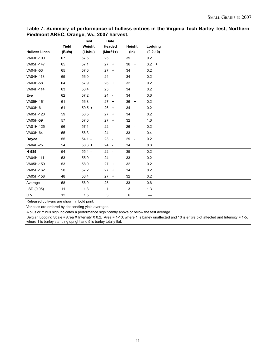#### **Table 7. Summary of performance of hulless entries in the Virginia Tech Barley Test, Northern Piedmont AREC, Orange, Va., 2007 harvest.**

|                      |        | <b>Test</b> | <b>Date</b>     |           |              |
|----------------------|--------|-------------|-----------------|-----------|--------------|
|                      | Yield  | Weight      | Headed          | Height    | Lodging      |
| <b>Hulless Lines</b> | (Bu/a) | (Lb/bu)     | $(Mar31+)$      | $(\ln)$   | $(0.2 - 10)$ |
| VA03H-100            | 67     | 57.5        | 25              | $39 +$    | 0.2          |
| VA05H-147            | 65     | 57.1        | $27 +$          | 36<br>$+$ | $3.2 +$      |
| VA04H-53             | 65     | 57.0        | $27 +$          | 34        | 0.2          |
| VA04H-113            | 65     | 56.0        | 24 -            | 34        | 0.2          |
| VA03H-58             | 64     | 57.9        | $26 +$          | 32        | 0.2          |
| VA04H-114            | 63     | 56.4        | 25              | 34        | 0.2          |
| Eve                  | 62     | 57.2        | 24 -            | 34        | 0.6          |
| VA05H-161            | 61     | 56.8        | 27<br>$\ddot{}$ | $36 +$    | 0.2          |
| VA03H-61             | 61     | $59.5 +$    | 26<br>$\ddot{}$ | 34        | 0.2          |
| VA05H-120            | 59     | 56.5        | $27 +$          | 34        | 0.2          |
| VA05H-59             | 57     | 57.0        | $27 +$          | 32        | 1.6          |
| VA01H-125            | 56     | 57.1        | $22 -$          | 26 -      | 0.2          |
| VA03H-64             | 55     | 56.3        | 24 -            | 33        | 0.4          |
| Doyce                | 55     | $54.1 -$    | $23 -$          | 29 -      | 0.2          |
| VA04H-25             | 54     | $58.3 +$    | 24 -            | 34        | 0.8          |
| H-585                | 54     | $55.4 -$    | $22 -$          | 35        | 0.2          |
| VA04H-111            | 53     | 55.9        | 24 -            | 33        | 0.2          |
| VA05H-159            | 53     | 58.0        | $27 +$          | 32        | 0.2          |
| VA05H-162            | 50     | 57.2        | $27 +$          | 34        | 0.2          |
| VA05H-158            | 48     | 56.4        | 27<br>$\ddot{}$ | 32        | 0.2          |
| Average              | 58     | 56.9        | 25              | 33        | 0.6          |
| LSD (0.05)           | 11     | 1.3         | 1               | 3         | 1.3          |
| C.V.                 | 12     | 1.5         | 3               | 6         |              |

Released cultivars are shown in bold print.

Varieties are ordered by descending yield averages.

A plus or minus sign indicates a performance significantly above or below the test average.

Belgian Lodging Scale = Area X Intensity X 0.2. Area = 1-10, where 1 is barley unaffected and 10 is entire plot affected and Intensity = 1-5, where 1 is barley standing upright and 5 is barley totally flat.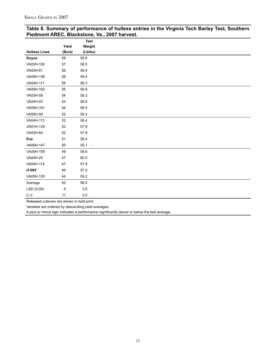| <b>Hulless Lines</b><br><b>Doyce</b><br>59<br>VA03H-100<br>57<br>VA03H-61<br>56<br>VA05H-158<br>56<br>VA04H-111<br>56<br>VA05H-162<br>55<br>VA03H-58<br>54<br>VA04H-53<br>54<br>VA05H-161<br>54<br>VA05H-59<br>52<br>VA04H-113<br>52<br>VA01H-125<br>52<br>VA03H-64<br>52<br>Eve<br>51<br>VA05H-147<br>50<br>VA05H-159<br>49<br>VA04H-25<br>47<br>VA04H-114<br>47<br>H-585<br>46<br>VA05H-120<br>44<br>52<br>Average<br>9<br>LSD (0.05) |      |        | Test     |
|-----------------------------------------------------------------------------------------------------------------------------------------------------------------------------------------------------------------------------------------------------------------------------------------------------------------------------------------------------------------------------------------------------------------------------------------|------|--------|----------|
|                                                                                                                                                                                                                                                                                                                                                                                                                                         |      | Yield  | Weight   |
|                                                                                                                                                                                                                                                                                                                                                                                                                                         |      | (Bu/a) | (Lb/bu)  |
|                                                                                                                                                                                                                                                                                                                                                                                                                                         |      |        | 56.6     |
|                                                                                                                                                                                                                                                                                                                                                                                                                                         |      |        | 58.5     |
|                                                                                                                                                                                                                                                                                                                                                                                                                                         |      |        | 59.4     |
|                                                                                                                                                                                                                                                                                                                                                                                                                                         |      |        | 59.4     |
|                                                                                                                                                                                                                                                                                                                                                                                                                                         |      |        | 58.3     |
|                                                                                                                                                                                                                                                                                                                                                                                                                                         |      |        | 59.9     |
|                                                                                                                                                                                                                                                                                                                                                                                                                                         |      |        | 59.3     |
|                                                                                                                                                                                                                                                                                                                                                                                                                                         |      |        | 58.8     |
|                                                                                                                                                                                                                                                                                                                                                                                                                                         |      |        | 58.5     |
|                                                                                                                                                                                                                                                                                                                                                                                                                                         |      |        | 59.3     |
|                                                                                                                                                                                                                                                                                                                                                                                                                                         |      |        | 58.4     |
|                                                                                                                                                                                                                                                                                                                                                                                                                                         |      |        | 57.9     |
|                                                                                                                                                                                                                                                                                                                                                                                                                                         |      |        | 57.9     |
|                                                                                                                                                                                                                                                                                                                                                                                                                                         |      |        | 59.4     |
|                                                                                                                                                                                                                                                                                                                                                                                                                                         |      |        | $55.1 -$ |
|                                                                                                                                                                                                                                                                                                                                                                                                                                         |      |        | 58.6     |
|                                                                                                                                                                                                                                                                                                                                                                                                                                         |      |        | 60.0     |
|                                                                                                                                                                                                                                                                                                                                                                                                                                         |      |        | 57.8     |
|                                                                                                                                                                                                                                                                                                                                                                                                                                         |      |        | 57.5     |
|                                                                                                                                                                                                                                                                                                                                                                                                                                         |      |        | 59.2     |
|                                                                                                                                                                                                                                                                                                                                                                                                                                         |      |        | 58.5     |
|                                                                                                                                                                                                                                                                                                                                                                                                                                         |      |        | $2.6\,$  |
|                                                                                                                                                                                                                                                                                                                                                                                                                                         | C.V. | 11     | $3.0\,$  |

#### **Table 8. Summary of performance of hulless entries in the Virginia Tech Barley Test, Southern Piedmont AREC, Blackstone, Va., 2007 harvest.**

Released cultivars are shown in bold print.

Varieties are ordered by descending yield averages.

A plus or minus sign indicates a performance significantly above or below the test average.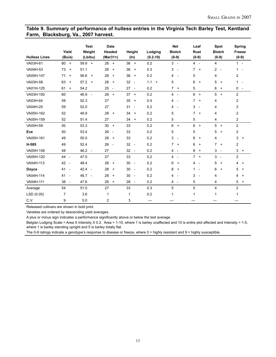#### **Table 9. Summary of performance of hulless entries in the Virginia Tech Barley Test, Kentland Farm, Blacksburg, Va., 2007 harvest.**

| <b>Hulless Lines</b> | Yield<br>(Bu/a)                | <b>Test</b><br>Weight<br>(Lb/bu) | <b>Date</b><br>Headed<br>$(Mar31+)$ | Height<br>$(\ln)$              | Lodging<br>$(0.2 - 10)$ | <b>Net</b><br><b>Blotch</b><br>$(0-9)$     | Leaf<br><b>Rust</b><br>$(0-9)$ | Spot<br><b>Blotch</b><br>$(0-9)$ | Spring<br>Freeze<br>$(0-9)$              |
|----------------------|--------------------------------|----------------------------------|-------------------------------------|--------------------------------|-------------------------|--------------------------------------------|--------------------------------|----------------------------------|------------------------------------------|
| VA03H-61             | 80<br>$\ddot{}$                | 59.9<br>$+$                      | 28<br>$\ddot{}$                     | 36<br>$\ddot{}$                | 0.2                     | $3 -$                                      | $4 -$                          | 4                                | $1 -$                                    |
| VA04H-53             | 73<br>$\ddot{}$                | 51.1                             | 28<br>$\ddot{}$                     | 36<br>$\ddot{}$                | 0.3                     | 3<br>$\overline{\phantom{a}}$              | 7<br>$\ddot{}$                 | 2<br>$\overline{\phantom{a}}$    | 1                                        |
| VA05H-147            | 71<br>$\ddot{}$                | 56.6<br>$^{+}$                   | 28<br>$\ddot{}$                     | 36<br>$\ddot{}$                | 0.2                     | 4<br>$\overline{\phantom{a}}$              | 5                              | 4                                | 2                                        |
| VA03H-58             | 63<br>$\ddot{}$                | 57.2<br>$+$                      | 28<br>$\ddot{}$                     | 32<br>$\overline{\phantom{a}}$ | 1.1<br>$\ddot{}$        | 5                                          | 6<br>$\ddot{}$                 | 5<br>$\ddot{}$                   | $\mathbf{1}$<br>$\overline{\phantom{a}}$ |
| VA01H-125            | 61<br>$\ddot{}$                | 54.2                             | 25<br>$\overline{\phantom{a}}$      | 27<br>$\overline{\phantom{a}}$ | 0.2                     | $\overline{7}$<br>$\ddot{}$                | 5                              | 6<br>$\ddot{}$                   | 0<br>$\overline{\phantom{a}}$            |
| VA03H-100            | 60                             | 46.9<br>$\overline{\phantom{a}}$ | 28<br>$\ddot{}$                     | 37<br>$\overline{+}$           | 0.2                     | $\overline{4}$<br>$\overline{\phantom{a}}$ | 6<br>$\ddot{}$                 | 5<br>$\ddot{}$                   | $\overline{c}$                           |
| VA03H-64             | 59                             | 52.3                             | 27                                  | 35<br>$\ddot{}$                | 0.4                     | 4                                          | 7<br>$\ddot{}$                 | 4                                | 2                                        |
| VA04H-25             | 59                             | 52.0                             | 27                                  | 31<br>$\overline{\phantom{a}}$ | 0.2                     | 4<br>$\overline{a}$                        | 3<br>$\overline{\phantom{a}}$  | 4                                | 2                                        |
| VA05H-162            | 52                             | 49.9                             | 28<br>$\ddot{}$                     | 34<br>$\ddot{}$                | 0.2                     | 5                                          | 7<br>$\ddot{}$                 | 4                                | 2                                        |
| VA05H-159            | 52                             | 51.4                             | 27                                  | 34<br>$\ddot{}$                | 0.2                     | 5                                          | 5                              | 4                                | 2                                        |
| VA05H-59             | 50                             | 53.3                             | 30<br>$\ddot{}$                     | 33                             | 0.2                     | 6<br>$\ddot{}$                             | 6<br>$\ddot{}$                 | 5<br>$\overline{+}$              | 2                                        |
| Eve                  | 50                             | 53.4                             | 26<br>$\overline{\phantom{a}}$      | 33                             | 0.2                     | 5                                          | 5                              | 5<br>$\ddot{}$                   | 2                                        |
| VA05H-161            | 49                             | 50.0                             | 28<br>$\ddot{}$                     | 33                             | 0.2                     | 3<br>$\overline{\phantom{a}}$              | 8<br>$\ddot{}$                 | 4                                | 3<br>$\ddot{}$                           |
| H-585                | 49                             | 52.4                             | 26<br>$\overline{\phantom{a}}$      | 32<br>$\overline{\phantom{a}}$ | 0.2                     | $\overline{7}$<br>$\ddot{}$                | 6<br>$\ddot{}$                 | $\overline{7}$<br>$\ddot{}$      | 2                                        |
| VA05H-158            | 48                             | $46.2 -$                         | 27                                  | 32<br>$\overline{\phantom{a}}$ | 0.2                     | $\overline{4}$<br>$\overline{\phantom{a}}$ | 8<br>$\ddot{}$                 | 3<br>$\overline{\phantom{a}}$    | 3<br>$\ddot{}$                           |
| VA05H-120            | 44 -                           | 47.5                             | 27                                  | 33                             | 0.2                     | $\overline{4}$<br>$\overline{\phantom{a}}$ | 7<br>$+$                       | 3<br>$\overline{\phantom{a}}$    | 2                                        |
| VA04H-113            | 42<br>$\sim$                   | 48.4                             | 28<br>$\ddot{}$                     | 30<br>$\overline{\phantom{a}}$ | 0.2                     | 6<br>$\overline{+}$                        | 4<br>$\overline{\phantom{a}}$  | 5<br>$\ddot{}$                   | 4<br>$\ddot{}$                           |
| Doyce                | 41<br>$\overline{\phantom{a}}$ | 42.4<br>$\sim$                   | 28<br>$\ddot{}$                     | 30<br>$\overline{\phantom{a}}$ | 0.2                     | 8<br>$\ddot{}$                             | 1<br>$\overline{\phantom{a}}$  | 6<br>$\ddot{}$                   | 5<br>$\ddot{}$                           |
| VA04H-114            | 41<br>$\overline{\phantom{m}}$ | 46.7<br>$\sim$                   | 28<br>$\ddot{}$                     | 30<br>$\overline{\phantom{a}}$ | 0.2                     | 4                                          | 3<br>$\blacksquare$            | 4                                | 4<br>$\ddot{}$                           |
| VA04H-111            | 38<br>$\overline{\phantom{a}}$ | 47.6                             | 28<br>$\ddot{}$                     | 28<br>$\overline{\phantom{a}}$ | 0.2                     | $\overline{4}$<br>$\overline{\phantom{0}}$ | 5                              | 4                                | 5<br>$+$                                 |
| Average              | 54                             | 51.0                             | 27                                  | 33                             | 0.3                     | 5                                          | 5                              | 4                                | 2                                        |
| LSD (0.05)           | $\overline{7}$                 | 3.6                              | 1                                   | $\mathbf{1}$                   | 0.2                     | 1                                          | 1                              | 1                                | 1                                        |
| C.V.                 | 9                              | 5.0                              | 2                                   | 3                              | —                       |                                            |                                |                                  |                                          |

Released cultivars are shown in bold print.

Varieties are ordered by descending yield averages.

A plus or minus sign indicates a performance significantly above or below the test average.

Belgian Lodging Scale = Area X Intensity X 0.2. Area = 1-10, where 1 is barley unaffected and 10 is entire plot affected and Intensity = 1-5, where 1 is barley standing upright and 5 is barley totally flat.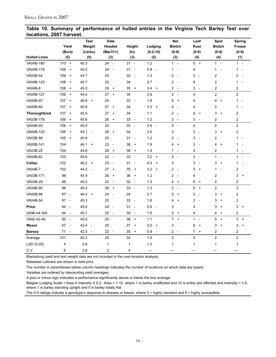#### **Table 10. Summary of performance of hulled entries in the Virginia Tech Barley Test over locations, 2007 harvest.**

|                     |                                         | <b>Test</b>                      | <b>Date</b>                            |                                        |                                 | <b>Net</b>                                 | Leaf                          | Spot                                     | <b>Spring</b>                 |
|---------------------|-----------------------------------------|----------------------------------|----------------------------------------|----------------------------------------|---------------------------------|--------------------------------------------|-------------------------------|------------------------------------------|-------------------------------|
|                     | Yield                                   | Weight                           | Headed                                 | Height                                 | Lodging                         | <b>Blotch</b>                              | Rust                          | <b>Blotch</b>                            | Freeze                        |
|                     | (Bu/a)                                  | (Lb/bu)                          | (Mar31+)                               | $(\ln)$                                | $(0.2 - 10)$                    | $(0-9)$                                    | $(0-9)$                       | $(0-9)$                                  | $(0-9)$                       |
| <b>Hulled Lines</b> | (5)                                     | (5)                              | (3)                                    | (3)                                    | (5)                             | (3)                                        | (4)                           | (4)                                      | (1)                           |
| VA04B-180           | 110<br>$+$                              | 45.3                             | 24<br>$\overline{\phantom{a}}$         | $31 -$                                 | 1.2                             | $1 -$                                      | 5<br>$+$                      | $1 -$                                    | $1 -$                         |
| VA04B-178           | 109<br>$\overline{+}$                   | 45.0                             | 24<br>$\overline{a}$                   | 31<br>$\overline{\phantom{a}}$         | 0.8<br>$\overline{\phantom{a}}$ | $\mathbf{1}$<br>÷,                         | 4                             | $\mathbf{1}$<br>÷,                       | $\mathbf{1}$                  |
| VA03B-44            | 109<br>$\ddot{}$                        | 44.7                             | 25                                     | 32<br>$\sim$                           | $1.3$                           | $\overline{2}$<br>$\sim$                   | 3<br>$\sim$                   | $\overline{c}$                           | 0                             |
| VA04B-125           | 108<br>$\begin{array}{c} + \end{array}$ | 45.7                             | 25                                     | 34                                     | 2.7                             | $\overline{2}$<br>$\overline{\phantom{a}}$ | 4                             | $\overline{c}$                           | $1 -$                         |
| <b>VA04B-8</b>      | 108<br>$\begin{array}{c} + \end{array}$ | 45.0                             | 29<br>$+$                              | 35<br>$\begin{array}{c} + \end{array}$ | $3.4 +$                         | $2 -$                                      | 3<br>$\overline{a}$           | $\overline{c}$                           | 2                             |
| VA04B-127           | 108<br>$\begin{array}{c} + \end{array}$ | 44.4<br>$\sim$                   | 27<br>$\ddot{}$                        | 34                                     | 2.8                             | $\overline{c}$<br>$\overline{\phantom{a}}$ | 4                             | $\overline{2}$                           | $\overline{c}$                |
| VA05B-97            | 107<br>$\begin{array}{c} + \end{array}$ | 46.8<br>$+$                      | 25                                     | 33<br>$\overline{\phantom{a}}$         | 1.6                             | 5<br>$\ddot{}$                             | 4                             | 4<br>$\ddot{}$                           | $1 -$                         |
| VA05B-64            | 107<br>$\begin{array}{c} + \end{array}$ | 45.9                             | 27<br>$\ddot{}$                        | 34                                     | 3.3<br>$\ddot{}$                | $\overline{c}$<br>$\overline{\phantom{a}}$ | 4                             | 2                                        | 1                             |
| Thoroughbred        | 107<br>$\pmb{+}$                        | 45.5                             | 27<br>$\ddot{}$                        | 34                                     | 1.1                             | 2<br>$\overline{\phantom{a}}$              | 6<br>$^{+}$                   | 3<br>$\ddot{}$                           | 2                             |
| VA03B-176           | 106<br>$\begin{array}{c} + \end{array}$ | 45.6                             | 26<br>$\ddot{}$                        | 33<br>$\overline{\phantom{a}}$         | 1.2                             | $\overline{2}$<br>$\overline{a}$           | 3<br>$\overline{\phantom{a}}$ | 2                                        | 2                             |
| VA04B-93            | 106<br>$\ddot{}$                        | 45.0                             | 25                                     | 33<br>$\overline{\phantom{a}}$         | 0.6<br>$\sim$                   | $2 -$                                      | 4                             | $\overline{c}$                           | $\overline{\mathbf{c}}$       |
| VA04B-120           | 106<br>$\begin{array}{c} + \end{array}$ | 43.1<br>$\overline{\phantom{a}}$ | 26<br>$\ddot{}$                        | 34                                     | 2.6                             | 3                                          | 3<br>$\overline{\phantom{a}}$ | 3<br>$\ddot{}$                           | 2                             |
| VA03B-58            | 105<br>$\ddot{}$                        | 45.8                             | 25                                     | 31<br>$\overline{\phantom{a}}$         | 1.2                             | $\overline{c}$<br>$\overline{\phantom{a}}$ | 3<br>$\overline{\phantom{a}}$ | $\overline{c}$                           | $1 -$                         |
| VA05B-141           | 104                                     | 46.1<br>$\ddot{}$                | 23<br>$\overline{\phantom{a}}$         | 36<br>$\ddot{}$                        | 1.9                             | 4<br>$\ddot{}$                             | 3<br>$\overline{\phantom{a}}$ | 4<br>$\ddot{}$                           | 1                             |
| VA03B-25            | 104                                     | 44.8                             | 28<br>$\begin{array}{c} + \end{array}$ | 38<br>$\begin{array}{c} + \end{array}$ | 1.4                             | 1<br>$\overline{\phantom{a}}$              | 4                             | $\overline{2}$                           | 1<br>$\overline{\phantom{a}}$ |
| VA04B-62            | 103                                     | 45.6                             | 22<br>$\sim$                           | 33<br>$\overline{\phantom{a}}$         | 3.2<br>$+$                      | $\overline{2}$<br>$\overline{\phantom{a}}$ | 3<br>$\sim$                   | $1 -$                                    | $1 -$                         |
| Callao              | 102                                     | $46.2 +$                         | 23<br>$\overline{\phantom{a}}$         | 31<br>$\overline{\phantom{a}}$         | 4.3<br>$\ddot{}$                | 3                                          | 3<br>$\overline{\phantom{a}}$ | 3<br>$\ddot{}$                           | $\mathbf{1}$                  |
| <b>VA04B-7</b>      | 102                                     | 44.2 -                           | 27<br>$\ddot{}$                        | 35<br>$^{+}$                           | 3.2<br>$\ddot{}$                | 2<br>$\overline{\phantom{a}}$              | 5<br>$\ddot{}$                | $\mathbf{1}$<br>$\overline{\phantom{a}}$ | 2                             |
| VA03B-171           | 98                                      | 45.9                             | 26<br>$\ddot{}$                        | 36<br>$\ddot{}$                        | 1.2                             | $\overline{2}$<br>$\overline{a}$           | 4                             | $\overline{c}$                           | 3<br>$\ddot{}$                |
| VA04B-29            | 98                                      | 45.5                             | 22<br>$\overline{\phantom{a}}$         | 32<br>$\overline{\phantom{a}}$         | 1.3                             | 4<br>$\ddot{}$                             | 5<br>$+$                      | $\overline{c}$                           | $\overline{\mathbf{c}}$       |
| VA04B-95            | 98                                      | 45.4                             | 26<br>$\ddot{}$                        | 33<br>$\overline{\phantom{a}}$         | 1.3                             | $\overline{c}$<br>$\overline{\phantom{a}}$ | 5<br>$\ddot{}$                | $\overline{c}$                           | 2                             |
| VA05B-98            | $97 -$                                  | 46.4<br>$\ddot{}$                | 24<br>$\sim$                           | 34                                     | 2.7                             | 5<br>$\ddot{}$                             | 2<br>$\sim$                   | 3<br>$\ddot{}$                           | $\overline{c}$                |
| VA04B-54            | 97<br>$\overline{\phantom{a}}$          | 45.3                             | 25                                     | 33<br>$\overline{\phantom{a}}$         | 1.6                             | 4<br>$\ddot{}$                             | 2<br>$\overline{\phantom{a}}$ | 3<br>$\ddot{}$                           | 2                             |
| <b>Price</b>        | 94<br>$\overline{\phantom{a}}$          | 45.6                             | 24<br>$\overline{\phantom{a}}$         | 31<br>$\overline{\phantom{a}}$         | 0.8<br>$\overline{\phantom{a}}$ | 3                                          | 4                             | 3<br>$\ddot{}$                           | 3<br>$\ddot{}$                |
| VA96-44-304         | 94<br>$\overline{a}$                    | 45.1                             | 22<br>$\overline{\phantom{a}}$         | 30<br>$\overline{\phantom{a}}$         | 1.8                             | 5<br>$\ddot{}$                             | 4                             | 4<br>$\ddot{}$                           | 2                             |
| VA92-42-46          | 92 -                                    | 45.0                             | 25                                     | 38<br>$\begin{array}{c} + \end{array}$ | 1.1                             | $\overline{7}$<br>$\ddot{}$                | 1<br>$\overline{\phantom{a}}$ | 5<br>$\ddot{}$                           | 3<br>$+$                      |
| Wysor               | 87<br>$\overline{\phantom{a}}$          | 43.4<br>$\overline{\phantom{a}}$ | 25                                     | 37<br>$+$                              | 3.0<br>$\ddot{}$                | 3                                          | 6<br>$\ddot{}$                | 3<br>$\ddot{}$                           | 3<br>$\ddot{}$                |
| <b>Barsoy</b>       | 71<br>$\sim$                            | 42.3<br>$\sim$                   | 22<br>$\sim$                           | 35<br>$\left. +\right.$                | 0.9<br>$\sim$                   | $\overline{2}$<br>$\sim$                   | 7<br>$+$                      | $\overline{c}$                           | 2                             |
| Average             | 101                                     | 45.2                             | 25                                     | 34                                     | 1.9                             | 3                                          | 4                             | $\overline{c}$                           | $\overline{c}$                |
| LSD (0.05)          | 4                                       | 0.8                              | 1                                      | $\mathbf 1$                            | 1.0                             | $\mathbf{1}$                               | 1                             | 1                                        | $\mathbf{1}$                  |
| C.V.                | 6                                       | 2.8                              | $\overline{c}$                         | 4                                      |                                 |                                            |                               |                                          |                               |

Blacksburg yield and test weight data are not included in the over-location analysis.

Released cultivars are shown in bold print.

The number in parentheses below column headings indicates the number of locations on which data are based.

Varieties are ordered by descending yield averages.

A plus or minus sign indicates a performance significantly above or below the test average.

Belgian Lodging Scale = Area X Intensity X 0.2. Area = 1-10, where 1 is barley unaffected and 10 is entire plot affected and Intensity = 1-5, where 1 is barley standing upright and 5 is barley totally flat.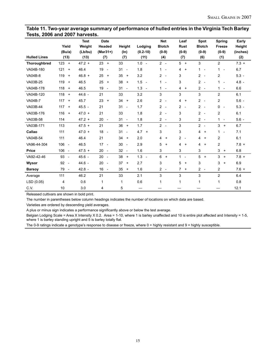#### **Table 11. Two-year average summary of performance of hulled entries in the Virginia Tech Barley Tests, 2006 and 2007 harvests.**

|                     | Yield                                   | <b>Test</b><br>Weight | <b>Date</b><br>Headed          | Height                         | Lodging                         | <b>Net</b><br><b>Blotch</b>                | Leaf<br><b>Rust</b>         | Spot<br><b>Blotch</b>                      | Spring<br>Freeze                         | Early<br>Height |
|---------------------|-----------------------------------------|-----------------------|--------------------------------|--------------------------------|---------------------------------|--------------------------------------------|-----------------------------|--------------------------------------------|------------------------------------------|-----------------|
|                     | (Bu/a)                                  | (Lb/bu)               | $(Mar31+)$                     | (ln)                           | $(0.2 - 10)$                    | $(0-9)$                                    | $(0-9)$                     | $(0-9)$                                    | $(0-9)$                                  | (inches)        |
| <b>Hulled Lines</b> | (13)                                    | (13)                  | (7)                            | (7)                            | (11)                            | (4)                                        | (7)                         | (6)                                        | (1)                                      | (2)             |
| Thoroughbred        | 123<br>$\begin{array}{c} + \end{array}$ | $47.2 +$              | 23<br>$\ddot{}$                | 33                             | 1.0<br>$\overline{\phantom{a}}$ | $2 -$                                      | $5 +$                       | 3                                          | $\overline{c}$                           | $7.3 +$         |
| VA04B-180           | 121<br>$\ddot{}$                        | 46.4                  | 19<br>$\overline{\phantom{a}}$ | 31<br>$\overline{a}$           | 1.8                             | $\mathbf{1}$<br>$\overline{\phantom{a}}$   | 4<br>$\ddot{}$              | $1 -$                                      | 1<br>$\overline{\phantom{a}}$            | 6.7             |
| VA04B-8             | 119<br>$\ddot{}$                        | $46.8 +$              | 25<br>$\ddot{}$                | 35<br>$+$                      | 3.2                             | $\overline{2}$<br>$\overline{\phantom{a}}$ | 3                           | $\overline{2}$<br>$\overline{\phantom{a}}$ | 2                                        | $5.3 -$         |
| VA03B-25            | 119<br>$\ddot{}$                        | 46.5                  | 25<br>$\ddot{}$                | 38<br>$+$                      | $1.5 -$                         | $\mathbf{1}$<br>$\overline{\phantom{a}}$   | 3                           | $\overline{2}$<br>$\overline{\phantom{a}}$ | $\mathbf 1$<br>$\overline{\phantom{a}}$  | $4.8 -$         |
| VA04B-178           | 118<br>$\ddot{}$                        | 46.5                  | 19<br>$\overline{\phantom{a}}$ | 31<br>$\overline{\phantom{a}}$ | $1.3 -$                         | $\overline{1}$<br>$\overline{\phantom{a}}$ | 4<br>$\ddot{}$              | 2<br>$\overline{\phantom{a}}$              | 1<br>$\overline{\phantom{a}}$            | 6.6             |
| VA04B-120           | 118<br>$\ddot{}$                        | 44.6 -                | 21                             | 33                             | 3.2                             | 3                                          | 3                           | 3                                          | $\overline{c}$                           | 6.1             |
| <b>VA04B-7</b>      | 117<br>$\ddot{}$                        | 45.7                  | 23<br>$\ddot{}$                | 34<br>$+$                      | 2.6                             | $\overline{2}$<br>$\overline{\phantom{a}}$ | $\overline{4}$<br>$\ddot{}$ | $\overline{2}$<br>$\overline{\phantom{a}}$ | 2                                        | $5.6 -$         |
| VA03B-44            | 117<br>$\ddot{}$                        | $45.5 -$              | 21                             | 31<br>$\overline{\phantom{a}}$ | 1.7                             | $2 -$                                      | $2 -$                       | $2 -$                                      | 0<br>$\overline{\phantom{a}}$            | $5.3 -$         |
| VA03B-176           | 116<br>$\ddot{}$                        | $47.0 +$              | 21                             | 33                             | 1.8                             | $2^{\circ}$<br>$\overline{\phantom{a}}$    | 3                           | $\overline{c}$<br>$\overline{\phantom{a}}$ | 2                                        | 6.1             |
| VA03B-58            | 114                                     | $47.2 +$              | 20<br>$\overline{\phantom{a}}$ | 31<br>$\overline{a}$           | 1.8                             | $2 -$                                      | 3                           | $2 -$                                      | $\mathbf{1}$<br>$\overline{\phantom{a}}$ | $5.6 -$         |
| VA03B-171           | 113                                     | $47.5 +$              | 21                             | 36<br>$+$                      | 1.7                             | $2 -$                                      | 3                           | $2 -$                                      | 3<br>$\ddot{}$                           | 6.7             |
| Callao              | 111                                     | $47.0 +$              | 18<br>$\overline{\phantom{a}}$ | 31<br>$\overline{\phantom{a}}$ | $4.7 +$                         | 3                                          | 3                           | 4<br>$^{+}$                                | 1<br>$\overline{\phantom{a}}$            | 7.1             |
| VA04B-54            | 111                                     | 46.4                  | 21                             | 34<br>$+$                      | 2.0                             | 4<br>$\ddot{}$                             | $2 -$                       | 4<br>$+$                                   | 2                                        | 6.1             |
| VA96-44-304         | 106<br>$\overline{\phantom{a}}$         | 46.5                  | 17<br>$\overline{\phantom{a}}$ | 30<br>$\overline{\phantom{a}}$ | 2.9                             | 5<br>$\ddot{}$                             | 4<br>$\ddot{}$              | 4<br>$\ddot{}$                             | 2                                        | $7.8 +$         |
| <b>Price</b>        | $106 -$                                 | $47.5 +$              | 20<br>$\sim$                   | 32<br>$\sim$                   | 1.6                             | 3                                          | 3                           | 3                                          | 3<br>$\ddot{}$                           | 6.8             |
| VA92-42-46          | 93<br>$\overline{\phantom{a}}$          | $45.6 -$              | 20<br>$\overline{\phantom{a}}$ | 38<br>$+$                      | $1.3 -$                         | 6<br>$\ddot{}$                             | $\mathbf{1}$<br>$\sim$      | 5<br>$+$                                   | 3<br>$\ddot{}$                           | $7.8 +$         |
| Wysor               | 92<br>$\overline{\phantom{a}}$          | 44.6 -                | 20<br>$\overline{\phantom{a}}$ | 37<br>$+$                      | 2.7                             | 3                                          | 5<br>$\ddot{}$              | 3                                          | 3<br>$\ddot{}$                           | 6.9             |
| <b>Barsoy</b>       | 79<br>$\overline{\phantom{a}}$          | $42.8 -$              | $16 -$                         | 35<br>$+$                      | 1.6                             | $\overline{2}$<br>$\overline{\phantom{a}}$ | $\overline{7}$<br>$\ddot{}$ | $2 -$                                      | 2                                        | $7.6 +$         |
| Average             | 111                                     | 46.2                  | 21                             | 33                             | 2.1                             | 3                                          | 3                           | 3                                          | 2                                        | 6.4             |
| LSD(0.05)           | 4                                       | 0.6                   | 1                              | $\mathbf 1$                    | 0.6                             | 1                                          | 1                           | 1                                          | 1                                        | 0.8             |
| C V                 | 10                                      | 3.0                   | 4                              | 5                              |                                 |                                            |                             |                                            |                                          | 12.1            |

Released cultivars are shown in bold print.

The number in parentheses below column headings indicates the number of locations on which data are based.

Varieties are ordered by descending yield averages.

A plus or minus sign indicates a performance significantly above or below the test average.

Belgian Lodging Scale = Area X Intensity X 0.2. Area = 1-10, where 1 is barley unaffected and 10 is entire plot affected and Intensity = 1-5, where 1 is barley standing upright and 5 is barley totally flat.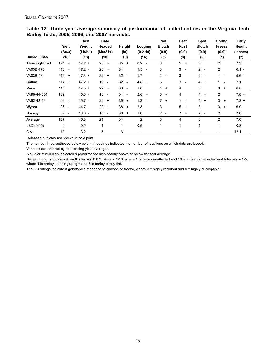| Table 12. Three-year average summary of performance of hulled entries in the Virginia Tech |  |
|--------------------------------------------------------------------------------------------|--|
| Barley Tests, 2005, 2006, and 2007 harvests.                                               |  |

|                     | Yield<br>(Bu/a)                | <b>Test</b><br>Weight<br>(Lb/bu) | <b>Date</b><br>Headed<br>$(Mar31+)$ | Height<br>$(\ln)$              | Lodging<br>$(0.2 - 10)$ | <b>Net</b><br><b>Blotch</b><br>$(0-9)$     | Leaf<br><b>Rust</b><br>$(0-9)$ | Spot<br><b>Blotch</b><br>$(0-9)$           | Spring<br>Freeze<br>$(0-9)$              | Early<br>Height<br>(inches) |
|---------------------|--------------------------------|----------------------------------|-------------------------------------|--------------------------------|-------------------------|--------------------------------------------|--------------------------------|--------------------------------------------|------------------------------------------|-----------------------------|
| <b>Hulled Lines</b> | (18)                           | (18)                             | (10)                                | (10)                           | (16)                    | (5)                                        | (8)                            | (6)                                        | (1)                                      | (2)                         |
| Thoroughbred        | 124<br>$\ddot{}$               | $47.2 +$                         | 25<br>$\ddot{}$                     | 35<br>$+$                      | $0.9 -$                 | 3                                          | 5<br>$\ddot{}$                 | 3                                          | 2                                        | 7.3                         |
| VA03B-176           | 118<br>$\ddot{}$               | $47.2 +$                         | 23<br>$+$                           | 34                             | 1.5<br>$\sim$           | 3                                          | 3<br>$\overline{\phantom{a}}$  | $\overline{2}$<br>$\overline{\phantom{a}}$ | 2                                        | $6.1 -$                     |
| VA03B-58            | 116<br>$\ddot{}$               | $47.3 +$                         | 22<br>$\ddot{}$                     | 32<br>$\overline{\phantom{a}}$ | 1.7                     | $\overline{2}$<br>$\overline{\phantom{a}}$ | $3 -$                          | $2^{\circ}$<br>$\overline{\phantom{a}}$    | 1<br>$\blacksquare$                      | $5.6 -$                     |
| Callao              | 112<br>$\ddot{}$               | $47.2 +$                         | 19<br>$\overline{\phantom{a}}$      | 32<br>$\overline{\phantom{a}}$ | $4.8 +$                 | 3                                          | 3<br>$\overline{\phantom{a}}$  | $\overline{4}$<br>$^{+}$                   | $\mathbf{1}$<br>$\overline{\phantom{a}}$ | 7.1                         |
| Price               | 110                            | $47.5 +$                         | 22<br>$\ddot{}$                     | 33<br>$\overline{\phantom{a}}$ | 1.6                     | $\overline{4}$<br>$\ddot{}$                | 4                              | 3                                          | 3<br>$\ddot{}$                           | 6.8                         |
| VA96-44-304         | 109                            | $46.8 +$                         | 18<br>$\overline{\phantom{a}}$      | 31<br>$\overline{\phantom{a}}$ | $2.6 +$                 | 5<br>$\ddot{}$                             | 4                              | 4<br>$\ddot{}$                             | 2                                        | $7.8 +$                     |
| VA92-42-46          | 96<br>$\overline{\phantom{a}}$ | $45.7 -$                         | 22<br>$+$                           | 39<br>$+$                      | $1.2 -$                 | $\overline{7}$<br>$+$                      | 1.<br>$\overline{\phantom{a}}$ | 5<br>$+$                                   | 3<br>$+$                                 | $7.8 +$                     |
| Wysor               | 96<br>$\overline{\phantom{a}}$ | 44.7 -                           | 22<br>$\ddot{}$                     | 38<br>$+$                      | 2.3                     | 3                                          | 5<br>$\ddot{}$                 | 3                                          | 3<br>$^{+}$                              | 6.9                         |
| <b>Barsoy</b>       | 82<br>$\overline{\phantom{a}}$ | $43.0 -$                         | $18 -$                              | 36<br>$+$                      | 1.6                     | $\overline{2}$<br>$\overline{\phantom{a}}$ | 7<br>$\ddot{}$                 | $2^{\circ}$<br>$\overline{\phantom{a}}$    | 2                                        | 7.6                         |
| Average             | 107                            | 46.3                             | 21                                  | 34                             | $\overline{c}$          | 3                                          | 4                              | 3                                          | 2                                        | 7.0                         |
| LSD (0.05)          | 4                              | 0.5                              | $\mathbf{1}$                        | 1                              | 0.5                     | 1                                          | 1                              |                                            | 1                                        | 0.8                         |
| C.V.                | 10                             | 3.2                              | 5                                   | 6                              |                         |                                            |                                |                                            |                                          | 12.1                        |

Released cultivars are shown in bold print.

The number in parentheses below column headings indicates the number of locations on which data are based.

Varieties are ordered by descending yield averages.

A plus or minus sign indicates a performance significantly above or below the test average.

Belgian Lodging Scale = Area X Intensity X 0.2. Area = 1-10, where 1 is barley unaffected and 10 is entire plot affected and Intensity = 1-5, where 1 is barley standing upright and 5 is barley totally flat.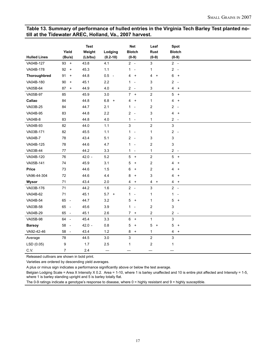#### **Table 13. Summary of performance of hulled entries in the Virginia Tech Barley Test planted notill at the Tidewater AREC, Holland, Va., 2007 harvest.**

| <b>Hulled Lines</b> | Yield<br>(Bu/a)                | <b>Test</b><br>Weight<br>(Lb/bu) | Lodging<br>$(0.2 - 10)$ | <b>Net</b><br><b>Blotch</b><br>$(0-9)$             | Leaf<br>Rust<br>$(0-9)$ | <b>Spot</b><br><b>Blotch</b><br>$(0-9)$             |
|---------------------|--------------------------------|----------------------------------|-------------------------|----------------------------------------------------|-------------------------|-----------------------------------------------------|
| VA04B-127           | $93 +$                         | 43.8                             | 4.1                     | $2 -$                                              | 3                       | $2 -$                                               |
| VA04B-178           | 92<br>$+$                      | 45.3                             | 1.1                     | $\mathbf{1}$<br>$\overline{\phantom{a}}$           | $\mathbf{1}$            | 2<br>$\sim$                                         |
| Thoroughbred        | 91<br>$\boldsymbol{+}$         | 44.8                             | $0.5 -$                 | 4<br>$\ddot{}$                                     | 4<br>$^{+}$             | 6<br>$\pmb{+}$                                      |
| VA04B-180           | 90<br>$+$                      | 45.1                             | 2.2                     | $\mathbf{1}$<br>$\overline{a}$                     | 3                       | 2<br>$\overline{\phantom{a}}$                       |
| VA05B-64            | 87<br>$+$                      | 44.9                             | 4.0                     | $2 -$                                              | 3                       | 4<br>$\ddot{}$                                      |
| VA05B-97            | 85                             | 45.9                             | $3.0\,$                 | 7 <sup>7</sup><br>$\begin{array}{c} + \end{array}$ | $\overline{c}$          | 5<br>$\pmb{+}$                                      |
| Callao              | 84                             | 44.8                             | $6.8\,$<br>$\ddot{}$    | 4<br>$\ddot{}$                                     | 1                       | 4<br>$\ddot{}$                                      |
| VA03B-25            | 84                             | 44.7                             | 2.1                     | $\mathbf{1}$<br>$\overline{\phantom{a}}$           | $\overline{\mathbf{c}}$ | 2<br>$\overline{\phantom{a}}$                       |
| VA04B-95            | 83                             | 44.8                             | 2.2                     | $\overline{c}$<br>$\overline{\phantom{a}}$         | 3                       | 4<br>$\ddot{}$                                      |
| <b>VA04B-8</b>      | 83                             | 44.8                             | $4.0$                   | $\mathbf{1}$<br>$\overline{\phantom{a}}$           | 1                       | $2 -$                                               |
| VA04B-93            | 82                             | 44.0                             | $1.1$                   | 3                                                  | $\boldsymbol{2}$        | 3                                                   |
| VA03B-171           | 82                             | 45.5                             | 1.1                     | $\mathbf{1}$<br>$\overline{\phantom{a}}$           | 1                       | 2<br>$\overline{\phantom{a}}$                       |
| <b>VA04B-7</b>      | 78                             | 43.4                             | 5.1                     | $2 -$                                              | 3                       | 3                                                   |
| VA04B-125           | 78                             | 44.6                             | 4.7                     | $\mathbf{1}$<br>$\overline{\phantom{a}}$           | $\boldsymbol{2}$        | 3                                                   |
| VA03B-44            | 77                             | 44.2                             | 3.3                     | $\mathbf{1}$<br>$\overline{\phantom{a}}$           | 1                       | 2<br>$\overline{\phantom{a}}$                       |
| VA04B-120           | 76                             | $42.0 -$                         | 5.2                     | 5<br>$\ddot{}$                                     | $\overline{c}$          | 5<br>$\boldsymbol{+}$                               |
| VA05B-141           | $74\,$                         | 45.9                             | 3.1                     | 5<br>$\ddot{}$                                     | $\boldsymbol{2}$        | 4<br>$\ddot{}$                                      |
| Price               | 73                             | 44.6                             | 1.5                     | 6<br>$\ddot{}$                                     | $\overline{\mathbf{c}}$ | 4<br>$\ddot{}$                                      |
| VA96-44-304         | 72                             | 44.6                             | 4.4                     | 8<br>$\ddot{}$                                     | 3                       | 4<br>$\ddot{}$                                      |
| Wysor               | 71                             | 43.4                             | 2.0                     | 4<br>$\ddot{}$                                     | 4<br>$+$                | 4<br>$\ddot{}$                                      |
| VA03B-176           | 71                             | 44.2                             | 1.6                     | $2 -$                                              | 3                       | $2 -$                                               |
| VA04B-62            | 71                             | 45.1                             | $5.7 +$                 | $\mathbf{1}$<br>$\overline{\phantom{a}}$           | $\mathbf{1}$            | $\mathbf{1}$<br>$\overline{\phantom{a}}$            |
| VA04B-54            | 65 -                           | 44.7                             | 3.2                     | 5<br>$\ddot{}$                                     | 1                       | 5<br>$\pmb{+}$                                      |
| VA03B-58            | 65<br>$\sim$ $-$               | 45.6                             | 3.9                     | 1<br>$\overline{\phantom{a}}$                      | $\mathbf 2$             | 3                                                   |
| VA04B-29            | 65<br>$\sim$                   | 45.1                             | 2.6                     | $\overline{7}$<br>$\ddot{}$                        | $\overline{\mathbf{c}}$ | $\overline{\mathbf{c}}$<br>$\overline{\phantom{a}}$ |
| VA05B-98            | 64 -                           | 45.4                             | 3.3                     | 6<br>$\ddot{}$                                     | $\mathbf{1}$            | 3                                                   |
| <b>Barsoy</b>       | 58<br>$\overline{\phantom{a}}$ | $42.0 -$                         | 0.8                     | 5<br>$\ddot{}$                                     | 5<br>$\ddot{}$          | 5<br>$\ddot{}$                                      |
| VA92-42-46          | 58<br>$\sim$                   | 43.4                             | 1.2                     | 8<br>$\ddot{}$                                     | 1                       | 4<br>$\pmb{+}$                                      |
| Average             | 78                             | 44.5                             | $3.0\,$                 | 3                                                  | $\boldsymbol{2}$        | 3                                                   |
| LSD (0.05)          | 9                              | 1.7                              | 2.5                     | 1                                                  | $\boldsymbol{2}$        | $\mathbf{1}$                                        |
| C.V.                | $\overline{7}$                 | 2.4                              |                         |                                                    |                         |                                                     |

Released cultivars are shown in bold print.

Varieties are ordered by descending yield averages.

A plus or minus sign indicates a performance significantly above or below the test average.

Belgian Lodging Scale = Area X Intensity X 0.2. Area = 1-10, where 1 is barley unaffected and 10 is entire plot affected and Intensity = 1-5, where 1 is barley standing upright and 5 is barley totally flat.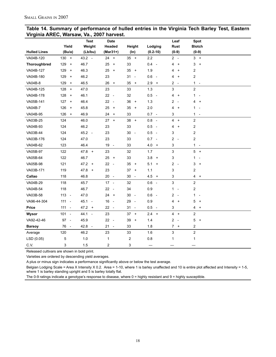| Table 14. Summary of performance of hulled entries in the Virginia Tech Barley Test, Eastern |  |  |  |
|----------------------------------------------------------------------------------------------|--|--|--|
| Virginia AREC, Warsaw, Va., 2007 harvest.                                                    |  |  |  |

|                     |                  | <b>Test</b>                      | <b>Date</b>                    |                                |                                 | Leaf                                     | Spot                          |  |
|---------------------|------------------|----------------------------------|--------------------------------|--------------------------------|---------------------------------|------------------------------------------|-------------------------------|--|
|                     | Yield            | Weight                           | Headed                         | Height                         | Lodging                         | <b>Rust</b>                              | <b>Blotch</b>                 |  |
| <b>Hulled Lines</b> | (Bu/a)           | (Lb/bu)                          | (Mar31+)                       | $(\ln)$                        | $(0.2 - 10)$                    | $(0-9)$                                  | $(0-9)$                       |  |
| VA04B-120           | $130 +$          | $43.2 -$                         | 24 +                           | $35 +$                         | 2.2                             | $2 -$                                    | $3 +$                         |  |
| Thoroughbred        | 129<br>$\ddot{}$ | 46.7                             | 25<br>$\ddot{}$                | 33                             | $0.4 -$                         | 4<br>$\overline{+}$                      | 3<br>$\ddot{}$                |  |
| VA04B-127           | 129<br>$+$       | 46.3                             | 25<br>$\ddot{}$                | 35<br>$+$                      | 1.9                             | 4<br>$\ddot{}$                           | 2                             |  |
| VA04B-180           | 129<br>$+$       | 46.2                             | 23                             | 31<br>$\overline{\phantom{a}}$ | 0.6<br>$\sim$                   | 4<br>$\ddot{}$                           | 2                             |  |
| <b>VA04B-8</b>      | 129<br>$\ddot{}$ | 46.5                             | 26<br>$\ddot{}$                | 35<br>$+$                      | 2.9<br>$+$                      | 2<br>$\overline{\phantom{a}}$            | $1 -$                         |  |
| VA04B-125           | 128<br>$+$       | 47.0                             | 23                             | 33                             | 1.3                             | 3                                        | $\overline{\mathbf{c}}$       |  |
| VA04B-178           | 128<br>$+$       | 46.1                             | 22<br>$\overline{\phantom{a}}$ | 32                             | 0.5<br>$\overline{\phantom{a}}$ | 4<br>$\ddot{}$                           | $1 -$                         |  |
| VA05B-141           | 127<br>$+$       | 46.4                             | 22<br>$\overline{\phantom{a}}$ | 36<br>$\ddot{}$                | 1.3                             | 2<br>$\overline{\phantom{a}}$            | 4<br>$+$                      |  |
| <b>VA04B-7</b>      | 126<br>$+$       | 45.8                             | 25<br>$\ddot{}$                | 35<br>$+$                      | 2.0                             | 4<br>$\ddot{}$                           | $\mathbf{1}$<br>$\sim$        |  |
| VA04B-95            | 126<br>$+$       | 46.9                             | 24<br>$\ddot{}$                | 33                             | $0.7 -$                         | 3                                        | $1 -$                         |  |
| VA03B-25            | 124              | 46.0                             | $27 +$                         | $38 +$                         | $0.8 -$                         | 4<br>$+$                                 | $\overline{\mathbf{c}}$       |  |
| VA04B-93            | 124              | 46.2                             | 23                             | 33                             | 0.5<br>$\sim$                   | 4<br>$\ddot{}$                           | $\overline{\mathbf{c}}$       |  |
| VA03B-44            | 124              | $45.2 -$                         | 23                             | 30<br>$\overline{\phantom{a}}$ | 0.5<br>$\overline{\phantom{a}}$ | 3                                        | 2                             |  |
| VA03B-176           | 124              | 47.0                             | 23                             | 33                             | 0.7<br>$\overline{\phantom{a}}$ | 2<br>$\overline{\phantom{a}}$            | 2                             |  |
| VA04B-62            | 123              | 46.4                             | 19<br>$\overline{\phantom{a}}$ | 33                             | 4.0<br>$+$                      | 3                                        | $1 -$                         |  |
| VA05B-97            | 122              | $47.8 +$                         | 23                             | 32                             | 1.7                             | 3                                        | $5 +$                         |  |
| VA05B-64            | 122              | 46.7                             | 25<br>$\ddot{}$                | 33                             | 3.8<br>$+$                      | 3                                        | 1<br>$\overline{\phantom{a}}$ |  |
| VA05B-98            | 121              | $47.2 +$                         | 22<br>$\overline{\phantom{a}}$ | 35<br>$+$                      | 5.1<br>$+$                      | $\overline{c}$<br>$\sim$                 | 3<br>$+$                      |  |
| VA03B-171           | 119              | $47.8 +$                         | 23                             | 37<br>$\ddot{}$                | 1.1                             | 3                                        | $\overline{\mathbf{c}}$       |  |
| Callao              | 118              | 46.8                             | 20 -                           | 30<br>$\overline{\phantom{a}}$ | 4.5<br>$+$                      | 3                                        | 4 +                           |  |
| VA04B-29            | 118              | 45.7                             | $17 -$                         | 32                             | 0.6<br>$\sim$                   | 3                                        | 2                             |  |
| VA04B-54            | 118              | 46.7                             | 22<br>$\overline{\phantom{a}}$ | 34                             | 0.9                             | $\mathbf{1}$<br>$\overline{\phantom{a}}$ | 2                             |  |
| VA03B-58            | $113 -$          | 47.0                             | 24<br>$\ddot{}$                | 30<br>$\overline{\phantom{a}}$ | 0.6<br>$\overline{\phantom{a}}$ | 2<br>$\sim$                              | 1<br>$\overline{\phantom{a}}$ |  |
| VA96-44-304         | $111 -$          | 45.1<br>$\overline{\phantom{a}}$ | 16<br>$\overline{\phantom{a}}$ | 29<br>$\overline{\phantom{a}}$ | 0.9                             | 4<br>$\ddot{}$                           | 5<br>$\ddot{}$                |  |
| Price               | $111 -$          | $47.2 +$                         | 22<br>$\overline{\phantom{a}}$ | 31<br>$\overline{\phantom{a}}$ | 0.5<br>$\overline{\phantom{a}}$ | 3                                        | 4<br>$\ddot{}$                |  |
| Wysor               | $101 -$          | 44.1<br>$\sim$                   | 23                             | 37<br>$\ddot{}$                | 2.4<br>$+$                      | $4 +$                                    | 2                             |  |
| VA92-42-46          | $97 -$           | 45.9                             | 22<br>$\overline{\phantom{a}}$ | 39<br>$\ddot{}$                | 1.4                             | 2<br>$\overline{\phantom{a}}$            | 5<br>$\ddot{}$                |  |
| <b>Barsoy</b>       | 76<br>$\sim$     | 42.8 -                           | 21<br>$\sim$                   | 33                             | 1.8                             | $7 +$                                    | 2                             |  |
| Average             | 120              | 46.2                             | 23                             | 33                             | 1.6                             | 3                                        | $\boldsymbol{2}$              |  |
| LSD (0.05)          | 5                | $1.0$                            | 1                              | 2                              | 0.8                             | 1                                        | 1                             |  |
| C.V.                | 3                | 1.5                              | $\overline{\mathbf{c}}$        | 3                              |                                 |                                          |                               |  |

Released cultivars are shown in bold print.

Varieties are ordered by descending yield averages.

A plus or minus sign indicates a performance significantly above or below the test average.

Belgian Lodging Scale = Area X Intensity X 0.2. Area = 1-10, where 1 is barley unaffected and 10 is entire plot affected and Intensity = 1-5, where 1 is barley standing upright and 5 is barley totally flat.

The 0-9 ratings indicate a genotype's response to disease, where 0 = highly resistant and 9 = highly susceptible.

18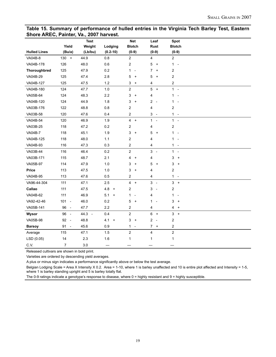#### **Table 15. Summary of performance of hulled entries in the Virginia Tech Barley Test, Eastern Shore AREC, Painter, Va., 2007 harvest.**

|                     |              | <b>Test</b> |                                         | <b>Net</b>                               | Leaf                                       | Spot                                             |  |
|---------------------|--------------|-------------|-----------------------------------------|------------------------------------------|--------------------------------------------|--------------------------------------------------|--|
|                     | Yield        | Weight      | Lodging                                 | <b>Blotch</b>                            | Rust                                       | <b>Blotch</b>                                    |  |
| <b>Hulled Lines</b> | (Bu/a)       | (Lb/bu)     | $(0.2 - 10)$                            | $(0-9)$                                  | $(0-9)$                                    | $(0-9)$                                          |  |
| VA04B-8             | $130 +$      | 44.9        | 0.8                                     | $\overline{c}$                           | 4                                          | $\overline{\mathbf{c}}$                          |  |
| VA04B-178           | 126          | 48.0        | 0.6                                     | $\overline{c}$                           | 5<br>$+$                                   | $1 -$                                            |  |
| Thoroughbred        | 125          | 47.9        | 0.2                                     | $\mathbf{1}$<br>$\overline{\phantom{a}}$ | 7<br>$\ddot{}$                             | $\overline{\mathbf{c}}$                          |  |
| VA04B-29            | 125          | 47.4        | 2.8                                     | 5<br>$\ddot{}$                           | 5<br>$\overline{+}$                        | $\overline{c}$                                   |  |
| VA04B-127           | 125          | 47.5        | 1.2                                     | 3<br>$\ddot{}$                           | 4                                          | $\overline{\mathbf{c}}$                          |  |
| VA04B-180           | 124          | 47.7        | 1.0                                     | $\boldsymbol{2}$                         | 5<br>$+$                                   | $1 -$                                            |  |
| VA05B-64            | 124          | 48.3        | 2.2                                     | 3<br>$\ddot{}$                           | 4                                          | $\mathbf{1}$<br>$\overline{\phantom{a}}$         |  |
| VA04B-120           | 124          | 44.9        | 1.8                                     | 3<br>$\ddot{}$                           | 2<br>$\sim$                                | $\mathbf{1}$<br>$\overline{\phantom{a}}$         |  |
| VA03B-176           | 122          | 48.8        | 0.8                                     | $\overline{\mathbf{c}}$                  | 4                                          | $\overline{\mathbf{c}}$                          |  |
| VA03B-58            | 120          | 47.6        | 0.4                                     | $\overline{c}$                           | 3<br>$\overline{\phantom{a}}$              | $1 -$                                            |  |
| VA04B-54            | 120          | 46.9        | 1.9                                     | $\overline{\mathbf{4}}$<br>$+$           | $\mathbf{1}$<br>$\sim$                     | $1 -$                                            |  |
| VA03B-25            | 118          | 47.2        | 0.2                                     | $\overline{2}$                           | 4                                          | $\overline{c}$                                   |  |
| <b>VA04B-7</b>      | 118          | 45.1        | 1.9                                     | 3<br>$\ddot{}$                           | 5<br>$+$                                   | $1 -$                                            |  |
| VA04B-125           | 118          | 48.0        | 1.1                                     | $\overline{\mathbf{c}}$                  | 4                                          | $\mathbf{1}$<br>$\overline{\phantom{a}}$         |  |
| VA04B-93            | 116          | 47.3        | 0.3                                     | $\overline{\mathbf{c}}$                  | 4                                          | $1 -$                                            |  |
| VA03B-44            | 116          | 46.4        | 0.2                                     | $\boldsymbol{2}$                         | 3<br>$\sim$                                | $1 -$                                            |  |
| VA03B-171           | 115          | 48.7        | 2.1                                     | 4<br>$\ddot{}$                           | 4                                          | 3<br>$\, +$                                      |  |
| VA05B-97            | 114          | 47.9        | 1.0                                     | 3<br>$\ddot{}$                           | 5<br>$+$                                   | 3<br>$\ddot{}$                                   |  |
| Price               | 113          | 47.5        | 1.0                                     | 3<br>$\ddot{}$                           | 4                                          | $\overline{c}$                                   |  |
| VA04B-95            | 113          | 47.6        | 0.5                                     | 2                                        | 4                                          | $1 -$                                            |  |
| VA96-44-304         | 111          | 47.1        | 2.5                                     | $\overline{4}$<br>$+$                    | 3<br>$\sim$                                | $3 +$                                            |  |
| Callao              | 111          | 47.5        | 4.8<br>$\begin{array}{c} + \end{array}$ | $\overline{c}$                           | 3<br>$\sim$                                | $\overline{\mathbf{c}}$                          |  |
| VA04B-62            | 111          | 46.9        | 5.1<br>$\begin{array}{c} + \end{array}$ | 1<br>$\overline{\phantom{a}}$            | 4                                          | $\mathbf{1}$<br>$\overline{\phantom{a}}$         |  |
| VA92-42-46          | $101 -$      | 46.0        | 0.2                                     | 5<br>$\ddot{}$                           | 1<br>$\overline{\phantom{a}}$              | 3<br>$\ddot{}$                                   |  |
| VA05B-141           | 96 -         | 47.7        | 2.2                                     | $\overline{\mathbf{c}}$                  | 4                                          | 4<br>$\begin{array}{c} + \end{array}$            |  |
| Wysor               | 96<br>$\sim$ | 44.3 -      | 0.4                                     | $\overline{c}$                           | 6<br>$+$                                   | $\mathbf{3}$<br>$\begin{array}{c} + \end{array}$ |  |
| VA05B-98            | 92 -         | 48.8        | 4.1<br>$\begin{array}{c} + \end{array}$ | 3<br>$\pmb{+}$                           | $\overline{c}$<br>$\overline{\phantom{a}}$ | 2                                                |  |
| <b>Barsoy</b>       | $91 -$       | 45.6        | 0.9                                     | $\mathbf{1}$<br>$\overline{\phantom{a}}$ | $\overline{7}$<br>$+$                      | $\overline{c}$                                   |  |
| Average             | 115          | 47.1        | 1.5                                     | $\boldsymbol{2}$                         | 4                                          | $\overline{\mathbf{c}}$                          |  |
| LSD (0.05)          | 14           | 2.3         | $1.6$                                   | $\mathbf{1}$                             | 1                                          | $\mathbf{1}$                                     |  |
| C.V.                | 7            | 3.0         | $\overline{\phantom{0}}$                |                                          |                                            |                                                  |  |

Released cultivars are shown in bold print.

Varieties are ordered by descending yield averages.

A plus or minus sign indicates a performance significantly above or below the test average.

Belgian Lodging Scale = Area X Intensity X 0.2. Area = 1-10, where 1 is barley unaffected and 10 is entire plot affected and Intensity = 1-5, where 1 is barley standing upright and 5 is barley totally flat.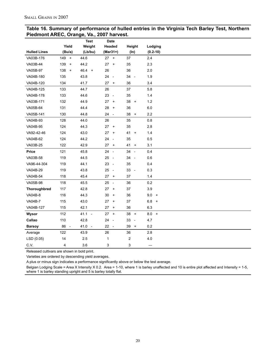| Table 16. Summary of performance of hulled entries in the Virginia Tech Barley Test, Northern |  |
|-----------------------------------------------------------------------------------------------|--|
| Piedmont AREC, Orange, Va., 2007 harvest.                                                     |  |

|                     |                                | <b>Test</b> | <b>Date</b>                            |                                |                          |
|---------------------|--------------------------------|-------------|----------------------------------------|--------------------------------|--------------------------|
|                     | Yield                          | Weight      | Headed                                 | Height                         | Lodging                  |
| <b>Hulled Lines</b> | (Bu/a)                         | (Lb/bu)     | $(Mar31+)$                             | $(\ln)$                        | $(0.2 - 10)$             |
| VA03B-176           | 149<br>$+$                     | 44.6        | $27 +$                                 | 37                             | 2.4                      |
| VA03B-44            | 139<br>$+$                     | 44.2        | 27<br>$\ddot{}$                        | 35                             | 2.3                      |
| VA05B-97            | 138<br>$\ddot{}$               | $46.4 +$    | 26                                     | 36                             | 2.0                      |
| VA04B-180           | 135                            | 43.8        | 24<br>$\sim$                           | 34<br>$\overline{\phantom{a}}$ | 1.9                      |
| VA04B-120           | 134                            | 41.7        | 27<br>$\ddot{}$                        | 36                             | 3.4                      |
| VA04B-125           | 133                            | 44.7        | 26                                     | 37                             | 5.8                      |
| VA04B-178           | 133                            | 44.6        | 23<br>$\overline{\phantom{a}}$         | 35                             | 1.4                      |
| VA03B-171           | 132                            | 44.9        | 27<br>$+$                              | $38 +$                         | $1.2$                    |
| VA05B-64            | 131                            | 44.4        | 28<br>$\begin{array}{c} + \end{array}$ | 36                             | $6.0\,$                  |
| VA05B-141           | 130                            | 44.8        | 24<br>$\overline{\phantom{a}}$         | 38<br>$+$                      | 2.2                      |
| VA04B-93            | 128                            | 44.0        | 26                                     | 35                             | 0.8                      |
| VA04B-95            | 124                            | 44.3        | $27 +$                                 | 35                             | 2.8                      |
| VA92-42-46          | 124                            | 43.0        | 27<br>$\begin{array}{c} + \end{array}$ | $41 +$                         | 1.4                      |
| VA04B-62            | 124                            | 44.2        | 24<br>$\mathcal{L}_{\mathcal{A}}$      | 35                             | 0.5                      |
| VA03B-25            | 122                            | 42.9        | 27<br>$+$                              | 41<br>$\ddot{}$                | 3.1                      |
| Price               | 121                            | 45.8        | 24<br>$\sim$                           | 34<br>$\overline{\phantom{a}}$ | 0.4                      |
| VA03B-58            | 119                            | 44.5        | 25<br>$\Box$                           | 34<br>$\overline{\phantom{a}}$ | 0.6                      |
| VA96-44-304         | 119                            | 44.1        | 23<br>$\mathcal{L}_{\mathcal{A}}$      | 35                             | 0.4                      |
| VA04B-29            | 119                            | 43.8        | 25<br>$\overline{\phantom{a}}$         | 33<br>$\overline{\phantom{a}}$ | 0.3                      |
| VA04B-54            | 118                            | 45.4        | $27 +$                                 | 37                             | 1.4                      |
| VA05B-98            | 118                            | 45.5        | 25<br>$\sim$                           | 36                             | 0.2                      |
| Thoroughbred        | 117                            | 42.8        | 27<br>$\ddot{}$                        | 37                             | 3.9                      |
| VA04B-8             | 116                            | 44.3        | 30<br>$\ddot{}$                        | 36                             | 9.0<br>$+$               |
| <b>VA04B-7</b>      | 115                            | 43.0        | 27<br>$\left. +\right.$                | 37                             | $6.8\,$<br>$+$           |
| VA04B-127           | 115                            | 42.1        | $27 +$                                 | 36                             | 6.3                      |
| Wysor               | 112                            | $41.1 -$    | $27 +$                                 | $38 +$                         | $8.0 +$                  |
| Callao              | 110                            | 42.8        | 24<br>$\Box$                           | 33<br>$\overline{\phantom{a}}$ | 4.7                      |
| <b>Barsoy</b>       | 86<br>$\overline{\phantom{a}}$ | $41.0 -$    | $22 -$                                 | 39<br>$+$                      | 0.2                      |
| Average             | 122                            | 43.9        | 26                                     | 36                             | $2.8\,$                  |
| LSD (0.05)          | 14                             | 2.5         | $\mathbf 1$                            | $\overline{\mathbf{c}}$        | 4.0                      |
| C.V.                | 4                              | 3.6         | 3                                      | 3                              | $\overline{\phantom{0}}$ |

Released cultivars are shown in bold print.

Varieties are ordered by descending yield averages.

A plus or minus sign indicates a performance significantly above or below the test average.

Belgian Lodging Scale = Area X Intensity X 0.2. Area = 1-10, where 1 is barley unaffected and 10 is entire plot affected and Intensity = 1-5, where 1 is barley standing upright and 5 is barley totally flat.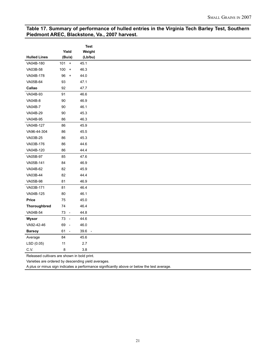#### **Table 17. Summary of performance of hulled entries in the Virginia Tech Barley Test, Southern Piedmont AREC, Blackstone, Va., 2007 harvest.**

|                     |                                        | <b>Test</b> |
|---------------------|----------------------------------------|-------------|
|                     | Yield                                  | Weight      |
| <b>Hulled Lines</b> | (Bu/a)                                 | (Lb/bu)     |
| VA04B-180           | $101 +$                                | 45.1        |
| VA03B-58            | $100 +$                                | 46.3        |
| VA04B-178           | 96<br>$\begin{array}{c} + \end{array}$ | 44.0        |
| VA05B-64            | 93                                     | 47.1        |
| Callao              | 92                                     | 47.7        |
| VA04B-93            | 91                                     | 46.6        |
| VA04B-8             | 90                                     | 46.9        |
| <b>VA04B-7</b>      | 90                                     | 46.1        |
| VA04B-29            | 90                                     | 45.3        |
| VA04B-95            | 86                                     | 46.3        |
| VA04B-127           | 86                                     | 45.9        |
| VA96-44-304         | 86                                     | 45.5        |
| VA03B-25            | 86                                     | 45.3        |
| VA03B-176           | 86                                     | 44.6        |
| VA04B-120           | 86                                     | 44.4        |
| VA05B-97            | 85                                     | 47.6        |
| VA05B-141           | 84                                     | 46.9        |
| VA04B-62            | 82                                     | 45.9        |
| VA03B-44            | 82                                     | 44.4        |
| VA05B-98            | 81                                     | 46.9        |
| VA03B-171           | 81                                     | 46.4        |
| VA04B-125           | 80                                     | 46.1        |
| Price               | 75                                     | 45.0        |
| Thoroughbred        | $74$                                   | 46.4        |
| VA04B-54            | 73 -                                   | 44.8        |
| Wysor               | 73 -                                   | 44.6        |
| VA92-42-46          | 69 -                                   | 46.0        |
| <b>Barsoy</b>       | 61 -                                   | 39.6 -      |
| Average             | 84                                     | 45.6        |
| LSD (0.05)          | 11                                     | 2.7         |
| C.V.                | 8                                      | 3.8         |
|                     |                                        |             |

Released cultivars are shown in bold print.

Varieties are ordered by descending yield averages.

A plus or minus sign indicates a performance significantly above or below the test average.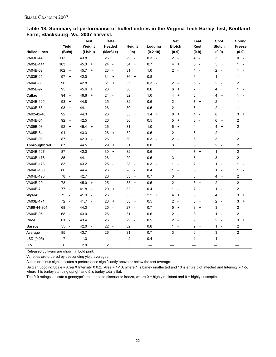| Table 18. Summary of performance of hulled entries in the Virginia Tech Barley Test, Kentland |  |  |
|-----------------------------------------------------------------------------------------------|--|--|
| Farm, Blacksburg, Va., 2007 harvest.                                                          |  |  |

|                     |                                        | <b>Test</b>                              | <b>Date</b>                            |                                        |                                 | <b>Net</b>                                 | Leaf                          | Spot                                       | <b>Spring</b>                         |
|---------------------|----------------------------------------|------------------------------------------|----------------------------------------|----------------------------------------|---------------------------------|--------------------------------------------|-------------------------------|--------------------------------------------|---------------------------------------|
|                     | Yield                                  | Weight                                   | Headed                                 | Height                                 | Lodging                         | <b>Blotch</b>                              | Rust                          | <b>Blotch</b>                              | Freeze                                |
| <b>Hulled Lines</b> | (Bu/a)                                 | (Lb/bu)                                  | $(Mar31+)$                             | (ln)                                   | $(0.2 - 10)$                    | $(0-9)$                                    | $(0-9)$                       | $(0-9)$                                    | $(0-9)$                               |
| VA03B-44            | $113 +$                                | 43.8                                     | 26                                     | 29 -                                   | $0.3 -$                         | $2 -$                                      | 4 -                           | 3                                          | $0 -$                                 |
| VA05B-141           | 103<br>$\ddot{}$                       | 45.3<br>$+$                              | 24<br>$\sim$                           | 34<br>$\ddot{}$                        | 0.7                             | 4<br>$\ddot{}$                             | 5<br>$\overline{\phantom{a}}$ | 5<br>$\ddot{}$                             | $1 -$                                 |
| VA04B-62            | 102<br>$\ddot{}$                       | 45.7<br>$+$                              | 23<br>$\overline{\phantom{a}}$         | 31                                     | 1.0                             | 2<br>$\overline{\phantom{a}}$              | 4<br>$\overline{\phantom{a}}$ | $\overline{c}$<br>$\overline{\phantom{a}}$ | 1                                     |
| VA03B-25            | 97<br>$\overline{+}$                   | 42.0<br>$\overline{\phantom{a}}$         | 31<br>$\overline{+}$                   | 36<br>$\ddot{}$                        | 0.8                             | $\mathbf{1}$<br>$\overline{\phantom{a}}$   | 6                             | 1<br>$\overline{\phantom{a}}$              | 1                                     |
| <b>VA04B-8</b>      | 96<br>$\begin{array}{c} + \end{array}$ | 42.8                                     | 31<br>$\begin{array}{c} + \end{array}$ | 35<br>$\begin{array}{c} + \end{array}$ | $0.3 -$                         | 2<br>$\overline{\phantom{a}}$              | 5<br>$\overline{\phantom{a}}$ | 2<br>$\overline{\phantom{a}}$              | 2                                     |
| VA05B-97            | 95<br>$\begin{array}{c} + \end{array}$ | 45.6<br>$+$                              | 26                                     | 30                                     | 0.6                             | 6<br>$\ddot{}$                             | $\overline{7}$<br>$+$         | 4<br>$\ddot{}$                             | $1 -$                                 |
| Callao              | 94<br>$\ddot{}$                        | 46.6<br>$\begin{array}{c} + \end{array}$ | 24<br>$\overline{\phantom{a}}$         | 32                                     | 1.0                             | 4<br>$\ddot{}$                             | 6                             | 4<br>$\ddot{}$                             | 1<br>$\overline{\phantom{a}}$         |
| VA04B-125           | 93<br>$\ddot{}$                        | 44.8                                     | 25<br>$\overline{\phantom{a}}$         | 32                                     | 0.6                             | $\overline{2}$<br>$\overline{\phantom{a}}$ | 7<br>$+$                      | $\overline{2}$<br>$\overline{\phantom{a}}$ | 1.                                    |
| VA03B-58            | 93<br>$\ddot{}$                        | 44.1                                     | 26                                     | 30                                     | 0.5                             | 2<br>$\overline{\phantom{a}}$              | 6                             | $\overline{c}$<br>$\overline{\phantom{a}}$ | 1                                     |
| VA92-42-46          | 92<br>$\ddot{}$                        | 44.3                                     | 26                                     | 35<br>$\ddot{}$                        | 1.4<br>$+$                      | 8<br>$\ddot{}$                             | 1<br>$\overline{\phantom{a}}$ | 8<br>$\begin{array}{c} + \end{array}$      | 3<br>$\begin{array}{c} + \end{array}$ |
| VA04B-54            | 92<br>$\ddot{}$                        | 42.5                                     | 26                                     | 30                                     | 0.5                             | 5<br>$\ddot{}$                             | 3<br>$\sim$                   | 6<br>$\ddot{}$                             | 2                                     |
| VA05B-98            | 92<br>$\ddot{}$                        | $45.4 +$                                 | 26                                     | 31                                     | 1.0                             | 6<br>$\ddot{}$                             | 4                             | 4<br>$\ddot{}$                             | 2                                     |
| VA05B-64            | 91                                     | 43.3                                     | 28<br>$\ddot{}$                        | 32                                     | 0.5                             | $\overline{2}$<br>$\overline{\phantom{a}}$ | 6                             | $\overline{2}$<br>÷,                       | $\mathbf{1}$                          |
| VA04B-93            | 87                                     | 42.3<br>$\sim$                           | 26                                     | 30                                     | 0.3<br>$\sim$                   | 2<br>$\overline{\phantom{a}}$              | 6                             | 3                                          | $\overline{c}$                        |
| Thoroughbred        | 87                                     | 44.5                                     | 29<br>$\ddot{}$                        | 31                                     | 0.8                             | 3                                          | 8<br>$\overline{+}$           | $2 -$                                      | 2                                     |
| VA04B-127           | 87                                     | $42.0 -$                                 | 30<br>$\ddot{}$                        | 32                                     | 0.6                             | $\mathbf{1}$<br>$\sim$                     | $7 +$                         | $1 -$                                      | $\overline{c}$                        |
| VA03B-176           | 85                                     | 44.1                                     | 26                                     | 29<br>$\overline{\phantom{a}}$         | 0.5                             | 3                                          | 5<br>$\overline{\phantom{a}}$ | 3                                          | 2                                     |
| VA04B-178           | 83                                     | 43.2                                     | 25<br>$\overline{\phantom{a}}$         | 28<br>$\sim$                           | 0.3<br>$\overline{\phantom{a}}$ | 1<br>$\overline{a}$                        | 7<br>$\ddot{}$                | 1<br>$\overline{\phantom{a}}$              | $1 -$                                 |
| VA04B-180           | 80                                     | 44.4                                     | 26                                     | 28<br>$\overline{\phantom{a}}$         | 0.4                             | 1<br>$\overline{a}$                        | 8<br>$\ddot{}$                | 1<br>$\overline{a}$                        | 1                                     |
| VA04B-120           | 78<br>$\sim$                           | 42.7                                     | 26                                     | 33<br>$+$                              | 0.7                             | 3                                          | 6                             | 4<br>$\begin{array}{c} + \end{array}$      | 2                                     |
| VA04B-29            | 78<br>$\overline{\phantom{a}}$         | $45.0 +$                                 | 25<br>$\overline{\phantom{a}}$         | 33<br>$\ddot{}$                        | 0.5                             | $2 -$                                      | 8<br>$+$                      | $\overline{2}$<br>$\overline{\phantom{a}}$ | 2                                     |
| <b>VA04B-7</b>      | 77<br>$\overline{a}$                   | 41.8<br>$\overline{\phantom{a}}$         | 29<br>$\ddot{}$                        | 32                                     | 0.4                             | 1<br>L,                                    | 7<br>$\ddot{}$                | 1<br>$\overline{a}$                        | 2                                     |
| Wysor               | 75<br>$\overline{\phantom{a}}$         | 41.9<br>$\overline{\phantom{a}}$         | 26                                     | 35<br>$\ddot{}$                        | 2.2<br>$\ddot{}$                | 4<br>$\ddot{}$                             | 8<br>$\ddot{}$                | 4<br>$\ddot{}$                             | 3<br>$\ddot{}$                        |
| VA03B-171           | 72<br>$\sim$                           | 41.7<br>$\sim$                           | 28<br>$\ddot{}$                        | 33<br>$\ddot{}$                        | 0.5                             | 2<br>$\overline{\phantom{a}}$              | 8<br>$\ddot{}$                | $\overline{c}$<br>$\overline{\phantom{a}}$ | 3<br>$\ddot{}$                        |
| VA96-44-304         | 68<br>$\overline{\phantom{a}}$         | 44.3                                     | 25<br>$\overline{\phantom{a}}$         | 27<br>$\overline{\phantom{a}}$         | 0.7                             | 5<br>$\ddot{}$                             | 8<br>$\ddot{}$                | 3                                          | 2                                     |
| VA04B-95            | 68<br>$\overline{\phantom{a}}$         | 43.0                                     | 26                                     | 31                                     | 0.6                             | $\overline{2}$<br>$\overline{\phantom{a}}$ | 8<br>$+$                      | $\mathbf{1}$<br>$\overline{a}$             | $\overline{c}$                        |
| <b>Price</b>        | 61<br>$\overline{\phantom{a}}$         | 43.4                                     | 26                                     | 29<br>$\overline{\phantom{a}}$         | 0.5                             | $\overline{2}$<br>$\overline{\phantom{a}}$ | 9<br>$\ddot{}$                | $\overline{c}$<br>$\overline{\phantom{a}}$ | 3<br>$\begin{array}{c} + \end{array}$ |
| <b>Barsoy</b>       | 55<br>$\overline{\phantom{a}}$         | 42.0<br>$\overline{\phantom{a}}$         | 22 -                                   | 32                                     | 0.8                             | 1<br>$\overline{\phantom{a}}$              | 9<br>$+$                      | $\mathbf{1}$<br>$\sim$                     | 2                                     |
| Average             | 85                                     | 43.7                                     | 26                                     | 31                                     | 0.7                             | 3                                          | 6                             | 3                                          | $\overline{c}$                        |
| LSD (0.05)          | 7                                      | 1.3                                      | 1                                      | $\overline{\mathbf{c}}$                | 0.4                             | 1                                          | 1                             | 1                                          | 1                                     |
| C.V.                | 6                                      | 2.0                                      | 2                                      | 5                                      |                                 |                                            |                               |                                            |                                       |

Released cultivars are shown in bold print.

Varieties are ordered by descending yield averages.

A plus or minus sign indicates a performance significantly above or below the test average.

Belgian Lodging Scale = Area X Intensity X 0.2. Area = 1-10, where 1 is barley unaffected and 10 is entire plot affected and Intensity = 1-5, where 1 is barley standing upright and 5 is barley totally flat.

The 0-9 ratings indicate a genotype's response to disease or freeze, where 0 = highly resistant and 9 = highly susceptible.

22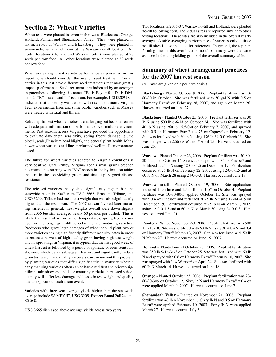# **Section 2: Wheat Varieties**

Wheat tests were planted in seven-inch rows at Blackstone, Orange, Holland, Painter, and Shenandoah Valley. They were planted in six-inch rows at Warsaw and Blacksburg. They were planted in seven-and-one-half-inch rows at the Warsaw no-till location. All no-till locations (Holland and Warsaw no-till) were planted at 28 seeds per row foot. All other locations were planted at 22 seeds per row foot.

When evaluating wheat variety performance as presented in this report, one should consider the use of seed treatment. Certain entries in this test have different seed treatments that may greatly impact performance. Seed treatments are indicated by an acronym in parentheses following the name. "B" is Baytan®, "D" is Dividend®, "R" is raxil, and "T" is thiram. For example, USG3209 (RT) indicates that this entry was treated with raxil and thiram. Virginia Tech experimental lines and some public varieties such as Massey were treated with raxil and thiram.

Selecting the best wheat varieties is challenging but becomes easier with adequate information on performance over multiple environments. Past seasons across Virginia have provided the opportunity to evaluate day-length sensitivity, spring freeze damage, glume blotch, scab (Fusarium head blight), and general plant health. Many newer wheat varieties and lines performed well in all environments tested.

The future for wheat varieties adapted to Virginia conditions is very positive. Carl Griffey, Virginia Tech's small grains breeder, has many lines starting with "VA" shown in the by-location tables that are in the top-yielding group and that display good disease resistance.

The released varieties that yielded significantly higher than the statewide mean in 2007 were USG 3665, Branson, Tribute, and USG 3209. Tribute had mean test weight that was also significantly higher than the test mean. The 2007 season favored later matur ing varieties in general. Test weights overall were down slightly from 2006 but still averaged nearly 60 pounds per bushel. This is likely the result of warm winter temperatures, spring freeze damage, and the longer grain-fill period in the later maturing varieties. Producers who grow large acreages of wheat should plant two or more varieties having significantly different maturity dates in order to ensure a harvest of high-quality grain having high test weight and no sprouting. In Virginia, it is typical that the first good week of wheat harvest is followed by a period of sporadic or consistent rain showers, which delay subsequent harvest and significantly reduce grain test weight and quality. Growers can circumvent this problem by planting varieties that differ significantly in maturity wherein early maturing varieties often can be harvested first and prior to significant rain showers, and later maturing varieties harvested subsequently will suffer less damage and losses in test weight and quality due to exposure to such a rain event.

Varieties with three-year average yields higher than the statewide average include SS MPV 57, USG 3209, Pioneer Brand 26R24, and SS 560.

USG 3665 displayed above average yields across two years.

Two locations in 2006-07, Warsaw no-till and Holland, were planted no-till following corn. Individual sites are reported similar to other testing locations. These sites are also included in the overall yearly average. A table averaging performance of varieties only at these no-till sites is also included for reference. In general, the top performing lines in this over-location no-till summary were the same as those in the top-yielding group of the overall summary table.

## **Summary of wheat management practices for the 2007 harvest season**

(All rates are given on a per-acre basis.)

**Blacksburg** - Planted October 9, 2006. Preplant fertilizer was 30- 60-80 in October. Site was fertilized with 50 gal N with 0.5 oz Harmony Extra® on February 28, 2007, and again on March 26. Harvest occurred on June 27.

**Blackstone** - Planted October 25, 2006. Preplant fertilizer was 30 lb N using 500 lb 6-6-18 on October 24. Site was fertilized with 40 lb N using 260 lb 15.5-0-0 on February 7, 2007, and sprayed with 0.5 oz Harmony Extra® + 4.75 oz Osprey® on February 12. Site was fertilized with 60 lb N using 176 lb 34-0-0 March 15. Site was sprayed with 2.56 oz Warrior® April 25. Harvest occurred on June 26.

**Warsaw** - Planted October 23, 2006. Preplant fertilizer was 30-80- 80-5 applied October 14. Site was sprayed with 0.4 oz Finesse® and fertilized at 25 lb N using 12-0-0-1.5 on December 19. Fertilization occurred at 25 lb N on February 22, 2007, using 12-0-0-1.5 and at 60 lb N on March 28 using 24-0-0-3. Harvest occurred June 18.

**Warsaw no-till** - Planted October 19, 2006. Site application included 1 ton lime and 1.5 qt Round Up® on October 4. Preplant fertilizer was 30-80-80-5 applied October 11. Site was sprayed with 0.4 oz Finesse® and fertilized at 25 lb N using 12-0-0-1.5 on December 19. Fertilization occurred at 25 lb N on March 1, 2007, using 12-0-0-1.5 and at 60 lb N on March 30 using 24-0-0-3. Harvest occurred June 21.

**Painter** - Planted November 2-3, 2006. Preplant fertilizer was 500 lb 5-10-10. Site was fertilized with 60 lb N using 30%UAN and 0.4 oz Harmony Extra® March 13, 2007. Site was fertilized with 50 lb N March 27. Harvest occurred on June 19, 2007.

**Holland** – Planted no-till October 26, 2006. Preplant fertilization was 350 lb 9-16-31-3 on October 25. Site was fertilized with 60 lb N and sprayed with 0.6 oz Harmony Extra® February 10, 2007. Site was sprayed with 3 oz Warrior® on April 24. Site was fertilized with 60 lb N March 14. Harvest occurred on June 18.

**Orange** - Planted October 23, 2006. Preplant fertilization was 23- 60-30-30S on October 12. Sixty lb N and Harmony Extra® at 0.4 oz were applied March 9, 2007. Harvest occurred on June 7.

**Shenandoah Valley** - Planted on November 21, 2006. Preplant fertilizer was 40 lb n November 1. Sixty lb N and 0.5 oz Harmony Extra® were applied February 10, 2007. Forty lb N were applied March 27. Harvest occurred July 3.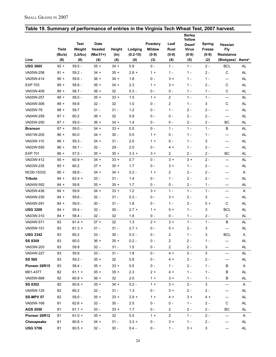| Table 19. Summary of performance of entries in the Virginia Tech Wheat Test, 2007 harvest. |        |             |             |        |              |               |                |                        |               |                          |                   |
|--------------------------------------------------------------------------------------------|--------|-------------|-------------|--------|--------------|---------------|----------------|------------------------|---------------|--------------------------|-------------------|
|                                                                                            |        |             |             |        |              |               |                | <b>Barley</b>          |               |                          |                   |
|                                                                                            |        | <b>Test</b> | <b>Date</b> |        |              | Powdery       | Leaf           | Yellow<br><b>Dwarf</b> | <b>Spring</b> | <b>Hessian</b>           |                   |
|                                                                                            | Yield  | Weight      | Headed      | Height | Lodging      | <b>Mildew</b> | Rust           | <b>Virus</b>           | <b>Freeze</b> | <b>Fly</b>               |                   |
|                                                                                            | (Bu/a) | (Lb/bu)     | (Mar31+)    | (ln)   | $(0.2 - 10)$ | $(0-9)$       | $(0-9)$        | $(0-9)$                | $(0-9)$       | Resistance               |                   |
| Line                                                                                       | (8)    | (8)         | (4)         | (4)    | (4)          | (3)           | (4)            | (5)                    | (2)           | (Biotypes)               | Awns <sup>a</sup> |
| <b>USG 3665</b>                                                                            | $92 +$ | $59.5 -$    | $35 +$      | $34 +$ | 0.9          | $0 -$         | $1 -$          | $1 -$                  | $2 -$         | <b>BCL</b>               | <b>AL</b>         |
| VA05W-258                                                                                  | $91 +$ | $59.2 -$    | $34 +$      | $35 +$ | $2.8 +$      | $1 +$         | $1 -$          | $1 -$                  | $2 -$         | C                        | AL                |
| VA05W-414                                                                                  | $90 +$ | $59.6 -$    | $36 +$      | 34 +   | 1.8          | 0 -           | $3+$           | $1 -$                  | $1 -$         |                          | <b>AL</b>         |
| <b>EXP 703</b>                                                                             | $89 +$ | $58.8 -$    | $36 +$      | 34 +   | 2.3          | $1 +$         | $3 +$          | $1 -$                  | $2 -$         | C                        | <b>AL</b>         |
| VA03W-409                                                                                  | $89 +$ | $58.7 -$    | $36 +$      | 32     | $0.3 -$      | 0 -           | 0 -            | $1 -$                  | $1 -$         | $\mathbf C$              | <b>AL</b>         |
| VA05W-257                                                                                  | $89 +$ | $58.5 -$    | $35 +$      | $33 +$ | 1.5          | $1 +$         | $\overline{c}$ | $1 -$                  | $1 -$         | $\overline{\phantom{0}}$ | <b>AL</b>         |
| VA04W-306                                                                                  | $88 +$ | 59.8        | $32 -$      | 32     | 1.0          | 0 -           | 2              | $1 -$                  | 3             | C                        | <b>AL</b>         |
| VA05W-78                                                                                   | $88 +$ | 59.7        | $31 -$      | $31 -$ | $1.2$        | 0 -           | $1 -$          | $2 -$                  | $2 -$         |                          | <b>AL</b>         |
| VA04W-259                                                                                  | $87 +$ | 60.2        | $36 +$      | 32     | 0.9          | $0 -$         | $0 -$          | $2 -$                  | $2 -$         |                          | AL                |
| VA05W-250                                                                                  | $87 +$ | $59.0 -$    | $36 +$      | 34 +   | 1.4          | 0 -           | $0 -$          | $2 -$                  | $2 -$         | BC                       | AL                |
| <b>Branson</b>                                                                             | $87 +$ | $59.0 -$    | $34 +$      | $33 +$ | 0.5          | $0 -$         | $1 -$          | $1 -$                  | $1 -$         | B                        | <b>AL</b>         |
| VA01W-205                                                                                  | $86 +$ | 60.0        | 34 +        | $30 -$ | 0.5          | $1 +$         | 0 -            | $1 -$                  | $1 -$         | $\qquad \qquad$          | <b>AL</b>         |
| VA03W-110                                                                                  | $86 +$ | $59.3 -$    | 34 +        | $31 -$ | 2.0          | $1 +$         | $0 -$          | $1 -$                  | 3             | $\qquad \qquad$          | <b>AL</b>         |
| VA02W-555                                                                                  | $86 +$ | $59.1 -$    | $32 -$      | 29 -   | 2.0          | $0 -$         | 4 +            | $1 -$                  | $2 -$         |                          | AL                |
| <b>EXP 701</b>                                                                             | $86 +$ | $57.5 -$    | $35 +$      | $35 +$ | $3.3 +$      | 3 +           | 2              | $2 -$                  | $2 -$         | BC                       | AL                |
| VA03W-412                                                                                  | $85 +$ | $60.9 +$    | 34 +        | $33 +$ | 0.7          | $0 -$         | $3+$           | $3+$                   | $2 -$         | $\qquad \qquad$          | <b>AL</b>         |
| VA03W-235                                                                                  | $85 +$ | 60.2        | $37 +$      | $35 +$ | 1.7          | 0 -           | $3 +$          | $1 -$                  | $2 -$         | $\qquad \qquad$          | <b>AL</b>         |
| NC00-15332                                                                                 | $85 +$ | $58.8 -$    | 34 +        | 34 +   | $0.2 -$      | $1 +$         | 2              | $2 -$                  | $2 -$         |                          | Α                 |
| <b>Tribute</b>                                                                             | $84 +$ | $62.4 +$    | $33 -$      | $31 -$ | 1.4          | $0 -$         | $1 -$          | $2 -$                  | $2 -$         |                          | <b>AL</b>         |
| VA04W-592                                                                                  | $84 +$ | 59.8        | $35 +$      | $35 +$ | 1.7          | 0 -           | 0 -            | $2 -$                  | $1 -$         |                          | <b>AL</b>         |
| VA05W-436                                                                                  | $84 +$ | 59.8        | $34 +$      | $33 +$ | 1.2          | $3+$          | $1 -$          | $1 -$                  | $1 -$         |                          | Α                 |
| VA04W-230                                                                                  | $84 +$ | $59.6 -$    | $32 -$      | $31 -$ | $0.3 -$      | 0 -           | $3 +$          | $2 -$                  | 3             |                          | AL                |
| VA04W-291                                                                                  | $84 +$ | $59.5 -$    | $30 -$      | $31 -$ | 1.8          | 0 -           | $1 -$          | $2 -$                  | $5+$          | $\mathbf C$              | <b>AL</b>         |
| <b>USG 3209</b>                                                                            | $84 +$ | $59.4 -$    | $32 -$      | 30 -   | $2.7 +$      | $1 +$         | $5+$           | $1 -$                  | 3             | <b>BCL</b>               | <b>AL</b>         |
| VA03W-310                                                                                  | $84 +$ | $58.4 -$    | $32 -$      | 32     | 1.8          | 0 -           | 0 -            | $1 -$                  | $2 -$         | $\mathsf C$              | AL                |
| VA04W-571                                                                                  | 83     | 61.4 +      | $37 +$      | 32     | 1.3          | $2 +$         | $3 +$          | $1 -$                  | $1 -$         | B                        | <b>AL</b>         |
| VA05W-151                                                                                  | 83     | $61.3 +$    | $31 -$      | $31 -$ | $2.7 +$      | 0 -           | $5+$           | $2 -$                  | 3             |                          | <b>AL</b>         |
| <b>USG 3342</b>                                                                            | 83     | 60.2        | $33 -$      | $30 -$ | $0.3 -$      | $0 -$         | 2              | $1 -$                  | 3             | <b>BCL</b>               | A                 |
| SS 8309                                                                                    | 83     | 60.0        | $36 +$      | $35 +$ | $0.2 -$      | $0 -$         | 2              | $2 -$                  | $1 -$         |                          | AL                |
| VA03W-203                                                                                  | 83     | 59.9        | $32 -$      | $31 -$ | 1.5          | 0 -           | 2              | $2 -$                  | 3             |                          | AL                |
| VA04W-227                                                                                  | 83     | 59.9        | $33 -$      | $31 -$ | 1.8          | $0 -$         | $4 +$          | $2 -$                  | 3             |                          | AL                |
| <b>SS 560</b>                                                                              | 83     | $59.2 -$    | $35 +$      | 32     | 0.9          | $0 -$         | 4 +            | 2 -                    | $2 -$         |                          | AL                |
| Pioneer 26R15                                                                              | 83     | 58.4 -      | $35 +$      | $33 +$ | 0.5          | $0 -$         | 1 -            | $2 -$                  | $1 -$         | В                        | Α                 |
| M01-4377                                                                                   | 82     | $61.1 +$    | $35 +$      | $35 +$ | 2.3          | 2 +           | 4 +            | $1 -$                  | 1 -           | В                        | AL                |
| VA05W-668                                                                                  | 82     | $60.9 +$    | $36 +$      | 32     | 2.0          | $1 +$         | $3 +$          | $1 -$                  | $1 -$         | В                        | AL                |
| <b>SS 8302</b>                                                                             | 82     | $60.6 +$    | $35 +$      | $34 +$ | $0.2 -$      | $1 +$         | $3 +$          | $2 -$                  | $\mathbf{3}$  |                          | Α                 |
| VA05W-125                                                                                  | 82     | 60.2        | $32 -$      | $31 -$ | $1.3$        | $0 -$         | $3 +$          | $2 -$                  | $2 -$         |                          | AL                |
| <b>SS-MPV 57</b>                                                                           | 82     | $59.0 -$    | $35 +$      | $33 +$ | $2.9 +$      | $1 +$         | 4 +            | $3 +$                  | 4 +           |                          | AL                |
| VA05W-168                                                                                  | 81     | $62.6 +$    | $32 -$      | $30 -$ | 2.5          | 0 -           | 0 -            | 1 -                    | $2 -$         | C                        | AL                |
| <b>AGS 2050</b>                                                                            | 81     | $61.1 +$    | $33 -$      | $33 +$ | 1.7          | $0 -$         | 2              | $2 -$                  | $2 -$         | BC                       | AL                |
| Pioneer 26R12                                                                              | 81     | $61.0 +$    | $35 +$      | 32     | 0.5          | $1 +$         | $\overline{c}$ | $1 -$                  | $2 -$         |                          | Α                 |
| Chesapeake                                                                                 | 81     | $60.8 +$    | 34 +        | $31 -$ | $3.3 +$      | $0 -$         | $3 +$          | $1 -$                  | 2 -           |                          | AL                |
| <b>USG 3706</b>                                                                            | 81     | $60.5 +$    | $32 -$      | $30 -$ | $0.4 -$      | $0 -$         | $1 -$          | $3 +$                  | 3             |                          | AL                |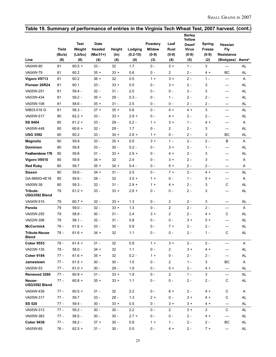| <b>Barley</b><br>Yellow<br><b>Test</b><br>Powdery<br><b>Date</b><br>Leaf<br>Spring<br><b>Dwarf</b><br><b>Hessian</b><br>Yield<br>Weight<br>Headed<br><b>Mildew</b><br><b>Fly</b><br>Height<br>Lodging<br>Rust<br><b>Virus</b><br>Freeze<br>$(Mar31+)$<br>$(0.2 - 10)$<br>(Bu/a)<br>(Lb/bu)<br>$(0-9)$<br>$(0-9)$<br>$(0-9)$<br>$(0-9)$<br>Resistance<br>$(\ln)$<br>Line<br>(8)<br>(8)<br>(4)<br>(4)<br>(4)<br>(3)<br>(4)<br>(5)<br>(2)<br>(Biotypes)<br><b>Awns</b> <sup>a</sup><br>VA04W-90<br>$0 -$<br>3<br>81<br>$60.5 +$<br>$33 -$<br>32<br>1.7<br>$3 +$<br>$1 -$<br><b>AL</b><br>—<br>VA04W-79<br>60.2<br>$35 +$<br>$33 +$<br>0.6<br>$0 -$<br>2<br>$2 -$<br><b>BC</b><br>81<br>$4 +$<br><b>AL</b><br>$3 +$<br>$2 -$<br>Vigoro V9713<br>81<br>60.2<br>$36 +$<br>32<br>0.5<br>$1 +$<br>$1 -$<br>A<br>$\overline{\phantom{0}}$<br>81<br>60.1<br>$33 -$<br>$33 +$<br>0.5<br>$0 -$<br>$3+$<br>$2 -$<br>3<br><b>AL</b><br>Pioneer 26R24<br>VA05W-251<br>81<br>$59.4 -$<br>$32 -$<br>$31 -$<br>2.0<br>$0 -$<br>$2 -$<br>3<br><b>AL</b><br>0 -<br>VA03W-434<br>$59.2 -$<br>$0.3 -$<br>$2 -$<br>81<br>$35 +$<br>29 -<br>0 -<br>$1 -$<br>2 -<br><b>AL</b><br>81<br>$58.6 -$<br>$35 +$<br>2.5<br>$2 -$<br>$2 -$<br>AL<br>VA05W-108<br>31 -<br>0 -<br>0 -<br>$\mathbf{3}$<br>WB03-016 G<br>81<br>$58.3 -$<br>0.6<br>$0 -$<br>$4 +$<br><b>AL</b><br>$37 +$<br>$35 +$<br>4 +<br>$\qquad \qquad \longleftarrow$<br>$2.9 +$<br>$2 -$<br>VA05W-517<br>80<br>$62.2 +$<br>$33 -$<br>$33 +$<br>$0 -$<br>$2 -$<br>$4 +$<br><b>AL</b><br>—<br>SS 8404<br>80<br>$61.2 +$<br>$33 -$<br>$29 -$<br>$0.2 -$<br>$1 +$<br>$3+$<br>$1 -$<br>$4 +$<br>Α<br>1.7<br>VA05W-448<br>2<br>$2 -$<br>3<br>80<br>$60.6 +$<br>32 -<br>29 -<br>0 -<br><b>AL</b><br>$\overline{\phantom{0}}$<br><b>USG 3592</b><br>60.2<br>$2.8 +$<br>$2 -$<br>3<br>BC<br>80<br>33 -<br>34 +<br>0 -<br><b>AL</b><br>$1 +$<br>$2 -$<br>59.9<br>$33 -$<br>0.5<br>$3 +$<br>$1 -$<br>$2 -$<br>B<br>A<br><b>Magnolia</b><br>80<br>$35 +$<br>$33 -$<br>$0.2 -$<br>$2 -$<br><b>Dominion</b><br>80<br>59.8<br>30 -<br>0 -<br>$3+$<br>AL<br>$1 -$<br>—<br>59.8<br>$2.9 +$<br>$2 -$<br>3<br>Featherstone 176<br>80<br>31 -<br>$33 +$<br>0 -<br>4 +<br><b>AL</b><br>Vigoro V9510<br>80<br>59.8<br>$34 +$<br>32<br>2.4<br>$0 -$<br>$3+$<br>$2 -$<br>3<br>Α<br>80<br>59.7<br>$35 +$<br>$34 +$<br>$0.4 -$<br>$0 -$<br>$5+$<br>$2 -$<br>$2 -$<br><b>Red Ruby</b><br>Α<br>$2 -$<br>$59.6 -$<br>2.5<br>$0 -$<br>$7 +$<br>$4 +$<br><b>Sisson</b><br>80<br>34 +<br>31 -<br>AL<br>$\overline{\phantom{0}}$<br>$59.6 -$<br>$3.5 +$<br>GA-96693-4E16<br>80<br>29 -<br>32<br>$1 +$<br>$0 -$<br>$1 -$<br>$5+$<br>Α<br>$\mathsf C$<br>VA00W-38<br>3<br>80<br>59.3 -<br>32 -<br>31 -<br>$2.9 +$<br>$2 -$<br>AL<br>$1 +$<br>4 +<br>$61.2 +$<br>$33 -$<br>$2.8 +$<br>$2 -$<br>3<br><b>AL</b><br>Tribute-<br>79<br>$33 +$<br>0 -<br>0 -<br>USG3592 Blend<br>79<br>$60.7 +$<br>$32 -$<br>$33 +$<br>1.3<br>$0 -$<br>$\overline{2}$<br>$2 -$<br>3<br>VA04W-515<br>AL<br>$\overline{c}$<br>$32 -$<br>1.3<br>$0 -$<br>$2 -$<br>$2 -$<br>Panola<br>79<br>$59.0 -$<br>$33 +$<br>Α<br>$\overline{c}$<br>$2 -$<br>VA05W-255<br>79<br>$58.9 -$<br>$30 -$<br>$31 -$<br>2.4<br>$3 +$<br>C<br><b>AL</b><br>4 +<br>VA02W-398<br>79<br>$32 -$<br>0.8<br>$0 -$<br>$3+$<br><b>AL</b><br>$58.1 -$<br>31 -<br>0 -<br>5 +<br><b>McCormick</b><br>78 -<br>61.6 +<br>33 -<br>30 -<br>0.9<br>0 -<br>7 +<br>$2 -$<br>$2 -$<br>AL<br>C<br><b>Tribute-Neuse</b><br>$61.6 +$<br>$34 +$<br>32<br>1.1<br>$0 -$<br>0 -<br>$2 -$<br>$1 -$<br>AL<br>78 -<br><b>Blend</b><br>$2 -$<br>$2 -$<br><b>Coker 9553</b><br>78 -<br>$61.4 +$<br>$31 -$<br>32<br>0.9<br>$1 +$<br>$3+$<br>Α<br>$\overline{\phantom{0}}$<br>VA03W-135<br>32<br>$1.1$<br>$\overline{c}$<br>$78 -$<br>$58.0 -$<br>$34 +$<br>$0 -$<br>$3+$<br>4 +<br><b>AL</b><br><b>Coker 9184</b><br>$61.6 +$<br>32<br>$0.2 -$<br>0 -<br>AL<br>77 -<br>$35 +$<br>$1 +$<br>2 -<br>2 -<br>2<br>Jamestown<br>$61.5 +$<br>$30 -$<br>30 -<br>1.0<br>0 -<br>3<br>BС<br>77 -<br>1 -<br>Α<br>VA05W-53<br>$77 -$<br>$61.0 +$<br>$30 -$<br>29 -<br>1.9<br>5 +<br>$2 -$<br><b>AL</b><br>0 -<br>4 +<br>$\overbrace{\phantom{12321111}}$<br>$\overline{c}$<br>Renwood 3260<br>3<br>$77 -$<br>$60.9 +$<br>$31 -$<br>$33 +$<br>1.9<br>0 -<br>$1 -$<br><b>AL</b><br>—<br>C<br>Neuse-<br>$77 -$<br>$60.8 +$<br>$35 +$<br>$33 +$<br>1.1<br>$0 -$<br>0 -<br>$2 -$<br>$2 -$<br>AL<br>USG3592 Blend<br>2.2<br>C<br>VA04W-439<br>$60.5 +$<br>$31 -$<br>32<br>0 -<br>$6+$<br>$2 -$<br>77 -<br>4 +<br>A<br>VA05W-317<br>C<br>$33 -$<br>$28 -$<br>1.3<br>$2+$<br>0 -<br>3 +<br>AL.<br>77 -<br>59.7<br>4 +<br><b>SS 520</b><br>$77 -$<br>$59.4 -$<br>$30 -$<br>$33 +$<br>0.5<br>0 -<br>$3+$<br>$3+$<br><b>AL</b><br>4 +<br>VA05W-313<br>2.2<br>$\overline{2}$<br>3<br>C<br>$59.2 -$<br>$30 -$<br>$30 -$<br>0 -<br>3 +<br><b>AL</b><br>77 -<br>VA05W-363<br>$58.5 -$<br>$30 -$<br>30 -<br>$2.7 +$<br>0 -<br>0 -<br>2 -<br><b>AL</b><br>77 -<br>4 +<br><b>Coker 9436</b><br>$77 -$<br>$58.2 -$<br>0.8<br>$2 -$<br>$2 -$<br>ВC<br>AL<br>$37 +$<br>$30 -$<br>$1 +$<br>1 -<br>VA05W-65<br>76 -<br>$62.5 +$<br>0.5<br>$2 -$<br>$7+$<br>AL<br>31 -<br>30 -<br>0 -<br>4 + | Table 19. Summary of performance of entries in the Virginia Tech Wheat Test, 2007 harvest. (cont.) |  |  |  |  |  |  |
|-------------------------------------------------------------------------------------------------------------------------------------------------------------------------------------------------------------------------------------------------------------------------------------------------------------------------------------------------------------------------------------------------------------------------------------------------------------------------------------------------------------------------------------------------------------------------------------------------------------------------------------------------------------------------------------------------------------------------------------------------------------------------------------------------------------------------------------------------------------------------------------------------------------------------------------------------------------------------------------------------------------------------------------------------------------------------------------------------------------------------------------------------------------------------------------------------------------------------------------------------------------------------------------------------------------------------------------------------------------------------------------------------------------------------------------------------------------------------------------------------------------------------------------------------------------------------------------------------------------------------------------------------------------------------------------------------------------------------------------------------------------------------------------------------------------------------------------------------------------------------------------------------------------------------------------------------------------------------------------------------------------------------------------------------------------------------------------------------------------------------------------------------------------------------------------------------------------------------------------------------------------------------------------------------------------------------------------------------------------------------------------------------------------------------------------------------------------------------------------------------------------------------------------------------------------------------------------------------------------------------------------------------------------------------------------------------------------------------------------------------------------------------------------------------------------------------------------------------------------------------------------------------------------------------------------------------------------------------------------------------------------------------------------------------------------------------------------------------------------------------------------------------------------------------------------------------------------------------------------------------------------------------------------------------------------------------------------------------------------------------------------------------------------------------------------------------------------------------------------------------------------------------------------------------------------------------------------------------------------------------------------------------------------------------------------------------------------------------------------------------------------------------------------------------------------------------------------------------------------------------------------------------------------------------------------------------------------------------------------------------------------------------------------------------------------------------------------------------------------------------------------------------------------------------------------------------------------------------------------------------------------------------------------------------------------------------------------------------------------------------------------------------------------------------------------------------------------------------------------------------------------------------------------------------------------------------------------------------------------------------------------------------------------------------------------------------------------------------------------------------------------------------------------------------------------------------------------------------------------------------------------------------------------------------------------------------------------------------------------------------------------------------------------------------------------------------------------------------------------------------------------------------------------------------|----------------------------------------------------------------------------------------------------|--|--|--|--|--|--|
|                                                                                                                                                                                                                                                                                                                                                                                                                                                                                                                                                                                                                                                                                                                                                                                                                                                                                                                                                                                                                                                                                                                                                                                                                                                                                                                                                                                                                                                                                                                                                                                                                                                                                                                                                                                                                                                                                                                                                                                                                                                                                                                                                                                                                                                                                                                                                                                                                                                                                                                                                                                                                                                                                                                                                                                                                                                                                                                                                                                                                                                                                                                                                                                                                                                                                                                                                                                                                                                                                                                                                                                                                                                                                                                                                                                                                                                                                                                                                                                                                                                                                                                                                                                                                                                                                                                                                                                                                                                                                                                                                                                                                                                                                                                                                                                                                                                                                                                                                                                                                                                                                                                                                                         |                                                                                                    |  |  |  |  |  |  |
|                                                                                                                                                                                                                                                                                                                                                                                                                                                                                                                                                                                                                                                                                                                                                                                                                                                                                                                                                                                                                                                                                                                                                                                                                                                                                                                                                                                                                                                                                                                                                                                                                                                                                                                                                                                                                                                                                                                                                                                                                                                                                                                                                                                                                                                                                                                                                                                                                                                                                                                                                                                                                                                                                                                                                                                                                                                                                                                                                                                                                                                                                                                                                                                                                                                                                                                                                                                                                                                                                                                                                                                                                                                                                                                                                                                                                                                                                                                                                                                                                                                                                                                                                                                                                                                                                                                                                                                                                                                                                                                                                                                                                                                                                                                                                                                                                                                                                                                                                                                                                                                                                                                                                                         |                                                                                                    |  |  |  |  |  |  |
|                                                                                                                                                                                                                                                                                                                                                                                                                                                                                                                                                                                                                                                                                                                                                                                                                                                                                                                                                                                                                                                                                                                                                                                                                                                                                                                                                                                                                                                                                                                                                                                                                                                                                                                                                                                                                                                                                                                                                                                                                                                                                                                                                                                                                                                                                                                                                                                                                                                                                                                                                                                                                                                                                                                                                                                                                                                                                                                                                                                                                                                                                                                                                                                                                                                                                                                                                                                                                                                                                                                                                                                                                                                                                                                                                                                                                                                                                                                                                                                                                                                                                                                                                                                                                                                                                                                                                                                                                                                                                                                                                                                                                                                                                                                                                                                                                                                                                                                                                                                                                                                                                                                                                                         |                                                                                                    |  |  |  |  |  |  |
|                                                                                                                                                                                                                                                                                                                                                                                                                                                                                                                                                                                                                                                                                                                                                                                                                                                                                                                                                                                                                                                                                                                                                                                                                                                                                                                                                                                                                                                                                                                                                                                                                                                                                                                                                                                                                                                                                                                                                                                                                                                                                                                                                                                                                                                                                                                                                                                                                                                                                                                                                                                                                                                                                                                                                                                                                                                                                                                                                                                                                                                                                                                                                                                                                                                                                                                                                                                                                                                                                                                                                                                                                                                                                                                                                                                                                                                                                                                                                                                                                                                                                                                                                                                                                                                                                                                                                                                                                                                                                                                                                                                                                                                                                                                                                                                                                                                                                                                                                                                                                                                                                                                                                                         |                                                                                                    |  |  |  |  |  |  |
|                                                                                                                                                                                                                                                                                                                                                                                                                                                                                                                                                                                                                                                                                                                                                                                                                                                                                                                                                                                                                                                                                                                                                                                                                                                                                                                                                                                                                                                                                                                                                                                                                                                                                                                                                                                                                                                                                                                                                                                                                                                                                                                                                                                                                                                                                                                                                                                                                                                                                                                                                                                                                                                                                                                                                                                                                                                                                                                                                                                                                                                                                                                                                                                                                                                                                                                                                                                                                                                                                                                                                                                                                                                                                                                                                                                                                                                                                                                                                                                                                                                                                                                                                                                                                                                                                                                                                                                                                                                                                                                                                                                                                                                                                                                                                                                                                                                                                                                                                                                                                                                                                                                                                                         |                                                                                                    |  |  |  |  |  |  |
|                                                                                                                                                                                                                                                                                                                                                                                                                                                                                                                                                                                                                                                                                                                                                                                                                                                                                                                                                                                                                                                                                                                                                                                                                                                                                                                                                                                                                                                                                                                                                                                                                                                                                                                                                                                                                                                                                                                                                                                                                                                                                                                                                                                                                                                                                                                                                                                                                                                                                                                                                                                                                                                                                                                                                                                                                                                                                                                                                                                                                                                                                                                                                                                                                                                                                                                                                                                                                                                                                                                                                                                                                                                                                                                                                                                                                                                                                                                                                                                                                                                                                                                                                                                                                                                                                                                                                                                                                                                                                                                                                                                                                                                                                                                                                                                                                                                                                                                                                                                                                                                                                                                                                                         |                                                                                                    |  |  |  |  |  |  |
|                                                                                                                                                                                                                                                                                                                                                                                                                                                                                                                                                                                                                                                                                                                                                                                                                                                                                                                                                                                                                                                                                                                                                                                                                                                                                                                                                                                                                                                                                                                                                                                                                                                                                                                                                                                                                                                                                                                                                                                                                                                                                                                                                                                                                                                                                                                                                                                                                                                                                                                                                                                                                                                                                                                                                                                                                                                                                                                                                                                                                                                                                                                                                                                                                                                                                                                                                                                                                                                                                                                                                                                                                                                                                                                                                                                                                                                                                                                                                                                                                                                                                                                                                                                                                                                                                                                                                                                                                                                                                                                                                                                                                                                                                                                                                                                                                                                                                                                                                                                                                                                                                                                                                                         |                                                                                                    |  |  |  |  |  |  |
|                                                                                                                                                                                                                                                                                                                                                                                                                                                                                                                                                                                                                                                                                                                                                                                                                                                                                                                                                                                                                                                                                                                                                                                                                                                                                                                                                                                                                                                                                                                                                                                                                                                                                                                                                                                                                                                                                                                                                                                                                                                                                                                                                                                                                                                                                                                                                                                                                                                                                                                                                                                                                                                                                                                                                                                                                                                                                                                                                                                                                                                                                                                                                                                                                                                                                                                                                                                                                                                                                                                                                                                                                                                                                                                                                                                                                                                                                                                                                                                                                                                                                                                                                                                                                                                                                                                                                                                                                                                                                                                                                                                                                                                                                                                                                                                                                                                                                                                                                                                                                                                                                                                                                                         |                                                                                                    |  |  |  |  |  |  |
|                                                                                                                                                                                                                                                                                                                                                                                                                                                                                                                                                                                                                                                                                                                                                                                                                                                                                                                                                                                                                                                                                                                                                                                                                                                                                                                                                                                                                                                                                                                                                                                                                                                                                                                                                                                                                                                                                                                                                                                                                                                                                                                                                                                                                                                                                                                                                                                                                                                                                                                                                                                                                                                                                                                                                                                                                                                                                                                                                                                                                                                                                                                                                                                                                                                                                                                                                                                                                                                                                                                                                                                                                                                                                                                                                                                                                                                                                                                                                                                                                                                                                                                                                                                                                                                                                                                                                                                                                                                                                                                                                                                                                                                                                                                                                                                                                                                                                                                                                                                                                                                                                                                                                                         |                                                                                                    |  |  |  |  |  |  |
|                                                                                                                                                                                                                                                                                                                                                                                                                                                                                                                                                                                                                                                                                                                                                                                                                                                                                                                                                                                                                                                                                                                                                                                                                                                                                                                                                                                                                                                                                                                                                                                                                                                                                                                                                                                                                                                                                                                                                                                                                                                                                                                                                                                                                                                                                                                                                                                                                                                                                                                                                                                                                                                                                                                                                                                                                                                                                                                                                                                                                                                                                                                                                                                                                                                                                                                                                                                                                                                                                                                                                                                                                                                                                                                                                                                                                                                                                                                                                                                                                                                                                                                                                                                                                                                                                                                                                                                                                                                                                                                                                                                                                                                                                                                                                                                                                                                                                                                                                                                                                                                                                                                                                                         |                                                                                                    |  |  |  |  |  |  |
|                                                                                                                                                                                                                                                                                                                                                                                                                                                                                                                                                                                                                                                                                                                                                                                                                                                                                                                                                                                                                                                                                                                                                                                                                                                                                                                                                                                                                                                                                                                                                                                                                                                                                                                                                                                                                                                                                                                                                                                                                                                                                                                                                                                                                                                                                                                                                                                                                                                                                                                                                                                                                                                                                                                                                                                                                                                                                                                                                                                                                                                                                                                                                                                                                                                                                                                                                                                                                                                                                                                                                                                                                                                                                                                                                                                                                                                                                                                                                                                                                                                                                                                                                                                                                                                                                                                                                                                                                                                                                                                                                                                                                                                                                                                                                                                                                                                                                                                                                                                                                                                                                                                                                                         |                                                                                                    |  |  |  |  |  |  |
|                                                                                                                                                                                                                                                                                                                                                                                                                                                                                                                                                                                                                                                                                                                                                                                                                                                                                                                                                                                                                                                                                                                                                                                                                                                                                                                                                                                                                                                                                                                                                                                                                                                                                                                                                                                                                                                                                                                                                                                                                                                                                                                                                                                                                                                                                                                                                                                                                                                                                                                                                                                                                                                                                                                                                                                                                                                                                                                                                                                                                                                                                                                                                                                                                                                                                                                                                                                                                                                                                                                                                                                                                                                                                                                                                                                                                                                                                                                                                                                                                                                                                                                                                                                                                                                                                                                                                                                                                                                                                                                                                                                                                                                                                                                                                                                                                                                                                                                                                                                                                                                                                                                                                                         |                                                                                                    |  |  |  |  |  |  |
|                                                                                                                                                                                                                                                                                                                                                                                                                                                                                                                                                                                                                                                                                                                                                                                                                                                                                                                                                                                                                                                                                                                                                                                                                                                                                                                                                                                                                                                                                                                                                                                                                                                                                                                                                                                                                                                                                                                                                                                                                                                                                                                                                                                                                                                                                                                                                                                                                                                                                                                                                                                                                                                                                                                                                                                                                                                                                                                                                                                                                                                                                                                                                                                                                                                                                                                                                                                                                                                                                                                                                                                                                                                                                                                                                                                                                                                                                                                                                                                                                                                                                                                                                                                                                                                                                                                                                                                                                                                                                                                                                                                                                                                                                                                                                                                                                                                                                                                                                                                                                                                                                                                                                                         |                                                                                                    |  |  |  |  |  |  |
|                                                                                                                                                                                                                                                                                                                                                                                                                                                                                                                                                                                                                                                                                                                                                                                                                                                                                                                                                                                                                                                                                                                                                                                                                                                                                                                                                                                                                                                                                                                                                                                                                                                                                                                                                                                                                                                                                                                                                                                                                                                                                                                                                                                                                                                                                                                                                                                                                                                                                                                                                                                                                                                                                                                                                                                                                                                                                                                                                                                                                                                                                                                                                                                                                                                                                                                                                                                                                                                                                                                                                                                                                                                                                                                                                                                                                                                                                                                                                                                                                                                                                                                                                                                                                                                                                                                                                                                                                                                                                                                                                                                                                                                                                                                                                                                                                                                                                                                                                                                                                                                                                                                                                                         |                                                                                                    |  |  |  |  |  |  |
|                                                                                                                                                                                                                                                                                                                                                                                                                                                                                                                                                                                                                                                                                                                                                                                                                                                                                                                                                                                                                                                                                                                                                                                                                                                                                                                                                                                                                                                                                                                                                                                                                                                                                                                                                                                                                                                                                                                                                                                                                                                                                                                                                                                                                                                                                                                                                                                                                                                                                                                                                                                                                                                                                                                                                                                                                                                                                                                                                                                                                                                                                                                                                                                                                                                                                                                                                                                                                                                                                                                                                                                                                                                                                                                                                                                                                                                                                                                                                                                                                                                                                                                                                                                                                                                                                                                                                                                                                                                                                                                                                                                                                                                                                                                                                                                                                                                                                                                                                                                                                                                                                                                                                                         |                                                                                                    |  |  |  |  |  |  |
|                                                                                                                                                                                                                                                                                                                                                                                                                                                                                                                                                                                                                                                                                                                                                                                                                                                                                                                                                                                                                                                                                                                                                                                                                                                                                                                                                                                                                                                                                                                                                                                                                                                                                                                                                                                                                                                                                                                                                                                                                                                                                                                                                                                                                                                                                                                                                                                                                                                                                                                                                                                                                                                                                                                                                                                                                                                                                                                                                                                                                                                                                                                                                                                                                                                                                                                                                                                                                                                                                                                                                                                                                                                                                                                                                                                                                                                                                                                                                                                                                                                                                                                                                                                                                                                                                                                                                                                                                                                                                                                                                                                                                                                                                                                                                                                                                                                                                                                                                                                                                                                                                                                                                                         |                                                                                                    |  |  |  |  |  |  |
|                                                                                                                                                                                                                                                                                                                                                                                                                                                                                                                                                                                                                                                                                                                                                                                                                                                                                                                                                                                                                                                                                                                                                                                                                                                                                                                                                                                                                                                                                                                                                                                                                                                                                                                                                                                                                                                                                                                                                                                                                                                                                                                                                                                                                                                                                                                                                                                                                                                                                                                                                                                                                                                                                                                                                                                                                                                                                                                                                                                                                                                                                                                                                                                                                                                                                                                                                                                                                                                                                                                                                                                                                                                                                                                                                                                                                                                                                                                                                                                                                                                                                                                                                                                                                                                                                                                                                                                                                                                                                                                                                                                                                                                                                                                                                                                                                                                                                                                                                                                                                                                                                                                                                                         |                                                                                                    |  |  |  |  |  |  |
|                                                                                                                                                                                                                                                                                                                                                                                                                                                                                                                                                                                                                                                                                                                                                                                                                                                                                                                                                                                                                                                                                                                                                                                                                                                                                                                                                                                                                                                                                                                                                                                                                                                                                                                                                                                                                                                                                                                                                                                                                                                                                                                                                                                                                                                                                                                                                                                                                                                                                                                                                                                                                                                                                                                                                                                                                                                                                                                                                                                                                                                                                                                                                                                                                                                                                                                                                                                                                                                                                                                                                                                                                                                                                                                                                                                                                                                                                                                                                                                                                                                                                                                                                                                                                                                                                                                                                                                                                                                                                                                                                                                                                                                                                                                                                                                                                                                                                                                                                                                                                                                                                                                                                                         |                                                                                                    |  |  |  |  |  |  |
|                                                                                                                                                                                                                                                                                                                                                                                                                                                                                                                                                                                                                                                                                                                                                                                                                                                                                                                                                                                                                                                                                                                                                                                                                                                                                                                                                                                                                                                                                                                                                                                                                                                                                                                                                                                                                                                                                                                                                                                                                                                                                                                                                                                                                                                                                                                                                                                                                                                                                                                                                                                                                                                                                                                                                                                                                                                                                                                                                                                                                                                                                                                                                                                                                                                                                                                                                                                                                                                                                                                                                                                                                                                                                                                                                                                                                                                                                                                                                                                                                                                                                                                                                                                                                                                                                                                                                                                                                                                                                                                                                                                                                                                                                                                                                                                                                                                                                                                                                                                                                                                                                                                                                                         |                                                                                                    |  |  |  |  |  |  |
|                                                                                                                                                                                                                                                                                                                                                                                                                                                                                                                                                                                                                                                                                                                                                                                                                                                                                                                                                                                                                                                                                                                                                                                                                                                                                                                                                                                                                                                                                                                                                                                                                                                                                                                                                                                                                                                                                                                                                                                                                                                                                                                                                                                                                                                                                                                                                                                                                                                                                                                                                                                                                                                                                                                                                                                                                                                                                                                                                                                                                                                                                                                                                                                                                                                                                                                                                                                                                                                                                                                                                                                                                                                                                                                                                                                                                                                                                                                                                                                                                                                                                                                                                                                                                                                                                                                                                                                                                                                                                                                                                                                                                                                                                                                                                                                                                                                                                                                                                                                                                                                                                                                                                                         |                                                                                                    |  |  |  |  |  |  |
|                                                                                                                                                                                                                                                                                                                                                                                                                                                                                                                                                                                                                                                                                                                                                                                                                                                                                                                                                                                                                                                                                                                                                                                                                                                                                                                                                                                                                                                                                                                                                                                                                                                                                                                                                                                                                                                                                                                                                                                                                                                                                                                                                                                                                                                                                                                                                                                                                                                                                                                                                                                                                                                                                                                                                                                                                                                                                                                                                                                                                                                                                                                                                                                                                                                                                                                                                                                                                                                                                                                                                                                                                                                                                                                                                                                                                                                                                                                                                                                                                                                                                                                                                                                                                                                                                                                                                                                                                                                                                                                                                                                                                                                                                                                                                                                                                                                                                                                                                                                                                                                                                                                                                                         |                                                                                                    |  |  |  |  |  |  |
|                                                                                                                                                                                                                                                                                                                                                                                                                                                                                                                                                                                                                                                                                                                                                                                                                                                                                                                                                                                                                                                                                                                                                                                                                                                                                                                                                                                                                                                                                                                                                                                                                                                                                                                                                                                                                                                                                                                                                                                                                                                                                                                                                                                                                                                                                                                                                                                                                                                                                                                                                                                                                                                                                                                                                                                                                                                                                                                                                                                                                                                                                                                                                                                                                                                                                                                                                                                                                                                                                                                                                                                                                                                                                                                                                                                                                                                                                                                                                                                                                                                                                                                                                                                                                                                                                                                                                                                                                                                                                                                                                                                                                                                                                                                                                                                                                                                                                                                                                                                                                                                                                                                                                                         |                                                                                                    |  |  |  |  |  |  |
|                                                                                                                                                                                                                                                                                                                                                                                                                                                                                                                                                                                                                                                                                                                                                                                                                                                                                                                                                                                                                                                                                                                                                                                                                                                                                                                                                                                                                                                                                                                                                                                                                                                                                                                                                                                                                                                                                                                                                                                                                                                                                                                                                                                                                                                                                                                                                                                                                                                                                                                                                                                                                                                                                                                                                                                                                                                                                                                                                                                                                                                                                                                                                                                                                                                                                                                                                                                                                                                                                                                                                                                                                                                                                                                                                                                                                                                                                                                                                                                                                                                                                                                                                                                                                                                                                                                                                                                                                                                                                                                                                                                                                                                                                                                                                                                                                                                                                                                                                                                                                                                                                                                                                                         |                                                                                                    |  |  |  |  |  |  |
|                                                                                                                                                                                                                                                                                                                                                                                                                                                                                                                                                                                                                                                                                                                                                                                                                                                                                                                                                                                                                                                                                                                                                                                                                                                                                                                                                                                                                                                                                                                                                                                                                                                                                                                                                                                                                                                                                                                                                                                                                                                                                                                                                                                                                                                                                                                                                                                                                                                                                                                                                                                                                                                                                                                                                                                                                                                                                                                                                                                                                                                                                                                                                                                                                                                                                                                                                                                                                                                                                                                                                                                                                                                                                                                                                                                                                                                                                                                                                                                                                                                                                                                                                                                                                                                                                                                                                                                                                                                                                                                                                                                                                                                                                                                                                                                                                                                                                                                                                                                                                                                                                                                                                                         |                                                                                                    |  |  |  |  |  |  |
|                                                                                                                                                                                                                                                                                                                                                                                                                                                                                                                                                                                                                                                                                                                                                                                                                                                                                                                                                                                                                                                                                                                                                                                                                                                                                                                                                                                                                                                                                                                                                                                                                                                                                                                                                                                                                                                                                                                                                                                                                                                                                                                                                                                                                                                                                                                                                                                                                                                                                                                                                                                                                                                                                                                                                                                                                                                                                                                                                                                                                                                                                                                                                                                                                                                                                                                                                                                                                                                                                                                                                                                                                                                                                                                                                                                                                                                                                                                                                                                                                                                                                                                                                                                                                                                                                                                                                                                                                                                                                                                                                                                                                                                                                                                                                                                                                                                                                                                                                                                                                                                                                                                                                                         |                                                                                                    |  |  |  |  |  |  |
|                                                                                                                                                                                                                                                                                                                                                                                                                                                                                                                                                                                                                                                                                                                                                                                                                                                                                                                                                                                                                                                                                                                                                                                                                                                                                                                                                                                                                                                                                                                                                                                                                                                                                                                                                                                                                                                                                                                                                                                                                                                                                                                                                                                                                                                                                                                                                                                                                                                                                                                                                                                                                                                                                                                                                                                                                                                                                                                                                                                                                                                                                                                                                                                                                                                                                                                                                                                                                                                                                                                                                                                                                                                                                                                                                                                                                                                                                                                                                                                                                                                                                                                                                                                                                                                                                                                                                                                                                                                                                                                                                                                                                                                                                                                                                                                                                                                                                                                                                                                                                                                                                                                                                                         |                                                                                                    |  |  |  |  |  |  |
|                                                                                                                                                                                                                                                                                                                                                                                                                                                                                                                                                                                                                                                                                                                                                                                                                                                                                                                                                                                                                                                                                                                                                                                                                                                                                                                                                                                                                                                                                                                                                                                                                                                                                                                                                                                                                                                                                                                                                                                                                                                                                                                                                                                                                                                                                                                                                                                                                                                                                                                                                                                                                                                                                                                                                                                                                                                                                                                                                                                                                                                                                                                                                                                                                                                                                                                                                                                                                                                                                                                                                                                                                                                                                                                                                                                                                                                                                                                                                                                                                                                                                                                                                                                                                                                                                                                                                                                                                                                                                                                                                                                                                                                                                                                                                                                                                                                                                                                                                                                                                                                                                                                                                                         |                                                                                                    |  |  |  |  |  |  |
|                                                                                                                                                                                                                                                                                                                                                                                                                                                                                                                                                                                                                                                                                                                                                                                                                                                                                                                                                                                                                                                                                                                                                                                                                                                                                                                                                                                                                                                                                                                                                                                                                                                                                                                                                                                                                                                                                                                                                                                                                                                                                                                                                                                                                                                                                                                                                                                                                                                                                                                                                                                                                                                                                                                                                                                                                                                                                                                                                                                                                                                                                                                                                                                                                                                                                                                                                                                                                                                                                                                                                                                                                                                                                                                                                                                                                                                                                                                                                                                                                                                                                                                                                                                                                                                                                                                                                                                                                                                                                                                                                                                                                                                                                                                                                                                                                                                                                                                                                                                                                                                                                                                                                                         |                                                                                                    |  |  |  |  |  |  |
|                                                                                                                                                                                                                                                                                                                                                                                                                                                                                                                                                                                                                                                                                                                                                                                                                                                                                                                                                                                                                                                                                                                                                                                                                                                                                                                                                                                                                                                                                                                                                                                                                                                                                                                                                                                                                                                                                                                                                                                                                                                                                                                                                                                                                                                                                                                                                                                                                                                                                                                                                                                                                                                                                                                                                                                                                                                                                                                                                                                                                                                                                                                                                                                                                                                                                                                                                                                                                                                                                                                                                                                                                                                                                                                                                                                                                                                                                                                                                                                                                                                                                                                                                                                                                                                                                                                                                                                                                                                                                                                                                                                                                                                                                                                                                                                                                                                                                                                                                                                                                                                                                                                                                                         |                                                                                                    |  |  |  |  |  |  |
|                                                                                                                                                                                                                                                                                                                                                                                                                                                                                                                                                                                                                                                                                                                                                                                                                                                                                                                                                                                                                                                                                                                                                                                                                                                                                                                                                                                                                                                                                                                                                                                                                                                                                                                                                                                                                                                                                                                                                                                                                                                                                                                                                                                                                                                                                                                                                                                                                                                                                                                                                                                                                                                                                                                                                                                                                                                                                                                                                                                                                                                                                                                                                                                                                                                                                                                                                                                                                                                                                                                                                                                                                                                                                                                                                                                                                                                                                                                                                                                                                                                                                                                                                                                                                                                                                                                                                                                                                                                                                                                                                                                                                                                                                                                                                                                                                                                                                                                                                                                                                                                                                                                                                                         |                                                                                                    |  |  |  |  |  |  |
|                                                                                                                                                                                                                                                                                                                                                                                                                                                                                                                                                                                                                                                                                                                                                                                                                                                                                                                                                                                                                                                                                                                                                                                                                                                                                                                                                                                                                                                                                                                                                                                                                                                                                                                                                                                                                                                                                                                                                                                                                                                                                                                                                                                                                                                                                                                                                                                                                                                                                                                                                                                                                                                                                                                                                                                                                                                                                                                                                                                                                                                                                                                                                                                                                                                                                                                                                                                                                                                                                                                                                                                                                                                                                                                                                                                                                                                                                                                                                                                                                                                                                                                                                                                                                                                                                                                                                                                                                                                                                                                                                                                                                                                                                                                                                                                                                                                                                                                                                                                                                                                                                                                                                                         |                                                                                                    |  |  |  |  |  |  |
|                                                                                                                                                                                                                                                                                                                                                                                                                                                                                                                                                                                                                                                                                                                                                                                                                                                                                                                                                                                                                                                                                                                                                                                                                                                                                                                                                                                                                                                                                                                                                                                                                                                                                                                                                                                                                                                                                                                                                                                                                                                                                                                                                                                                                                                                                                                                                                                                                                                                                                                                                                                                                                                                                                                                                                                                                                                                                                                                                                                                                                                                                                                                                                                                                                                                                                                                                                                                                                                                                                                                                                                                                                                                                                                                                                                                                                                                                                                                                                                                                                                                                                                                                                                                                                                                                                                                                                                                                                                                                                                                                                                                                                                                                                                                                                                                                                                                                                                                                                                                                                                                                                                                                                         |                                                                                                    |  |  |  |  |  |  |
|                                                                                                                                                                                                                                                                                                                                                                                                                                                                                                                                                                                                                                                                                                                                                                                                                                                                                                                                                                                                                                                                                                                                                                                                                                                                                                                                                                                                                                                                                                                                                                                                                                                                                                                                                                                                                                                                                                                                                                                                                                                                                                                                                                                                                                                                                                                                                                                                                                                                                                                                                                                                                                                                                                                                                                                                                                                                                                                                                                                                                                                                                                                                                                                                                                                                                                                                                                                                                                                                                                                                                                                                                                                                                                                                                                                                                                                                                                                                                                                                                                                                                                                                                                                                                                                                                                                                                                                                                                                                                                                                                                                                                                                                                                                                                                                                                                                                                                                                                                                                                                                                                                                                                                         |                                                                                                    |  |  |  |  |  |  |
|                                                                                                                                                                                                                                                                                                                                                                                                                                                                                                                                                                                                                                                                                                                                                                                                                                                                                                                                                                                                                                                                                                                                                                                                                                                                                                                                                                                                                                                                                                                                                                                                                                                                                                                                                                                                                                                                                                                                                                                                                                                                                                                                                                                                                                                                                                                                                                                                                                                                                                                                                                                                                                                                                                                                                                                                                                                                                                                                                                                                                                                                                                                                                                                                                                                                                                                                                                                                                                                                                                                                                                                                                                                                                                                                                                                                                                                                                                                                                                                                                                                                                                                                                                                                                                                                                                                                                                                                                                                                                                                                                                                                                                                                                                                                                                                                                                                                                                                                                                                                                                                                                                                                                                         |                                                                                                    |  |  |  |  |  |  |
|                                                                                                                                                                                                                                                                                                                                                                                                                                                                                                                                                                                                                                                                                                                                                                                                                                                                                                                                                                                                                                                                                                                                                                                                                                                                                                                                                                                                                                                                                                                                                                                                                                                                                                                                                                                                                                                                                                                                                                                                                                                                                                                                                                                                                                                                                                                                                                                                                                                                                                                                                                                                                                                                                                                                                                                                                                                                                                                                                                                                                                                                                                                                                                                                                                                                                                                                                                                                                                                                                                                                                                                                                                                                                                                                                                                                                                                                                                                                                                                                                                                                                                                                                                                                                                                                                                                                                                                                                                                                                                                                                                                                                                                                                                                                                                                                                                                                                                                                                                                                                                                                                                                                                                         |                                                                                                    |  |  |  |  |  |  |
|                                                                                                                                                                                                                                                                                                                                                                                                                                                                                                                                                                                                                                                                                                                                                                                                                                                                                                                                                                                                                                                                                                                                                                                                                                                                                                                                                                                                                                                                                                                                                                                                                                                                                                                                                                                                                                                                                                                                                                                                                                                                                                                                                                                                                                                                                                                                                                                                                                                                                                                                                                                                                                                                                                                                                                                                                                                                                                                                                                                                                                                                                                                                                                                                                                                                                                                                                                                                                                                                                                                                                                                                                                                                                                                                                                                                                                                                                                                                                                                                                                                                                                                                                                                                                                                                                                                                                                                                                                                                                                                                                                                                                                                                                                                                                                                                                                                                                                                                                                                                                                                                                                                                                                         |                                                                                                    |  |  |  |  |  |  |
|                                                                                                                                                                                                                                                                                                                                                                                                                                                                                                                                                                                                                                                                                                                                                                                                                                                                                                                                                                                                                                                                                                                                                                                                                                                                                                                                                                                                                                                                                                                                                                                                                                                                                                                                                                                                                                                                                                                                                                                                                                                                                                                                                                                                                                                                                                                                                                                                                                                                                                                                                                                                                                                                                                                                                                                                                                                                                                                                                                                                                                                                                                                                                                                                                                                                                                                                                                                                                                                                                                                                                                                                                                                                                                                                                                                                                                                                                                                                                                                                                                                                                                                                                                                                                                                                                                                                                                                                                                                                                                                                                                                                                                                                                                                                                                                                                                                                                                                                                                                                                                                                                                                                                                         |                                                                                                    |  |  |  |  |  |  |
|                                                                                                                                                                                                                                                                                                                                                                                                                                                                                                                                                                                                                                                                                                                                                                                                                                                                                                                                                                                                                                                                                                                                                                                                                                                                                                                                                                                                                                                                                                                                                                                                                                                                                                                                                                                                                                                                                                                                                                                                                                                                                                                                                                                                                                                                                                                                                                                                                                                                                                                                                                                                                                                                                                                                                                                                                                                                                                                                                                                                                                                                                                                                                                                                                                                                                                                                                                                                                                                                                                                                                                                                                                                                                                                                                                                                                                                                                                                                                                                                                                                                                                                                                                                                                                                                                                                                                                                                                                                                                                                                                                                                                                                                                                                                                                                                                                                                                                                                                                                                                                                                                                                                                                         |                                                                                                    |  |  |  |  |  |  |
|                                                                                                                                                                                                                                                                                                                                                                                                                                                                                                                                                                                                                                                                                                                                                                                                                                                                                                                                                                                                                                                                                                                                                                                                                                                                                                                                                                                                                                                                                                                                                                                                                                                                                                                                                                                                                                                                                                                                                                                                                                                                                                                                                                                                                                                                                                                                                                                                                                                                                                                                                                                                                                                                                                                                                                                                                                                                                                                                                                                                                                                                                                                                                                                                                                                                                                                                                                                                                                                                                                                                                                                                                                                                                                                                                                                                                                                                                                                                                                                                                                                                                                                                                                                                                                                                                                                                                                                                                                                                                                                                                                                                                                                                                                                                                                                                                                                                                                                                                                                                                                                                                                                                                                         |                                                                                                    |  |  |  |  |  |  |
|                                                                                                                                                                                                                                                                                                                                                                                                                                                                                                                                                                                                                                                                                                                                                                                                                                                                                                                                                                                                                                                                                                                                                                                                                                                                                                                                                                                                                                                                                                                                                                                                                                                                                                                                                                                                                                                                                                                                                                                                                                                                                                                                                                                                                                                                                                                                                                                                                                                                                                                                                                                                                                                                                                                                                                                                                                                                                                                                                                                                                                                                                                                                                                                                                                                                                                                                                                                                                                                                                                                                                                                                                                                                                                                                                                                                                                                                                                                                                                                                                                                                                                                                                                                                                                                                                                                                                                                                                                                                                                                                                                                                                                                                                                                                                                                                                                                                                                                                                                                                                                                                                                                                                                         |                                                                                                    |  |  |  |  |  |  |
|                                                                                                                                                                                                                                                                                                                                                                                                                                                                                                                                                                                                                                                                                                                                                                                                                                                                                                                                                                                                                                                                                                                                                                                                                                                                                                                                                                                                                                                                                                                                                                                                                                                                                                                                                                                                                                                                                                                                                                                                                                                                                                                                                                                                                                                                                                                                                                                                                                                                                                                                                                                                                                                                                                                                                                                                                                                                                                                                                                                                                                                                                                                                                                                                                                                                                                                                                                                                                                                                                                                                                                                                                                                                                                                                                                                                                                                                                                                                                                                                                                                                                                                                                                                                                                                                                                                                                                                                                                                                                                                                                                                                                                                                                                                                                                                                                                                                                                                                                                                                                                                                                                                                                                         |                                                                                                    |  |  |  |  |  |  |
|                                                                                                                                                                                                                                                                                                                                                                                                                                                                                                                                                                                                                                                                                                                                                                                                                                                                                                                                                                                                                                                                                                                                                                                                                                                                                                                                                                                                                                                                                                                                                                                                                                                                                                                                                                                                                                                                                                                                                                                                                                                                                                                                                                                                                                                                                                                                                                                                                                                                                                                                                                                                                                                                                                                                                                                                                                                                                                                                                                                                                                                                                                                                                                                                                                                                                                                                                                                                                                                                                                                                                                                                                                                                                                                                                                                                                                                                                                                                                                                                                                                                                                                                                                                                                                                                                                                                                                                                                                                                                                                                                                                                                                                                                                                                                                                                                                                                                                                                                                                                                                                                                                                                                                         |                                                                                                    |  |  |  |  |  |  |
|                                                                                                                                                                                                                                                                                                                                                                                                                                                                                                                                                                                                                                                                                                                                                                                                                                                                                                                                                                                                                                                                                                                                                                                                                                                                                                                                                                                                                                                                                                                                                                                                                                                                                                                                                                                                                                                                                                                                                                                                                                                                                                                                                                                                                                                                                                                                                                                                                                                                                                                                                                                                                                                                                                                                                                                                                                                                                                                                                                                                                                                                                                                                                                                                                                                                                                                                                                                                                                                                                                                                                                                                                                                                                                                                                                                                                                                                                                                                                                                                                                                                                                                                                                                                                                                                                                                                                                                                                                                                                                                                                                                                                                                                                                                                                                                                                                                                                                                                                                                                                                                                                                                                                                         |                                                                                                    |  |  |  |  |  |  |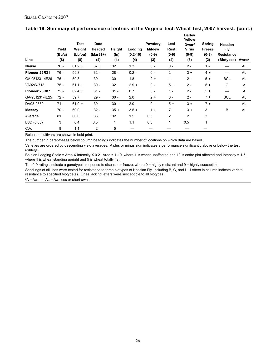| Line           | Yield<br>(Bu/a)<br>(8) | <b>Test</b><br>Weight<br>(Lb/bu)<br>(8) | <b>Date</b><br>Headed<br>$(Mar31+)$<br>(4) | Height<br>$(\ln)$<br>(4) | Lodging<br>$(0.2 - 10)$<br>(4) | Powdery<br><b>Mildew</b><br>$(0-9)$<br>(3) | Leaf<br>Rust<br>$(0-9)$<br>(4) | <b>Barley</b><br>Yellow<br><b>Dwarf</b><br><b>Virus</b><br>$(0-9)$<br>(5) | Spring<br><b>Freeze</b><br>$(0-9)$<br>(2) | <b>Hessian</b><br>Fly<br><b>Resistance</b><br>(Biotypes) | <b>Awns</b> <sup>a</sup> |
|----------------|------------------------|-----------------------------------------|--------------------------------------------|--------------------------|--------------------------------|--------------------------------------------|--------------------------------|---------------------------------------------------------------------------|-------------------------------------------|----------------------------------------------------------|--------------------------|
| <b>Neuse</b>   | 76 -                   | $61.2 +$                                | $37 +$                                     | 32                       | 1.3                            | $0 -$                                      | $0 -$                          | $2 -$                                                                     | $1 -$                                     |                                                          | AL                       |
| Pioneer 26R31  | $76 -$                 | 59.8                                    | $32 -$                                     | $28 -$                   | $0.2 -$                        | $0 -$                                      | $\overline{2}$                 | $3 +$                                                                     | $4 +$                                     |                                                          | AL                       |
| GA-951231-4E26 | 76 -                   | 59.8                                    | $30 -$                                     | $30 -$                   | 1.8                            | $2+$                                       | $1 -$                          | $2 -$                                                                     | $5+$                                      | <b>BCL</b>                                               | <b>AL</b>                |
| VA02W-713      | $75 -$                 | $61.1 +$                                | $30 -$                                     | 32                       | $2.9 +$                        | $0 -$                                      | $5+$                           | $2 -$                                                                     | $5+$                                      | C                                                        | Α                        |
| Pioneer 26R87  | $72 -$                 | $62.4 +$                                | $31 -$                                     | $31 -$                   | 0.7                            | $0 -$                                      | $1 -$                          | $2 -$                                                                     | $5+$                                      |                                                          | Α                        |
| GA-951231-4E25 | $72 -$                 | 59.7                                    | $29 -$                                     | $30 -$                   | 2.0                            | $2+$                                       | $0 -$                          | $2 -$                                                                     | $7 +$                                     | <b>BCL</b>                                               | <b>AL</b>                |
| DV03-9550      | $71 -$                 | $61.0 +$                                | $30 -$                                     | $30 -$                   | 2.0                            | $0 -$                                      | $5+$                           | $3 +$                                                                     | $7+$                                      |                                                          | AL                       |
| <b>Massey</b>  | $70 -$                 | 60.0                                    | $32 -$                                     | $35 +$                   | $3.5 +$                        | $1 +$                                      | $7 +$                          | $3 +$                                                                     | 3                                         | B                                                        | AL                       |
| Average        | 81                     | 60.0                                    | 33                                         | 32                       | 1.5                            | 0.5                                        | $\overline{2}$                 | $\overline{2}$                                                            | 3                                         |                                                          |                          |
| LSD (0.05)     | 3                      | 0.4                                     | 0.5                                        | 1                        | 1.1                            | 0.5                                        | 1                              | 0.5                                                                       | 1                                         |                                                          |                          |
| C.V.           | 8                      | 1.1                                     | $\overline{2}$                             | 5                        |                                |                                            |                                |                                                                           |                                           |                                                          |                          |

# **Table 19. Summary of performance of entries in the Virginia Tech Wheat Test, 2007 harvest. (cont.)**

Released cultivars are shown in bold print.

The number in parentheses below column headings indicates the number of locations on which data are based.

Varieties are ordered by descending yield averages. A plus or minus sign indicates a performance significantly above or below the test average.

Belgian Lodging Scale = Area X Intensity X 0.2. Area = 1-10, where 1 is wheat unaffected and 10 is entire plot affected and Intensity = 1-5, where 1 is wheat standing upright and 5 is wheat totally flat.

The 0-9 ratings indicate a genotype's response to disease or freeze, where 0 = highly resistant and 9 = highly susceptible.

Seedlings of all lines were tested for resistance to three biotypes of Hessian Fly, including B, C, and L. Letters in column indicate varietal resistance to specified biotype(s). Lines lacking letters were susceptible to all biotypes.

a A = Awned, AL = Awnless or short awns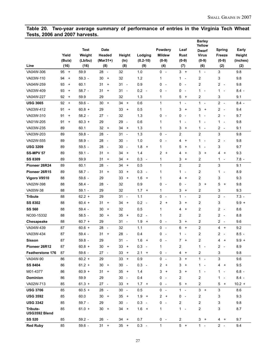#### **Table 20. Two-year average summary of performance of entries in the Virginia Tech Wheat Tests, 2006 and 2007 harvests.**

|                           |                                        |             |                                        |                                |               |                               |                                          | <b>Barley</b><br>Yellow       |                                          |          |
|---------------------------|----------------------------------------|-------------|----------------------------------------|--------------------------------|---------------|-------------------------------|------------------------------------------|-------------------------------|------------------------------------------|----------|
|                           |                                        | <b>Test</b> | <b>Date</b>                            |                                |               | Powdery                       | Leaf                                     | <b>Dwarf</b>                  | Spring                                   | Early    |
|                           | Yield                                  | Weight      | Headed                                 | Height                         | Lodging       | <b>Mildew</b>                 | Rust                                     | <b>Virus</b>                  | Freeze                                   | Height   |
|                           | (Bu/a)                                 | (Lb/bu)     | $(Mar31+)$                             | $(\ln)$                        | $(0.2 - 10)$  | $(0-9)$                       | $(0-9)$                                  | $(0-9)$                       | $(0-9)$                                  | (inches) |
| Line                      | (16)                                   | (16)        | (8)                                    | (8)                            | (9)           | (4)                           | (7)                                      | (6)                           | (2)                                      | (2)      |
| VA04W-306                 | 95<br>$+$                              | 59.9        | 28<br>$\sim$                           | 32                             | 1.0           | $0 -$                         | $\mathbf{3}$<br>$+$                      | $1 -$                         | 3                                        | 9.8      |
| VA03W-110                 | 94<br>$\ddot{}$                        | $59.3 -$    | 30<br>$\ddot{}$                        | 32                             | $1.2$         | 1                             | $\mathbf{1}$<br>$\overline{\phantom{a}}$ | 2                             | 3                                        | 9.8      |
| VA04W-259                 | 93<br>$\ddot{}$                        | 60.1        | 31<br>$\ddot{}$                        | 31<br>$\sim$                   | 0.9           | 0<br>$\overline{\phantom{a}}$ | 0<br>$\overline{\phantom{a}}$            | $\overline{c}$                | 2<br>$\sim$                              | 9.8      |
| VA03W-409                 | 93<br>$\ddot{}$                        | $58.7 -$    | 31<br>$\ddot{}$                        | 31<br>$\overline{\phantom{a}}$ | 0.2<br>$\sim$ | 0<br>$\overline{\phantom{a}}$ | 0<br>$\overline{\phantom{a}}$            | 1<br>$\overline{\phantom{a}}$ | 1<br>$\overline{\phantom{a}}$            | $8.4 -$  |
| VA04W-227                 | 92<br>$\ddot{}$                        | 59.9        | 29                                     | 32                             | 1.3           | 1                             | 5<br>$^{+}$                              | 2                             | 3                                        | 9.1      |
| <b>USG 3665</b>           | 92<br>$\begin{array}{c} + \end{array}$ | $59.6 -$    | $30 +$                                 | 34<br>$+$                      | 0.6           | $\mathbf{1}$                  | $\mathbf{1}$<br>$\blacksquare$           | 1<br>$\overline{\phantom{a}}$ | $2 -$                                    | $8.4 -$  |
| VA03W-412                 | 91<br>$\ddot{}$                        | $60.8 +$    | 29                                     | 33<br>$+$                      | 0.5           | 1                             | 3<br>$\ddot{}$                           | 3<br>$\ddot{}$                | 2<br>$\sim$                              | 9.4      |
| VA03W-310                 | 91<br>$\ddot{}$                        | $58.2 -$    | 27<br>$\overline{\phantom{a}}$         | 32                             | 1.3           | 0<br>$\overline{\phantom{a}}$ | 0<br>$\overline{\phantom{a}}$            | 1<br>$\overline{a}$           | $2 -$                                    | 9.7      |
| VA01W-205                 | 91<br>$\ddot{}$                        | $60.3 +$    | 29                                     | 29<br>$\overline{\phantom{a}}$ | 0.6           | 1                             | 1<br>$\overline{\phantom{a}}$            | 1<br>$\overline{\phantom{a}}$ | $\mathbf{1}$<br>$\overline{\phantom{a}}$ | 9.8      |
| VA03W-235                 | 89                                     | 60.1        | 32<br>$\ddot{}$                        | 34<br>$+$                      | 1.3           | 1                             | 3<br>$\ddot{}$                           | 1<br>$\overline{\phantom{a}}$ | 2<br>$\overline{\phantom{a}}$            | 9.1      |
| VA03W-203                 | 89                                     | $59.8 -$    | 28<br>$\overline{\phantom{a}}$         | 31<br>$\sim$                   | 1.3           | 0<br>$\sim$                   | $\overline{c}$                           | $\overline{c}$                | 3                                        | 9.8      |
| VA02W-555                 | 89                                     | $58.9 -$    | 28<br>$\overline{\phantom{a}}$         | 30<br>$\sim$                   | 1.0           | 0<br>$\overline{\phantom{a}}$ | 4<br>$\ddot{}$                           | 1<br>$\overline{\phantom{a}}$ | 2<br>$\overline{\phantom{a}}$            | 9.8      |
| <b>USG 3209</b>           | 89                                     | $59.5 -$    | 28<br>$\overline{\phantom{a}}$         | 30<br>$\sim$                   | 1.8<br>$+$    | 1                             | 5<br>$\ddot{}$                           | 1<br>$\overline{\phantom{a}}$ | 3                                        | 9.7      |
| <b>SS-MPV 57</b>          | 89                                     | $59.1 -$    | 31<br>$\ddot{}$                        | 34<br>$\overline{+}$           | 1.4           | 2<br>$+$                      | 4<br>$\overline{+}$                      | 3<br>$\ddot{}$                | 4<br>$+$                                 | 9.3      |
| <b>SS 8309</b>            | 89                                     | 59.9        | 31<br>$\begin{array}{c} + \end{array}$ | 34<br>$+$                      | $0.3 -$       | $\mathbf{1}$                  | 3<br>$\ddot{}$                           | $\overline{c}$                | $\mathbf{1}$<br>$\sim$                   | $7.8 -$  |
| Pioneer 26R24             | 89                                     | 60.1        | 28<br>$\overline{\phantom{a}}$         | 34<br>$\ddot{}$                | 0.5           | $\mathbf{1}$                  | $\overline{2}$                           | $\overline{2}$                | 3                                        | 9.1      |
| Pioneer 26R15             | 89                                     | $58.7 -$    | 31<br>$\ddot{}$                        | 33<br>$\ddot{}$                | 0.3<br>$\sim$ | 1                             | 1<br>$\overline{\phantom{a}}$            | $\overline{c}$                | 1<br>$\overline{\phantom{a}}$            | 8.9      |
| Vigoro V9510              | 88                                     | $59.6 -$    | 29                                     | 33<br>$+$                      | 1.6<br>$+$    | 1                             | 4<br>$\ddot{}$                           | $\overline{c}$                | 3                                        | 9.3      |
| VA02W-398                 | 88                                     | $58.4 -$    | 28<br>$\overline{\phantom{a}}$         | 32                             | 0.9           | 0<br>$\overline{\phantom{a}}$ | 0<br>$\overline{\phantom{a}}$            | 3<br>$\ddot{}$                | 5<br>$\ddot{}$                           | 9.8      |
| VA00W-38                  | 88                                     | $59.1 -$    | 29                                     | 32                             | $1.7 +$       | $\mathbf{1}$                  | 3<br>$\ddot{}$                           | $\overline{2}$                | 3                                        | 9.3      |
| <b>Tribute</b>            | 88                                     | $62.2 +$    | 29                                     | 31<br>$\sim$                   | 1.1           | 0<br>$\overline{\phantom{a}}$ | $\mathbf{1}$<br>$\overline{\phantom{a}}$ | $\overline{c}$                | $2 -$                                    | $7.3 -$  |
| <b>SS 8302</b>            | 88                                     | $60.4 +$    | 31<br>$\ddot{}$                        | 34<br>$+$                      | 0.2<br>$\sim$ | $\overline{2}$<br>$+$         | 3<br>$\ddot{}$                           | $\overline{c}$                | 3                                        | $9.9 +$  |
| <b>SS 560</b>             | 88                                     | $59.4 -$    | 30<br>$\ddot{}$                        | 32                             | 0.5           | 1                             | 4<br>$\ddot{}$                           | $\overline{c}$                | $\overline{a}$<br>$\sim$                 | 8.6      |
| NC00-15332                | 88                                     | $58.5 -$    | 30<br>$\begin{array}{c} + \end{array}$ | 35<br>$\ddot{\phantom{1}}$     | 0.2<br>$\sim$ | 1                             | $\overline{2}$                           | 2                             | $2 -$                                    | 8.8      |
| Chesapeake                | 88                                     | $60.7 +$    | 29                                     | 31<br>$\overline{\phantom{a}}$ | $1.9 +$       | 0<br>$\overline{\phantom{a}}$ | 3<br>$\ddot{}$                           | 2                             | $2 -$                                    | 9.6      |
| VA04W-439                 | 87                                     | $60.6 +$    | 28<br>$\overline{\phantom{a}}$         | 32                             | 1.1           | 0<br>$\overline{\phantom{a}}$ | 6<br>$\ddot{}$                           | $\overline{c}$                | $4 +$                                    | 9.2      |
| VA03W-434                 | 87                                     | $59.4 -$    | 31<br>$\ddot{}$                        | 28<br>$\sim$                   | 0.4           | 0<br>$\overline{a}$           | 1<br>$\overline{\phantom{a}}$            | 2                             | $\overline{c}$<br>$\sim$                 | $8.5 -$  |
| <b>Sisson</b>             | 87                                     | $59.8 -$    | 29                                     | 31<br>$\overline{\phantom{a}}$ | 1.6<br>$+$    | 0<br>$\overline{\phantom{a}}$ | $\overline{7}$<br>$\ddot{}$              | $\overline{c}$                | 4<br>$+$                                 | $9.9 +$  |
| Pioneer 26R12             | 87                                     | $60.8 +$    | 30<br>$+$                              | 33<br>$+$                      | $0.3 -$       | 1                             | 2                                        | $1 -$                         | $2 -$                                    | 8.9      |
| <b>Featherstone 176</b>   | 87                                     | $59.6 -$    | 27<br>$\overline{\phantom{a}}$         | $33 +$                         | $2.1 +$       | $0 -$                         | 4<br>$+$                                 | 2                             | 3                                        | 9.8      |
| VA04W-90                  | 86                                     | $60.2 +$    | 29                                     | $33 +$                         | 0.9           | $0 -$                         | $\mathbf{3}$<br>$+$                      | $1 -$                         | $\mathfrak{S}$                           | 9.6      |
| <b>SS 8404</b>            | 86                                     | $61.2 +$    | 30<br>$\ddot{}$                        | 30<br>$\sim$                   | $0.3 -$       | $\overline{2}$<br>$+$         | 3<br>$\ddot{}$                           | 1<br>$\overline{\phantom{a}}$ | 4 +                                      | 9.5      |
| M01-4377                  | 86                                     | $60.9 +$    | 31<br>$\ddot{}$                        | $35 +$                         | 1.4           | 3<br>$+$                      | 3<br>$\ddot{}$                           | 1<br>$\overline{\phantom{a}}$ | 1 -                                      | $6.8 -$  |
| <b>Dominion</b>           | 86                                     | 59.9        | 29                                     | 30<br>$\sim$                   | 0.4           | 0<br>$\overline{\phantom{a}}$ | 2                                        | 2                             | $1 -$                                    | $8.4 -$  |
| VA02W-713                 | 85                                     | $61.3 +$    | $27 -$                                 | $33 +$                         | $1.7 +$       | $0 -$                         | 5<br>$+$                                 | 2                             | $5 +$                                    | $10.2 +$ |
| <b>USG 3706</b>           | 85                                     | $60.5 +$    | 28<br>$\mathcal{L}_{\mathcal{A}}$      | $30 -$                         | 0.5           | $\mathbf 0$<br>$\sim$         | $1 -$                                    | $3 +$                         | 3                                        | 8.6      |
| <b>USG 3592</b>           | 85                                     | 60.0        | 30<br>$\ddot{}$                        | $35 +$                         | $1.9 +$       | $2 +$                         | 0<br>$\overline{\phantom{a}}$            | 2                             | 3                                        | 9.3      |
| <b>USG 3342</b>           | 85                                     | $59.7 -$    | 29                                     | 30<br>$\sim$                   | $0.3 -$       | 0<br>$\sim$ $-$               | 2                                        | 2                             | 3                                        | 9.8      |
| Tribute-<br>USG3592 Blend | 85                                     | $61.0 +$    | 30<br>$\ddot{\phantom{1}}$             | $34 +$                         | $1.6 +$       | 1                             | 1<br>$\sim$                              | 2                             | 3                                        | 8.7      |
| <b>SS 520</b>             | 85                                     | $59.2 -$    | 26<br>$\sim$                           | $34 +$                         | 0.7           | $0 -$                         | $\overline{\mathbf{c}}$                  | $3 +$                         | 4 +                                      | 9.7      |
| <b>Red Ruby</b>           | 85                                     | $59.6 -$    | $31 +$                                 | $35 +$                         | $0.3 -$       | $\mathbf{1}$                  | $5 +$                                    | $1 -$                         | $2 -$                                    | 9.4      |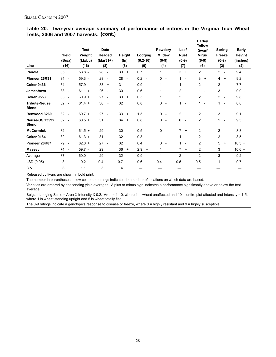| Line                                 | Yield<br>(Bu/a)<br>(16)        | <b>Test</b><br>Weight<br>(Lb/bu)<br>(16) | <b>Date</b><br>Headed<br>$(Mar31+)$<br>(8) | Height<br>(ln)<br>(8)          | Lodging<br>$(0.2 - 10)$<br>(9) | Powdery<br><b>Mildew</b><br>$(0-9)$<br>(4) | Leaf<br><b>Rust</b><br>$(0-9)$<br>(7)    | <b>Barley</b><br>Yellow<br><b>Dwarf</b><br><b>Virus</b><br>$(0-9)$<br>(6) | <b>Spring</b><br>Freeze<br>$(0-9)$<br>(2) | Early<br>Height<br>(inches)<br>(2) |
|--------------------------------------|--------------------------------|------------------------------------------|--------------------------------------------|--------------------------------|--------------------------------|--------------------------------------------|------------------------------------------|---------------------------------------------------------------------------|-------------------------------------------|------------------------------------|
| Panola                               | 85                             | $58.8 -$                                 | 28<br>$\overline{\phantom{a}}$             | 33<br>$+$                      | 0.7                            | 1                                          | $3 +$                                    | 2                                                                         | $2 -$                                     | 9.4                                |
| Pioneer 26R31                        | 84<br>$\overline{\phantom{a}}$ | $59.3 -$                                 | 28<br>$\overline{\phantom{a}}$             | 28<br>$\overline{\phantom{a}}$ | $0.2 -$                        | $\mathbf 0$<br>$\sim$                      | $\mathbf{1}$<br>$\overline{\phantom{a}}$ | 3<br>$\ddot{}$                                                            | $4 +$                                     | 9.2                                |
| <b>Coker 9436</b>                    | 84<br>$\sim$                   | $57.9 -$                                 | 33<br>$\ddot{}$                            | 31<br>$\overline{\phantom{a}}$ | 0.9                            | 1                                          | $\mathbf{1}$<br>$\sim$                   | $\overline{2}$                                                            | $2 -$                                     | $7.7 -$                            |
| <b>Jamestown</b>                     | 83<br>$\overline{\phantom{a}}$ | $61.1 +$                                 | 26<br>$\sim$                               | 30<br>$\sim$                   | 0.6                            | 1                                          | $\overline{2}$                           | $1 -$                                                                     | 3                                         | $9.9 +$                            |
| <b>Coker 9553</b>                    | 83<br>$\overline{\phantom{a}}$ | $60.9 +$                                 | 27<br>$\overline{\phantom{a}}$             | 33<br>$+$                      | 0.5                            | $\mathbf{1}$                               | $\overline{2}$                           | 2                                                                         | $2 -$                                     | 9.8                                |
| <b>Tribute-Neuse</b><br><b>Blend</b> | 82<br>$\overline{\phantom{a}}$ | $61.4 +$                                 | 30<br>$\ddot{}$                            | 32                             | 0.8                            | 0<br>$\overline{\phantom{a}}$              | $\mathbf{1}$<br>$\overline{\phantom{a}}$ | 1<br>$\overline{\phantom{a}}$                                             | $\mathbf{1}$<br>$\overline{\phantom{a}}$  | 8.8                                |
| Renwood 3260                         | $82 -$                         | $60.7 +$                                 | 27<br>$\overline{\phantom{a}}$             | 33<br>$+$                      | $1.5 +$                        | $0 -$                                      | $\overline{c}$                           | $\overline{2}$                                                            | 3                                         | 9.1                                |
| Neuse-USG3592<br><b>Blend</b>        | 82 -                           | $60.5 +$                                 | 31<br>$\ddot{}$                            | 34<br>$+$                      | 0.8                            | $\mathbf 0$<br>$\overline{\phantom{a}}$    | 0<br>$\overline{a}$                      | 2                                                                         | $2 -$                                     | 9.3                                |
| <b>McCormick</b>                     | $82 -$                         | $61.5 +$                                 | 29                                         | 30<br>$\overline{a}$           | 0.5                            | $0 -$                                      | $7 +$                                    | $\overline{2}$                                                            | $2 -$                                     | 8.8                                |
| <b>Coker 9184</b>                    | 82 -                           | $61.3 +$                                 | 31<br>$\ddot{}$                            | 32                             | $0.3 -$                        | $\mathbf{1}$                               | $1 -$                                    | 2                                                                         | $2 -$                                     | $8.5 -$                            |
| Pioneer 26R87                        | 79<br>$\overline{\phantom{a}}$ | $62.0 +$                                 | 27<br>$\overline{\phantom{a}}$             | 32                             | 0.4                            | $\mathbf 0$<br>$\overline{\phantom{a}}$    | $\mathbf{1}$<br>$\overline{\phantom{a}}$ | $\overline{c}$                                                            | 5<br>$^{+}$                               | $10.3 +$                           |
| <b>Massey</b>                        | 74 -                           | $59.7 -$                                 | 29                                         | 36<br>$+$                      | 2.9<br>$+$                     | 1                                          | $\overline{7}$<br>$\ddot{}$              | $\overline{2}$                                                            | 3                                         | $10.6 +$                           |
| Average                              | 87                             | 60.0                                     | 29                                         | 32                             | 0.9                            | $\mathbf{1}$                               | $\overline{2}$                           | $\overline{2}$                                                            | 3                                         | 9.2                                |
| LSD (0.05)                           | 3                              | 0.2                                      | 0.4                                        | 0.7                            | 0.6                            | 0.4                                        | 0.5                                      | 0.5                                                                       | 1                                         | 0.7                                |
| C.V.                                 | 8                              | 1.1                                      | 3                                          | 4                              |                                |                                            |                                          |                                                                           |                                           |                                    |

#### **Table 20. Two-year average summary of performance of entries in the Virginia Tech Wheat Tests, 2006 and 2007 harvests. (cont.)**

Released cultivars are shown in bold print.

The number in parentheses below column headings indicates the number of locations on which data are based.

Varieties are ordered by descending yield averages. A plus or minus sign indicates a performance significantly above or below the test average.

Belgian Lodging Scale = Area X Intensity X 0.2. Area = 1-10, where 1 is wheat unaffected and 10 is entire plot affected and Intensity = 1-5, where 1 is wheat standing upright and 5 is wheat totally flat.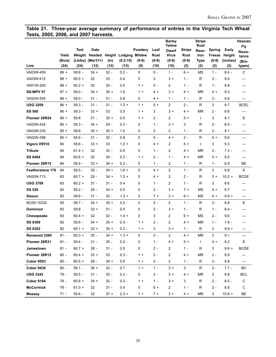**Table 21. Three-year average summary of performance of entries in the Virginia Tech Wheat Tests, 2005, 2006, and 2007 harvests.**

|                         |        |          |                  |         |                              |           |         | <b>Barley</b>          |               | <b>Stripe</b>        |                |          | Hessian         |
|-------------------------|--------|----------|------------------|---------|------------------------------|-----------|---------|------------------------|---------------|----------------------|----------------|----------|-----------------|
|                         |        | Test     | <b>Date</b>      |         |                              | Powdery   | Leaf    | Yellow<br><b>Dwarf</b> | <b>Stripe</b> | <b>Rust</b><br>Reac- | <b>Spring</b>  | Early    | <b>Fly</b>      |
|                         | Yield  |          | Weight Headed    |         | <b>Height Lodging Mildew</b> |           | Rust    | <b>Virus</b>           | Rust          | tion                 | Freeze         | Height   | Resis-<br>tance |
|                         | (Bu/a) |          | (Lb/bu) (Mar31+) | $(\ln)$ | $(0.2 - 10)$                 | $(0-9)$   | $(0-9)$ | $(0-9)$                | $(0-9)$       | <b>Type</b>          | $(0-9)$        | (inches) | (Bio-           |
| Line                    | (24)   | (24)     | (12)             | (12)    | (13)                         | (9)       | (10)    | (10)                   | (2)           | (2)                  | (2)            | (2)      | types)          |
| VA03W-409               | $89 +$ | $58.8 -$ | $34 +$           | $32 -$  | $0.2 -$                      | 0         | $0 -$   | $1 -$                  | $6+$          | <b>MS</b>            | $1 -$          | $8.4 -$  | C               |
| VA03W-412               | $88 +$ | $60.5 +$ | 32               | 33      | 0.4                          | 0         | 3       | $3+$                   | $1 -$         | R                    | $2 -$          | 9.4      |                 |
| VA01W-205               | $88 +$ | $60.2 +$ | 32               | $30 -$  | 0.5                          | $1 +$     | 0 -     | 2                      | $1 -$         | R                    | $1 -$          | 9.8      |                 |
| <b>SS-MPV 57</b>        | $87 +$ | $59.0 -$ | $34 +$           | $35 +$  | 1.0                          | $1 +$     | 4 +     | 3 +                    | 4 +           | <b>MR</b>            | 4 +            | 9.3      |                 |
| VA02W-555               | $86 +$ | $59.0 -$ | $31 -$           | $31 -$  | 0.8                          | 0         | 4 +     | $1 -$                  | $1 -$         | R                    | $2 -$          | 9.8      |                 |
| <b>USG 3209</b>         | $86 +$ | $59.3 -$ | $31 -$           | $31 -$  | $1.3 +$                      | $1 +$     | $5+$    | 2                      | $2 -$         | R                    | 3              | 9.7      | <b>BCEL</b>     |
| <b>SS 560</b>           | $86 +$ | $59.3 -$ | $33 +$           | 33      | 0.5                          | $1 +$     | 3       | $3+$                   | 4 +           | <b>MR</b>            | 2 -            | 8.6      |                 |
| Pioneer 26R24           | $86 +$ | 59.8     | $31 -$           | $35 +$  | 0.5                          | $1 +$     | 2 -     | 2                      | $5+$          | $\mathsf{I}$         | 3              | 9.1      | Е               |
| VA03W-434               | $85 +$ | $59.3 -$ | $34 +$           | 29 -    | $0.3 -$                      | 0         | $1 -$   | $3+$                   | 3             | $\mathsf{R}$         | $2 -$          | $8.5 -$  |                 |
| VA03W-235               | $85 +$ | 59.8     | $35 +$           | $35 +$  | 1.0                          | 0         | 3       | 2                      | $1 -$         | $\mathsf{R}$         | $2 -$          | 9.1      |                 |
| VA02W-398               | $85 +$ | $58.6 -$ | $31 -$           | $32 -$  | 0.8                          | 0         | $0 -$   | $4 +$                  | $2 -$         | $\mathsf{R}$         | $5+$           | 9.8      |                 |
| Vigoro V9510            | 84     | $59.6 -$ | $33 +$           | 33      | $1.2 +$                      | 0         | 4 +     | 2                      | 5 +           | $\mathsf{I}$         | 3              | 9.3      |                 |
| Tribute                 | 84     | $61.4 +$ | 32               | $32 -$  | 0.9                          | 0         | $1 -$   | 2                      | 4 +           | <b>MR</b>            | $2 -$          | $7.3 -$  |                 |
| <b>SS 8404</b>          | 84     | $60.6 +$ | 32               | $30 -$  | $0.3 -$                      | $1 +$     | $2 -$   | $1 -$                  | 4 +           | <b>MR</b>            | 4 +            | 9.5      |                 |
| Pioneer 26R15           | 84     | $58.9 -$ | $33 +$           | $34 +$  | $0.3 -$                      | 0         | $1 -$   | 2                      | $1 -$         | R                    | $1 -$          | 8.9      | BE              |
| <b>Featherstone 176</b> | 84     | $59.5 -$ | $30 -$           | $34 +$  | $1.6 +$                      | 0         | $4 +$   | 2                      | $1 -$         | R                    | 3              | 9.8      | E               |
| VA02W-713               | 83     | $60.7 +$ | $29 -$           | $34 +$  | $1.3 +$                      | 0         | 4 +     | 2                      | $2 -$         | R                    | $5+$           | $10.2 +$ | <b>BCDE</b>     |
| <b>USG 3706</b>         | 83     | $60.2 +$ | $31 -$           | $31 -$  | 0.4                          | 0         | $1 -$   | 2                      | $1 -$         | R                    | 3              | 8.6      |                 |
| <b>SS 520</b>           | 83     | $59.2 -$ | $29 -$           | $34 +$  | 0.5                          | 0         | $2 -$   | $3 +$                  | $7+$          | <b>MS</b>            | 4 +            | 9.7      |                 |
| <b>Sisson</b>           | 83     | $59.6 -$ | $31 -$           | $32 -$  | $1.3 +$                      | 0         | $7+$    | $3+$                   | $6+$          | <b>MS</b>            | 4 +            | $9.9 +$  |                 |
| NC00-15332              | 83     | $58.7 -$ | $34 +$           | $35 +$  | $0.2 -$                      | 0         | $2 -$   | 2                      | $1 -$         | R                    | $2 -$          | 8.8      | E               |
| <b>Dominion</b>         | 83     | 59.8     | $33 +$           | $31 -$  | 0.4                          | 0         | $2 -$   | $3+$                   | $1 -$         | R                    | $1 -$          | $8.4 -$  |                 |
| Chesapeake              | 83     | $60.4 +$ | 32               | $32 -$  | $1.4 +$                      | 0         | 3       | 2                      | 6+            | <b>MS</b>            | $2 -$          | 9.6      |                 |
| <b>SS 8309</b>          | 82     | $59.6 -$ | $34 +$           | $35 +$  | $0.3 -$                      | $1 +$     | 2 -     | 2                      | 4 +           | <b>MR</b>            | $1 -$          | $7.8 -$  |                 |
| SS 8302                 | 82     | $60.1 +$ | $33 +$           | $35 +$  | $0.2 -$                      | $1 +$     | 3       | $3 +$                  | $1 -$         | $\mathsf{R}$         | 3              | $9.9 +$  | —               |
| Renwood 3260            | $81 -$ | $60.3 +$ | $30 -$           | $34 +$  | $1.3 +$                      | 0         | $2 -$   | $\overline{c}$         | $4 +$         | <b>MR</b>            | 3              | 9.1      |                 |
| Pioneer 26R31           | $81 -$ | $59.4 -$ | $31 -$           | $30 -$  | $0.2 -$                      | $\pmb{0}$ | $1 -$   | $4 +$                  | $5+$          | $\mathbf{I}$         | $4 +$          | $9.2\,$  | E               |
| Jamestown               | $81 -$ | $60.7 +$ | $28 -$           | $31 -$  | 0.5                          | 0         | $2 -$   | 2                      | $1 -$         | R                    | 3              | $9.9 +$  | <b>BCDE</b>     |
| Pioneer 26R12           | $80 -$ | $60.4 +$ | $33 +$           | 33      | $0.3 -$                      | $1 +$     | $2 -$   | 2                      | 4 +           | <b>MR</b>            | $2 -$          | 8.9      |                 |
| <b>Coker 9553</b>       | $80 -$ | $60.5 +$ | $29 -$           | $34 +$  | 0.5                          | $1 +$     | $2 -$   | $\overline{c}$         | $1 -$         | R                    | $2 -$          | 9.8      |                 |
| <b>Coker 9436</b>       | $80 -$ | $58.1 -$ | $36 +$           | $32 -$  | 0.7                          | $1 +$     | $1 -$   | $3 +$                  | 3             | R                    | $2 -$          | $7.7 -$  | ВC              |
| <b>USG 3342</b>         | $79 -$ | $59.5 -$ | $31 -$           | $30 -$  | $0.2 -$                      | 0         | $2 -$   | 3 +                    | 4 +           | <b>MR</b>            | 3              | 9.8      | <b>BCL</b>      |
| <b>Coker 9184</b>       | $79 -$ | $60.8 +$ | $34 +$           | $32 -$  | $0.3 -$                      | $1 +$     | $1 -$   | $3 +$                  | 3             | R                    | $2 -$          | $8.5 -$  | C               |
| <b>McCormick</b>        | 78 -   | $61.0 +$ | 32               | $31 -$  | 0.4                          | 0         | $6+$    | 2                      | $1 -$         | $\mathsf R$          | $2 -$          | $8.8\,$  | C               |
| <b>Massey</b>           | $71 -$ | $59.6 -$ | 32               | $37 +$  | $2.3 +$                      | $1 +$     | $7 +$   | $3 +$                  | $4 +$         | <b>MR</b>            | $\mathfrak{S}$ | $10.6 +$ | BE              |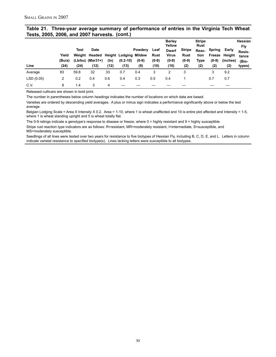| Table 21. Three-year average summary of performance of entries in the Virginia Tech Wheat |  |  |  |  |  |
|-------------------------------------------------------------------------------------------|--|--|--|--|--|
| Tests, 2005, 2006, and 2007 harvests. (cont.)                                             |  |  |  |  |  |

|           | Yield<br>(Bu/a) | Test | <b>Date</b><br>Weight Headed Height Lodging Mildew<br>$(Lb/bu)$ (Mar31+) | (In) | $(0.2 - 10)$ | Powdery<br>$(0-9)$ | Leaf<br>Rust<br>$(0-9)$ | <b>Barley</b><br>Yellow<br><b>Dwarf</b><br><b>Virus</b><br>$(0-9)$ | <b>Stripe</b><br><b>Rust</b><br>$(0-9)$ | <b>Stripe</b><br>Rust<br>Reac-<br>tion<br>Type | Spring<br>$(0-9)$ | Early<br>Freeze Height<br>(inches) | Hessian<br>Fly<br>Resis-<br>tance |
|-----------|-----------------|------|--------------------------------------------------------------------------|------|--------------|--------------------|-------------------------|--------------------------------------------------------------------|-----------------------------------------|------------------------------------------------|-------------------|------------------------------------|-----------------------------------|
| Line      | (24)            | (24) | (12)                                                                     | (12) | (13)         | (9)                | (10)                    | (10)                                                               | (2)                                     | (2)                                            | (2)               | (2)                                | (Bio-<br>types)                   |
| Average   | 83              | 59.8 | 32                                                                       | 33   | 0.7          | 0.4                | 3                       |                                                                    | 3                                       |                                                | 3                 | 9.2                                |                                   |
| LSD(0.05) | 2               | 0.2  | 0.4                                                                      | 0.6  | 0.4          | 0.3                | 0.5                     | 0.4                                                                |                                         |                                                | 0.7               | 0.7                                |                                   |
| C.V.      | 8               | 1.4  | 3                                                                        | 4    |              |                    |                         |                                                                    |                                         |                                                |                   |                                    |                                   |

Released cultivars are shown in bold print.

The number in parentheses below column headings indicates the number of locations on which data are based.

Varieties are ordered by descending yield averages. A plus or minus sign indicates a performance significantly above or below the test average.

Belgian Lodging Scale = Area X Intensity X 0.2. Area = 1-10, where 1 is wheat unaffected and 10 is entire plot affected and Intensity = 1-5, where 1 is wheat standing upright and 5 is wheat totally flat.

The 0-9 ratings indicate a genotype's response to disease or freeze, where 0 = highly resistant and 9 = highly susceptible. Stripe rust reaction type indicators are as follows: R=resistant, MR=moderately resistant, I=intermediate, S=susceptible, and MS=moderately susceptible.

Seedlings of all lines were tested over two years for resistance to five biotypes of Hessian Fly, including B, C, D, E, and L. Letters in column indicate varietal resistance to specified biotype(s). Lines lacking letters were susceptible to all biotypes.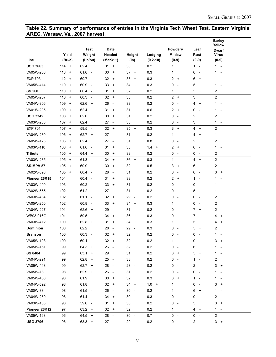#### **Table 22. Summary of performance of entries in the Virginia Tech Wheat Test, Eastern Virginia AREC, Warsaw, Va., 2007 harvest. Barley**

|                  |                  |                                  |                                        |                                |              |                               |                               | <b>Barley</b><br>Yellow                  |  |
|------------------|------------------|----------------------------------|----------------------------------------|--------------------------------|--------------|-------------------------------|-------------------------------|------------------------------------------|--|
|                  |                  | <b>Test</b>                      | Date                                   |                                |              | Powdery                       | Leaf                          | <b>Dwarf</b>                             |  |
|                  | Yield            | Weight                           | Headed                                 | Height                         | Lodging      | <b>Mildew</b>                 | Rust                          | <b>Virus</b>                             |  |
| Line             | (Bu/a)           | (Lb/bu)                          | $(Mar31+)$                             | $(\ln)$                        | $(0.2 - 10)$ | $(0-9)$                       | $(0-9)$                       | $(0-9)$                                  |  |
| <b>USG 3665</b>  | $114 +$          | 62.4                             | $31 +$                                 | 33                             | 0.2          | $\mathbf{1}$                  | $1 -$                         | $1 -$                                    |  |
| VA05W-258        | $113 +$          | $61.6 -$                         | 30<br>$\ddot{}$                        | 37<br>$\overline{+}$           | 0.3          | 1                             | 0<br>$\sim$                   | 1 -                                      |  |
| <b>EXP 703</b>   | $112 +$          | $60.7 -$                         | 32<br>$\ddot{}$                        | 35<br>$+$                      | 0.3          | 2<br>$+$                      | 6<br>$\ddot{}$                | $1 -$                                    |  |
| VA05W-414        | 110<br>$\ddot{}$ | 60.9<br>$\overline{\phantom{a}}$ | 33<br>$\ddot{}$                        | 34<br>$\overline{+}$           | 0.3          | 0<br>$\overline{\phantom{a}}$ | 5<br>$\ddot{}$                | 1<br>$\sim$                              |  |
| <b>SS 560</b>    | 110<br>$^{+}$    | $60.4 -$                         | 31<br>$\ddot{}$                        | 32                             | 0.2          | 1                             | 5<br>$\ddot{}$                | $\overline{c}$                           |  |
| VA05W-257        | 110<br>$\ddot{}$ | $60.3 -$                         | $32 +$                                 | 33                             | 0.2          | $2 +$                         | 3                             | $\overline{2}$                           |  |
| VA04W-306        | 109<br>$\ddot{}$ | 62.6<br>$+$                      | 26<br>$\overline{\phantom{a}}$         | 33                             | 0.2          | 0<br>$\overline{\phantom{a}}$ | 4<br>$\ddot{}$                | $1 -$                                    |  |
| VA01W-205        | 109<br>$\ddot{}$ | 62.4                             | 31<br>$\ddot{}$                        | 31                             | 0.6          | 2<br>$+$                      | 0<br>$\overline{\phantom{a}}$ | $\mathbf{1}$<br>$\overline{\phantom{a}}$ |  |
| <b>USG 3342</b>  | 108<br>$\ddot{}$ | 62.0                             | 30<br>$\ddot{}$                        | 31                             | 0.2          | 0<br>$\overline{\phantom{a}}$ | 2                             | 2                                        |  |
| VA03W-203        | 107<br>$\ddot{}$ | 62.4                             | $27 -$                                 | 33                             | 0.2          | 0<br>$\overline{\phantom{a}}$ | 3                             | $1 -$                                    |  |
| <b>EXP 701</b>   | 107<br>$\ddot{}$ | $59.5 -$                         | 32<br>$+$                              | $35 +$                         | 0.3          | $3 +$                         | 4 +                           | $\overline{c}$                           |  |
| VA04W-230        | 106<br>$\ddot{}$ | $62.7 +$                         | $27 -$                                 | 31                             | 0.2          | 1                             | 4<br>$\ddot{}$                | $1 -$                                    |  |
| VA05W-125        | 106<br>$\ddot{}$ | 62.4                             | $27 -$                                 | 31                             | 0.8          | 0<br>$\overline{\phantom{a}}$ | 2                             | 2                                        |  |
| VA03W-110        | 106<br>$\ddot{}$ | 61.6<br>$\sim$                   | 31<br>$\ddot{}$                        | 33                             | 1.4<br>$+$   | 2<br>$^{+}$                   | 0<br>$\overline{a}$           | $1 -$                                    |  |
| <b>Tribute</b>   | 105<br>$\ddot{}$ | $64.4 +$                         | 30<br>$\ddot{}$                        | 33                             | 0.2          | 0<br>$\overline{\phantom{a}}$ | 0<br>$\sim$                   | 2                                        |  |
| VA03W-235        | 105<br>$\pm$     | $61.3 -$                         | 34<br>$\begin{array}{c} + \end{array}$ | 36<br>$+$                      | 0.3          | 1                             | 4<br>$+$                      | $\overline{2}$                           |  |
| <b>SS-MPV 57</b> | 105<br>$\ddot{}$ | 60.9<br>$\overline{\phantom{a}}$ | 30<br>$\ddot{}$                        | 32                             | 0.5          | 3<br>$\ddot{}$                | 6<br>$\ddot{}$                | 2                                        |  |
| VA02W-398        | 105<br>$+$       | $60.4 -$                         | 28<br>$\overline{\phantom{a}}$         | 31                             | 0.2          | 0<br>$\overline{\phantom{a}}$ | 0<br>$\overline{\phantom{a}}$ | 3<br>$^{+}$                              |  |
| Pioneer 26R15    | 104              | $60.4 -$                         | 31<br>$\ddot{}$                        | 33                             | 0.2          | $\overline{2}$<br>$+$         | 1<br>$\overline{a}$           | $1 -$                                    |  |
| VA03W-409        | 103              | $60.2 -$                         | 33<br>$\ddot{}$                        | 31                             | 0.2          | 0<br>$\overline{\phantom{a}}$ | 0<br>$\sim$                   | 1 -                                      |  |
| VA02W-555        | 102              | $61.2 -$                         | $27 -$                                 | 31                             | 0.2          | 0<br>$\overline{\phantom{a}}$ | 5<br>$+$                      | $1 -$                                    |  |
| VA03W-434        | 102              | $61.1 -$                         | 32<br>$\ddot{}$                        | 29<br>$\overline{\phantom{a}}$ | 0.2          | 0<br>$\overline{\phantom{a}}$ | 0<br>$\overline{a}$           | 2                                        |  |
| VA05W-250        | 102              | $60.8 -$                         | 33<br>$\ddot{}$                        | 34<br>$+$                      | 0.3          | 1                             | 0<br>$\sim$                   | $\overline{c}$                           |  |
| VA04W-227        | 101              | $62.6 +$                         | 29                                     | 31                             | 0.2          | 0<br>$\overline{\phantom{a}}$ | 7<br>$+$                      | 2                                        |  |
| WB03-016G        | 101              | 59.5<br>$\sim$                   | 34<br>$\ddot{}$                        | 36<br>$^{+}$                   | 0.3          | 0<br>$\sim$                   | $7 +$                         | 4<br>$+$                                 |  |
| VA03W-412        | 100              | $62.8 +$                         | 31<br>$\ddot{}$                        | 34<br>$+$                      | 0.3          | 1                             | 5<br>$+$                      | 4<br>$+$                                 |  |
| <b>Dominion</b>  | 100              | 62.2                             | 28<br>$\overline{\phantom{a}}$         | 29<br>$\overline{\phantom{a}}$ | 0.3          | 0<br>$\overline{\phantom{a}}$ | 5<br>$\ddot{}$                | 2                                        |  |
| <b>Branson</b>   | 100              | $60.3 -$                         | 32<br>$\ddot{}$                        | 32                             | 0.2          | 0<br>$\overline{\phantom{a}}$ | 0<br>$\overline{\phantom{a}}$ | 1<br>$\overline{\phantom{a}}$            |  |
| VA05W-108        | 100              | $60.1 -$                         | 32<br>$\ddot{}$                        | 32                             | 0.2          | 1                             | 0<br>$\overline{\phantom{a}}$ | 3<br>$\ddot{}$                           |  |
| VA05W-151        | 99               | $64.3 +$                         | 26 -                                   | 32                             | 0.2          | $0 -$                         | 6<br>$+$                      | $1 -$                                    |  |
| <b>SS 8404</b>   | 99               | $63.1 +$                         | 29                                     | 31                             | 0.2          | $3 +$                         | $5 +$                         | $1 -$                                    |  |
| VA04W-291        | 99               | $62.8 +$                         | $25 -$                                 | 33                             | 0.2          | 0<br>$\overline{\phantom{a}}$ | 1 -                           | 2                                        |  |
| VA05W-448        | 99               | $62.7 +$                         | 28 -                                   | 28<br>$\overline{\phantom{a}}$ | 0.2          | 0<br>$\sim$                   | 2                             | $3 +$                                    |  |
| VA05W-78         | 98               | $62.9 +$                         | 26<br>$\overline{\phantom{a}}$         | 31                             | 0.2          | 0<br>$\overline{\phantom{a}}$ | 0<br>$\sim$                   | $1 -$                                    |  |
| VA05W-436        | 98               | 61.9                             | $30 +$                                 | 32                             | 0.3          | $3 +$                         | $1 -$                         | $1 -$                                    |  |
| VA04W-592        | 98               | 61.8                             | $32 +$                                 | $34 +$                         | $1.0 +$      | $\mathbf 1$                   | $0 -$                         | $3 +$                                    |  |
| VA00W-38         | 98               | $61.5 -$                         | 26<br>$\overline{\phantom{a}}$         | 30<br>$\sim$                   | 0.2          | 1                             | 6<br>$+$                      | $1 -$                                    |  |
| VA04W-259        | 98               | 61.4 -                           | $34 +$                                 | $30 -$                         | 0.3          | 0<br>$\sim$                   | 0<br>$\sim$                   | 2                                        |  |
| VA03W-135        | 98               | 59.6 -                           | $31 +$                                 | 33                             | 0.2          | 0<br>$\sim$                   | 3                             | $3 +$                                    |  |
| Pioneer 26R12    | 97               | $63.2 +$                         | 32<br>$+$                              | 32                             | 0.2          | 1                             | $4 +$                         | $1 -$                                    |  |
| VA05W-168        | 96               | $64.5 +$                         | $28 -$                                 | $30 -$                         | 0.7          | $0 -$                         | $0 -$                         | $\overline{2}$                           |  |
| <b>USG 3706</b>  | 96               | $63.3 +$                         | $27 -$                                 | 29 -                           | 0.2          | $0 -$                         | 2                             | $3 +$                                    |  |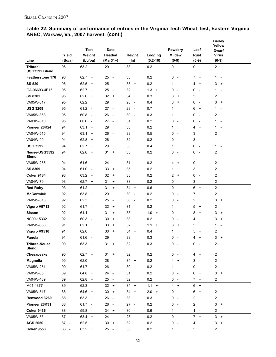#### **Table 22. Summary of performance of entries in the Virginia Tech Wheat Test, Eastern Virginia AREC, Warsaw, Va., 2007 harvest. (cont.)**

|                                      |        |             |                                |                                |              |                               |                               | <b>Barley</b><br>Yellow                  |
|--------------------------------------|--------|-------------|--------------------------------|--------------------------------|--------------|-------------------------------|-------------------------------|------------------------------------------|
|                                      |        | <b>Test</b> | <b>Date</b>                    |                                |              | Powdery                       | Leaf                          | <b>Dwarf</b>                             |
|                                      | Yield  | Weight      | Headed                         | Height                         | Lodging      | <b>Mildew</b>                 | Rust                          | <b>Virus</b>                             |
| Line                                 | (Bu/a) | (Lb/bu)     | $(Mar31+)$                     | $(\ln)$                        | $(0.2 - 10)$ | $(0-9)$                       | $(0-9)$                       | $(0-9)$                                  |
| Tribute-<br>USG3592 Blend            | 96     | $63.2 +$    | 29                             | 33                             | 0.2          | $0 -$                         | $0 -$                         | $\overline{a}$                           |
| <b>Featherstone 176</b>              | 96     | $62.7 +$    | 25<br>$\sim$                   | 33                             | 0.2          | 0<br>$\overline{\phantom{a}}$ | $\mathbf{7}$<br>$+$           | $1 -$                                    |
| <b>SS 520</b>                        | 96     | 62.5<br>$+$ | 25<br>$\overline{\phantom{a}}$ | 35<br>$+$                      | 0.2          | 1                             | 4<br>$+$                      | 3<br>$+$                                 |
| GA-96693-4E16                        | 95     | $62.7 +$    | 25 -                           | 32                             | $1.3 +$      | 0<br>$\overline{\phantom{a}}$ | 0<br>$\sim$                   | $1 -$                                    |
| <b>SS 8302</b>                       | 95     | $62.6 +$    | $32 +$                         | $34 +$                         | 0.3          | 3<br>$\ddot{}$                | 5<br>$+$                      | 2                                        |
| VA05W-317                            | 95     | 62.2        | 29                             | 28<br>$\sim$                   | 0.4          | 3<br>$\ddot{}$                | 0<br>$\overline{\phantom{a}}$ | 3<br>$+$                                 |
| <b>USG 3209</b>                      | 95     | $61.2 -$    | $27 -$                         | 29<br>$\sim$                   | 0.7          | 1                             | 6<br>$+$                      | $\mathbf{1}$<br>$\overline{\phantom{a}}$ |
| VA05W-363                            | 95     | $60.8 -$    | 26 -                           | 30<br>$\overline{\phantom{a}}$ | 0.3          | 1                             | 0<br>$\sim$                   | 2                                        |
| VA03W-310                            | 95     | $60.6 -$    | $27 -$                         | 31                             | 0.2          | $\mathbf 0$<br>$\sim$         | 0<br>$\sim$                   | $1 -$                                    |
| Pioneer 26R24                        | 94     | $63.1 +$    | 29                             | 33                             | 0.2          | 1                             | 4<br>$+$                      | $1 -$                                    |
| VA04W-515                            | 94     | $63.1 +$    | $26 -$                         | 33                             | 0.5          | 0<br>$\overline{\phantom{a}}$ | 3                             | 2                                        |
| VA04W-90                             | 94     | 62.8<br>$+$ | 28<br>$\sim$                   | 32                             | 0.2          | 0<br>$\overline{\phantom{a}}$ | 3                             | 1<br>$\sim$                              |
| <b>USG 3592</b>                      | 94     | 62.7<br>$+$ | 29                             | 33                             | 0.4          | 1                             | 0<br>$\sim$                   | $1 -$                                    |
| Neuse-USG3592<br><b>Blend</b>        | 94     | $62.6 +$    | $31 +$                         | 33                             | 0.2          | $0 -$                         | 0<br>$\sim$                   | 2                                        |
| VA05W-255                            | 94     | $61.6 -$    | 24<br>$\sim$                   | 31                             | 0.2          | 4<br>$\ddot{}$                | 0<br>$\overline{\phantom{a}}$ | 2                                        |
| <b>SS 8309</b>                       | 94     | $61.0 -$    | 33<br>$^{+}$                   | 35<br>$+$                      | 0.2          | 1                             | 3                             | 2                                        |
| <b>Coker 9184</b>                    | 93     | $63.2 +$    | 32<br>$\ddot{}$                | 33                             | 0.2          | 2<br>$\ddot{}$                | 0<br>$\sim$                   | 2                                        |
| VA04W-79                             | 93     | $62.7 +$    | 31<br>$\ddot{}$                | 33                             | 0.2          | 0<br>$\overline{\phantom{a}}$ | 3                             | $\overline{c}$                           |
| <b>Red Ruby</b>                      | 93     | $61.2 -$    | $31 +$                         | $34 +$                         | 0.6          | $0 -$                         | 6<br>$+$                      | $\overline{c}$                           |
| <b>McCormick</b>                     | 92     | $63.8 +$    | 29                             | 30<br>$\overline{\phantom{a}}$ | 0.2          | 0<br>$\overline{\phantom{a}}$ | $\overline{7}$<br>$+$         | 2                                        |
| VA05W-313                            | 92     | 62.3        | 25<br>$\sim$                   | 30<br>$\overline{\phantom{a}}$ | 0.2          | 0<br>$\overline{\phantom{a}}$ | 2                             | 3<br>$+$                                 |
| Vigoro V9713                         | 92     | $61.7 -$    | 32<br>$\ddot{}$                | 31                             | 0.2          | 1                             | 5<br>$\ddot{}$                | 2                                        |
| <b>Sisson</b>                        | 92     | $61.1 -$    | 31<br>$\ddot{}$                | 33                             | $1.0 +$      | 0<br>$\overline{\phantom{a}}$ | 8<br>$+$                      | 3<br>$+$                                 |
| NC00-15332                           | 92     | $60.3 -$    | 30<br>$+$                      | 33                             | 0.2          | 0<br>$\overline{\phantom{a}}$ | 4<br>$+$                      | 3<br>$\ddot{}$                           |
| VA05W-668                            | 91     | 62.1        | 33<br>$\ddot{}$                | 32                             | $1.1 +$      | 3<br>$\ddot{}$                | 5<br>$\ddot{}$                | $1 -$                                    |
| Vigoro V9510                         | 91     | 62.0        | 30<br>$+$                      | 34<br>$\ddot{}$                | 0.4          | 1                             | 5<br>$\ddot{}$                | 2                                        |
| Panola                               | 91     | $61.6 -$    | 29                             | 33                             | 0.3          | 0<br>$\overline{\phantom{a}}$ | 4<br>$+$                      | 3<br>$\ddot{}$                           |
| <b>Tribute-Neuse</b><br><b>Blend</b> | 90     | $63.3 +$    | $31 +$                         | 32                             | 0.3          | $0 -$                         | 0<br>$\sim$                   | 2                                        |
| Chesapeake                           | 90     | $62.7 +$    | $31 +$                         | 32                             | 0.2          | $0 -$                         | $4 +$                         | $\boldsymbol{2}$                         |
| Magnolia                             | 90     | 62.0        | 28<br>$\sim$                   | $34 +$                         | 0.2          | 4<br>$\ddot{}$                | 3                             | 2                                        |
| VA05W-251                            | 90     | $61.7 -$    | 26 -                           | 30<br>$\sim$                   | 0.2          | 1                             | 0<br>$\overline{\phantom{a}}$ | 2                                        |
| VA05W-65                             | 89     | $64.8 +$    | 24 -                           | 31                             | 0.2          | 0<br>$\overline{\phantom{a}}$ | 6<br>$+$                      | $3 +$                                    |
| VA04W-439                            | 89     | $62.8 +$    | $25 -$                         | 32                             | 0.2          | 0<br>$\overline{a}$           | $7 +$                         | 2                                        |
| M01-4377                             | 89     | 62.3        | $32 +$                         | $34 +$                         | 1.1<br>$+$   | $4 +$                         | 6<br>$+$                      | $1 -$                                    |
| VA05W-517                            | 88     | $64.6$ +    | $30 +$                         | 34<br>$+$                      | 2.0<br>$+$   | 0<br>$\overline{\phantom{a}}$ | 6<br>$\ddot{}$                | 2                                        |
| Renwood 3260                         | 88     | $63.3 +$    | $26 -$                         | 33                             | 0.3          | 0<br>$\overline{\phantom{a}}$ | 2                             | 2                                        |
| Pioneer 26R31                        | 88     | $61.7 -$    | 26<br>$\sim$                   | $27 -$                         | 0.2          | 0<br>$\overline{\phantom{a}}$ | 2                             | $3 +$                                    |
| <b>Coker 9436</b>                    | 88     | 59.8 -      | $34 +$                         | 30<br>$\sim$                   | 0.6          | 1                             | 1 -                           | 2                                        |
| VA05W-53                             | 87 -   | $63.4 +$    | 24 -                           | 28 -                           | 0.2          | $0 -$                         | 7<br>$+$                      | $3 +$                                    |
| AGS 2050                             | $87 -$ | $62.5 +$    | 30<br>$+$                      | 32                             | 0.2          | 0<br>$\overline{\phantom{a}}$ | 4<br>$\overline{+}$           | 3<br>$\ddot{}$                           |
| <b>Coker 9553</b>                    | 86 -   | $63.2 +$    | 25 -                           | 33                             | 0.2          | 1                             | 5<br>$+$                      | $\overline{c}$                           |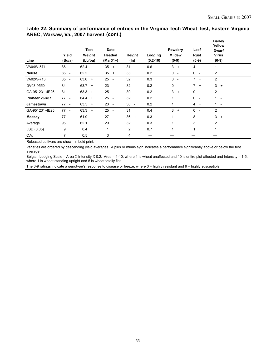#### **Table 22. Summary of performance of entries in the Virginia Tech Wheat Test, Eastern Virginia AREC, Warsaw, Va., 2007 harvest. (cont.)**

| Line           | Yield<br>(Bu/a)                | <b>Test</b><br>Weight<br>(Lb/bu) | Date<br>Headed<br>$(Mar31+)$ | Height<br>(In) | Lodging<br>$(0.2 - 10)$ | Powdery<br><b>Mildew</b><br>$(0-9)$ | Leaf<br>Rust<br>$(0-9)$                  | <b>Barley</b><br>Yellow<br><b>Dwarf</b><br><b>Virus</b><br>$(0-9)$ |  |
|----------------|--------------------------------|----------------------------------|------------------------------|----------------|-------------------------|-------------------------------------|------------------------------------------|--------------------------------------------------------------------|--|
| VA04W-571      | 86 -                           | 62.4                             | $35 +$                       | 31             | 0.6                     | 3<br>$\ddot{}$                      | $4 +$                                    | $1 -$                                                              |  |
| <b>Neuse</b>   | 86<br>$\sim$ $-$               | 62.2                             | $35 +$                       | 33             | 0.2                     | $0 -$                               | $0 -$                                    | 2                                                                  |  |
| VA02W-713      | 85<br>$\overline{\phantom{a}}$ | $63.0 +$                         | $25 -$                       | 32             | 0.3                     | $0 -$                               | $7 +$                                    | 2                                                                  |  |
| DV03-9550      | 84<br>$\sim$                   | $63.7 +$                         | $23 -$                       | 32             | 0.2                     | $0 -$                               | $7 +$                                    | $3 +$                                                              |  |
| GA-951231-4E26 | 81<br>$\sim$                   | $63.3 +$                         | 25<br>$\sim$                 | $30 -$         | 0.2                     | 3<br>$\ddot{}$                      | 0<br>$\sim$                              | $\overline{2}$                                                     |  |
| Pioneer 26R87  | $77 -$                         | $64.4 +$                         | $25 -$                       | 32             | 0.2                     | 1                                   | 0<br>$\sim$                              | $1 -$                                                              |  |
| Jamestown      | 77<br>$\sim$                   | $63.5 +$                         | $23 -$                       | $30 -$         | 0.2                     | 1                                   | $4 +$                                    | $1 -$                                                              |  |
| GA-951231-4E25 | $77 -$                         | $63.3 +$                         | $25 -$                       | 31             | 0.4                     | 3<br>$\ddot{}$                      | $\mathbf{0}$<br>$\overline{\phantom{a}}$ | 2                                                                  |  |
| <b>Massey</b>  | $77 -$                         | 61.9                             | $27 -$                       | $36 +$         | 0.3                     | 1                                   | 8<br>$+$                                 | $3 +$                                                              |  |
| Average        | 96                             | 62.1                             | 29                           | 32             | 0.3                     | 1                                   | 3                                        | 2                                                                  |  |
| LSD(0.05)      | 9                              | 0.4                              | $\mathbf{1}$                 | $\overline{c}$ | 0.7                     | 1                                   | 1                                        | 1                                                                  |  |
| C.V.           | $\overline{7}$                 | 0.5                              | 3                            | 4              |                         |                                     |                                          |                                                                    |  |

Released cultivars are shown in bold print.

Varieties are ordered by descending yield averages. A plus or minus sign indicates a performance significantly above or below the test average.

Belgian Lodging Scale = Area X Intensity X 0.2. Area = 1-10, where 1 is wheat unaffected and 10 is entire plot affected and Intensity = 1-5, where 1 is wheat standing upright and 5 is wheat totally flat.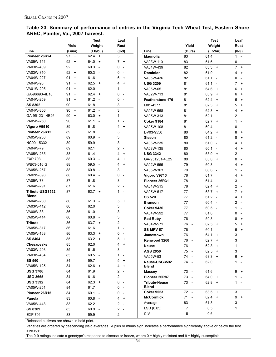#### **Table 23. Summary of performance of entries in the Virginia Tech Wheat Test, Eastern Shore AREC, Painter, Va., 2007 harvest.**

|                 |                 | Test                             | Leaf                                  |                         |                                | <b>Test</b>                      | Leaf                                       |
|-----------------|-----------------|----------------------------------|---------------------------------------|-------------------------|--------------------------------|----------------------------------|--------------------------------------------|
|                 | Yield           | Weight                           | <b>Rust</b>                           |                         | Yield                          | Weight                           | Rust                                       |
| Line            | (Bu/a)          | (Lb/bu)                          | $(0-9)$                               | Line                    | (Bu/a)                         | (Lb/bu)                          | $(0-9)$                                    |
| Pioneer 26R24   | 97<br>$\ddot{}$ | 62.4<br>$+$                      | 3                                     | Magnolia                | 83                             | 61.4                             | $1 -$                                      |
| VA05W-151       | 92<br>$\ddot{}$ | 64.0<br>$+$                      | 7<br>$\ddot{}$                        | VA03W-110               | 83                             | 61.6                             | 0<br>$\overline{\phantom{a}}$              |
| VA03W-409       | 92<br>$\ddot{}$ | 60.3<br>$\overline{\phantom{a}}$ | 0<br>$\overline{\phantom{a}}$         | VA04W-439               | 82                             | 63.3<br>$+$                      | $\overline{7}$<br>$\ddot{}$                |
| VA03W-310       | 92<br>$\ddot{}$ | 60.3<br>$\overline{\phantom{a}}$ | 0<br>$\overline{\phantom{a}}$         | <b>Dominion</b>         | 82                             | 61.9                             | 4<br>$\ddot{}$                             |
| VA04W-227       | 91<br>$\ddot{}$ | 61.6                             | 6<br>$\ddot{}$                        | VA05W-436               | 82                             | 61.1<br>$\overline{\phantom{a}}$ | $\mathbf{0}$<br>$\overline{\phantom{a}}$   |
| VA04W-90        | 91<br>$\ddot{}$ | 62.5<br>$+$                      | 4<br>$\ddot{}$                        | <b>USG 3209</b>         | 81                             | 61.1                             | 7<br>$\ddot{}$                             |
| VA01W-205       | 91<br>$\ddot{}$ | 62.0                             | 1                                     | VA05W-65                | 81                             | 64.6<br>$\ddot{}$                | 6<br>$\ddot{}$                             |
| GA-96693-4E16   | 91<br>$\ddot{}$ | 62.4<br>$+$                      | 0<br>$\overline{\phantom{a}}$         | VA02W-713               | 81                             | 63.9<br>$\ddot{}$                | 6<br>$\ddot{}$                             |
| VA04W-259       | 91<br>$\ddot{}$ | 61.2<br>$\overline{\phantom{a}}$ | 0                                     | <b>Featherstone 176</b> | 81                             | 62.4<br>$\ddot{}$                | 5<br>$\ddot{}$                             |
| <b>SS 8302</b>  | 90<br>$\ddot{}$ | 61.8                             | 3                                     | M01-4377                | 81                             | 62.3<br>$\ddot{}$                | 5<br>$\ddot{}$                             |
| VA04W-306       | 90<br>$\ddot{}$ | 61.2<br>$\sim$                   | 3                                     | VA05W-668               | 81                             | 62.3<br>$\ddot{}$                | 4<br>$\ddot{}$                             |
| GA-951231-4E26  | 90<br>$\ddot{}$ | 63.0<br>$+$                      | 1<br>$\overline{\phantom{a}}$         | VA05W-313               | 81                             | 62.1                             | 2                                          |
| VA05W-250       | 90<br>$\ddot{}$ | 61.1<br>$\overline{\phantom{a}}$ | 1<br>$\overline{a}$                   | <b>Coker 9184</b>       | 81                             | $62.7 +$                         | $\mathbf{1}$                               |
| Vigoro V9510    | 89              | 61.8                             | 4<br>$\ddot{}$                        | VA05W-108               | 81                             | 60.4                             | $\mathbf{0}$                               |
| Pioneer 26R12   | 89              | 61.8                             | 3                                     | DV03-9550               | 80                             | 64.2<br>$\ddot{}$                | 8<br>$\ddot{}$                             |
| VA05W-258       | 89              | 60.9<br>$\overline{\phantom{a}}$ | 3                                     | <b>Sisson</b>           | 80                             | 61.2<br>$\overline{\phantom{a}}$ | 8<br>$\ddot{}$                             |
| NC00-15332      | 89              | 59.9<br>$\overline{\phantom{a}}$ | 3                                     | VA03W-235               | 80                             | 61.0<br>$\overline{\phantom{a}}$ | 4<br>$\ddot{}$                             |
| VA04W-79        | 89              | 62.1                             | 2<br>$\overline{\phantom{a}}$         | VA03W-135               | 80                             | 60.1<br>$\blacksquare$           | 4<br>$\ddot{}$                             |
| VA05W-255       | 88              | 61.4                             | 4<br>$\ddot{}$                        | <b>USG 3342</b>         | 80                             | 63.0<br>$\ddot{}$                | $\overline{c}$                             |
| <b>EXP 703</b>  | 88              | 60.3<br>$\sim$                   | 4<br>$\ddot{}$                        | GA-951231-4E25          | 80                             | 63.0<br>$\ddot{}$                | $\mathbf{0}$                               |
| WB03-016 G      | 88              | 59.5<br>$\overline{\phantom{a}}$ | 4<br>$\begin{array}{c} + \end{array}$ | VA02W-555               | 79                             | 60.8<br>$\overline{\phantom{a}}$ | 4<br>$\ddot{}$                             |
| VA05W-257       | 88              | 60.8<br>$\overline{\phantom{a}}$ | 3                                     | VA05W-363               | 79                             | 60.6                             | 1                                          |
| VA02W-398       | 88              | 60.4<br>$\sim$                   | 0<br>$\overline{\phantom{a}}$         | Vigoro V9713            | 78                             | 61.7                             | 4<br>$\ddot{}$                             |
| VA05W-78        | 87              | 61.8                             | 3                                     | Pioneer 26R31           | 78                             | 61.4                             | 3                                          |
| VA04W-291       | 87              | 61.6                             | 2                                     | VA04W-515               | 78                             | 62.4<br>$\overline{+}$           | $\overline{2}$                             |
| Tribute-USG3592 | 87              | 62.7<br>$+$                      | 1<br>$\overline{\phantom{a}}$         | VA05W-517               | 77                             | 63.7<br>$\ddot{}$                | $\overline{7}$<br>$\overline{+}$           |
| <b>Blend</b>    |                 |                                  |                                       | <b>SS 520</b>           | 77                             | 61.2<br>$\overline{\phantom{a}}$ | 4<br>$\ddot{}$                             |
| VA04W-230       | 86              | 61.3<br>$\overline{\phantom{a}}$ | 5<br>$\ddot{}$                        | <b>Branson</b>          | 77                             | 60.4<br>$\sim$                   | $\overline{2}$<br>$\overline{\phantom{a}}$ |
| VA03W-412       | 86              | 62.0                             | 3                                     | <b>Coker 9436</b>       | 77                             | 60.5<br>$\overline{a}$           | 1                                          |
| VA00W-38        | 86              | 61.0<br>$\overline{\phantom{a}}$ | 3                                     | VA04W-592               | 77                             | 61.6                             | 0                                          |
| VA05W-414       | 86              | 60.8<br>$\overline{\phantom{a}}$ | 3                                     | <b>Red Ruby</b>         | 76<br>$\sim$                   | 59.8                             | 8<br>$\ddot{}$                             |
| <b>Tribute</b>  | 86              | 63.7<br>$+$                      | $\overline{c}$<br>$\sim$              | VA04W-571               | 76<br>$\overline{\phantom{a}}$ | 62.5<br>$\ddot{}$                | 5<br>$\ddot{}$                             |
| VA05W-317       | 86              | 61.6                             | 1<br>$\overline{a}$                   | <b>SS-MPV 57</b>        | 76<br>$\sim$                   | 60.1<br>$\overline{a}$           | 5<br>$\ddot{}$                             |
| VA05W-168       | 86              | 63.3<br>$\overline{+}$           | 0                                     | Jamestown               | 76<br>$\overline{\phantom{a}}$ | 64.1<br>$\ddot{}$                | 3                                          |
| <b>SS 8404</b>  | 85              | 63.2<br>$\ddot{}$                | 5<br>$\ddot{}$                        | Renwood 3260            | 76                             | $62.7 +$                         | 3                                          |
| Chesapeake      | 85              | 62.0                             | 4<br>$\ddot{}$                        | Neuse                   | 76 -                           | $62.3 +$                         | $\mathbf{1}$                               |
| VA03W-203       | 85              | 61.6                             | 3                                     | AGS 2050                | 75 -                           | 62.5<br>$+$                      | 3                                          |
| VA03W-434       | 85              | $60.5 -$                         | 1                                     | VA05W-53                | 74 -                           | $63.3 +$                         | $6 +$                                      |
| <b>SS 560</b>   | 84              | 59.7 -                           | 5<br>$\ddot{}$                        | Neuse-USG3592           | 74 -                           | 62.0                             | $\mathbf{1}$                               |
| VA05W-125       | 84              | $62.6 +$                         | 4<br>$\ddot{}$                        | <b>Blend</b>            |                                |                                  |                                            |
| <b>USG 3706</b> | 84              | 61.9                             | 2<br>$\sim$                           | <b>Massey</b>           | 73 -                           | 61.6                             | 9<br>$^{+}$                                |
| <b>USG 3665</b> | 84              | 61.6                             | 2<br>$\sim$                           | Pioneer 26R87           | 73<br>$\overline{\phantom{a}}$ | $64.0 +$                         | 1                                          |
| <b>USG 3592</b> | 84              | $62.3 +$                         | 0<br>$\overline{\phantom{a}}$         | <b>Tribute-Neuse</b>    | 73 -                           | $62.8 +$                         | 1.                                         |
| VA05W-251       | 84              | 61.7                             | 0<br>$\overline{\phantom{a}}$         | <b>Blend</b>            |                                |                                  |                                            |
| Pioneer 26R15   | 84              | $60.1 -$                         | 0<br>$\overline{\phantom{a}}$         | <b>Coker 9553</b>       | 72 -                           | $63.5 +$                         | 3                                          |
| Panola          | 83              | $60.8 -$                         | 4<br>$\ddot{}$                        | <b>McCormick</b>        | 71<br>$\overline{\phantom{a}}$ | $62.4 +$                         | 9<br>$+$                                   |
| VA05W-448       | 83              | 62.2                             | 2<br>$\sim$                           | Average                 | 83                             | 61.8                             | 3                                          |
| <b>SS 8309</b>  | 83              | 60.9 -                           | 2<br>$\sim$ $-$                       | LSD (0.05)              | 7                              | 0.5                              | 1                                          |
| <b>EXP 701</b>  | 83              | 59.9 -                           | $2 -$                                 | C.V.                    | 6                              | 0.6                              |                                            |

Released cultivars are shown in bold print.

Varieties are ordered by descending yield averages. A plus or minus sign indicates a performance significantly above or below the test average.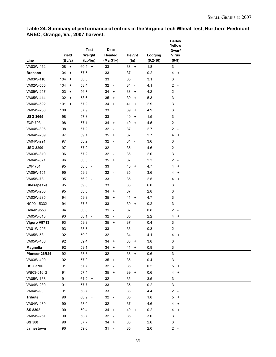#### **Table 24. Summary of performance of entries in the Virginia Tech Wheat Test, Northern Piedmont AREC, Orange, Va., 2007 harvest.**

|                   |            |                |                                |                                |              | <b>Barley</b><br>Yellow     |  |
|-------------------|------------|----------------|--------------------------------|--------------------------------|--------------|-----------------------------|--|
|                   |            | <b>Test</b>    | <b>Date</b>                    |                                |              | <b>Dwarf</b>                |  |
|                   | Yield      | Weight         | Headed                         | Height                         | Lodging      | <b>Virus</b>                |  |
| Line              | (Bu/a)     | (Lb/bu)        | (Mar31+)                       | (ln)                           | $(0.2 - 10)$ | $(0-9)$                     |  |
| VA03W-412         | $108 +$    | $60.5 +$       | 33                             | $38 +$                         | 1.8          | 3                           |  |
| <b>Branson</b>    | $104 +$    | 57.5           | 33                             | 37                             | 0.2          | 4<br>$+$                    |  |
| VA03W-110         | 104<br>$+$ | 58.0           | 33                             | 35                             | 3.1          | 3                           |  |
| VA02W-555         | 104<br>$+$ | 58.4           | 32<br>$\overline{\phantom{a}}$ | 34<br>$\overline{\phantom{a}}$ | 4.1          | $2 -$                       |  |
| VA05W-257         | $103 +$    | $56.7 -$       | 34<br>$\ddot{}$                | 38<br>$+$                      | 4.2          | $2 -$                       |  |
| VA05W-414         | $102 +$    | 58.6           | 35<br>$\ddot{}$                | 39<br>$\ddot{}$                | 5.3          | 3                           |  |
| VA04W-592         | 101<br>$+$ | 57.9           | 34<br>$\ddot{}$                | 41<br>$\overline{+}$           | 2.9          | 3                           |  |
| VA05W-258         | 100        | 57.9           | 33                             | 39<br>$\ddot{}$                | 4.9          | 3                           |  |
| <b>USG 3665</b>   | 98         | 57.3           | 33                             | 40<br>$\overline{+}$           | 1.5          | 3                           |  |
| <b>EXP 703</b>    | 98         | 57.1           | $34 +$                         | 40<br>$+$                      | 4.5          | $2 -$                       |  |
| VA04W-306         | 98         | 57.9           | $32 -$                         | 37                             | 2.7          | $2 -$                       |  |
| VA04W-259         | 97         | 59.1           | 35<br>$+$                      | 37                             | 2.7          | 4 +                         |  |
| VA04W-291         | 97         | 58.2           | 32<br>$\overline{\phantom{a}}$ | 34<br>$\overline{\phantom{a}}$ | 3.6          | 3                           |  |
| <b>USG 3209</b>   | 97         | 57.2           | 32<br>$\overline{\phantom{a}}$ | 35                             | 4.6          | $2 -$                       |  |
| VA03W-310         | 96         | 57.2           | 32<br>$\overline{\phantom{a}}$ | 36                             | 2.0          | 3                           |  |
| VA04W-571         | 96         | $60.0 +$       | $35 +$                         | 37                             | 2.3          | $2 -$                       |  |
| <b>EXP 701</b>    | 95         | $56.8 -$       | 33                             | 40<br>$+$                      | 4.7          | 4<br>$\ddot{}$              |  |
| VA05W-151         | 95         | 59.9           | $32 -$                         | 35                             | 3.6          | 4<br>$\ddot{}$              |  |
| VA05W-78          | 95         | 56.9<br>$\sim$ | 33                             | 35                             | 2.5          | 4<br>$\ddot{}$              |  |
| Chesapeake        | 95         | 59.6           | 33                             | 36                             | 6.0          | 3                           |  |
| VA05W-250         | 95         | 58.0           | 34<br>$+$                      | 37                             | 2.8          | 3                           |  |
| VA03W-235         | 94         | 59.8           | 35<br>$\ddot{}$                | 41<br>$\ddot{}$                | 4.7          | 3                           |  |
| NC00-15332        | 94         | 57.5           | 33                             | 39<br>$+$                      | 0.2          | 3                           |  |
| <b>Coker 9553</b> | 94         | $60.8 +$       | 31<br>$\overline{\phantom{a}}$ | 37                             | 0.8          | $2 -$                       |  |
| VA05W-313         | 93         | $56.1 -$       | 32 -                           | 35                             | 2.2          | $4 +$                       |  |
| Vigoro V9713      | 93         | 59.8           | 35<br>$+$                      | 37                             | 0.4          | 3                           |  |
| VA01W-205         | 93         | 58.7           | 33                             | 33<br>$\overline{\phantom{a}}$ | 0.3          | $\overline{2}$<br>$\sim$    |  |
| VA05W-53          | 92         | 59.2           | $32 -$                         | 34<br>$\overline{\phantom{a}}$ | 4.1          | 4<br>$+$                    |  |
| VA05W-436         | 92         | 59.4           | $34 +$                         | $38 +$                         | 3.8          | 3                           |  |
| <b>Magnolia</b>   | 92         | 59.1           | 34<br>$+$                      | 41<br>$^{+}$                   | 0.9          | 3                           |  |
| Pioneer 26R24     | 92         | 58.8           | 32<br>$\overline{\phantom{a}}$ | $38 +$                         | 0.6          | 3                           |  |
| VA03W-409         | 92         | $57.0 -$       | 35<br>$^{+}$                   | 36                             | 0.4          | 3                           |  |
| <b>USG 3706</b>   | 91         | 57.7           | 32<br>$\overline{\phantom{a}}$ | 35                             | 0.2          | $5 +$                       |  |
| WB03-016 G        | 91         | 57.4           | $35 +$                         | 39<br>$+$                      | 0.6          | 4<br>$^{+}$                 |  |
| VA05W-168         | 91         | $61.2 +$       | $32 -$                         | 35                             | 3.5          | 3                           |  |
| VA04W-230         | 91         | 57.7           | 33                             | 35                             | 0.2          | 3                           |  |
| VA04W-90          | 91         | 58.7           | 33                             | 36                             | 4.4          | $2 -$                       |  |
| <b>Tribute</b>    | 90         | $60.9 +$       | $32 -$                         | 35                             | 1.8          | 5<br>$+$                    |  |
| VA04W-439         | 90         | 58.0           | 32<br>$\overline{\phantom{a}}$ | 37                             | 4.6          | 4<br>$\ddot{}$              |  |
| <b>SS 8302</b>    | 90         | 59.4           | 34 +                           | 40<br>$+$                      | 0.2          | $\overline{4}$<br>$\ddot{}$ |  |
| VA05W-251         | 90         | 58.7           | $32 -$                         | 35                             | 3.0          | 3                           |  |
| <b>SS 560</b>     | 90         | 57.7           | 34<br>$+$                      | 36                             | 2.6          | 3                           |  |
| Jamestown         | 90         | 59.6           | $31 -$                         | 35                             | 2.0          | $2 -$                       |  |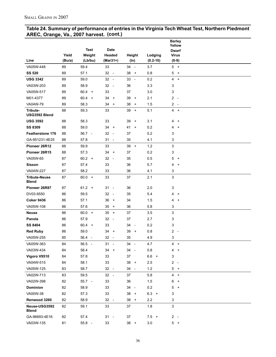#### **Table 24. Summary of performance of entries in the Virginia Tech Wheat Test, Northern Piedmont AREC, Orange, Va., 2007 harvest. (cont.)**

|                                      |        |             |                                |                                |              | <b>Barley</b><br>Yellow     |  |
|--------------------------------------|--------|-------------|--------------------------------|--------------------------------|--------------|-----------------------------|--|
|                                      |        | <b>Test</b> | <b>Date</b>                    |                                |              | <b>Dwarf</b>                |  |
|                                      | Yield  | Weight      | Headed                         | Height                         | Lodging      | <b>Virus</b>                |  |
| Line                                 | (Bu/a) | (Lb/bu)     | (Mar31+)                       | (ln)                           | $(0.2 - 10)$ | $(0-9)$                     |  |
| VA05W-448                            | 89     | 59.4        | 33                             | 34 -                           | 3.7          | $5 +$                       |  |
| <b>SS 520</b>                        | 89     | 57.1        | $32 -$                         | 38<br>$+$                      | 0.8          | 5<br>$+$                    |  |
| <b>USG 3342</b>                      | 89     | 59.0        | 32<br>$\sim$                   | $33 -$                         | 0.2          | $\overline{4}$<br>$\ddot{}$ |  |
| VA03W-203                            | 89     | 58.9        | $32 -$                         | 36                             | 3.3          | 3                           |  |
| VA05W-517                            | 89     | $60.4 +$    | 33                             | 37                             | 3.0          | 3                           |  |
| M01-4377                             | 89     | $60.4 +$    | 34<br>$\pm$                    | 39<br>$^{+}$                   | 2.1          | $2 -$                       |  |
| VA04W-79                             | 89     | 58.3        | 34<br>$\ddot{}$                | 38<br>$^{+}$                   | 1.5          | $2 -$                       |  |
| Tribute-<br>USG3592 Blend            | 88     | 59.3        | 33                             | $39 +$                         | 5.1          | $4 +$                       |  |
| <b>USG 3592</b>                      | 88     | 58.3        | 33                             | 39<br>$\overline{+}$           | 3.1          | 4<br>$+$                    |  |
| <b>SS 8309</b>                       | 88     | 59.0        | 34<br>$+$                      | $41 +$                         | 0.2          | 4<br>$\ddot{}$              |  |
| <b>Featherstone 176</b>              | 88     | $56.7 -$    | 32<br>$\overline{\phantom{a}}$ | 37                             | 5.2          | 3                           |  |
| GA-951231-4E25                       | 88     | 57.8        | 31 -                           | 35                             | 4.1          | 3                           |  |
| Pioneer 26R12                        | 88     | 59.9        | 33                             | $39 +$                         | $1.2$        | 3                           |  |
| Pioneer 26R15                        | 88     | 57.3        | 34<br>$\ddot{}$                | 37                             | 0.2          | 3                           |  |
| VA05W-65                             | 87     | $60.2 +$    | $32 -$                         | 35                             | 0.5          | 5<br>$+$                    |  |
| <b>Sisson</b>                        | 87     | 57.4        | 33                             | 36                             | 5.7          | 4<br>$\ddot{}$              |  |
| VA04W-227                            | 87     | 58.2        | 33                             | 36                             | 4.1          | 3                           |  |
| <b>Tribute-Neuse</b><br><b>Blend</b> | 87     | $60.0 +$    | 33                             | 37                             | 2.1          | 3                           |  |
| Pioneer 26R87                        | 87     | $61.2 +$    | $31 -$                         | 36                             | 2.0          | 3                           |  |
| DV03-9550                            | 86     | 59.5        | $32 -$                         | 35                             | 5.4          | 4<br>$+$                    |  |
| <b>Coker 9436</b>                    | 86     | 57.1        | 36<br>$\ddot{}$                | 34                             | 1.5          | 4<br>$^{+}$                 |  |
| VA05W-108                            | 86     | 57.6        | 35<br>$\ddot{}$                | 36                             | 5.8          | 3                           |  |
| <b>Neuse</b>                         | 86     | $60.0 +$    | 35<br>$\ddot{}$                | 37                             | 3.5          | 3                           |  |
| Panola                               | 86     | 57.9        | $32 -$                         | 37                             | 2.7          | 3                           |  |
| <b>SS 8404</b>                       | 86     | $60.4 +$    | 33                             | 34<br>$\overline{\phantom{a}}$ | 0.2          | 3                           |  |
| <b>Red Ruby</b>                      | 86     | 59.0        | 34<br>$\ddot{}$                | 39<br>$^{+}$                   | 0.8          | 2<br>$\sim$                 |  |
| VA05W-255                            | 85     | 56.4 -      | $32 -$                         | 35                             | 4.9          | 3                           |  |
| VA05W-363                            | 84     | 56.5 -      | 31<br>$\overline{\phantom{a}}$ | 34<br>$\overline{\phantom{a}}$ | 4.7          | 4<br>$+$                    |  |
| VA03W-434                            | 84     | 58.4        | 34<br>$\ddot{}$                | 34<br>$\overline{\phantom{a}}$ | 0.8          | 4<br>$\ddot{}$              |  |
| Vigoro V9510                         | 84     | 57.8        | 33                             | 37                             | $6.6 +$      | 3                           |  |
| VA04W-515                            | 84     | 58.1        | 33                             | $38 +$                         | 2.5          | 2<br>$\sim$                 |  |
| VA05W-125                            | 83     | 58.7        | 32 -                           | $34 -$                         | $1.2$        | 5<br>$+$                    |  |
| VA02W-713                            | 83     | 59.5        | $32 -$                         | 37                             | 5.8          | 4 +                         |  |
| VA02W-398                            | 82     | $55.7 -$    | 33                             | 36                             | $1.5$        | 6<br>$\ddot{}$              |  |
| <b>Dominion</b>                      | 82     | 58.9        | 33                             | 34<br>$\sim$                   | 0.2          | 5<br>$\ddot{}$              |  |
| VA00W-38                             | 82     | 57.3        | 33                             | 38<br>$+$                      | $6.3 +$      | 3                           |  |
| Renwood 3260                         | 82     | 58.9        | $32 -$                         | $38 +$                         | 2.2          | 3                           |  |
| Neuse-USG3592<br><b>Blend</b>        | 82     | 59.1        | 33                             | 37                             | 1.8          | 3                           |  |
| GA-96693-4E16                        | 82     | 57.4        | $31 -$                         | 37                             | $7.5 +$      | $2 -$                       |  |
| VA03W-135                            | 81     | 55.8 -      | 33                             | $38 +$                         | $3.0\,$      | $5 +$                       |  |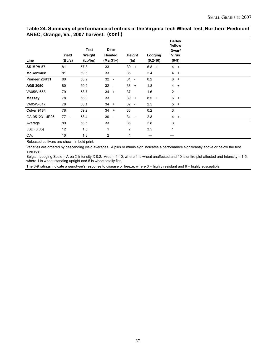#### **Table 24. Summary of performance of entries in the Virginia Tech Wheat Test, Northern Piedmont AREC, Orange, Va., 2007 harvest. (cont.)**

|                   |        |                       |                                |                                             |              | <b>Barley</b><br>Yellow          |  |
|-------------------|--------|-----------------------|--------------------------------|---------------------------------------------|--------------|----------------------------------|--|
|                   | Yield  | <b>Test</b><br>Weight | <b>Date</b><br>Headed          | Height                                      | Lodging      | <b>Dwarf</b><br><b>Virus</b>     |  |
| Line              | (Bu/a) | (Lb/bu)               | $(Mar31+)$                     | (In)                                        | $(0.2 - 10)$ | $(0-9)$                          |  |
| <b>SS-MPV 57</b>  | 81     | 57.8                  | 33                             | 39<br>$\ddot{}$                             | $6.8 +$      | $4 +$                            |  |
| <b>McCormick</b>  | 81     | 59.5                  | 33                             | 35                                          | 2.4          | $4 +$                            |  |
| Pioneer 26R31     | 80     | 58.9                  | 32<br>$\overline{\phantom{a}}$ | 31<br>$\overline{\phantom{a}}$              | 0.2          | 6<br>$\ddot{}$                   |  |
| <b>AGS 2050</b>   | 80     | 59.2                  | 32<br>$\overline{\phantom{a}}$ | 38<br>$+$                                   | 1.8          | $\overline{4}$<br>$\overline{+}$ |  |
| VA05W-668         | 79     | 58.7                  | $34 +$                         | 37                                          | 1.6          | $2 -$                            |  |
| <b>Massey</b>     | 78     | 58.0                  | 33                             | 39<br>$+$                                   | 8.5<br>$+$   | 6<br>$+$                         |  |
| VA05W-317         | 78     | 58.1                  | $34 +$                         | 32 <sup>2</sup><br>$\overline{\phantom{a}}$ | 2.5          | $5^{\circ}$<br>$\overline{+}$    |  |
| <b>Coker 9184</b> | 78     | 59.2                  | $34 +$                         | 36                                          | 0.2          | 3                                |  |
| GA-951231-4E26    | $77 -$ | 58.4                  | $30 -$                         | 34<br>$\overline{\phantom{a}}$              | 2.8          | $4 +$                            |  |
| Average           | 89     | 58.5                  | 33                             | 36                                          | 2.8          | 3                                |  |
| LSD(0.05)         | 12     | 1.5                   | 1                              | $\overline{c}$                              | 3.5          | 1                                |  |
| C.V.              | 10     | 1.8                   | $\overline{c}$                 | 4                                           |              |                                  |  |

Released cultivars are shown in bold print.

Varieties are ordered by descending yield averages. A plus or minus sign indicates a performance significantly above or below the test average.

Belgian Lodging Scale = Area X Intensity X 0.2. Area = 1-10, where 1 is wheat unaffected and 10 is entire plot affected and Intensity = 1-5, where 1 is wheat standing upright and 5 is wheat totally flat.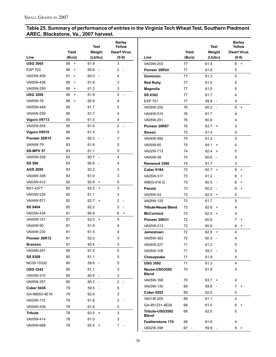## **Table 25. Summary of performance of entries in the Virginia Tech Wheat Test, Southern Piedmont AREC, Blackstone, Va., 2007 harvest.**

|                   | Yield           | Test<br>Weight                   | <b>Barley</b><br>Yellow<br><b>Dwarf Virus</b> |                            | Yield  | <b>Test</b><br>Weight            | <b>Barley</b><br>Yellow<br><b>Dwarf Virus</b> |
|-------------------|-----------------|----------------------------------|-----------------------------------------------|----------------------------|--------|----------------------------------|-----------------------------------------------|
| Line              | (Bu/a)          | (Lb/bu)                          | $(0-9)$                                       | Line                       | (Bu/a) | (Lb/bu)                          | $(0-9)$                                       |
| <b>USG 3665</b>   | 98<br>$+$       | 61.9                             | 3                                             | VA03W-203                  | 77     | 61.4                             | 6 +                                           |
| <b>EXP 703</b>    | 96<br>$+$       | 60.6<br>$\sim$                   | $2 -$                                         | Pioneer 26R24              | 77     | 61.6                             | 5                                             |
| VA03W-409         | 91<br>$\ddot{}$ | 60.0<br>$\overline{\phantom{a}}$ | 4                                             | <b>Dominion</b>            | 77     | 61.3                             | 5                                             |
| VA05W-436         | 89<br>$\ddot{}$ | 61.6                             | 3                                             | <b>Red Ruby</b>            | 77     | 61.0                             | 5                                             |
| VA05W-250         | 89<br>$\ddot{}$ | 61.2                             | 3                                             | <b>Magnolia</b>            | 77     | 61.0                             | 5                                             |
| <b>USG 3209</b>   | 89<br>$\ddot{}$ | 61.9                             | $2 -$                                         | <b>SS 8302</b>             | 77     | 61.7                             | 4                                             |
| VA05W-78          | 88<br>$\ddot{}$ | 60.9                             | 4                                             | <b>EXP 701</b>             | 77     | $59.8 -$                         | 4                                             |
| VA05W-448         | 85              | 61.7                             | 5                                             | VA05W-255                  | 76     | $60.2 -$                         | $6 +$                                         |
| VA04W-259         | 85              | 61.7                             | 4                                             | VA04W-515                  | 76     | 61.7                             | 4                                             |
| Vigoro V9713      | 85              | 61.0                             | 4                                             | VA05W-251                  | 76     | 60.8                             | 4                                             |
| VA02W-555         | 85              | 61.0                             | $2 -$                                         | Pioneer 26R87              | 76     | $63.7 +$                         | 3                                             |
| Vigoro V9510      | 84              | 61.4                             | 3                                             | <b>Sisson</b>              | 75     | 61.4                             | 5                                             |
| Pioneer 26R15     | 84              | $60.3 -$                         | 3                                             | VA04W-592                  | 75     | 61.2                             | 5                                             |
| VA04W-79          | 83              | 61.6                             | 5                                             | VA05W-65                   | 75     | $64.1 +$                         | 4                                             |
| <b>SS-MPV 57</b>  | 83              | 61.1                             | 5                                             | VA02W-713                  | 74     | $62.4 +$                         | 5                                             |
| VA05W-258         | 83              | $60.7 -$                         | 4                                             | VA00W-38                   | 74     | 60.6<br>$\overline{\phantom{a}}$ | 4                                             |
| <b>SS 560</b>     | 83              | 60.6<br>$\overline{a}$           | 4                                             | Renwood 3260               | 74     | 61.7                             | 3                                             |
| <b>AGS 2050</b>   | 83              | 62.2                             | 3                                             | <b>Coker 9184</b>          | 73     | $62.7 +$                         | 6<br>$+$                                      |
| VA04W-306         | 83              | 61.0                             | 3                                             | VA05W-317                  | 73     | 61.2                             | 6<br>$\ddot{}$                                |
| VA03W-412         | 82              | 62.9<br>$+$                      | 5                                             | WB03-016 G                 | 73     | $60.5 -$                         | 6<br>$+$                                      |
| M01-4377          | 82              | $62.5 +$                         | 3                                             | Panola                     | 73     | $60.2 -$                         | 6<br>$\ddot{}$                                |
| VA03W-235         | 82              | 61.1                             | 3                                             | VA05W-53                   | 73     | 62.5<br>$+$                      | 5                                             |
| VA04W-571         | 82              | $62.7 +$                         | $\overline{2}$<br>$\overline{\phantom{a}}$    | VA05W-125                  | 73     | 61.7                             | 5                                             |
| SS 8404           | 82              | 62.2                             | $2 -$                                         | <b>Tribute-Neuse Blend</b> | 73     | 62.6<br>$+$                      | 4                                             |
| VA03W-434         | 81              | 60.9                             | 6<br>$\ddot{}$                                | <b>McCormick</b>           | 73     | 62.5<br>$+$                      | 4                                             |
| VA05W-151         | 81              | $63.0 +$                         | 4                                             | Pioneer 26R31              | 72     | 60.8                             | $\overline{7}$<br>$+$                         |
| VA04W-90          | 81              | 61.9                             | 4                                             | VA05W-313                  | 72     | 60.9                             | $6 +$                                         |
| VA04W-230         | 81              | 61.5                             | 4                                             | Jamestown                  | 72     | $62.8 +$                         | 4                                             |
| Pioneer 26R12     | 81              | 62.0                             | 3                                             | VA05W-363                  | 72     | 60.3<br>$\overline{\phantom{a}}$ | 4                                             |
| <b>Branson</b>    | 81              | 60.4 -                           | 3                                             | VA04W-227                  | 71     | 61.2                             | 5                                             |
| VA04W-291         | 80              | 61.5                             | 5                                             | VA05W-108                  | 71     | 59.7 -                           | 5                                             |
| <b>SS 8309</b>    | 80              | 61.1                             | 5                                             | Chesapeake                 | 71     | 61.9                             | 4                                             |
| NC00-15332        | 80              | 59.8 -                           | 5                                             | <b>USG 3592</b>            | 71     | 61.3                             | 4                                             |
| <b>USG 3342</b>   | 80              | 61.1                             | 3                                             | Neuse-USG3592              | 70     | 61.8                             | 5                                             |
| VA03W-310         | 80              | 60.4 -                           | 3                                             | Blend                      |        |                                  |                                               |
| VA05W-257         | 80              | $60.2 -$                         | $2 -$                                         | VA05W-168                  | 70     | $63.7 +$                         | 4                                             |
| <b>Coker 9436</b> | 79              | $59.5 -$                         | 5                                             | VA03W-135                  | 69     | $59.8 -$                         | $7 +$                                         |
| GA-96693-4E16     | 79              | 62.0                             | 3                                             | <b>Coker 9553</b>          | 69     | 62.0                             | 4                                             |
| VA03W-110         | 79              | 61.8                             | $2 -$                                         | VA01W-205                  | 69     | 61.1                             | 4                                             |
|                   |                 |                                  |                                               | GA-951231-4E26             | 68     | 61.0                             | $6 +$                                         |
| VA04W-439         | 78              | 61.9                             | 5                                             | Tribute-USG3592            | 68     | 62.0                             | 5                                             |
| <b>Tribute</b>    | 78              | $63.5 +$                         | 3                                             | Blend                      |        |                                  |                                               |
| VA05W-414         | 78              | 61.0                             | 3                                             | Featherstone 176           | 68     | 61.8                             | 4                                             |
| VA05W-668         | 78              | $62.4 +$                         | 1 -                                           | VA02W-398                  | $67 -$ | $59.9 -$                         | $8 +$                                         |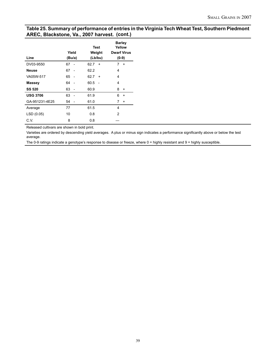#### **Table 25. Summary of performance of entries in the Virginia Tech Wheat Test, Southern Piedmont AREC, Blackstone, Va., 2007 harvest. (cont.)**

|                 | Yield                          | <b>Test</b><br>Weight | <b>Barley</b><br>Yellow<br><b>Dwarf Virus</b> |
|-----------------|--------------------------------|-----------------------|-----------------------------------------------|
| Line            | (Bu/a)                         | (Lb/bu)               | $(0-9)$                                       |
| DV03-9550       | 67                             | 62.7<br>$\ddot{}$     | 7<br>$\ddot{}$                                |
| <b>Neuse</b>    | 67<br>$\overline{\phantom{a}}$ | 62.2                  | 4                                             |
| VA05W-517       | 65<br>$\overline{\phantom{a}}$ | 62.7<br>$\ddot{}$     | 4                                             |
| <b>Massey</b>   | 64<br>$\overline{a}$           | 60.5                  | 4                                             |
| <b>SS 520</b>   | 63<br>$\overline{\phantom{a}}$ | 60.9                  | 8<br>$\ddot{}$                                |
| <b>USG 3706</b> | 63<br>$\overline{\phantom{a}}$ | 61.9                  | 6<br>$\ddot{}$                                |
| GA-951231-4E25  | 54                             | 61.0                  | 7<br>$\ddot{}$                                |
| Average         | 77                             | 61.5                  | 4                                             |
| LSD (0.05)      | 10                             | 0.8                   | 2                                             |
| C.V.            | 8                              | 0.8                   |                                               |

Released cultivars are shown in bold print.

Varieties are ordered by descending yield averages. A plus or minus sign indicates a performance significantly above or below the test average.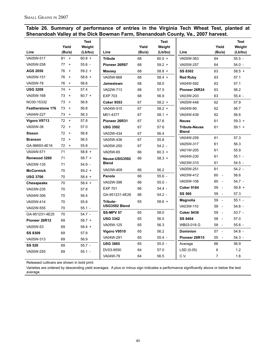|  | Table 26. Summary of performance of entries in the Virginia Tech Wheat Test, planted at |  |  |  |  |  |
|--|-----------------------------------------------------------------------------------------|--|--|--|--|--|
|  | Shenandoah Valley at the Dick Bowman Farm, Shenandoah County, Va., 2007 harvest.        |  |  |  |  |  |

|                         | Yield           | <b>Test</b><br>Weight |                   | Yield  | <b>Test</b><br>Weight |                      | Yield                          | <b>Test</b><br>Weight |
|-------------------------|-----------------|-----------------------|-------------------|--------|-----------------------|----------------------|--------------------------------|-----------------------|
| Line                    | (Bu/a)          | (Lb/bu)               | Line              | (Bu/a) | (Lb/bu)               | Line                 | (Bu/a)                         | (Lb/bu)               |
| VA05W-517               | $81 +$          | $60.8 +$              | <b>Tribute</b>    | 68     | $60.0 +$              | VA05W-363            | 64                             | 55.5 -                |
| VA05W-258               | 77<br>$+$       | $55.6 -$              | Pioneer 26R87     | 68     | $59.2 +$              | VA05W-257            | 64                             | $54.0 -$              |
| <b>AGS 2050</b>         | 76<br>$+$       | $59.2 +$              | <b>Massey</b>     | 68     | $58.8 +$              | <b>SS 8302</b>       | 63                             | $58.5 +$              |
| VA05W-151               | 76<br>$\ddot{}$ | $58.6 +$              | VA05W-668         | 68     | $58.4 +$              | <b>Red Ruby</b>      | 63                             | 57.1                  |
| VA05W-78                | 76<br>$\ddot{}$ | 56.6                  | Jamestown         | 68     | 58.0                  | VA04W-592            | 63                             | 57.1                  |
| <b>USG 3209</b>         | $74 +$          | 57.4                  | VA02W-713         | 68     | 57.5                  | Pioneer 26R24        | 63                             | 56.2                  |
| VA05W-168               | 73<br>$+$       | $60.7 +$              | <b>EXP 703</b>    | 68     | 56.9                  | VA03W-203            | 63                             | 55.4 -                |
| NC00-15332              | 73<br>$+$       | 56.8                  | <b>Coker 9553</b> | 67     | $58.2 +$              | VA05W-448            | 62                             | 57.9                  |
| <b>Featherstone 176</b> | 73<br>$+$       | 56.8                  | VA04W-515         | 67     | $58.2 +$              | VA04W-90             | 62                             | 56.7                  |
| VA04W-227               | 73<br>$\ddot{}$ | 56.3                  | M01-4377          | 67     | $58.1 +$              | VA04W-439            | 62                             | 56.6                  |
| Vigoro V9713            | 72<br>$+$       | 57.8                  | Pioneer 26R31     | 67     | 57.6                  | <b>Neuse</b>         | 61                             | $59.3 +$              |
| VA00W-38                | 72<br>$+$       | 57.0                  | <b>USG 3592</b>   | 67     | 57.6                  | <b>Tribute-Neuse</b> | 61                             | $59.1 +$              |
| <b>Sisson</b>           | 72<br>$+$       | 56.8                  | VA03W-434         | 67     | 56.4                  | <b>Blend</b>         |                                |                       |
| <b>Branson</b>          | 72<br>$+$       | 56.5                  | VA05W-436         | 67     | 55.8                  | VA04W-259            | 61                             | 57.3                  |
| GA-96693-4E16           | 72<br>$+$       | 55.8                  | VA05W-250         | 67     | $54.2 -$              | VA05W-317            | 61                             | 56.3                  |
| VA04W-571               | 71              | $58.8 +$              | VA05W-65          | 66     | $60.3 +$              | VA01W-205            | 61                             | 55.9                  |
| Renwood 3260            | 71              | $58.7 +$              | Neuse-USG3592     | 66     | $58.3 +$              | VA04W-230            | 61                             | $55.1 -$              |
| VA03W-135               | 71              | $54.9 -$              | <b>Blend</b>      |        |                       | VA03W-310            | 61                             | 54.5 -                |
| <b>McCormick</b>        | 70              | $59.2 +$              | VA03W-409         | 66     | 56.2                  | VA05W-251            | 61                             | $54.2 -$              |
| <b>USG 3706</b>         | 70              | $58.4 +$              | Panola            | 66     | $55.6 -$              | VA03W-412            | 60<br>$\overline{\phantom{a}}$ | 56.6                  |
| Chesapeake              | 70              | $58.4 +$              | VA02W-398         | 66     | $55.0 -$              | VA05W-108            | 60<br>$\overline{\phantom{a}}$ | $54.7 -$              |
| VA03W-235               | 70              | 57.8                  | <b>EXP 701</b>    | 66     | $54.4 -$              | <b>Coker 9184</b>    | 59<br>$\overline{\phantom{a}}$ | $59.8 +$              |
| VA04W-306               | 70              | 56.4                  | GA-951231-4E26    | 66     | $54.2 -$              | <b>SS 560</b>        | 59<br>$\overline{\phantom{a}}$ | 57.3                  |
| VA05W-414               | 70              | 55.8                  | Tribute-          | 65     | $58.6 +$              | Magnolia             | 59<br>$\overline{\phantom{a}}$ | $55.1 -$              |
| VA02W-555               | 70              | $55.1 -$              | USG3592 Blend     |        |                       | VA03W-110            | 59<br>$\sim$                   | $54.6 -$              |
| GA-951231-4E25          | 70              | $54.7 -$              | <b>SS-MPV 57</b>  | 65     | 58.0                  | <b>Coker 9436</b>    | 59<br>$\overline{\phantom{a}}$ | $53.7 -$              |
| Pioneer 26R12           | 69              | $58.7 +$              | <b>USG 3342</b>   | 65     | 56.5                  | SS 8404              | 58<br>$\overline{\phantom{a}}$ | 57.0                  |
| VA05W-53                | 69              | $58.4 +$              | VA05W-125         | 65     | 56.3                  | WB03-016 G           | 58<br>$\overline{\phantom{a}}$ | 55.6 -                |
| <b>SS 8309</b>          | 69              | 57.9                  | Vigoro V9510      | 65     | 56.2                  | <b>Dominion</b>      | $57 -$                         | $54.8 -$              |
| VA05W-313               | 69              | 56.9                  | VA04W-291         | 65     | $55.4 -$              | Pioneer 26R15        | 55<br>$\overline{\phantom{a}}$ | $54.3 -$              |
| <b>SS 520</b>           | 69              | $55.7 -$              | <b>USG 3665</b>   | 65     | $55.0 -$              | Average              | 66                             | 56.9                  |
| VA05W-255               | 69              | $55.1 -$              | DV03-9550         | 64     | 57.0                  | LSD(0.05)            | 6                              | 1.2                   |
|                         |                 |                       | VA04W-79          | 64     | 56.5                  | C.V.                 | $\overline{7}$                 | 1.6                   |

Released cultivars are shown in bold print.

Varieties are ordered by descending yield averages. A plus or minus sign indicates a performance significantly above or below the test average.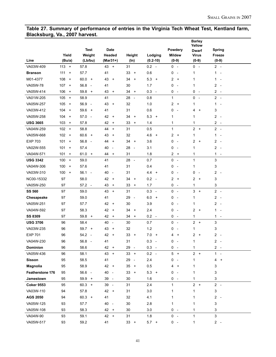#### **Table 27. Summary of performance of entries in the Virginia Tech Wheat Test, Kentland farm, Blacksburg, Va., 2007 harvest.**

|                   |                                         |                                  |                                |                                |                                 |                               | <b>Barley</b><br>Yellow       |                               |
|-------------------|-----------------------------------------|----------------------------------|--------------------------------|--------------------------------|---------------------------------|-------------------------------|-------------------------------|-------------------------------|
|                   |                                         | <b>Test</b>                      | <b>Date</b>                    |                                |                                 | Powdery                       | Dwarf                         | <b>Spring</b>                 |
|                   | Yield                                   | Weight                           | Headed                         | Height                         | Lodging                         | <b>Mildew</b>                 | <b>Virus</b>                  | Freeze                        |
| Line              | (Bu/a)                                  | (Lb/bu)                          | (Mar31+)                       | (ln)                           | $(0.2 - 10)$                    | $(0-9)$                       | $(0-9)$                       | $(0-9)$                       |
| VA03W-409         | $113 +$                                 | 57.8                             | $43 +$                         | 31                             | $0.2 -$                         | $0 -$                         | $0 -$                         | $2 -$                         |
| <b>Branson</b>    | 111<br>$\ddot{}$                        | 57.7                             | 41                             | 33<br>$\ddot{}$                | 0.6                             | 0<br>$\overline{\phantom{a}}$ | 1                             | $\mathbf{1}$<br>$\sim$        |
| M01-4377          | 108<br>$\ddot{}$                        | $60.0 +$                         | 43<br>$^{+}$                   | 34<br>$^{+}$                   | 5.3<br>$\ddot{}$                | $\overline{2}$<br>$+$         | 1                             | 1<br>$\sim$                   |
| VA05W-78          | 107<br>$+$                              | 56.8<br>$\sim$                   | 41                             | 30                             | 1.7                             | 0<br>$\overline{\phantom{a}}$ | 1                             | $2 -$                         |
| VA05W-414         | 106<br>$\ddot{}$                        | 59.8<br>$\ddot{\phantom{1}}$     | 43<br>$+$                      | 34<br>$\ddot{}$                | 0.3<br>$\overline{\phantom{a}}$ | 0<br>$\sim$                   | 0<br>$\overline{\phantom{a}}$ | $2 -$                         |
| VA01W-205         | 105<br>$+$                              | 58.9                             | 41                             | 28<br>$\overline{\phantom{a}}$ | 0.8                             | 1                             | 0<br>$\sim$                   | $2 -$                         |
| VA05W-257         | 105<br>$\ddot{}$                        | 56.9<br>$\overline{\phantom{a}}$ | 43<br>$\ddot{}$                | 32                             | 1.0                             | 2<br>$\overline{+}$           | 1                             | 1<br>$\overline{\phantom{a}}$ |
| VA03W-412         | 104<br>$\ddot{}$                        | 59.6<br>$+$                      | 41                             | 31                             | 0.6                             | 0<br>$\overline{\phantom{a}}$ | 4<br>$+$                      | 3                             |
| VA05W-258         | 104<br>$+$                              | 57.0<br>$\sim$                   | 42<br>$\ddot{}$                | 34<br>$\ddot{}$                | 5.3<br>$\ddot{}$                | 1                             | 1                             | $2 -$                         |
| <b>USG 3665</b>   | 103<br>$\ddot{}$                        | 57.8                             | 42<br>$\ddot{}$                | 33<br>$\ddot{}$                | 1.4                             | 1                             | 1                             | $2 -$                         |
| VA04W-259         | $102 +$                                 | 58.8                             | 44<br>$+$                      | 31                             | 0.5                             | 1                             | $2 +$                         | $2 -$                         |
| VA05W-668         | 102<br>$+$                              | $60.6 +$                         | 43<br>$\ddot{}$                | 32                             | 4.6<br>$\ddot{}$                | 2<br>$\ddot{}$                | 1                             | $\mathbf{1}$<br>$\sim$        |
| <b>EXP 703</b>    | 101<br>$\ddot{}$                        | 56.8<br>$\overline{a}$           | 44<br>$^{+}$                   | 34<br>$^{+}$                   | 3.6                             | 0<br>$\overline{\phantom{a}}$ | 2<br>$+$                      | $2 -$                         |
| VA02W-555         | 101<br>$\begin{array}{c} + \end{array}$ | 57.4                             | 40<br>$\overline{\phantom{a}}$ | 28<br>$\overline{\phantom{a}}$ | 3.1                             | 0<br>$\overline{\phantom{a}}$ | 1                             | $2 -$                         |
| VA04W-571         | 101<br>$\pmb{+}$                        | 61.0<br>$+$                      | 44<br>$\ddot{}$                | 31                             | 1.8                             | $\overline{2}$<br>$+$         | 1                             | $1 -$                         |
| <b>USG 3342</b>   | 100<br>$+$                              | 59.0                             | 41                             | 28<br>$\overline{\phantom{a}}$ | 0.7                             | 0<br>$\sim$                   | 1                             | 3                             |
| VA04W-306         | 100<br>$\ddot{}$                        | 57.6                             | 41                             | 31                             | 0.4                             | 0<br>$\overline{\phantom{a}}$ | 1                             | 3                             |
| VA03W-310         | 100<br>$+$                              | 56.1<br>$\sim$                   | 40<br>$\overline{\phantom{a}}$ | 31                             | $4.4 +$                         | 0<br>$\overline{\phantom{a}}$ | 0<br>$\overline{\phantom{a}}$ | $2 -$                         |
| NC00-15332        | 97                                      | 58.0                             | 42<br>$\ddot{}$                | 34<br>$\ddot{}$                | 0.2<br>$\overline{\phantom{a}}$ | 2<br>$\ddot{}$                | 2<br>$+$                      | 3                             |
| VA05W-250         | 97                                      | 57.2<br>$\overline{\phantom{a}}$ | 43<br>$\ddot{}$                | 33<br>$\ddot{}$                | 1.7                             | 0<br>$\overline{\phantom{a}}$ | 1                             | 3                             |
| <b>SS 560</b>     | 97                                      | 59.0                             | 43<br>$+$                      | 31                             | 0.3<br>$\overline{\phantom{a}}$ | $0 -$                         | 3<br>$+$                      | $2 -$                         |
| Chesapeake        | 97                                      | 59.0                             | 41                             | 29<br>$\overline{\phantom{a}}$ | 6.0<br>$+$                      | 0<br>$\overline{\phantom{a}}$ | 1                             | $\mathbf{2}$<br>$\sim$        |
| VA05W-251         | 97                                      | 57.7                             | 42<br>$\ddot{}$                | 30                             | 3.9                             | 0<br>$\overline{\phantom{a}}$ | 1                             | $2 -$                         |
| VA04W-592         | 97                                      | 58.3                             | 42<br>$+$                      | 34<br>$^{+}$                   | 2.4                             | 0<br>$\overline{\phantom{a}}$ | 2<br>$+$                      | $1 -$                         |
| <b>SS 8309</b>    | 97                                      | 59.8<br>$+$                      | 42<br>$\ddot{}$                | 34<br>$\ddot{}$                | $0.2 -$                         | 0<br>$\overline{\phantom{a}}$ | 1                             | $1 -$                         |
| <b>USG 3706</b>   | 96                                      | 58.4                             | 40<br>$\overline{\phantom{a}}$ | 30                             | 0.7                             | 0<br>$\sim$                   | $\overline{c}$<br>$+$         | 3                             |
| VA03W-235         | 96                                      | $59.7 +$                         | 43<br>$^{+}$                   | 32                             | 1.2                             | 0<br>$\overline{\phantom{a}}$ | 1                             | 3                             |
| <b>EXP 701</b>    | 96                                      | $54.2 -$                         | 42<br>$+$                      | 33<br>$\ddot{}$                | 7.0<br>$+$                      | 4<br>$\ddot{}$                | 2<br>$+$                      | $2 -$                         |
| VA04W-230         | 96                                      | 56.8<br>$\overline{\phantom{a}}$ | 41                             | 31                             | 0.3                             | 0                             | 1                             | 2                             |
| <b>Dominion</b>   | 96                                      | 58.6                             | 42<br>$\ddot{}$                | 29<br>$\overline{\phantom{a}}$ | 0.3<br>$\sim$ $-$               | 0<br>$\overline{\phantom{a}}$ | 1                             | $2 -$                         |
| VA05W-436         | 96                                      | 58.1                             | $43 +$                         | $33 +$                         | $0.2 -$                         | $5 +$                         | $2 +$                         | $1 -$                         |
| <b>Sisson</b>     | 95                                      | 58.5                             | 41                             | 29<br>$\overline{\phantom{a}}$ | 2.4                             | 0<br>$\overline{\phantom{a}}$ | 1                             | 4<br>$\ddot{}$                |
| Magnolia          | 95                                      | 58.9                             | 42 +                           | 35<br>$+$                      | 0.5                             | 4<br>$\ddot{}$                | 1                             | 3                             |
| Featherstone 176  | 95                                      | 56.6 -                           | 40<br>$\sim$                   | 33<br>$^{+}$                   | $5.3 +$                         | 0                             | 1                             | 3                             |
| Jamestown         | 95                                      | 59.9 +                           | 39 -                           | 30                             | 1.6                             | 0<br>$\overline{\phantom{a}}$ | 1                             | 3                             |
| <b>Coker 9553</b> | 95                                      | $60.3 +$                         | 39 -                           | 31                             | 2.4                             | $\mathbf{1}$                  | $2 +$                         | $2 -$                         |
| VA03W-110         | 94                                      | 57.8                             | $42 +$                         | 31                             | 3.0                             | 1                             | 1                             | 3                             |
| <b>AGS 2050</b>   | 94                                      | $60.3 +$                         | 41                             | 32                             | 4.1                             | 1                             | 1                             | $2 -$                         |
| VA05W-125         | 93                                      | 57.7                             | 40 -                           | $30\,$                         | 2.8                             | 1                             | 1                             | 3                             |
| VA05W-108         | 93                                      | 58.3                             | 42 +                           | 30                             | 3.0                             | $0 -$                         | 1                             | 3                             |
| VA04W-90          | 93                                      | 59.1                             | $42 +$                         | 31                             | 1.8                             | $0 -$                         | 1                             | 3                             |
| VA05W-517         | 93                                      | 59.2                             | 41                             | $33 +$                         | $5.7 +$                         | $0 -$                         | 1                             | $2 -$                         |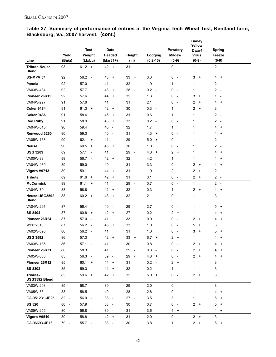#### **Table 27. Summary of performance of entries in the Virginia Tech Wheat Test, Kentland farm, Blacksburg, Va., 2007 harvest. (cont.)**

|                                      |        |                |                                |                                |                  |                               | <b>Barley</b><br>Yellow |                                          |
|--------------------------------------|--------|----------------|--------------------------------|--------------------------------|------------------|-------------------------------|-------------------------|------------------------------------------|
|                                      |        | <b>Test</b>    | Date                           |                                |                  | Powdery                       | <b>Dwarf</b>            | <b>Spring</b>                            |
|                                      | Yield  | Weight         | Headed                         | Height                         | Lodging          | <b>Mildew</b>                 | <b>Virus</b>            | Freeze                                   |
| Line                                 | (Bu/a) | (Lb/bu)        | (Mar31+)                       | $(\ln)$                        | $(0.2 - 10)$     | $(0-9)$                       | $(0-9)$                 | $(0-9)$                                  |
| <b>Tribute-Neuse</b><br><b>Blend</b> | 93     | $61.2 +$       | $42 +$                         | 31                             | 1.1              | $0 -$                         | 1                       | $2 -$                                    |
| <b>SS-MPV 57</b>                     | 92     | $56.2 -$       | 43<br>$+$                      | 33<br>$+$                      | 3.3              | 0<br>$\overline{\phantom{a}}$ | 3<br>$+$                | 4 +                                      |
| Panola                               | 92     | $57.0 -$       | 41                             | 32                             | 1.9              | 1                             | 1                       | $2 -$                                    |
| VA03W-434                            | 92     | 57.7           | 43<br>$\ddot{}$                | 28<br>$\sim$                   | $0.2 -$          | $0 -$                         | $\mathbf{1}$            | $2 -$                                    |
| Pioneer 26R15                        | 92     | 57.6           | 44<br>$+$                      | 32                             | 1.3              | 0<br>$\overline{\phantom{a}}$ | 3<br>$+$                | $\mathbf{1}$<br>$\overline{\phantom{a}}$ |
| VA04W-227                            | 91     | 57.6           | 41                             | 31                             | 2.1              | 0<br>$\sim$                   | 2<br>$+$                | 4 +                                      |
| <b>Coker 9184</b>                    | 91     | $61.3 +$       | $42 +$                         | 30                             | $0.3 -$          | 1                             | 2<br>$+$                | 3                                        |
| <b>Coker 9436</b>                    | 91     | 58.4           | 45<br>$\ddot{}$                | 31                             | 0.6              | 1                             | 1                       | $2 -$                                    |
| <b>Red Ruby</b>                      | 91     | 58.9           | 43<br>$\ddot{}$                | 33<br>$+$                      | $0.2 -$          | $0 -$                         | 1                       | $2 -$                                    |
| VA04W-515                            | 90     | 59.4           | 40<br>$\overline{\phantom{a}}$ | 32                             | 1.7              | 1                             | 1                       | 4<br>$\ddot{}$                           |
| Renwood 3260                         | 90     | 59.3           | 40<br>$\overline{\phantom{a}}$ | 31                             | 4.3<br>$\ddot{}$ | 0<br>$\overline{\phantom{a}}$ | 1                       | 4<br>$\ddot{}$                           |
| VA05W-168                            | 90     | $62.1 +$       | 41                             | 29<br>$\overline{\phantom{a}}$ | 5.0<br>$\ddot{}$ | 0<br>$\overline{\phantom{a}}$ | 1                       | 2<br>$\overline{\phantom{a}}$            |
| <b>Neuse</b>                         | 90     | $60.5 +$       | 45 +                           | 30                             | 1.0              | 0<br>$\overline{\phantom{a}}$ | 1                       | $2 -$                                    |
| <b>USG 3209</b>                      | 89     | $57.1 -$       | 41                             | 29<br>$\sim$                   | $4.6 +$          | $2 +$                         | $\mathbf{1}$            | 4<br>$\ddot{}$                           |
| VA00W-38                             | 89     | $56.7 -$       | 42 +                           | 32                             | 4.2              | 1                             | 1                       | 4<br>$\ddot{}$                           |
| VA04W-439                            | 89     | 59.0           | 40<br>$\overline{\phantom{a}}$ | 31                             | 3.3              | 0<br>$\overline{\phantom{a}}$ | 2<br>$+$                | 4<br>$\ddot{}$                           |
| Vigoro V9713                         | 89     | 59.1           | 44<br>$+$                      | 31                             | 1.0              | 2<br>$\ddot{}$                | 2<br>$\overline{+}$     | 2<br>$\overline{\phantom{a}}$            |
| <b>Tribute</b>                       | 89     | $61.6 +$       | 42<br>$\ddot{}$                | 31                             | 3.1              | 0<br>$\overline{\phantom{a}}$ | 2<br>$+$                | $2 -$                                    |
| <b>McCormick</b>                     | 89     | $61.1 +$       | 41                             | 29<br>$\sim$                   | 0.7              | 0<br>$\overline{\phantom{a}}$ | 1                       | $2 -$                                    |
| VA04W-79                             | 88     | 58.8           | $42 +$                         | 32                             | $0.3 -$          | 1                             | 2<br>$+$                | 4<br>$+$                                 |
| Neuse-USG3592<br><b>Blend</b>        | 88     | $60.2 +$       | 43 +                           | 32                             | 2.1              | 0<br>$\overline{\phantom{a}}$ | 1                       | 3                                        |
| VA04W-291                            | 87     | 56.4<br>$\sim$ | 40<br>$\overline{\phantom{a}}$ | 29<br>$\sim$                   | 2.7              | 0<br>$\overline{\phantom{a}}$ | 1                       | 5<br>$\ddot{}$                           |
| SS 8404                              | 87     | $60.8 +$       | $42 +$                         | $27 -$                         | $0.2 -$          | $2 +$                         | 1                       | 4<br>$\ddot{}$                           |
| Pioneer 26R24                        | 87     | $57.0 -$       | 41                             | $33 +$                         | 0.9              | $0 -$                         | $2 +$                   | 4 +                                      |
| WB03-016 G                           | 87     | $56.2 -$       | 45<br>$+$                      | 33<br>$\ddot{}$                | 1.0              | 0<br>$\overline{\phantom{a}}$ | 5<br>$+$                | 3                                        |
| VA02W-398                            | 86     | $56.2 -$       | 41                             | 31                             | 1.0              | 0<br>$\overline{\phantom{a}}$ | 3<br>$+$                | 5<br>$\ddot{}$                           |
| <b>USG 3592</b>                      | 86     | 57.3           | $42 +$                         | 33<br>$+$                      | $6.7 +$          | $2^{\circ}$<br>$\overline{+}$ | 1                       | 4<br>$\ddot{}$                           |
| VA03W-135                            | 86     | $57.1 -$       | 41                             | 30                             | 0.8              | $0 -$                         | $2 +$                   | 4<br>$+$                                 |
| Pioneer 26R31                        | 86     | 58.3           | 41                             | 29 -                           | $0.3 -$          | $0 -$                         | $2 +$                   | 4<br>$\ddot{}$                           |
| VA05W-363                            | 85     | $56.3 -$       | 39 -                           | 29<br>$\overline{\phantom{a}}$ | 4.8<br>$+$       | 0<br>$\sim$                   | 2<br>$+$                | 4<br>$\ddot{}$                           |
| Pioneer 26R12                        | 85     | $60.1 +$       | 44 +                           | 31                             | $0.2 -$          | 2 +                           | 1                       | 3                                        |
| <b>SS 8302</b>                       | 85     | 59.3           | 44<br>$+$                      | 32                             | $0.2 -$          | 1                             | 1                       | 3                                        |
| Tribute-<br>USG3592 Blend            | 85     | $59.6 +$       | 42 +                           | 32                             | $5.0 +$          | $0 -$                         | 2<br>$+$                | 3                                        |
| VA03W-203                            | 85     | 58.7           | 39 -                           | 29 -                           | 2.0              | $0 -$                         | $\mathbf{1}$            | 3                                        |
| VA05W-53                             | 83 -   | 58.5           | 40 -                           | 28 -                           | 2.8              | 0<br>$\overline{\phantom{a}}$ | 1                       | 4<br>$\ddot{}$                           |
| GA-951231-4E26                       | $82 -$ | $56.9 -$       | $38 -$                         | $27 -$                         | 3.5              | 3<br>$\ddot{}$                | 1                       | 6<br>$\ddot{}$                           |
| <b>SS 520</b>                        | $80 -$ | 57.9           | $38 -$                         | 30                             | 0.7              | 0<br>$\overline{\phantom{a}}$ | 2<br>$+$                | 5<br>$\ddot{}$                           |
| VA05W-255                            | $80 -$ | $56.8 -$       | 39 -                           | 31                             | 3.6              | $\overline{4}$<br>$\ddot{}$   | 1                       | $\overline{4}$<br>$+$                    |
| Vigoro V9510                         | $80 -$ | 58.8           | $42 +$                         | 31                             | 2.0              | $0 -$                         | $2 +$                   | 3                                        |
| GA-96693-4E16                        | 79 -   | $55.7 -$       | 38 -                           | 30                             | 3.8              | 1                             | $2 +$                   | $6 +$                                    |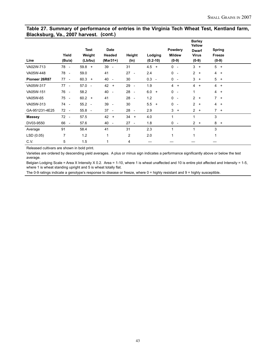#### **Table 27. Summary of performance of entries in the Virginia Tech Wheat Test, Kentland farm, Blacksburg, Va., 2007 harvest. (cont.)**

| Line           | Yield<br>(Bu/a)                | <b>Test</b><br>Weight<br>(Lb/bu) | Date<br>Headed<br>$(Mar31+)$ | (ln)           | Height                   | $(0.2 - 10)$ | Lodging | Powdery<br>$(0-9)$ | <b>Mildew</b>            | <b>Barley</b><br>Yellow<br><b>Dwarf</b><br><b>Virus</b><br>$(0-9)$ |     | <b>Spring</b><br>Freeze<br>$(0-9)$ |  |
|----------------|--------------------------------|----------------------------------|------------------------------|----------------|--------------------------|--------------|---------|--------------------|--------------------------|--------------------------------------------------------------------|-----|------------------------------------|--|
| VA02W-713      | 78 -                           | $59.8 +$                         | $39 -$                       | 31             |                          | $4.5 +$      |         | $0 -$              |                          | $3 +$                                                              |     | $5 +$                              |  |
| VA05W-448      | 78 -                           | 59.0                             | 41                           | $27 -$         |                          | 2.4          |         | $0 -$              |                          | $2 +$                                                              |     | $4 +$                              |  |
| Pioneer 26R87  | $77 -$                         | $60.3 +$                         | 40 -                         | 30             |                          | $0.3 -$      |         | $0 -$              |                          | 3                                                                  | $+$ | $5 +$                              |  |
| VA05W-317      | $77 -$                         | $57.0 -$                         | $42 +$                       | 29             | $\overline{\phantom{a}}$ | 1.9          |         | 4                  | $\ddot{}$                | 4                                                                  | $+$ | $4 +$                              |  |
| VA05W-151      | 76<br>$\overline{\phantom{a}}$ | 58.2                             | 40 -                         | 28 -           |                          | $6.0 +$      |         | $0 -$              |                          | 1                                                                  |     | $4 +$                              |  |
| VA05W-65       | 75<br>$\overline{\phantom{a}}$ | $60.2 +$                         | 41                           | 28 -           |                          | 1.2          |         | $0 -$              |                          | $\overline{2}$                                                     | $+$ | $7 +$                              |  |
| VA05W-313      | 74 -                           | $55.2 -$                         | $39 -$                       | 30             |                          | 5.5          | $+$     | $0 -$              |                          | $\overline{2}$                                                     | $+$ | $4 +$                              |  |
| GA-951231-4E25 | $72 -$                         | $55.8 -$                         | $37 -$                       | 28 -           |                          | 2.9          |         | $3 +$              |                          | $2 +$                                                              |     | $7 +$                              |  |
| <b>Massey</b>  | 72<br>$\overline{\phantom{a}}$ | 57.5                             | $42 +$                       | $34 +$         |                          | 4.0          |         | 1                  |                          | 1                                                                  |     | 3                                  |  |
| DV03-9550      | 66<br>$\overline{a}$           | 57.6                             | 40 -                         | $27 -$         |                          | 1.8          |         | 0                  | $\overline{\phantom{a}}$ | $2 +$                                                              |     | $8 +$                              |  |
| Average        | 91                             | 58.4                             | 41                           | 31             |                          | 2.3          |         | 1                  |                          | 1                                                                  |     | 3                                  |  |
| LSD (0.05)     | 7                              | 1.2                              | 1                            | $\overline{c}$ |                          | 2.0          |         | 1                  |                          | $\mathbf{1}$                                                       |     | 1                                  |  |
| C.V.           | 5                              | 1.5                              | 1                            | 4              |                          |              |         |                    |                          |                                                                    |     |                                    |  |

Released cultivars are shown in bold print.

Varieties are ordered by descending yield averages. A plus or minus sign indicates a performance significantly above or below the test average.

Belgian Lodging Scale = Area X Intensity X 0.2. Area = 1-10, where 1 is wheat unaffected and 10 is entire plot affected and Intensity = 1-5, where 1 is wheat standing upright and 5 is wheat totally flat.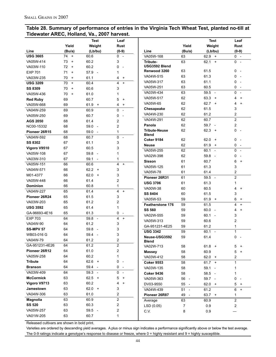### **Table 28. Summary of performance of entries in the Virginia Tech Wheat Test, planted no-till at Tidewater AREC, Holland, Va., 2007 harvest.**

| Yield<br>Weight<br>Yield<br>Rust<br>Weight<br>Rust<br>(Lb/bu)<br>$(0-9)$<br>(Lb/bu)<br>$(0-9)$<br>Line<br>(Bu/a)<br>Line<br>(Bu/a)<br><b>USG 3665</b><br>74<br>60.6<br>0<br>VA05W-168<br>$0 -$<br>$+$<br>$\sim$<br>63<br>$62.9 +$<br>VA05W-414<br>73<br>60.2<br>3<br>0<br>$+$<br>Tribute-<br>63<br>62.1<br>$+$<br>USG3592 Blend<br>60.2<br>72<br>VA03W-110<br>0<br>$+$<br>$\overline{\phantom{a}}$<br>61.5<br>63<br>0<br>Renwood 3260<br>$\sim$<br><b>EXP 701</b><br>71<br>57.9<br>$\ddot{}$<br>$\overline{\phantom{a}}$<br>1<br>63<br>61.3<br>0<br>VA04W-515<br>VA03W-235<br>70<br>61.1<br>$\overline{+}$<br>4<br>$\ddot{}$<br>63<br>61.1<br>0<br>VA05W-317<br>$\overline{\phantom{a}}$<br>60.4<br><b>USG 3209</b><br>70<br>$\ddot{}$<br>4<br>$\ddot{}$<br>63<br>60.5<br>0<br>VA05W-251<br>60.6<br>3<br><b>SS 8309</b><br>70<br>$\ddot{}$<br>63<br>0<br>$59.5 -$<br>VA03W-434<br>$\sim$<br>70<br>61.0<br>VA05W-436<br>$+$<br>1<br>62<br>63.3<br>VA05W-517<br>$\ddot{}$<br>4<br>$\ddot{}$<br>69<br>60.7<br><b>Red Ruby</b><br>5<br>$\ddot{}$<br>62<br>$62.7 +$<br>VA05W-65<br>4<br>$\ddot{}$<br>69<br>61.9<br>VA05W-668<br>$+$<br>4<br>$\ddot{}$<br>62<br>61.5<br>3<br>Chesapeake<br>60.9<br>0<br>69<br>VA04W-259<br>$\sim$<br>$\overline{c}$<br>62<br>61.2<br>VA04W-230<br>60.7<br>69<br>VA05W-250<br>0<br>$\overline{2}$<br>62<br>60.7<br>VA04W-291<br>61.4<br>$\overline{c}$<br>68<br><b>AGS 2050</b><br>62<br>2<br>Panola<br>59.7 -<br>2<br>68<br>59.0<br>NC00-15332<br>$\overline{\phantom{a}}$<br>0<br><b>Tribute-Neuse</b><br>62<br>$62.3 +$<br>Pioneer 26R15<br>68<br>59.0<br>1<br><b>Blend</b><br>60.7<br>0<br>VA04W-592<br>68<br>$\sim$<br><b>Coker 9184</b><br>62<br>62.0<br>0<br>$+$<br>3<br><b>SS 8302</b><br>67<br>61.1<br>62<br>61.9<br>0<br><b>Neuse</b><br>$+$<br>60.5<br>3<br>67<br>Vigoro V9510<br>$60.1 -$<br>0<br>VA05W-255<br>62<br>59.8 -<br>VA05W-108<br>67<br>1<br>VA02W-398<br>62<br>$59.8 -$<br>0<br>67<br>59.1<br>VA03W-310<br>1<br><b>Sisson</b><br>61<br>60.7<br>6<br>$\ddot{}$<br>60.6<br>4<br>66<br>VA05W-151<br>$\ddot{}$<br>VA05W-125<br>61<br>61.3<br>3<br>$62.2 +$<br>3<br>66<br>VA04W-571<br>VA05W-78<br>61<br>61.4<br>2<br>62.0<br>3<br>66<br>M01-4377<br>$+$<br>$\overline{2}$<br>$59.5 -$<br>Pioneer 26R31<br>61<br>61.4<br>2<br>66<br>VA05W-448<br>61.3<br><b>USG 3706</b><br>61<br>1<br>66<br>60.8<br>$\mathbf{1}$<br><b>Dominion</b><br>VA00W-38<br>60<br>60.5<br>4<br>$\ddot{}$<br>61.4<br>4<br>65<br>VA04W-227<br>$\ddot{}$<br>3<br><b>SS 8404</b><br>60<br>61.5<br>61.5<br>3<br>Pioneer 26R24<br>65<br>VA05W-53<br>59<br>$61.9 +$<br>6<br>$\ddot{}$<br>2<br>65<br>61.2<br>VA03W-203<br>61.5<br>4<br><b>Featherstone 176</b><br>59<br>$\ddot{}$<br>61.4<br><b>USG 3592</b><br>65<br>1<br><b>SS 560</b><br>59<br>$60.0 -$<br>4<br>$\ddot{}$<br>GA-96693-4E16<br>65<br>61.3<br>0<br>$\overline{\phantom{a}}$<br>VA02W-555<br>59<br>$60.1 -$<br>3<br><b>EXP 703</b><br>64<br>59.8 -<br>4<br>$\ddot{}$<br>59<br>60.6<br>2<br>VA05W-313<br>3<br>61.2<br>VA04W-90<br>64<br>GA-951231-4E25<br>61.2<br>59<br>$\mathbf{1}$<br>59.8 -<br>3<br><b>SS-MPV 57</b><br>64<br>$60.1 -$<br>$\mathbf{1}$<br><b>USG 3342</b><br>59<br>59.4 -<br>3<br>WB03-016 G<br>64<br>59<br>61.4<br>Neuse-USG3592<br>0<br>61.2<br>$\overline{\mathbf{c}}$<br>VA04W-79<br>64<br>Blend<br>$\overline{2}$<br>GA-951231-4E26<br>61.2<br>64<br>VA02W-713<br>58<br>$61.8 +$<br>5<br>$^{+}$<br>2<br>61.0<br>Pioneer 26R12<br>64<br>5<br>58<br>60.9<br><b>Massey</b><br>$\ddot{}$<br>60.2<br>VA05W-258<br>64<br>1<br>58<br>$62.0 +$<br>2<br>VA03W-412<br>$62.6 +$<br><b>Tribute</b><br>64<br>0<br>$\overline{\phantom{a}}$<br>$\mathbf{1}$<br>58<br>$61.7 +$<br><b>Coker 9553</b><br><b>Branson</b><br>64<br>59.4 -<br>0<br>$\sim$<br>58<br>VA03W-135<br>$59.1 -$<br>1<br>VA03W-409<br>0<br>64<br>$59.3 -$<br>$\overline{\phantom{a}}$<br>58<br>58.5 -<br>1<br><b>Coker 9436</b><br><b>McCormick</b><br>63<br>$62.5 +$<br>5<br>$\ddot{}$<br>0<br>56 -<br>VA05W-363<br>$59.7 -$<br>$\sim$<br>60.2<br>Vigoro V9713<br>63<br>$\ddot{}$<br>4<br>5<br>DV03-9550<br>55<br>$62.0 +$<br>$+$<br>$\sim$<br>$62.0 +$<br>3<br>63<br><b>Jamestown</b><br>6<br>VA04W-439<br>51<br>61.2<br>$+$<br>$\sim$<br>61.0<br>2<br>VA04W-306<br>63<br>Pioneer 26R87<br>49<br>$63.7 +$<br>1<br>$\overline{\phantom{a}}$<br>$\overline{\mathbf{c}}$<br>63<br>60.9<br><b>Magnolia</b><br>$\overline{c}$<br>60.9<br>Average<br>63<br>$\overline{\mathbf{c}}$<br>63<br><b>SS 520</b><br>60.3<br>2<br>LSD (0.05)<br>7<br>0.9<br>2<br>VA05W-257<br>63<br>$59.5 -$<br>C.V.<br>8<br>0.9 |           |    | <b>Test</b> | Leaf |  | <b>Test</b> | Leaf |
|------------------------------------------------------------------------------------------------------------------------------------------------------------------------------------------------------------------------------------------------------------------------------------------------------------------------------------------------------------------------------------------------------------------------------------------------------------------------------------------------------------------------------------------------------------------------------------------------------------------------------------------------------------------------------------------------------------------------------------------------------------------------------------------------------------------------------------------------------------------------------------------------------------------------------------------------------------------------------------------------------------------------------------------------------------------------------------------------------------------------------------------------------------------------------------------------------------------------------------------------------------------------------------------------------------------------------------------------------------------------------------------------------------------------------------------------------------------------------------------------------------------------------------------------------------------------------------------------------------------------------------------------------------------------------------------------------------------------------------------------------------------------------------------------------------------------------------------------------------------------------------------------------------------------------------------------------------------------------------------------------------------------------------------------------------------------------------------------------------------------------------------------------------------------------------------------------------------------------------------------------------------------------------------------------------------------------------------------------------------------------------------------------------------------------------------------------------------------------------------------------------------------------------------------------------------------------------------------------------------------------------------------------------------------------------------------------------------------------------------------------------------------------------------------------------------------------------------------------------------------------------------------------------------------------------------------------------------------------------------------------------------------------------------------------------------------------------------------------------------------------------------------------------------------------------------------------------------------------------------------------------------------------------------------------------------------------------------------------------------------------------------------------------------------------------------------------------------------------------------------------------------------------------------------------------------------------------------------------------------------------------------------------------------------------------------------------------------------------------------------------------------------------------------------------------------------------------------------------------------------------------------------------------------------------------------------------------------------------------------------------------------------------------------------------------------------------------------------------------------------------------------------------------------------------------------------------------------------------------------------------------------------------------------------------------------------------------------------------------------------------------------------------------------------------------------------------------------------------------------------------------------------------------------------------------|-----------|----|-------------|------|--|-------------|------|
|                                                                                                                                                                                                                                                                                                                                                                                                                                                                                                                                                                                                                                                                                                                                                                                                                                                                                                                                                                                                                                                                                                                                                                                                                                                                                                                                                                                                                                                                                                                                                                                                                                                                                                                                                                                                                                                                                                                                                                                                                                                                                                                                                                                                                                                                                                                                                                                                                                                                                                                                                                                                                                                                                                                                                                                                                                                                                                                                                                                                                                                                                                                                                                                                                                                                                                                                                                                                                                                                                                                                                                                                                                                                                                                                                                                                                                                                                                                                                                                                                                                                                                                                                                                                                                                                                                                                                                                                                                                                                                                                                            |           |    |             |      |  |             |      |
|                                                                                                                                                                                                                                                                                                                                                                                                                                                                                                                                                                                                                                                                                                                                                                                                                                                                                                                                                                                                                                                                                                                                                                                                                                                                                                                                                                                                                                                                                                                                                                                                                                                                                                                                                                                                                                                                                                                                                                                                                                                                                                                                                                                                                                                                                                                                                                                                                                                                                                                                                                                                                                                                                                                                                                                                                                                                                                                                                                                                                                                                                                                                                                                                                                                                                                                                                                                                                                                                                                                                                                                                                                                                                                                                                                                                                                                                                                                                                                                                                                                                                                                                                                                                                                                                                                                                                                                                                                                                                                                                                            |           |    |             |      |  |             |      |
|                                                                                                                                                                                                                                                                                                                                                                                                                                                                                                                                                                                                                                                                                                                                                                                                                                                                                                                                                                                                                                                                                                                                                                                                                                                                                                                                                                                                                                                                                                                                                                                                                                                                                                                                                                                                                                                                                                                                                                                                                                                                                                                                                                                                                                                                                                                                                                                                                                                                                                                                                                                                                                                                                                                                                                                                                                                                                                                                                                                                                                                                                                                                                                                                                                                                                                                                                                                                                                                                                                                                                                                                                                                                                                                                                                                                                                                                                                                                                                                                                                                                                                                                                                                                                                                                                                                                                                                                                                                                                                                                                            |           |    |             |      |  |             |      |
|                                                                                                                                                                                                                                                                                                                                                                                                                                                                                                                                                                                                                                                                                                                                                                                                                                                                                                                                                                                                                                                                                                                                                                                                                                                                                                                                                                                                                                                                                                                                                                                                                                                                                                                                                                                                                                                                                                                                                                                                                                                                                                                                                                                                                                                                                                                                                                                                                                                                                                                                                                                                                                                                                                                                                                                                                                                                                                                                                                                                                                                                                                                                                                                                                                                                                                                                                                                                                                                                                                                                                                                                                                                                                                                                                                                                                                                                                                                                                                                                                                                                                                                                                                                                                                                                                                                                                                                                                                                                                                                                                            |           |    |             |      |  |             |      |
|                                                                                                                                                                                                                                                                                                                                                                                                                                                                                                                                                                                                                                                                                                                                                                                                                                                                                                                                                                                                                                                                                                                                                                                                                                                                                                                                                                                                                                                                                                                                                                                                                                                                                                                                                                                                                                                                                                                                                                                                                                                                                                                                                                                                                                                                                                                                                                                                                                                                                                                                                                                                                                                                                                                                                                                                                                                                                                                                                                                                                                                                                                                                                                                                                                                                                                                                                                                                                                                                                                                                                                                                                                                                                                                                                                                                                                                                                                                                                                                                                                                                                                                                                                                                                                                                                                                                                                                                                                                                                                                                                            |           |    |             |      |  |             |      |
|                                                                                                                                                                                                                                                                                                                                                                                                                                                                                                                                                                                                                                                                                                                                                                                                                                                                                                                                                                                                                                                                                                                                                                                                                                                                                                                                                                                                                                                                                                                                                                                                                                                                                                                                                                                                                                                                                                                                                                                                                                                                                                                                                                                                                                                                                                                                                                                                                                                                                                                                                                                                                                                                                                                                                                                                                                                                                                                                                                                                                                                                                                                                                                                                                                                                                                                                                                                                                                                                                                                                                                                                                                                                                                                                                                                                                                                                                                                                                                                                                                                                                                                                                                                                                                                                                                                                                                                                                                                                                                                                                            |           |    |             |      |  |             |      |
|                                                                                                                                                                                                                                                                                                                                                                                                                                                                                                                                                                                                                                                                                                                                                                                                                                                                                                                                                                                                                                                                                                                                                                                                                                                                                                                                                                                                                                                                                                                                                                                                                                                                                                                                                                                                                                                                                                                                                                                                                                                                                                                                                                                                                                                                                                                                                                                                                                                                                                                                                                                                                                                                                                                                                                                                                                                                                                                                                                                                                                                                                                                                                                                                                                                                                                                                                                                                                                                                                                                                                                                                                                                                                                                                                                                                                                                                                                                                                                                                                                                                                                                                                                                                                                                                                                                                                                                                                                                                                                                                                            |           |    |             |      |  |             |      |
|                                                                                                                                                                                                                                                                                                                                                                                                                                                                                                                                                                                                                                                                                                                                                                                                                                                                                                                                                                                                                                                                                                                                                                                                                                                                                                                                                                                                                                                                                                                                                                                                                                                                                                                                                                                                                                                                                                                                                                                                                                                                                                                                                                                                                                                                                                                                                                                                                                                                                                                                                                                                                                                                                                                                                                                                                                                                                                                                                                                                                                                                                                                                                                                                                                                                                                                                                                                                                                                                                                                                                                                                                                                                                                                                                                                                                                                                                                                                                                                                                                                                                                                                                                                                                                                                                                                                                                                                                                                                                                                                                            |           |    |             |      |  |             |      |
|                                                                                                                                                                                                                                                                                                                                                                                                                                                                                                                                                                                                                                                                                                                                                                                                                                                                                                                                                                                                                                                                                                                                                                                                                                                                                                                                                                                                                                                                                                                                                                                                                                                                                                                                                                                                                                                                                                                                                                                                                                                                                                                                                                                                                                                                                                                                                                                                                                                                                                                                                                                                                                                                                                                                                                                                                                                                                                                                                                                                                                                                                                                                                                                                                                                                                                                                                                                                                                                                                                                                                                                                                                                                                                                                                                                                                                                                                                                                                                                                                                                                                                                                                                                                                                                                                                                                                                                                                                                                                                                                                            |           |    |             |      |  |             |      |
|                                                                                                                                                                                                                                                                                                                                                                                                                                                                                                                                                                                                                                                                                                                                                                                                                                                                                                                                                                                                                                                                                                                                                                                                                                                                                                                                                                                                                                                                                                                                                                                                                                                                                                                                                                                                                                                                                                                                                                                                                                                                                                                                                                                                                                                                                                                                                                                                                                                                                                                                                                                                                                                                                                                                                                                                                                                                                                                                                                                                                                                                                                                                                                                                                                                                                                                                                                                                                                                                                                                                                                                                                                                                                                                                                                                                                                                                                                                                                                                                                                                                                                                                                                                                                                                                                                                                                                                                                                                                                                                                                            |           |    |             |      |  |             |      |
|                                                                                                                                                                                                                                                                                                                                                                                                                                                                                                                                                                                                                                                                                                                                                                                                                                                                                                                                                                                                                                                                                                                                                                                                                                                                                                                                                                                                                                                                                                                                                                                                                                                                                                                                                                                                                                                                                                                                                                                                                                                                                                                                                                                                                                                                                                                                                                                                                                                                                                                                                                                                                                                                                                                                                                                                                                                                                                                                                                                                                                                                                                                                                                                                                                                                                                                                                                                                                                                                                                                                                                                                                                                                                                                                                                                                                                                                                                                                                                                                                                                                                                                                                                                                                                                                                                                                                                                                                                                                                                                                                            |           |    |             |      |  |             |      |
|                                                                                                                                                                                                                                                                                                                                                                                                                                                                                                                                                                                                                                                                                                                                                                                                                                                                                                                                                                                                                                                                                                                                                                                                                                                                                                                                                                                                                                                                                                                                                                                                                                                                                                                                                                                                                                                                                                                                                                                                                                                                                                                                                                                                                                                                                                                                                                                                                                                                                                                                                                                                                                                                                                                                                                                                                                                                                                                                                                                                                                                                                                                                                                                                                                                                                                                                                                                                                                                                                                                                                                                                                                                                                                                                                                                                                                                                                                                                                                                                                                                                                                                                                                                                                                                                                                                                                                                                                                                                                                                                                            |           |    |             |      |  |             |      |
|                                                                                                                                                                                                                                                                                                                                                                                                                                                                                                                                                                                                                                                                                                                                                                                                                                                                                                                                                                                                                                                                                                                                                                                                                                                                                                                                                                                                                                                                                                                                                                                                                                                                                                                                                                                                                                                                                                                                                                                                                                                                                                                                                                                                                                                                                                                                                                                                                                                                                                                                                                                                                                                                                                                                                                                                                                                                                                                                                                                                                                                                                                                                                                                                                                                                                                                                                                                                                                                                                                                                                                                                                                                                                                                                                                                                                                                                                                                                                                                                                                                                                                                                                                                                                                                                                                                                                                                                                                                                                                                                                            |           |    |             |      |  |             |      |
|                                                                                                                                                                                                                                                                                                                                                                                                                                                                                                                                                                                                                                                                                                                                                                                                                                                                                                                                                                                                                                                                                                                                                                                                                                                                                                                                                                                                                                                                                                                                                                                                                                                                                                                                                                                                                                                                                                                                                                                                                                                                                                                                                                                                                                                                                                                                                                                                                                                                                                                                                                                                                                                                                                                                                                                                                                                                                                                                                                                                                                                                                                                                                                                                                                                                                                                                                                                                                                                                                                                                                                                                                                                                                                                                                                                                                                                                                                                                                                                                                                                                                                                                                                                                                                                                                                                                                                                                                                                                                                                                                            |           |    |             |      |  |             |      |
|                                                                                                                                                                                                                                                                                                                                                                                                                                                                                                                                                                                                                                                                                                                                                                                                                                                                                                                                                                                                                                                                                                                                                                                                                                                                                                                                                                                                                                                                                                                                                                                                                                                                                                                                                                                                                                                                                                                                                                                                                                                                                                                                                                                                                                                                                                                                                                                                                                                                                                                                                                                                                                                                                                                                                                                                                                                                                                                                                                                                                                                                                                                                                                                                                                                                                                                                                                                                                                                                                                                                                                                                                                                                                                                                                                                                                                                                                                                                                                                                                                                                                                                                                                                                                                                                                                                                                                                                                                                                                                                                                            |           |    |             |      |  |             |      |
|                                                                                                                                                                                                                                                                                                                                                                                                                                                                                                                                                                                                                                                                                                                                                                                                                                                                                                                                                                                                                                                                                                                                                                                                                                                                                                                                                                                                                                                                                                                                                                                                                                                                                                                                                                                                                                                                                                                                                                                                                                                                                                                                                                                                                                                                                                                                                                                                                                                                                                                                                                                                                                                                                                                                                                                                                                                                                                                                                                                                                                                                                                                                                                                                                                                                                                                                                                                                                                                                                                                                                                                                                                                                                                                                                                                                                                                                                                                                                                                                                                                                                                                                                                                                                                                                                                                                                                                                                                                                                                                                                            |           |    |             |      |  |             |      |
|                                                                                                                                                                                                                                                                                                                                                                                                                                                                                                                                                                                                                                                                                                                                                                                                                                                                                                                                                                                                                                                                                                                                                                                                                                                                                                                                                                                                                                                                                                                                                                                                                                                                                                                                                                                                                                                                                                                                                                                                                                                                                                                                                                                                                                                                                                                                                                                                                                                                                                                                                                                                                                                                                                                                                                                                                                                                                                                                                                                                                                                                                                                                                                                                                                                                                                                                                                                                                                                                                                                                                                                                                                                                                                                                                                                                                                                                                                                                                                                                                                                                                                                                                                                                                                                                                                                                                                                                                                                                                                                                                            |           |    |             |      |  |             |      |
|                                                                                                                                                                                                                                                                                                                                                                                                                                                                                                                                                                                                                                                                                                                                                                                                                                                                                                                                                                                                                                                                                                                                                                                                                                                                                                                                                                                                                                                                                                                                                                                                                                                                                                                                                                                                                                                                                                                                                                                                                                                                                                                                                                                                                                                                                                                                                                                                                                                                                                                                                                                                                                                                                                                                                                                                                                                                                                                                                                                                                                                                                                                                                                                                                                                                                                                                                                                                                                                                                                                                                                                                                                                                                                                                                                                                                                                                                                                                                                                                                                                                                                                                                                                                                                                                                                                                                                                                                                                                                                                                                            |           |    |             |      |  |             |      |
|                                                                                                                                                                                                                                                                                                                                                                                                                                                                                                                                                                                                                                                                                                                                                                                                                                                                                                                                                                                                                                                                                                                                                                                                                                                                                                                                                                                                                                                                                                                                                                                                                                                                                                                                                                                                                                                                                                                                                                                                                                                                                                                                                                                                                                                                                                                                                                                                                                                                                                                                                                                                                                                                                                                                                                                                                                                                                                                                                                                                                                                                                                                                                                                                                                                                                                                                                                                                                                                                                                                                                                                                                                                                                                                                                                                                                                                                                                                                                                                                                                                                                                                                                                                                                                                                                                                                                                                                                                                                                                                                                            |           |    |             |      |  |             |      |
|                                                                                                                                                                                                                                                                                                                                                                                                                                                                                                                                                                                                                                                                                                                                                                                                                                                                                                                                                                                                                                                                                                                                                                                                                                                                                                                                                                                                                                                                                                                                                                                                                                                                                                                                                                                                                                                                                                                                                                                                                                                                                                                                                                                                                                                                                                                                                                                                                                                                                                                                                                                                                                                                                                                                                                                                                                                                                                                                                                                                                                                                                                                                                                                                                                                                                                                                                                                                                                                                                                                                                                                                                                                                                                                                                                                                                                                                                                                                                                                                                                                                                                                                                                                                                                                                                                                                                                                                                                                                                                                                                            |           |    |             |      |  |             |      |
|                                                                                                                                                                                                                                                                                                                                                                                                                                                                                                                                                                                                                                                                                                                                                                                                                                                                                                                                                                                                                                                                                                                                                                                                                                                                                                                                                                                                                                                                                                                                                                                                                                                                                                                                                                                                                                                                                                                                                                                                                                                                                                                                                                                                                                                                                                                                                                                                                                                                                                                                                                                                                                                                                                                                                                                                                                                                                                                                                                                                                                                                                                                                                                                                                                                                                                                                                                                                                                                                                                                                                                                                                                                                                                                                                                                                                                                                                                                                                                                                                                                                                                                                                                                                                                                                                                                                                                                                                                                                                                                                                            |           |    |             |      |  |             |      |
|                                                                                                                                                                                                                                                                                                                                                                                                                                                                                                                                                                                                                                                                                                                                                                                                                                                                                                                                                                                                                                                                                                                                                                                                                                                                                                                                                                                                                                                                                                                                                                                                                                                                                                                                                                                                                                                                                                                                                                                                                                                                                                                                                                                                                                                                                                                                                                                                                                                                                                                                                                                                                                                                                                                                                                                                                                                                                                                                                                                                                                                                                                                                                                                                                                                                                                                                                                                                                                                                                                                                                                                                                                                                                                                                                                                                                                                                                                                                                                                                                                                                                                                                                                                                                                                                                                                                                                                                                                                                                                                                                            |           |    |             |      |  |             |      |
|                                                                                                                                                                                                                                                                                                                                                                                                                                                                                                                                                                                                                                                                                                                                                                                                                                                                                                                                                                                                                                                                                                                                                                                                                                                                                                                                                                                                                                                                                                                                                                                                                                                                                                                                                                                                                                                                                                                                                                                                                                                                                                                                                                                                                                                                                                                                                                                                                                                                                                                                                                                                                                                                                                                                                                                                                                                                                                                                                                                                                                                                                                                                                                                                                                                                                                                                                                                                                                                                                                                                                                                                                                                                                                                                                                                                                                                                                                                                                                                                                                                                                                                                                                                                                                                                                                                                                                                                                                                                                                                                                            |           |    |             |      |  |             |      |
|                                                                                                                                                                                                                                                                                                                                                                                                                                                                                                                                                                                                                                                                                                                                                                                                                                                                                                                                                                                                                                                                                                                                                                                                                                                                                                                                                                                                                                                                                                                                                                                                                                                                                                                                                                                                                                                                                                                                                                                                                                                                                                                                                                                                                                                                                                                                                                                                                                                                                                                                                                                                                                                                                                                                                                                                                                                                                                                                                                                                                                                                                                                                                                                                                                                                                                                                                                                                                                                                                                                                                                                                                                                                                                                                                                                                                                                                                                                                                                                                                                                                                                                                                                                                                                                                                                                                                                                                                                                                                                                                                            |           |    |             |      |  |             |      |
|                                                                                                                                                                                                                                                                                                                                                                                                                                                                                                                                                                                                                                                                                                                                                                                                                                                                                                                                                                                                                                                                                                                                                                                                                                                                                                                                                                                                                                                                                                                                                                                                                                                                                                                                                                                                                                                                                                                                                                                                                                                                                                                                                                                                                                                                                                                                                                                                                                                                                                                                                                                                                                                                                                                                                                                                                                                                                                                                                                                                                                                                                                                                                                                                                                                                                                                                                                                                                                                                                                                                                                                                                                                                                                                                                                                                                                                                                                                                                                                                                                                                                                                                                                                                                                                                                                                                                                                                                                                                                                                                                            |           |    |             |      |  |             |      |
|                                                                                                                                                                                                                                                                                                                                                                                                                                                                                                                                                                                                                                                                                                                                                                                                                                                                                                                                                                                                                                                                                                                                                                                                                                                                                                                                                                                                                                                                                                                                                                                                                                                                                                                                                                                                                                                                                                                                                                                                                                                                                                                                                                                                                                                                                                                                                                                                                                                                                                                                                                                                                                                                                                                                                                                                                                                                                                                                                                                                                                                                                                                                                                                                                                                                                                                                                                                                                                                                                                                                                                                                                                                                                                                                                                                                                                                                                                                                                                                                                                                                                                                                                                                                                                                                                                                                                                                                                                                                                                                                                            |           |    |             |      |  |             |      |
|                                                                                                                                                                                                                                                                                                                                                                                                                                                                                                                                                                                                                                                                                                                                                                                                                                                                                                                                                                                                                                                                                                                                                                                                                                                                                                                                                                                                                                                                                                                                                                                                                                                                                                                                                                                                                                                                                                                                                                                                                                                                                                                                                                                                                                                                                                                                                                                                                                                                                                                                                                                                                                                                                                                                                                                                                                                                                                                                                                                                                                                                                                                                                                                                                                                                                                                                                                                                                                                                                                                                                                                                                                                                                                                                                                                                                                                                                                                                                                                                                                                                                                                                                                                                                                                                                                                                                                                                                                                                                                                                                            |           |    |             |      |  |             |      |
|                                                                                                                                                                                                                                                                                                                                                                                                                                                                                                                                                                                                                                                                                                                                                                                                                                                                                                                                                                                                                                                                                                                                                                                                                                                                                                                                                                                                                                                                                                                                                                                                                                                                                                                                                                                                                                                                                                                                                                                                                                                                                                                                                                                                                                                                                                                                                                                                                                                                                                                                                                                                                                                                                                                                                                                                                                                                                                                                                                                                                                                                                                                                                                                                                                                                                                                                                                                                                                                                                                                                                                                                                                                                                                                                                                                                                                                                                                                                                                                                                                                                                                                                                                                                                                                                                                                                                                                                                                                                                                                                                            |           |    |             |      |  |             |      |
|                                                                                                                                                                                                                                                                                                                                                                                                                                                                                                                                                                                                                                                                                                                                                                                                                                                                                                                                                                                                                                                                                                                                                                                                                                                                                                                                                                                                                                                                                                                                                                                                                                                                                                                                                                                                                                                                                                                                                                                                                                                                                                                                                                                                                                                                                                                                                                                                                                                                                                                                                                                                                                                                                                                                                                                                                                                                                                                                                                                                                                                                                                                                                                                                                                                                                                                                                                                                                                                                                                                                                                                                                                                                                                                                                                                                                                                                                                                                                                                                                                                                                                                                                                                                                                                                                                                                                                                                                                                                                                                                                            |           |    |             |      |  |             |      |
|                                                                                                                                                                                                                                                                                                                                                                                                                                                                                                                                                                                                                                                                                                                                                                                                                                                                                                                                                                                                                                                                                                                                                                                                                                                                                                                                                                                                                                                                                                                                                                                                                                                                                                                                                                                                                                                                                                                                                                                                                                                                                                                                                                                                                                                                                                                                                                                                                                                                                                                                                                                                                                                                                                                                                                                                                                                                                                                                                                                                                                                                                                                                                                                                                                                                                                                                                                                                                                                                                                                                                                                                                                                                                                                                                                                                                                                                                                                                                                                                                                                                                                                                                                                                                                                                                                                                                                                                                                                                                                                                                            |           |    |             |      |  |             |      |
|                                                                                                                                                                                                                                                                                                                                                                                                                                                                                                                                                                                                                                                                                                                                                                                                                                                                                                                                                                                                                                                                                                                                                                                                                                                                                                                                                                                                                                                                                                                                                                                                                                                                                                                                                                                                                                                                                                                                                                                                                                                                                                                                                                                                                                                                                                                                                                                                                                                                                                                                                                                                                                                                                                                                                                                                                                                                                                                                                                                                                                                                                                                                                                                                                                                                                                                                                                                                                                                                                                                                                                                                                                                                                                                                                                                                                                                                                                                                                                                                                                                                                                                                                                                                                                                                                                                                                                                                                                                                                                                                                            |           |    |             |      |  |             |      |
|                                                                                                                                                                                                                                                                                                                                                                                                                                                                                                                                                                                                                                                                                                                                                                                                                                                                                                                                                                                                                                                                                                                                                                                                                                                                                                                                                                                                                                                                                                                                                                                                                                                                                                                                                                                                                                                                                                                                                                                                                                                                                                                                                                                                                                                                                                                                                                                                                                                                                                                                                                                                                                                                                                                                                                                                                                                                                                                                                                                                                                                                                                                                                                                                                                                                                                                                                                                                                                                                                                                                                                                                                                                                                                                                                                                                                                                                                                                                                                                                                                                                                                                                                                                                                                                                                                                                                                                                                                                                                                                                                            |           |    |             |      |  |             |      |
|                                                                                                                                                                                                                                                                                                                                                                                                                                                                                                                                                                                                                                                                                                                                                                                                                                                                                                                                                                                                                                                                                                                                                                                                                                                                                                                                                                                                                                                                                                                                                                                                                                                                                                                                                                                                                                                                                                                                                                                                                                                                                                                                                                                                                                                                                                                                                                                                                                                                                                                                                                                                                                                                                                                                                                                                                                                                                                                                                                                                                                                                                                                                                                                                                                                                                                                                                                                                                                                                                                                                                                                                                                                                                                                                                                                                                                                                                                                                                                                                                                                                                                                                                                                                                                                                                                                                                                                                                                                                                                                                                            |           |    |             |      |  |             |      |
|                                                                                                                                                                                                                                                                                                                                                                                                                                                                                                                                                                                                                                                                                                                                                                                                                                                                                                                                                                                                                                                                                                                                                                                                                                                                                                                                                                                                                                                                                                                                                                                                                                                                                                                                                                                                                                                                                                                                                                                                                                                                                                                                                                                                                                                                                                                                                                                                                                                                                                                                                                                                                                                                                                                                                                                                                                                                                                                                                                                                                                                                                                                                                                                                                                                                                                                                                                                                                                                                                                                                                                                                                                                                                                                                                                                                                                                                                                                                                                                                                                                                                                                                                                                                                                                                                                                                                                                                                                                                                                                                                            |           |    |             |      |  |             |      |
|                                                                                                                                                                                                                                                                                                                                                                                                                                                                                                                                                                                                                                                                                                                                                                                                                                                                                                                                                                                                                                                                                                                                                                                                                                                                                                                                                                                                                                                                                                                                                                                                                                                                                                                                                                                                                                                                                                                                                                                                                                                                                                                                                                                                                                                                                                                                                                                                                                                                                                                                                                                                                                                                                                                                                                                                                                                                                                                                                                                                                                                                                                                                                                                                                                                                                                                                                                                                                                                                                                                                                                                                                                                                                                                                                                                                                                                                                                                                                                                                                                                                                                                                                                                                                                                                                                                                                                                                                                                                                                                                                            |           |    |             |      |  |             |      |
|                                                                                                                                                                                                                                                                                                                                                                                                                                                                                                                                                                                                                                                                                                                                                                                                                                                                                                                                                                                                                                                                                                                                                                                                                                                                                                                                                                                                                                                                                                                                                                                                                                                                                                                                                                                                                                                                                                                                                                                                                                                                                                                                                                                                                                                                                                                                                                                                                                                                                                                                                                                                                                                                                                                                                                                                                                                                                                                                                                                                                                                                                                                                                                                                                                                                                                                                                                                                                                                                                                                                                                                                                                                                                                                                                                                                                                                                                                                                                                                                                                                                                                                                                                                                                                                                                                                                                                                                                                                                                                                                                            |           |    |             |      |  |             |      |
|                                                                                                                                                                                                                                                                                                                                                                                                                                                                                                                                                                                                                                                                                                                                                                                                                                                                                                                                                                                                                                                                                                                                                                                                                                                                                                                                                                                                                                                                                                                                                                                                                                                                                                                                                                                                                                                                                                                                                                                                                                                                                                                                                                                                                                                                                                                                                                                                                                                                                                                                                                                                                                                                                                                                                                                                                                                                                                                                                                                                                                                                                                                                                                                                                                                                                                                                                                                                                                                                                                                                                                                                                                                                                                                                                                                                                                                                                                                                                                                                                                                                                                                                                                                                                                                                                                                                                                                                                                                                                                                                                            |           |    |             |      |  |             |      |
|                                                                                                                                                                                                                                                                                                                                                                                                                                                                                                                                                                                                                                                                                                                                                                                                                                                                                                                                                                                                                                                                                                                                                                                                                                                                                                                                                                                                                                                                                                                                                                                                                                                                                                                                                                                                                                                                                                                                                                                                                                                                                                                                                                                                                                                                                                                                                                                                                                                                                                                                                                                                                                                                                                                                                                                                                                                                                                                                                                                                                                                                                                                                                                                                                                                                                                                                                                                                                                                                                                                                                                                                                                                                                                                                                                                                                                                                                                                                                                                                                                                                                                                                                                                                                                                                                                                                                                                                                                                                                                                                                            |           |    |             |      |  |             |      |
|                                                                                                                                                                                                                                                                                                                                                                                                                                                                                                                                                                                                                                                                                                                                                                                                                                                                                                                                                                                                                                                                                                                                                                                                                                                                                                                                                                                                                                                                                                                                                                                                                                                                                                                                                                                                                                                                                                                                                                                                                                                                                                                                                                                                                                                                                                                                                                                                                                                                                                                                                                                                                                                                                                                                                                                                                                                                                                                                                                                                                                                                                                                                                                                                                                                                                                                                                                                                                                                                                                                                                                                                                                                                                                                                                                                                                                                                                                                                                                                                                                                                                                                                                                                                                                                                                                                                                                                                                                                                                                                                                            |           |    |             |      |  |             |      |
|                                                                                                                                                                                                                                                                                                                                                                                                                                                                                                                                                                                                                                                                                                                                                                                                                                                                                                                                                                                                                                                                                                                                                                                                                                                                                                                                                                                                                                                                                                                                                                                                                                                                                                                                                                                                                                                                                                                                                                                                                                                                                                                                                                                                                                                                                                                                                                                                                                                                                                                                                                                                                                                                                                                                                                                                                                                                                                                                                                                                                                                                                                                                                                                                                                                                                                                                                                                                                                                                                                                                                                                                                                                                                                                                                                                                                                                                                                                                                                                                                                                                                                                                                                                                                                                                                                                                                                                                                                                                                                                                                            |           |    |             |      |  |             |      |
|                                                                                                                                                                                                                                                                                                                                                                                                                                                                                                                                                                                                                                                                                                                                                                                                                                                                                                                                                                                                                                                                                                                                                                                                                                                                                                                                                                                                                                                                                                                                                                                                                                                                                                                                                                                                                                                                                                                                                                                                                                                                                                                                                                                                                                                                                                                                                                                                                                                                                                                                                                                                                                                                                                                                                                                                                                                                                                                                                                                                                                                                                                                                                                                                                                                                                                                                                                                                                                                                                                                                                                                                                                                                                                                                                                                                                                                                                                                                                                                                                                                                                                                                                                                                                                                                                                                                                                                                                                                                                                                                                            |           |    |             |      |  |             |      |
|                                                                                                                                                                                                                                                                                                                                                                                                                                                                                                                                                                                                                                                                                                                                                                                                                                                                                                                                                                                                                                                                                                                                                                                                                                                                                                                                                                                                                                                                                                                                                                                                                                                                                                                                                                                                                                                                                                                                                                                                                                                                                                                                                                                                                                                                                                                                                                                                                                                                                                                                                                                                                                                                                                                                                                                                                                                                                                                                                                                                                                                                                                                                                                                                                                                                                                                                                                                                                                                                                                                                                                                                                                                                                                                                                                                                                                                                                                                                                                                                                                                                                                                                                                                                                                                                                                                                                                                                                                                                                                                                                            |           |    |             |      |  |             |      |
|                                                                                                                                                                                                                                                                                                                                                                                                                                                                                                                                                                                                                                                                                                                                                                                                                                                                                                                                                                                                                                                                                                                                                                                                                                                                                                                                                                                                                                                                                                                                                                                                                                                                                                                                                                                                                                                                                                                                                                                                                                                                                                                                                                                                                                                                                                                                                                                                                                                                                                                                                                                                                                                                                                                                                                                                                                                                                                                                                                                                                                                                                                                                                                                                                                                                                                                                                                                                                                                                                                                                                                                                                                                                                                                                                                                                                                                                                                                                                                                                                                                                                                                                                                                                                                                                                                                                                                                                                                                                                                                                                            |           |    |             |      |  |             |      |
|                                                                                                                                                                                                                                                                                                                                                                                                                                                                                                                                                                                                                                                                                                                                                                                                                                                                                                                                                                                                                                                                                                                                                                                                                                                                                                                                                                                                                                                                                                                                                                                                                                                                                                                                                                                                                                                                                                                                                                                                                                                                                                                                                                                                                                                                                                                                                                                                                                                                                                                                                                                                                                                                                                                                                                                                                                                                                                                                                                                                                                                                                                                                                                                                                                                                                                                                                                                                                                                                                                                                                                                                                                                                                                                                                                                                                                                                                                                                                                                                                                                                                                                                                                                                                                                                                                                                                                                                                                                                                                                                                            |           |    |             |      |  |             |      |
|                                                                                                                                                                                                                                                                                                                                                                                                                                                                                                                                                                                                                                                                                                                                                                                                                                                                                                                                                                                                                                                                                                                                                                                                                                                                                                                                                                                                                                                                                                                                                                                                                                                                                                                                                                                                                                                                                                                                                                                                                                                                                                                                                                                                                                                                                                                                                                                                                                                                                                                                                                                                                                                                                                                                                                                                                                                                                                                                                                                                                                                                                                                                                                                                                                                                                                                                                                                                                                                                                                                                                                                                                                                                                                                                                                                                                                                                                                                                                                                                                                                                                                                                                                                                                                                                                                                                                                                                                                                                                                                                                            |           |    |             |      |  |             |      |
|                                                                                                                                                                                                                                                                                                                                                                                                                                                                                                                                                                                                                                                                                                                                                                                                                                                                                                                                                                                                                                                                                                                                                                                                                                                                                                                                                                                                                                                                                                                                                                                                                                                                                                                                                                                                                                                                                                                                                                                                                                                                                                                                                                                                                                                                                                                                                                                                                                                                                                                                                                                                                                                                                                                                                                                                                                                                                                                                                                                                                                                                                                                                                                                                                                                                                                                                                                                                                                                                                                                                                                                                                                                                                                                                                                                                                                                                                                                                                                                                                                                                                                                                                                                                                                                                                                                                                                                                                                                                                                                                                            |           |    |             |      |  |             |      |
|                                                                                                                                                                                                                                                                                                                                                                                                                                                                                                                                                                                                                                                                                                                                                                                                                                                                                                                                                                                                                                                                                                                                                                                                                                                                                                                                                                                                                                                                                                                                                                                                                                                                                                                                                                                                                                                                                                                                                                                                                                                                                                                                                                                                                                                                                                                                                                                                                                                                                                                                                                                                                                                                                                                                                                                                                                                                                                                                                                                                                                                                                                                                                                                                                                                                                                                                                                                                                                                                                                                                                                                                                                                                                                                                                                                                                                                                                                                                                                                                                                                                                                                                                                                                                                                                                                                                                                                                                                                                                                                                                            |           |    |             |      |  |             |      |
|                                                                                                                                                                                                                                                                                                                                                                                                                                                                                                                                                                                                                                                                                                                                                                                                                                                                                                                                                                                                                                                                                                                                                                                                                                                                                                                                                                                                                                                                                                                                                                                                                                                                                                                                                                                                                                                                                                                                                                                                                                                                                                                                                                                                                                                                                                                                                                                                                                                                                                                                                                                                                                                                                                                                                                                                                                                                                                                                                                                                                                                                                                                                                                                                                                                                                                                                                                                                                                                                                                                                                                                                                                                                                                                                                                                                                                                                                                                                                                                                                                                                                                                                                                                                                                                                                                                                                                                                                                                                                                                                                            |           |    |             |      |  |             |      |
|                                                                                                                                                                                                                                                                                                                                                                                                                                                                                                                                                                                                                                                                                                                                                                                                                                                                                                                                                                                                                                                                                                                                                                                                                                                                                                                                                                                                                                                                                                                                                                                                                                                                                                                                                                                                                                                                                                                                                                                                                                                                                                                                                                                                                                                                                                                                                                                                                                                                                                                                                                                                                                                                                                                                                                                                                                                                                                                                                                                                                                                                                                                                                                                                                                                                                                                                                                                                                                                                                                                                                                                                                                                                                                                                                                                                                                                                                                                                                                                                                                                                                                                                                                                                                                                                                                                                                                                                                                                                                                                                                            |           |    |             |      |  |             |      |
|                                                                                                                                                                                                                                                                                                                                                                                                                                                                                                                                                                                                                                                                                                                                                                                                                                                                                                                                                                                                                                                                                                                                                                                                                                                                                                                                                                                                                                                                                                                                                                                                                                                                                                                                                                                                                                                                                                                                                                                                                                                                                                                                                                                                                                                                                                                                                                                                                                                                                                                                                                                                                                                                                                                                                                                                                                                                                                                                                                                                                                                                                                                                                                                                                                                                                                                                                                                                                                                                                                                                                                                                                                                                                                                                                                                                                                                                                                                                                                                                                                                                                                                                                                                                                                                                                                                                                                                                                                                                                                                                                            |           |    |             |      |  |             |      |
|                                                                                                                                                                                                                                                                                                                                                                                                                                                                                                                                                                                                                                                                                                                                                                                                                                                                                                                                                                                                                                                                                                                                                                                                                                                                                                                                                                                                                                                                                                                                                                                                                                                                                                                                                                                                                                                                                                                                                                                                                                                                                                                                                                                                                                                                                                                                                                                                                                                                                                                                                                                                                                                                                                                                                                                                                                                                                                                                                                                                                                                                                                                                                                                                                                                                                                                                                                                                                                                                                                                                                                                                                                                                                                                                                                                                                                                                                                                                                                                                                                                                                                                                                                                                                                                                                                                                                                                                                                                                                                                                                            | VA01W-205 | 63 | 60.7        | 1    |  |             |      |

Released cultivars are shown in bold print.

Varieties are ordered by descending yield averages. A plus or minus sign indicates a performance significantly above or below the test average. The 0-9 ratings indicate a genotype's response to disease or freeze, where 0 = highly resistant and 9 = highly susceptible.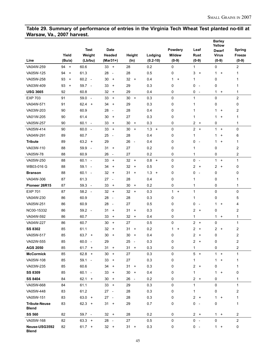## **Table 29. Summary of performance of entries in the Virginia Tech Wheat Test planted no-till at Warsaw, Va., 2007 harvest.**

|                                      |                 |                                  |                                        |                                        |              |                           |                               | <b>Barley</b><br>Yellow               |                |
|--------------------------------------|-----------------|----------------------------------|----------------------------------------|----------------------------------------|--------------|---------------------------|-------------------------------|---------------------------------------|----------------|
|                                      |                 | <b>Test</b>                      | <b>Date</b>                            |                                        |              | Powdery                   | Leaf                          | <b>Dwarf</b>                          | <b>Spring</b>  |
|                                      | Yield           | Weight                           | Headed                                 | Height                                 | Lodging      | <b>Mildew</b>             | Rust                          | <b>Virus</b>                          | Freeze         |
| Line                                 | (Bu/a)          | (Lb/bu)                          | (Mar31+)                               | $(\ln)$                                | $(0.2 - 10)$ | $(0-9)$                   | $(0-9)$                       | $(0-9)$                               | $(0-9)$        |
| VA04W-259                            | 94 +            | 60.6                             | $33 +$                                 | 28                                     | 0.2          | 0                         | 1                             | 0                                     | 2              |
| VA05W-125                            | 94<br>$+$       | 61.3                             | 28<br>$\overline{\phantom{a}}$         | 28                                     | 0.5          | 0                         | 3<br>$\overline{+}$           | 1<br>$\ddot{}$                        | 1              |
| VA05W-258                            | 93<br>$\ddot{}$ | 60.2<br>$\sim$                   | 30<br>$\ddot{}$                        | 32<br>$\ddot{}$                        | 0.4          | 1<br>$\ddot{}$            | 1                             | 0                                     | 1              |
| VA03W-409                            | 93<br>$\ddot{}$ | 59.7 -                           | 33<br>$\ddot{}$                        | 29                                     | 0.3          | 0                         | 0<br>$\overline{\phantom{a}}$ | 0                                     | 1              |
| <b>USG 3665</b>                      | 92              | 60.8                             | 32<br>$\ddot{}$                        | 29                                     | 0.4          | 0                         | 0<br>$\overline{\phantom{a}}$ | 1.<br>$+$                             | 1              |
| <b>EXP 703</b>                       | 91              | 59.0<br>$\overline{\phantom{a}}$ | 33<br>$\ddot{}$                        | 30<br>$\ddot{}$                        | 0.3          | 0                         | $\mathbf{1}$                  | 0                                     | $\overline{c}$ |
| VA04W-571                            | 91              | 62.4<br>$+$                      | 34<br>$\ddot{}$                        | 29                                     | 0.3          | 0                         | 1                             | 0                                     | 0              |
| VA03W-203                            | 90              | 60.9                             | 28<br>$\overline{\phantom{a}}$         | 28                                     | 0.4          | 0                         | 1                             | 1<br>$\ddot{}$                        | 2              |
| VA01W-205                            | 90              | 61.4                             | 30<br>$\ddot{}$                        | 27                                     | 0.3          | 0                         | 1                             | 1<br>$\ddot{}$                        | 1              |
| VA05W-257                            | 90              | 60.1<br>$\overline{a}$           | 33<br>$\ddot{}$                        | 30<br>$\begin{array}{c} + \end{array}$ | 0.3          | 0                         | 2<br>$+$                      | 0                                     | 1              |
| VA05W-414                            | 90              | 60.0<br>$\sim$                   | 33<br>$\ddot{}$                        | 30<br>$\ddot{}$                        | 1.3<br>$+$   | 0                         | $2 +$                         | $\mathbf{1}$<br>$\ddot{}$             | 0              |
| VA04W-291                            | 89              | 60.7                             | 25<br>$\overline{\phantom{a}}$         | 28                                     | 0.4          | 0                         | 1                             | 1<br>$\ddot{}$                        | 6              |
| <b>Tribute</b>                       | 89              | $63.2 +$                         | 29                                     | 26<br>$\overline{\phantom{a}}$         | 0.4          | 0                         | 0<br>$\overline{\phantom{a}}$ | 1<br>$\ddot{}$                        | 1              |
| VA03W-110                            | 88              | 59.9<br>$\overline{\phantom{a}}$ | 31<br>$\begin{array}{c} + \end{array}$ | 27                                     | 0.2          | 0                         | 1                             | 0                                     | 2              |
| VA05W-78                             | 88              | 60.9                             | 26<br>$\overline{\phantom{a}}$         | 27                                     | 0.2          | 0                         | $\mathbf{1}$                  | 0                                     | $\overline{c}$ |
| VA05W-250                            | 88              | $60.1 -$                         | 33<br>$\ddot{}$                        | 32<br>$+$                              | 0.8<br>$+$   | 0                         | 0<br>$\sim$                   | $\mathbf{1}$<br>$\ddot{}$             | $\mathbf{1}$   |
| WB03-016 G                           | 88              | 59.1<br>$\overline{a}$           | 34<br>$\ddot{}$                        | 32<br>$\ddot{}$                        | 0.5          | 0                         | 2<br>$+$                      | $\overline{2}$<br>$\ddot{}$           | 0              |
| <b>Branson</b>                       | 88              | $60.1 -$                         | 32<br>$+$                              | 31<br>$\begin{array}{c} + \end{array}$ | $1.3 +$      | 0                         | 0<br>$\overline{\phantom{a}}$ | 0                                     | 0              |
| VA04W-306                            | 87              | 61.3                             | 27<br>$\overline{\phantom{a}}$         | 28                                     | 0.4          | 0                         | 1                             | 0                                     | 1              |
| Pioneer 26R15                        | 87              | 59.3<br>$\overline{\phantom{a}}$ | 33<br>$+$                              | 30<br>$\ddot{}$                        | 0.2          | 0                         | 1                             | 0                                     | 1              |
| <b>EXP 701</b>                       | 87              | $58.2 -$                         | $32 +$                                 | 32<br>$\ddot{}$                        | 0.3          | $\mathbf{1}$<br>$\ddot{}$ | 1                             | 0                                     | 0              |
| VA04W-230                            | 86              | 60.9                             | 28<br>$\overline{\phantom{a}}$         | 28                                     | 0.3          | 0                         | 1                             | 0                                     | 5              |
| VA05W-251                            | 86              | 60.9                             | 28<br>$\overline{\phantom{a}}$         | 27                                     | 0.5          | 0                         | 0<br>$\overline{\phantom{a}}$ | 1<br>$\ddot{}$                        | 4              |
| NC00-15332                           | 86              | $59.2 -$                         | 31<br>$\ddot{}$                        | 31<br>$\ddot{}$                        | 0.3          | 0                         | 2<br>$\overline{+}$           | 0                                     | 2              |
| VA04W-592                            | 86              | 60.7                             | 33<br>$\ddot{}$                        | 32<br>$\ddot{}$                        | 0.4          | 0                         | 1                             | 1.<br>$\ddot{}$                       | 1              |
| VA04W-227                            | 86              | 60.7                             | 30<br>$+$                              | 27                                     | 0.5          | 0                         | 2<br>$+$                      | 0                                     | $\mathbf{1}$   |
| <b>SS 8302</b>                       | 85              | 61.1                             | 32<br>$\ddot{}$                        | 31<br>$\ddot{}$                        | 0.2          | 1<br>$\ddot{}$            | 2<br>$+$                      | 2<br>$\begin{array}{c} + \end{array}$ | 2              |
| VA05W-517                            | 85              | $63.7 +$                         | 30<br>$\ddot{}$                        | 30<br>$\ddot{}$                        | 0.4          | 0                         | 2<br>$\overline{+}$           | 0                                     | 2              |
| VA02W-555                            | 85              | 60.0                             | 29                                     | 25                                     | 0.3          | 0                         | $\overline{c}$<br>$+$         | 0                                     | $\mathfrak{p}$ |
| <b>AGS 2050</b>                      | 85              | $61.7 +$                         | $31 +$                                 | 31 +                                   | 0.3          | 0                         | 1                             | 0                                     | 2              |
| <b>McCormick</b>                     | 85              | $62.8 +$                         | $30 +$                                 | 27                                     | 0.3          | 0                         | $5 +$                         | $1 +$                                 | 1              |
| VA05W-108                            | 85              | $59.1 -$                         | 33<br>$\ddot{}$                        | 27                                     | 0.3          | 0                         | 1                             | 1<br>$\ddot{}$                        | 1              |
| VA03W-235                            | 85              | 60.6                             | 34<br>$+$                              | 31<br>$\ddot{}$                        | 0.3          | 0                         | 2<br>$+$                      | 0                                     | 1              |
| SS 8309                              | 85              | $60.1 -$                         | 33<br>$^{+}$                           | 30<br>$^{+}$                           | 0.4          | 0                         | 1                             | 1.<br>$\ddot{}$                       | 0              |
| SS 8404                              | 84              | $62.1 +$                         | $30 +$                                 | 26 -                                   | 0.2          | 0                         | $2 +$                         | 0                                     | 1              |
| VA05W-668                            | 84              | 61.1                             | $33 +$                                 | 29                                     | 0.3          | 0                         | 1                             | 0                                     | $\mathbf{1}$   |
| VA05W-448                            | 83              | 61.2                             | $27 -$                                 | 28                                     | 0.3          | 0                         | 1                             | 0                                     | 2              |
| VA05W-151                            | 83              | $63.0 +$                         | $27 -$                                 | 28                                     | 0.3          | 0                         | 2<br>$+$                      | 1<br>$\ddot{}$                        | 1              |
| <b>Tribute-Neuse</b><br><b>Blend</b> | 83              | $62.3 +$                         | $31 +$                                 | 29                                     | 0.7          | 0                         | 0<br>$\sim$                   | 0                                     | 1              |
| <b>SS 560</b>                        | 82              | 59.7 -                           | $32 +$                                 | 28                                     | 0.2          | 0                         | $2 +$                         | $1 +$                                 | $\overline{c}$ |
| VA05W-168                            | 82              | $63.3 +$                         | 28 -                                   | 27                                     | 0.5          | 0                         | $0 -$                         | 0                                     | $\mathbf{2}$   |
| Neuse-USG3592<br><b>Blend</b>        | 82              | $61.7 +$                         | $32 +$                                 | $31 +$                                 | 0.3          | 0                         | 0<br>$\sim$                   | $1 +$                                 | 0              |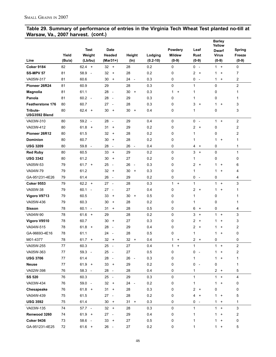#### **Table 29. Summary of performance of entries in the Virginia Tech Wheat Test planted no-till at Warsaw, Va., 2007 harvest. (cont.)**

|                           |            |                                  |                                        |                                |              |                           |                               | <b>Barley</b><br>Yellow   |                |
|---------------------------|------------|----------------------------------|----------------------------------------|--------------------------------|--------------|---------------------------|-------------------------------|---------------------------|----------------|
|                           |            | <b>Test</b>                      | <b>Date</b>                            |                                |              | Powdery                   | Leaf                          | <b>Dwarf</b>              | Spring         |
|                           | Yield      | Weight                           | Headed                                 | Height                         | Lodging      | <b>Mildew</b>             | Rust                          | <b>Virus</b>              | Freeze         |
| Line                      | (Bu/a)     | (Lb/bu)                          | (Mar31+)                               | $(\ln)$                        | $(0.2 - 10)$ | $(0-9)$                   | $(0-9)$                       | $(0-9)$                   | $(0-9)$        |
| <b>Coker 9184</b>         | 82         | 62.4<br>$+$                      | $32 +$                                 | 28                             | 0.2          | 0                         | 0<br>$\sim$                   | 1<br>$+$                  | 0              |
| <b>SS-MPV 57</b>          | 81         | 58.9<br>$\overline{\phantom{a}}$ | 32<br>$\ddot{}$                        | 28                             | 0.2          | 0                         | 2<br>$+$                      | $\mathbf{1}$<br>$\ddot{}$ | 7              |
| VA05W-317                 | 81         | 60.6                             | 30<br>$\ddot{}$                        | 24<br>$\overline{\phantom{a}}$ | 0.3          | 0                         | 0<br>$\overline{\phantom{a}}$ | 1<br>$\ddot{}$            | 2              |
| Pioneer 26R24             | 81         | 60.9                             | 29                                     | 28                             | 0.3          | 0                         | 1                             | 0                         | $\overline{c}$ |
| Magnolia                  | 81         | 61.1                             | $28 -$                                 | 30<br>$\ddot{}$                | 0.3          | $\mathbf{1}$<br>$\ddot{}$ | 1                             | 0                         | 1              |
| Panola                    | 81         | $60.2 -$                         | 28<br>$\sim$                           | 29                             | 0.3          | 0                         | 1                             | 0                         | 1              |
| <b>Featherstone 176</b>   | 80         | 60.7                             | 27<br>$\overline{\phantom{a}}$         | 28                             | 0.3          | 0                         | 3<br>$+$                      | 1<br>$\ddot{}$            | 3              |
| Tribute-<br>USG3592 Blend | 80         | $62.4 +$                         | 30<br>$+$                              | 30<br>$\ddot{}$                | 0.4          | 0                         | 1                             | 0                         | 3              |
| VA03W-310                 | 80         | $59.2 -$                         | 28<br>$\sim$                           | 29                             | 0.4          | 0                         | $\mathbf 0$<br>$\sim$         | $\mathbf{1}$<br>$\ddot{}$ | $\overline{c}$ |
| VA03W-412                 | 80         | 61.8<br>$+$                      | 31<br>$\ddot{}$                        | 29                             | 0.2          | 0                         | 2<br>$+$                      | 0                         | 2              |
| Pioneer 26R12             | 80         | 61.5                             | 32<br>$\ddot{}$                        | 28                             | 0.2          | 0                         | 1                             | 0                         | 2              |
| <b>Dominion</b>           | 80         | 60.7                             | 30<br>$\ddot{}$                        | 28                             | 0.2          | 0                         | 1                             | 1<br>$\ddot{}$            | 1              |
| <b>USG 3209</b>           | 80         | 59.8 -                           | 28<br>$\overline{\phantom{a}}$         | 26<br>$\overline{\phantom{a}}$ | 0.4          | 0                         | 4<br>$+$                      | 0                         | 1              |
| <b>Red Ruby</b>           | 80         | 60.5                             | 33<br>$+$                              | 29                             | 0.2          | 0                         | 3<br>$+$                      | 0                         | $\mathbf{1}$   |
| <b>USG 3342</b>           | 80         | 61.2                             | 30<br>$\ddot{}$                        | 27                             | 0.2          | 0                         | 1                             | 0                         | 0              |
| VA05W-53                  | 79         | $61.7 +$                         | 25<br>$\sim$                           | 26<br>$\overline{\phantom{a}}$ | 0.3          | 0                         | 2<br>$\ddot{}$                | 1<br>$\ddot{}$            | 6              |
| VA04W-79                  | 79         | 61.2                             | 32<br>$\ddot{}$                        | 30<br>$\ddot{}$                | 0.3          | 0                         | 1                             | 1<br>$\ddot{}$            | 4              |
| GA-951231-4E26            | 79         | 61.4                             | 26<br>$\sim$                           | 29                             | 0.2          | 0                         | 0<br>$\sim$                   | 0                         | 4              |
| <b>Coker 9553</b>         | 79         | $62.2 +$                         | $27 -$                                 | 28                             | 0.3          | $\mathbf{1}$<br>$+$       | $\mathbf{1}$                  | $\mathbf{1}$<br>$\ddot{}$ | 3              |
| VA00W-38                  | 79         | 60.1<br>$\overline{\phantom{a}}$ | $27 -$                                 | 27                             | 0.4          | 0                         | $\overline{2}$<br>$+$         | $\mathbf{1}$<br>$\ddot{}$ | 1              |
| Vigoro V9713              | 79         | 60.5                             | 33<br>$\ddot{}$                        | 30<br>$\ddot{}$                | 0.5          | 0                         | $\mathbf{1}$                  | 0                         | 1              |
| VA05W-436                 | 79         | 60.3                             | 30<br>$\begin{array}{c} + \end{array}$ | 28                             | 0.2          | 0                         | 1                             | 0                         | 1              |
| Sisson                    | 78         | 60.1<br>$\sim$                   | 31<br>$\begin{array}{c} + \end{array}$ | 28                             | 0.5          | 0                         | 6<br>$+$                      | 0                         | 4              |
| VA04W-90                  | 78         | $61.6 +$                         | 29                                     | 28                             | 0.2          | 0                         | 3<br>$\ddot{}$                | $\mathbf{1}$<br>$\ddot{}$ | 3              |
| Vigoro V9510              | 78         | 60.7                             | 30<br>$\ddot{}$                        | 27                             | 0.3          | 0                         | 2<br>$\overline{+}$           | 1<br>$\ddot{}$            | 3              |
| VA04W-515                 | 78         | $61.8 +$                         | 28<br>$\overline{\phantom{a}}$         | 29                             | 0.4          | 0                         | $\overline{2}$<br>$+$         | $\mathbf{1}$<br>$\ddot{}$ | 2              |
| GA-96693-4E16             | 78         | 61.1                             | 24<br>$\overline{\phantom{a}}$         | 28                             | 0.5          | 0                         | 1                             | $\mathbf{1}$<br>$\ddot{}$ | 0              |
| M01-4377                  | 78         | $61.7 +$                         | 32<br>$+$                              | $32 +$                         | 0.4          | $\mathbf{1}$<br>$\ddot{}$ | 2<br>$+$                      | 0                         | 0              |
| VA05W-255                 | 77         | 60.3                             | $25 -$                                 | 27                             | 0.4          | $\mathbf{1}$<br>$\ddot{}$ | 1                             | $\mathbf{1}$<br>$\ddot{}$ | 2              |
| VA05W-363                 | $77 \,$    | 59.3 -                           | 25 -                                   | 27                             | 0.5          | 0                         | 0<br>$\overline{\phantom{a}}$ | 1.<br>$\ddot{}$           | 2              |
| <b>USG 3706</b>           | 77         | 61.4                             | 28 -                                   | 26<br>$\sim$ $-$               | 0.3          | 0                         | 1                             | $\ddot{}$<br>$\mathbf{1}$ | 1              |
| <b>Neuse</b>              | 77         | $61.9 +$                         | $33 +$                                 | 29                             | 0.2          | 0                         | 0<br>$\overline{\phantom{a}}$ | 0                         | 1              |
| VA02W-398                 | 76         | $58.3 -$                         | 28 -                                   | 28                             | 0.4          | 0                         | 1                             | $2 +$                     | 5              |
| <b>SS 520</b>             | 76         | 60.3                             | 25 -                                   | 29                             | 0.3          | 0                         | 1                             | $\mathbf{1}$<br>$\ddot{}$ | 4              |
| VA03W-434                 | ${\bf 76}$ | 59.0 -                           | $32 +$                                 | 24 -                           | $0.2\,$      | 0                         | 1                             | 1<br>$\ddot{}$            | 0              |
| Chesapeake                | 76         | $61.8 +$                         | $31 +$                                 | 28                             | 0.3          | 0                         | 2<br>$+$                      | 0                         | 0              |
| VA04W-439                 | 75         | 61.5                             | $27 -$                                 | 28                             | $0.2\,$      | 0                         | 4<br>$\ddot{}$                | 1<br>$\ddot{}$            | 5              |
| <b>USG 3592</b>           | 75         | 61.4                             | $30 +$                                 | $31 +$                         | 0.3          | 0                         | 0<br>$\sim$                   | 1<br>$\ddot{}$            | 1              |
| VA03W-135                 | 74         | $57.7 -$                         | $32 +$                                 | 28                             | 0.3          | 0                         | 1                             | 1<br>$\ddot{}$            | 3              |
| Renwood 3260              | 74         | $61.9 +$                         | $27 -$                                 | 29                             | 0.4          | 0                         | 1                             | 1<br>$\ddot{}$            | 2              |
| <b>Coker 9436</b>         | 73         | 58.6 -                           | $33 +$                                 | 27                             | 0.5          | 0                         | 1                             | 1<br>$\ddot{}$            | 0              |
| GA-951231-4E25            | 72         | $61.6 +$                         | 26 -                                   | 27                             | 0.2          | 0                         | 1                             | 1<br>$\ddot{}$            | 5              |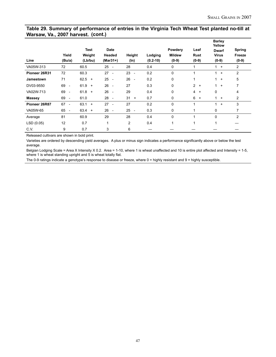#### **Table 29. Summary of performance of entries in the Virginia Tech Wheat Test planted no-till at Warsaw, Va., 2007 harvest. (cont.)**

| Line          | Yield<br>(Bu/a)                | <b>Test</b><br>Weight<br>(Lb/bu) | <b>Date</b><br>Headed<br>$(Mar31+)$ | Height<br>(In)                 | Lodging<br>$(0.2 - 10)$ | Powdery<br><b>Mildew</b><br>$(0-9)$ | Leaf<br>Rust<br>$(0-9)$  | <b>Barley</b><br>Yellow<br><b>Dwarf</b><br><b>Virus</b><br>$(0-9)$ | <b>Spring</b><br>Freeze<br>$(0-9)$ |
|---------------|--------------------------------|----------------------------------|-------------------------------------|--------------------------------|-------------------------|-------------------------------------|--------------------------|--------------------------------------------------------------------|------------------------------------|
| VA05W-313     | 72                             | 60.5                             | 25<br>$\overline{\phantom{a}}$      | 28                             | 0.4                     | 0                                   |                          | $\ddot{}$                                                          | 2                                  |
| Pioneer 26R31 | 72                             | 60.3                             | 27<br>$\overline{\phantom{a}}$      | 23<br>$\overline{\phantom{a}}$ | 0.2                     | 0                                   |                          | 1<br>$\ddot{}$                                                     | $\overline{c}$                     |
| Jamestown     | 71                             | $62.5 +$                         | 25<br>$\overline{\phantom{a}}$      | 26<br>$\overline{\phantom{a}}$ | 0.2                     | 0                                   |                          | 1<br>$\ddot{}$                                                     | $\overline{5}$                     |
| DV03-9550     | 69<br>$\overline{\phantom{a}}$ | $61.9 +$                         | 26<br>$\overline{\phantom{a}}$      | 27                             | 0.3                     | 0                                   | $\overline{2}$<br>$^{+}$ | $\overline{1}$<br>$^{+}$                                           | 7                                  |
| VA02W-713     | 69<br>$\overline{\phantom{a}}$ | $61.8 +$                         | 26<br>$\overline{\phantom{a}}$      | 29                             | 0.4                     | 0                                   | $\overline{4}$<br>$^{+}$ | $\Omega$                                                           | 4                                  |
| <b>Massey</b> | 69<br>$\overline{\phantom{a}}$ | 61.0                             | 28<br>$\sim$                        | $31 +$                         | 0.7                     | 0                                   | 6<br>$\overline{+}$      | $1 +$                                                              | 2                                  |
| Pioneer 26R87 | 67<br>$\overline{\phantom{a}}$ | 63.1<br>$+$                      | 27<br>$\sim$                        | 27                             | 0.2                     | $\mathbf{0}$                        | 1                        | $\mathbf 1$<br>$\ddot{}$                                           | 3                                  |
| VA05W-65      | 65<br>$\overline{\phantom{a}}$ | $63.4 +$                         | 26<br>$\overline{\phantom{a}}$      | 25<br>$\overline{\phantom{a}}$ | 0.3                     | 0                                   |                          | 0                                                                  | 7                                  |
| Average       | 81                             | 60.9                             | 29                                  | 28                             | 0.4                     | $\mathbf{0}$                        | и                        | $\Omega$                                                           | $\mathfrak{p}$                     |
| LSD (0.05)    | 12                             | 0.7                              | 1                                   | 2                              | 0.4                     | 1                                   | 1                        |                                                                    |                                    |
| CV.           | 9                              | 0.7                              | 3                                   | 6                              |                         |                                     |                          |                                                                    |                                    |

Released cultivars are shown in bold print.

Varieties are ordered by descending yield averages. A plus or minus sign indicates a performance significantly above or below the test average.

Belgian Lodging Scale = Area X Intensity X 0.2. Area = 1-10, where 1 is wheat unaffected and 10 is entire plot affected and Intensity = 1-5, where 1 is wheat standing upright and 5 is wheat totally flat.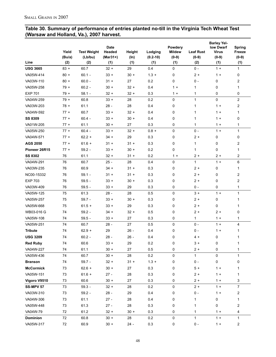#### **Table 30. Summary of performance of entries planted no-till in the Virginia Tech Wheat Test (Warsaw and Holland, Va.), 2007 harvest.**

| Line             | Yield<br>(Bu/a) | <b>Test Weight</b><br>(Lb/bu) | Date<br>Headed<br>$(Mar31+)$ | Height<br>(ln) | Lodging<br>$(0.2 - 10)$ | Powdery<br><b>Mildew</b><br>$(0-9)$ | <b>Leaf Rust</b><br>$(0-9)$ | <b>Barley Yel-</b><br>low Dwarf<br><b>Virus</b><br>$(0-9)$ | Spring<br>Freeze<br>$(0-9)$ |
|------------------|-----------------|-------------------------------|------------------------------|----------------|-------------------------|-------------------------------------|-----------------------------|------------------------------------------------------------|-----------------------------|
|                  | (2)             | (2)                           | (1)                          | (1)            | (1)                     | (1)                                 | (2)                         | (1)                                                        | (1)                         |
| <b>USG 3665</b>  | $83 +$          | 60.7                          | $32 +$                       | 29             | 0.4                     | 0                                   | $0 -$                       | $1 +$                                                      | 1                           |
| VA05W-414        | $80 +$          | $60.1 -$                      | $33 +$                       | $30 +$         | $1.3 +$                 | 0                                   | $2 +$                       | $1 +$                                                      | 0                           |
| VA03W-110        | $80 +$          | $60.0 -$                      | $31 +$                       | 27             | 0.2                     | 0                                   | $0 -$                       | 0                                                          | 2                           |
| VA05W-258        | $79 +$          | $60.2 -$                      | $30 +$                       | $32 +$         | 0.4                     | $1 +$                               | 1                           | 0                                                          | 1                           |
| <b>EXP 701</b>   | $79+$           | $58.1 -$                      | $32 +$                       | $32 +$         | 0.3                     | $1 +$                               | 1                           | 0                                                          | 0                           |
| VA04W-259        | $79+$           | 60.8                          | $33 +$                       | 28             | 0.2                     | 0                                   | $\mathbf{1}$                | 0                                                          | 2                           |
| VA03W-203        | $78 +$          | 61.1                          | $28 -$                       | 28             | 0.4                     | 0                                   | 1                           | $1 +$                                                      | 2                           |
| VA04W-592        | $77 +$          | 60.7                          | $33 +$                       | $32 +$         | 0.4                     | 0                                   | 1                           | $1 +$                                                      | 1                           |
| <b>SS 8309</b>   | $77 +$          | $60.4 -$                      | $33 +$                       | $30 +$         | 0.4                     | 0                                   | 1                           | $1 +$                                                      | 0                           |
| VA01W-205        | $77 +$          | 61.1                          | $30 +$                       | 27             | 0.3                     | 0                                   | $\mathbf{1}$                | $1 +$                                                      | 1                           |
| VA05W-250        | $77 +$          | $60.4 -$                      | $33 +$                       | $32 +$         | $0.8 +$                 | 0                                   | $0 -$                       | $1 +$                                                      | $\mathbf{1}$                |
| VA04W-571        | $77 +$          | $62.2 +$                      | $34 +$                       | 29             | 0.3                     | 0                                   | $2 +$                       | 0                                                          | 0                           |
| <b>AGS 2050</b>  | $77 +$          | $61.6 +$                      | $31 +$                       | $31 +$         | 0.3                     | 0                                   | 1                           | 0                                                          | 2                           |
| Pioneer 26R15    | $77 +$          | $59.2 -$                      | $33 +$                       | $30 +$         | 0.2                     | 0                                   | 1                           | 0                                                          | 1                           |
| <b>SS 8302</b>   | 76              | 61.1                          | $32 +$                       | $31 +$         | 0.2                     | $1 +$                               | $2+$                        | $2+$                                                       | 2                           |
| VA04W-291        | 76              | 60.7                          | $25 -$                       | 28             | 0.4                     | 0                                   | $\mathbf{1}$                | $1 +$                                                      | 6                           |
| VA03W-235        | 76              | 60.9                          | 34 +                         | $31 +$         | 0.3                     | 0                                   | $2 +$                       | 0                                                          | 1                           |
| NC00-15332       | 76              | $59.1 -$                      | $31 +$                       | $31 +$         | 0.3                     | 0                                   | $2 +$                       | 0                                                          | 2                           |
| <b>EXP 703</b>   | 76              | $59.5 -$                      | $33 +$                       | $30 +$         | 0.3                     | 0                                   | $2 +$                       | 0                                                          | 2                           |
| VA03W-409        | 76              | $59.5 -$                      | $33 +$                       | 29             | 0.3                     | 0                                   | $0 -$                       | 0                                                          | 1                           |
| VA05W-125        | 75              | 61.3                          | $28 -$                       | 28             | 0.5                     | 0                                   | $3 +$                       | $1 +$                                                      | $\mathbf{1}$                |
| VA05W-257        | 75              | $59.7 -$                      | $33 +$                       | $30 +$         | 0.3                     | 0                                   | $2 +$                       | 0                                                          | 1                           |
| VA05W-668        | 75              | $61.5 +$                      | $33 +$                       | 29             | 0.3                     | 0                                   | $2+$                        | 0                                                          | 1                           |
| WB03-016 G       | 74              | $59.2 -$                      | $34 +$                       | $32 +$         | 0.5                     | 0                                   | $2 +$                       | $2+$                                                       | 0                           |
| VA05W-108        | 74              | $59.5 -$                      | $33 +$                       | 27             | 0.3                     | 0                                   | $\mathbf{1}$                | $1 +$                                                      | $\mathbf{1}$                |
| VA05W-251        | 74              | 60.7                          | 28 -                         | 27             | 0.5                     | 0                                   | $0 -$                       | $1 +$                                                      | 4                           |
| <b>Tribute</b>   | 74              | $62.9 +$                      | 29                           | $26 -$         | 0.4                     | 0                                   | $0 -$                       | $1 +$                                                      | 1                           |
| <b>USG 3209</b>  | 74              | $60.2 -$                      | $28 -$                       | $26 -$         | 0.4                     | 0                                   | 4 +                         | 0                                                          | 1                           |
| <b>Red Ruby</b>  | 74              | 60.6                          | $33 +$                       | 29             | 0.2                     | 0                                   | $3 +$                       | 0                                                          |                             |
| VA04W-227        | 74              | 61.1                          | $30 +$                       | 27             | 0.5                     | 0                                   | $2 +$                       | 0                                                          | 1                           |
| VA05W-436        | $\bf 74$        | 60.7                          | $30 +$                       | 28             | 0.2                     | 0                                   | $\mathbf{1}$                | 0                                                          | $\mathbf{1}$                |
| <b>Branson</b>   | 74              | $59.7 -$                      | $32 +$                       | $31 +$         | $1.3 +$                 | 0                                   | $0 -$                       | $\mathsf 0$                                                | 0                           |
| <b>McCormick</b> | 73              | $62.6 +$                      | $30 +$                       | 27             | 0.3                     | 0                                   | $5+$                        | $1 +$                                                      | 1                           |
| VA05W-151        | 73              | $61.6 +$                      | $27 -$                       | 28             | 0.3                     | 0                                   | $2+$                        | $1 +$                                                      | 1                           |
| Vigoro V9510     | 73              | 60.6                          | $30 +$                       | 27             | 0.3                     | 0                                   | $2+$                        | $1 +$                                                      | 3                           |
| <b>SS-MPV 57</b> | 73              | $59.3 -$                      | $32 +$                       | 28             | 0.2                     | 0                                   | $2 +$                       | $1 +$                                                      | $\overline{7}$              |
| VA03W-310        | 73              | $59.2 -$                      | $28 -$                       | 29             | 0.4                     | 0                                   | $0 -$                       | $1 +$                                                      | 2                           |
| VA04W-306        | 73              | 61.1                          | $27 -$                       | 28             | 0.4                     | 0                                   | 1                           | 0                                                          | 1                           |
| VA05W-448        | 73              | 61.3                          | $27 -$                       | 28             | 0.3                     | 0                                   | 1                           | 0                                                          | 2                           |
| VA04W-79         | 72              | 61.2                          | $32 +$                       | $30 +$         | 0.3                     | 0                                   | 1                           | $1 +$                                                      | 4                           |
| <b>Dominion</b>  | 72              | 60.8                          | $30 +$                       | 28             | 0.2                     | 0                                   | 1                           | $1 +$                                                      | 1                           |
| VA05W-317        | 72              | 60.9                          | $30 +$                       | $24 -$         | 0.3                     | 0                                   | $0 -$                       | $1 +$                                                      | 2                           |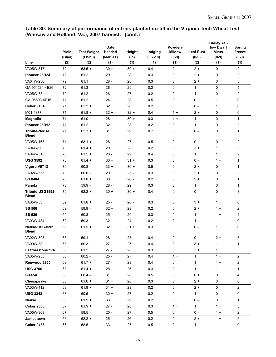#### **Table 30. Summary of performance of entries planted no-till in the Virginia Tech Wheat Test (Warsaw and Holland, Va.), 2007 harvest. (cont.)**

|                                      | Yield  | <b>Test Weight</b> | <b>Date</b><br>Headed | Height  | Lodging      | Powdery<br><b>Mildew</b> | <b>Leaf Rust</b> | <b>Barley Yel-</b><br><b>Iow Dwarf</b><br><b>Virus</b> | Spring<br>Freeze |
|--------------------------------------|--------|--------------------|-----------------------|---------|--------------|--------------------------|------------------|--------------------------------------------------------|------------------|
|                                      | (Bu/a) | (Lb/bu)            | $(Mar31+)$            | $(\ln)$ | $(0.2 - 10)$ | $(0-9)$                  | $(0-9)$          | $(0-9)$                                                | $(0-9)$          |
| Line                                 | (2)    | (2)                | (1)                   | (1)     | (1)          | (1)                      | (2)              | (1)                                                    | (1)              |
| VA05W-517                            | 72     | $63.5 +$           | $30 +$                | $30 +$  | 0.4          | 0                        | $2 +$            | 0                                                      | $\overline{a}$   |
| Pioneer 26R24                        | 72     | 61.2               | 29                    | 28      | 0.3          | 0                        | $2+$             | 0                                                      | 2                |
| VA04W-230                            | 72     | 61.1               | $28 -$                | 28      | 0.3          | 0                        | $2 +$            | 0                                                      | 5                |
| GA-951231-4E26                       | 72     | 61.3               | $26 -$                | 29      | 0.2          | 0                        | $\mathbf{1}$     | $\Omega$                                               | 4                |
| VA05W-78                             | 72     | 61.2               | $26 -$                | 27      | 0.2          | 0                        | $\mathbf{1}$     | 0                                                      | 2                |
| GA-96693-4E16                        | 71     | 61.2               | 24 -                  | 28      | 0.5          | 0                        | $0 -$            | $1 +$                                                  | 0                |
| <b>Coker 9184</b>                    | 71     | $62.2 +$           | $32 +$                | 28      | 0.2          | 0                        | $0 -$            | $1 +$                                                  | 0                |
| M01-4377                             | 71     | $61.8 +$           | $32 +$                | $32 +$  | 0.4          | $1 +$                    | $2 +$            | 0                                                      | 0                |
| Magnolia                             | 71     | 61.0               | $28 -$                | $30 +$  | 0.3          | $1 +$                    | $\mathbf{1}$     | 0                                                      | $\mathbf{1}$     |
| Pioneer 26R12                        | 71     | 61.2               | $32 +$                | 28      | 0.2          | 0                        | $\mathbf{1}$     | 0                                                      | 2                |
| <b>Tribute-Neuse</b><br><b>Blend</b> | 71     | $62.3 +$           | $31 +$                | 29      | 0.7          | 0                        | $0 -$            | 0                                                      | 1                |
| VA05W-168                            | 71     | $63.1 +$           | $28 -$                | 27      | 0.5          | 0                        | $0 -$            | 0                                                      | 2                |
| VA04W-90                             | 70     | $61.4 +$           | 29                    | 28      | 0.2          | 0                        | $3 +$            | $1 +$                                                  | 3                |
| VA04W-515                            | 70     | $61.5 +$           | $28 -$                | 29      | 0.4          | 0                        | 1                | $1 +$                                                  | $\overline{c}$   |
| <b>USG 3592</b>                      | 70     | $61.4 +$           | $30 +$                | $31 +$  | 0.3          | 0                        | $0 -$            | $1 +$                                                  | 1                |
| Vigoro V9713                         | 70     | $60.3 -$           | $33 +$                | $30 +$  | 0.5          | 0                        | $2 +$            | 0                                                      | 1                |
| VA02W-555                            | 70     | $60.0 -$           | 29                    | $25 -$  | 0.3          | 0                        | $2+$             | 0                                                      | 2                |
| <b>SS 8404</b>                       | 70     | $61.8 +$           | $30 +$                | $26 -$  | 0.2          | 0                        | $2+$             | 0                                                      | $\mathbf{1}$     |
| Panola                               | 70     | $59.9 -$           | $28 -$                | 29      | 0.3          | 0                        | $\mathbf{1}$     | 0                                                      | $\mathbf{1}$     |
| Tribute-USG3592<br><b>Blend</b>      | 70     | $62.2 +$           | $30 +$                | $30 +$  | 0.4          | 0                        | $0 -$            | 0                                                      | 3                |
| VA05W-53                             | 69     | $61.8 +$           | $25 -$                | $26 -$  | 0.3          | 0                        | $3 +$            | $1 +$                                                  | 6                |
| <b>SS 560</b>                        | 69     | $59.9 -$           | $32 +$                | 28      | 0.2          | 0                        | $2+$             | $1 +$                                                  | 2                |
| <b>SS 520</b>                        | 69     | $60.3 -$           | $25 -$                | 29      | 0.3          | 0                        | $\mathbf{1}$     | $1 +$                                                  | 4                |
| VA03W-434                            | 69     | $59.3 -$           | $32 +$                | $24 -$  | 0.2          | 0                        | $\mathbf{1}$     | $1 +$                                                  | 0                |
| Neuse-USG3592<br><b>Blend</b>        | 69     | $61.5 +$           | $32 +$                | $31 +$  | 0.3          | 0                        | $0 -$            | $1 +$                                                  | 0                |
| VA02W-398                            | 68     | $59.1 -$           | $28 -$                | 28      | 0.4          | 0                        | $0 -$            | $2 +$                                                  | 5                |
| VA00W-38                             | 68     | $60.3 -$           | 27 -                  | 27      | 0.4          | 0                        | 3 +              | $1 +$                                                  | 1                |
| <b>Featherstone 176</b>              | 68     | 61.2               | $27 -$                | 28      | 0.3          | 0                        | $3 +$            | $1 +$                                                  | 3                |
| VA05W-255                            | 68     | $60.2 -$           | $25 -$                | 27      | 0.4          | $1 +$                    | 1                | $1 +$                                                  | $\overline{c}$   |
| Renwood 3260                         | 68     | $61.7 +$           | $27 -$                | 29      | 0.4          | 0                        | 1                | $1 +$                                                  | $\overline{c}$   |
| <b>USG 3706</b>                      | 68     | $61.4 +$           | $28 -$                | $26 -$  | 0.3          | 0                        | 1                | $1 +$                                                  | 1                |
| <b>Sisson</b>                        | 68     | $60.4 -$           | $31 +$                | 28      | 0.5          | 0                        | $6+$             | 0                                                      | 4                |
| Chesapeake                           | 68     | $61.6 +$           | $31 +$                | 28      | 0.3          | 0                        | $2 +$            | 0                                                      | 0                |
| VA03W-412                            | 68     | $61.9 +$           | $31 +$                | 29      | 0.2          | 0                        | $2+$             | $\mathbf 0$                                            | $\overline{c}$   |
| <b>USG 3342</b>                      | 68     | 60.5               | $30 +$                | 27      | 0.2          | 0                        | $\mathbf 1$      | 0                                                      | 0                |
| <b>Neuse</b>                         | 68     | $61.9 +$           | $33 +$                | 29      | 0.2          | 0                        | $0 -$            | 0                                                      | 1                |
| <b>Coker 9553</b>                    | 67     | $61.9 +$           | $27 -$                | 28      | 0.3          | $1 +$                    | $\mathbf{1}$     | $1 +$                                                  | 3                |
| VA05W-363                            | 67     | $59.5 -$           | $25 -$                | 27      | 0.5          | 0                        | $0 -$            | $1 +$                                                  | 2                |
| Jamestown                            | 66     | $62.2 +$           | $25 -$                | $26 -$  | 0.2          | 0                        | $2 +$            | $1 +$                                                  | 5                |
| <b>Coker 9436</b>                    | 66     | $58.5 -$           | $33 +$                | 27      | 0.5          | 0                        | $\mathbf{1}$     | $1 +$                                                  | 0                |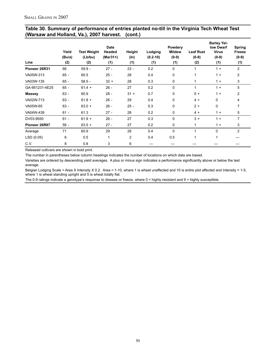|                                                  | Table 30. Summary of performance of entries planted no-till in the Virginia Tech Wheat Test |
|--------------------------------------------------|---------------------------------------------------------------------------------------------|
| (Warsaw and Holland, Va.), 2007 harvest. (cont.) |                                                                                             |

| Line           | Yield<br>(Bu/a)<br>(2) | <b>Test Weight</b><br>(Lb/bu)<br>(2) | <b>Date</b><br>Headed<br>$(Mar31+)$<br>(1) | Height<br>$(\ln)$<br>(1) | Lodging<br>$(0.2 - 10)$<br>(1) | Powdery<br><b>Mildew</b><br>$(0-9)$<br>(1) | <b>Leaf Rust</b><br>$(0-9)$<br>(2) | <b>Barley Yel-</b><br>low Dwarf<br><b>Virus</b><br>$(0-9)$<br>(1) | <b>Spring</b><br><b>Freeze</b><br>$(0-9)$<br>(1) |
|----------------|------------------------|--------------------------------------|--------------------------------------------|--------------------------|--------------------------------|--------------------------------------------|------------------------------------|-------------------------------------------------------------------|--------------------------------------------------|
| Pioneer 26R31  | 66                     | $59.9 -$                             | $27 -$                                     | $23 -$                   | 0.2                            | 0                                          | 1                                  | $1 +$                                                             | $\overline{c}$                                   |
| VA05W-313      | $65 -$                 | 60.5                                 | $25 -$                                     | 28                       | 0.4                            | 0                                          | 1                                  | $1 +$                                                             | $\overline{2}$                                   |
| VA03W-135      | $65 -$                 | $58.5 -$                             | $32 +$                                     | 28                       | 0.3                            | 0                                          | 1                                  | $1 +$                                                             | 3                                                |
| GA-951231-4E25 | $65 -$                 | $61.4 +$                             | $26 -$                                     | 27                       | 0.2                            | 0                                          | 1                                  | $1 +$                                                             | 5                                                |
| <b>Massey</b>  | $63 -$                 | 60.9                                 | $28 -$                                     | $31 +$                   | 0.7                            | 0                                          | $5+$                               | $1 +$                                                             | $\overline{2}$                                   |
| VA02W-713      | $63 -$                 | $61.8 +$                             | $26 -$                                     | 29                       | 0.4                            | 0                                          | $4 +$                              | $\mathbf 0$                                                       | 4                                                |
| VA05W-65       | $63 -$                 | $63.0 +$                             | $26 -$                                     | $25 -$                   | 0.3                            | 0                                          | $2 +$                              | $\mathbf 0$                                                       | 7                                                |
| VA04W-439      | $61 -$                 | 61.3                                 | $27 -$                                     | 28                       | 0.2                            | 0                                          | $4 +$                              | $1 +$                                                             | 5                                                |
| DV03-9550      | $61 -$                 | $61.9 +$                             | $26 -$                                     | 27                       | 0.3                            | 0                                          | $3 +$                              | $1 +$                                                             | 7                                                |
| Pioneer 26R87  | $56 -$                 | $63.5 +$                             | $27 -$                                     | 27                       | 0.2                            | 0                                          | 1                                  | $1 +$                                                             | 3                                                |
| Average        | 71                     | 60.9                                 | 29                                         | 28                       | 0.4                            | 0                                          | $\mathbf{1}$                       | $\Omega$                                                          | $\overline{2}$                                   |
| LSD (0.05)     | 6                      | 0.5                                  | 1                                          | 2                        | 0.4                            | 0.5                                        | $\mathbf{1}$                       | $\mathbf{1}$                                                      |                                                  |
| C.V.           | 8                      | 0.8                                  | 3                                          | 6                        |                                |                                            |                                    |                                                                   |                                                  |

Released cultivars are shown in bold print.

The number in parentheses below column headings indicates the number of locations on which data are based.

Varieties are ordered by descending yield averages. A plus or minus sign indicates a performance significantly above or below the test average.

Belgian Lodging Scale = Area X Intensity X 0.2. Area = 1-10, where 1 is wheat unaffected and 10 is entire plot affected and Intensity = 1-5, where 1 is wheat standing upright and 5 is wheat totally flat.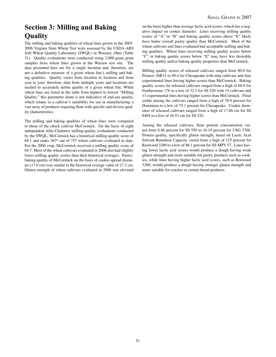# **Section 3: Milling and Baking Quality**

The milling and baking qualities of wheat lines grown in the 2005- 2006 Virginia State Wheat Test were assessed by the USDA-ARS Soft Wheat Quality Laboratory (SWQL) in Wooster, Ohio (Table 31). Quality evaluations were conducted using 2,000-gram grain samples from wheat lines grown at the Warsaw test site. The data presented here are for a single location and, therefore, are not a definitive measure of a given wheat line's milling and bak ing qualities. Quality varies from location to location and from year to year; therefore, data from multiple years and locations are needed to accurately define quality of a given wheat line. While wheat lines are listed in the table from highest to lowest "Milling Quality," this parameter alone is not indicative of end-use quality, which relates to a cultivar's suitability for use in manufacturing a vast array of products requiring flour with specific and diverse qual ity characteristics.

The milling and baking qualities of wheat lines were compared to those of the check cultivar McCormick. On the basis of eight independent Allis-Chalmers milling-quality evaluations conducted by the SWQL, McCormick has a historical milling quality score of  $68.1$  and ranks  $367<sup>th</sup>$  out of 757 wheat cultivars evaluated to date. For the 2006 crop, McCormick received a milling quality score of 64.7. Most of the wheat cultivars evaluated in 2006 also had slightly lower milling quality scores than their historical averages. Pastrybaking quality of McCormick on the basis of cookie-spread diameter (17.0 cm) was similar to the historical average value of 17.2 cm. Gluten strength of wheat cultivars evaluated in 2006 was elevated on the basis higher than average lactic acid scores, which has a negative impact on cookie diameter. Lines receiving milling quality scores of "A" or "B" and baking quality scores above "E" likely have better overall pastry quality than McCormick. Most of the wheat cultivars and lines evaluated had acceptable milling and bak ing qualities. Wheat lines receiving milling quality scores below "C" or baking quality scores below "E" may have less desirable milling quality and/or baking quality properties than McCormick.

Milling quality scores of released cultivars ranged from 80.8 for Pioneer 26R31 to 49.4 for Chesapeake with nine cultivars and four experimental lines having higher scores than McCormick. Baking quality scores for released cultivars ranged from a high of 66.9 for Featherstone 176 to a low of 32.5 for SS 520 with 15 cultivars and 13 experimental lines having higher scores than McCormick. Flour yields among the cultivars ranged from a high of 78.9 percent for Dominion to a low of 75.1 percent for Chesapeake. Cookie diameters of released cultivars ranged from a high of 17.86 cm for SS 8404 to a low of 16.53 cm for SS 520.

Among the released cultivars, flour protein concentration var ied from 8.46 percent for SS 550 to 10.19 percent for USG 3706. Protein quality, specifically gluten strength, based on Lactic Acid Solvent Retention Capacity varied from a high of 125 percent for Renwood 3260 to a low of 88.1 percent for SS-MPV 57. Lines hav ing lower lactic acid scores would produce a dough having weak gluten strength and more suitable for pastry products such as cook ies, while lines having higher lactic acid scores, such as Renwood 3260, would produce a dough having stronger gluten strength and more suitable for cracker or certain bread products.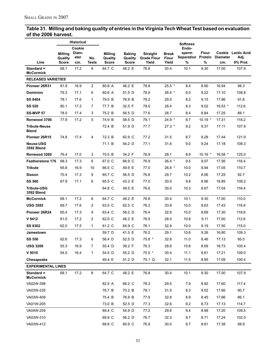#### **Table 31. Milling and baking quality of entries in the Virginia Tech Wheat Test based on evaluation of the 2006 harvest.**

|                                         |                         | <b>Historical</b> |                     |                         |                         |                             |                       | <b>Softness</b>         |              |                        |                    |
|-----------------------------------------|-------------------------|-------------------|---------------------|-------------------------|-------------------------|-----------------------------|-----------------------|-------------------------|--------------|------------------------|--------------------|
|                                         | <b>Milling</b>          | Cookie<br>Diam-   |                     | <b>Milling</b>          | <b>Baking</b>           | <b>Straight</b>             | Break                 | Endo-<br>sperm          | <b>Flour</b> | Cookie                 | <b>Lactic Acid</b> |
| Line                                    | Quality<br><b>Score</b> | eter<br>cm.       | No.<br><b>Tests</b> | Quality<br><b>Score</b> | Quality<br><b>Score</b> | <b>Grade Flour</b><br>Yield | <b>Flour</b><br>Yield | Separation Protein<br>% | %            | <b>Diameter</b><br>cm. | Adj.<br>9% Prot.   |
| Standard $=$<br><b>McCormick</b>        | 68.1                    | 17.2              | 8                   | 64.7 C                  | 48.2 E                  | 76.8                        | 30.4                  | 10.1                    | 9.30         | 17.00                  | 107.9              |
| <b>RELEASED VARIETIES</b>               |                         |                   |                     |                         |                         |                             |                       |                         |              |                        |                    |
| Pioneer 26R31                           | 81.9                    | 16.9              | $\overline{2}$      | 80.8 A                  | 46.2 E                  | 78.8                        | $25.5*$               | 8.4                     | 8.90         | 16.94                  | 98.3               |
| <b>Dominion</b>                         | 79.3                    | 17.1              | 6                   | 80.6 A                  | 51.5 D                  | 78.9                        | 26.4 *                | 8.0                     | 9.22         | 17.10                  | 108.8              |
| <b>SS 8404</b>                          | 78.1                    | 17.6              | $\mathbf{1}$        | 79.5 B                  | 76.9 B                  | 78.2                        | 29.5                  | 8.2                     | 9.15         | 17.86                  | 91.8               |
| <b>SS 520</b>                           | 80.1                    | 17.3              | $\overline{7}$      | 77.7 B                  | 32.5 F                  | 78.0                        | 28.4                  | 8.3                     | 9.02         | $16.53$ *              | 112.6              |
| <b>SS-MVP 57</b>                        | 78.5                    | 17.4              | 3                   | 75.2 B                  | 56.5 D                  | 77.6                        | 28.7                  | 8.4                     | 8.84         | 17.25                  | 88.1               |
| Renwood 3706                            | 77.9                    | 17.2              | 5                   | 74.9 B                  | 58.5 D                  | 78.1                        | $24.9*$               | 8.7                     | $10.19$ *    | 17.31                  | 118.2              |
| <b>Tribute-Neuse</b><br>Blend           |                         |                   |                     | 72.4 B                  | 51.9 D                  | 77.7                        | $27.3*$               | 9.2                     | 9.37         | 17.11                  | 107.9              |
| Pioneer 26R15                           | 74.8                    | 17.4              | 4                   | 72.3 B                  | 62.9 C                  | 77.2                        | 31.5                  | 8.7                     | 9.28         | 17.44                  | 121.9              |
| <b>Neuse-USG</b><br><b>3592 Blend</b>   |                         |                   |                     | 71.1 B                  | 54.2 D                  | 77.1                        | 31.6                  | 9.0                     | 9.24         | 17.18                  | 108.3              |
| Renwood 3260                            | 76.4                    | 17.0              | 3                   | 70.5 B                  | 34.2 F                  | 76.9                        | 28.1                  | 8.9                     | $10.16$ *    | $16.58$ *              | 125.0              |
| <b>Featherstone 176</b>                 | 68.3                    | 17.3              | 6                   | 67.0 C                  | 66.9 C                  | 76.9                        | $26.4$ *              | 9.5                     | 9.07         | 17.56                  | 116.4              |
| <b>Tribute</b>                          | 65.8                    | 16.9              | 10                  | 66.5 C                  | 49.9 E                  | 77.0                        | 26.8 *                | 10.0                    | 8.94         | 17.05                  | 110.7              |
| Sisson                                  | 70.4                    | 17.3              | 9                   | 65.7 C                  | 56.5 D                  | 76.8                        | 29.7                  | 10.2                    | 8.56         | 17.25                  | 92.7               |
| <b>SS 560</b>                           | 67.9                    | 17.1              | 6                   | 65.5 C                  | 43.2 E                  | 77.0                        | 30.0                  | 9.8                     | 8.96         | 16.85                  | 108.2              |
| <b>Tribute-USG</b><br><b>3592 Blend</b> |                         |                   |                     | 64.8 C                  | 49.5 E                  | 76.6                        | 30.0                  | 10.3                    | 8.67         | 17.04                  | 116.4              |
| <b>McCormick</b>                        | 68.1                    | 17.2              | 8                   | 64.7 C                  | 48.2 E                  | 76.8                        | 30.4                  | 10.1                    | 9.30         | 17.00                  | 110.0              |
| <b>USG 3592</b>                         | 69.7                    | 17.6              | 2                   | 63.5 C                  | 62.5 C                  | 76.2                        | 33.8                  | 10.0                    | 8.63         | 17.43                  | 116.9              |
| Pioneer 26R24                           | 65.4                    | 17.3              | 9                   | 63.4 C                  | 58.2 D                  | 76.4                        | 32.8                  | 10.0                    | 8.69         | 17.30                  | 118.6              |
| V 9412                                  | 61.5                    | 17.2              | 2                   | 62.0 C                  | 48.2 E                  | 76.9                        | 28.0                  | 10.8                    | 9.11         | 17.00                  | 112.6              |
| <b>SS 8302</b>                          | 62.0                    | 17.5              | 1                   | 61.2 C                  | 64.9 C                  | 76.1                        | 32.9                  | 10.0                    | 9.19         | 17.50                  | 115.0              |
| Jamestown                               |                         |                   |                     | 59.7 D                  | 41.5 E                  | 76.2                        | 29.1                  | 10.6                    | 9.26         | 16.80                  | 109.3              |
| <b>SS 550</b>                           | 62.6                    | 17.3              | 6                   | 56.4 D                  | 52.5 D                  | 75.8 *                      | 32.8                  | 11.0                    | 8.46         | 17.13                  | 95.0               |
| <b>USG 3209</b>                         | 55.3                    | 16.9              | 7                   | 55.4 D                  | 39.2 F                  | 76.3                        | 28.6                  | 10.8                    | 8.69         | 16.73                  | 105.4              |
| V 9510                                  | 54.5                    | 16.4              | $\mathbf{1}$        | 54.5 D                  | 55.2 D                  | $75.5*$                     | 30.4                  | 11.1                    | 8.61         | 17.21                  | 109.0              |
| Chesapeake                              |                         |                   |                     | 49.4 E                  | 51.2 D                  | 75.1 Q                      | 32.1                  | 11.5                    | 8.95         | 17.09                  | 100.4              |
| <b>EXPERIMENTAL LINES</b>               |                         |                   |                     |                         |                         |                             |                       |                         |              |                        |                    |
| Standard =<br><b>McCormick</b>          | 68.1                    | 17.2              | 8                   | 64.7 C                  | 48.2 E                  | 76.8                        | 30.4                  | 10.1                    | 9.30         | 17.00                  | 107.9              |
| VA02W-398                               |                         |                   |                     | 82.5 A                  | 68.2 C                  | 78.3                        | 29.5                  | 7.9                     | 8.92         | 17.60                  | 117.4              |
| VA03W-235                               |                         |                   |                     | 76.7 B                  | 70.2 B                  | 78.1                        | 31.5                  | 8.3                     | 9.02         | 17.66                  | 90.7               |
| VA03W-409                               |                         |                   |                     | 75.4 B                  | 76.9 B                  | 77.9                        | 32.8                  | 8.9                     | 8.45         | 17.86                  | 86.1               |
| VA01W-205                               |                         |                   |                     | 73.0 B                  | 52.5 D                  | 77.3                        | 32.6                  | 9.2                     | 8.73         | 17.13                  | 114.7              |
| VA04W-259                               |                         |                   |                     | 69.4 C                  | 54.9 D                  | 77.2                        | 29.6                  | 9.4                     | 8.98         | 17.20                  | 109.5              |
| VA03W-310                               |                         |                   |                     | 68.9 C                  | 56.2 D                  | 76.7                        | 32.3                  | 9.7                     | 8.71         | 17.24                  | 102.0              |
| VA03W-412                               |                         |                   |                     | 68.8 C                  | 60.9 C                  | 76.9                        | 30.0                  | 9.7                     | 8.61         | 17.38                  | 98.9               |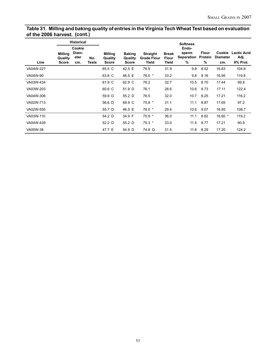#### **Table 31. Milling and baking quality of entries in the Virginia Tech Wheat Test based on evaluation of the 2006 harvest. (cont.)**

|           |                                           | <b>Historical</b>              |              |                                    |                                          |                                                |                                       | <b>Softness</b>                          |                              |                                  |                                        |
|-----------|-------------------------------------------|--------------------------------|--------------|------------------------------------|------------------------------------------|------------------------------------------------|---------------------------------------|------------------------------------------|------------------------------|----------------------------------|----------------------------------------|
| Line      | <b>Milling</b><br>Quality<br><b>Score</b> | Cookie<br>Diam-<br>eter<br>cm. | No.<br>Tests | Milling<br>Quality<br><b>Score</b> | <b>Baking</b><br>Quality<br><b>Score</b> | <b>Straight</b><br><b>Grade Flour</b><br>Yield | <b>Break</b><br><b>Flour</b><br>Yield | Endo-<br>sperm<br><b>Separation</b><br>% | <b>Flour</b><br>Protein<br>% | Cookie<br><b>Diameter</b><br>cm. | <b>Lactic Acid</b><br>Adj.<br>9% Prot. |
| VA04W-227 |                                           |                                |              | 65.5 C                             | 42.5 E                                   | 76.9                                           | 31.9                                  | 9.8                                      | 8.52                         | 16.83                            | 104.6                                  |
| VA04W-90  |                                           |                                |              | 63.8 C                             | 46.5 E                                   | $76.0*$                                        | 33.2                                  | 9.8                                      | 9.16                         | 16.95                            | 119.8                                  |
| VA03W-434 |                                           |                                |              | 61.9 C                             | 62.9 C                                   | 76.2                                           | 32.7                                  | 10.5                                     | 8.70                         | 17.44                            | 99.8                                   |
| VA03W-203 |                                           |                                |              | 60.6 C                             | 51.9 D                                   | 76.1                                           | 28.6                                  | 10.6                                     | 8.73                         | 17.11                            | 122.4                                  |
| VA04W-306 |                                           |                                |              | 59.9 D                             | 55.2 D                                   | 76.5                                           | 32.0                                  | 10.7                                     | 8.25                         | 17.21                            | 116.2                                  |
| VA02W-713 |                                           |                                |              | 56.6 D                             | 69.9 C                                   | $75.8*$                                        | 31.1                                  | 11.1                                     | 8.87                         | 17.65                            | 97.2                                   |
| VA02W-555 |                                           |                                |              | 55.7 D                             | 46.5 E                                   | $76.0*$                                        | 29.4                                  | 10.6                                     | 9.07                         | 16.95                            | 108.7                                  |
| VA03W-110 |                                           |                                |              | 54.2 D                             | 34.9 F                                   | $75.9*$                                        | 36.0                                  | 11.1                                     | 8.82                         | 16.60 $*$                        | 119.2                                  |
| VA04W-439 |                                           |                                |              | 52.2 D                             | 55.2 D                                   | $75.3*$                                        | 33.0                                  | 11.5                                     | 8.77                         | 17.21                            | 90.9                                   |
| VA00W-38  |                                           |                                |              | 47.7 E                             | 54.9 D                                   | 74.8 Q                                         | 31.5                                  |                                          | 11.6 8.29                    | 17.20                            | 124.2                                  |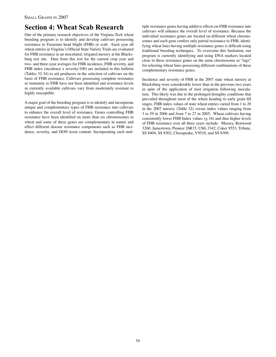# **Section 4: Wheat Scab Research**

One of the primary research objectives of the Virginia Tech wheat breeding program is to identify and develop cultivars possessing resistance to Fusarium head blight (FHB) or scab. Each year all wheat entries in Virginia's Official State Variety Trials are evaluated for FHB resistance in an inoculated, irrigated nursery at the Blacksburg test site. Data from this test for the current crop year and two- and three-year averages for FHB incidence, FHB severity, and FHB index (incidence x severity/100) are included in this bulletin (Tables 32-34) to aid producers in the selection of cultivars on the basis of FHB resistance. Cultivars possessing complete resistance or immunity to FHB have not been identified and resistance levels in currently available cultivars vary from moderately resistant to highly susceptible.

A major goal of the breeding program is to identify and incorporate unique and complementary types of FHB resistance into cultivars to enhance the overall level of resistance. Genes controlling FHB resistance have been identified on more than six chromosomes in wheat and some of these genes are complementary in nature and effect different disease resistance components such as FHB incidence, severity, and DON toxin content. Incorporating such multiple resistance genes having additive effects on FHB resistance into cultivars will enhance the overall level of resistance. Because the individual resistance genes are located on different wheat chromosomes and each gene confers only partial resistance to FHB, identifying wheat lines having multiple resistance genes is difficult using traditional breeding techniques. To overcome this limitation, our program is currently identifying and using DNA markers located close to these resistance genes on the same chromosome as "tags" for selecting wheat lines possessing different combinations of these complementary resistance genes.

Incidence and severity of FHB in the 2007 state wheat nursery at Blacksburg were considerably lower than in the previous two years in spite of the application of mist irrigation following inoculation. This likely was due to the prolonged droughty conditions that prevailed throughout most of the wheat heading to early grain fill stages. FHB index values of state wheat entries varied from 1 to 20 in the 2007 nursery (Table 32) versus index values ranging from 3 to 59 in 2006 and from 7 to 27 in 2005. Wheat cultivars having consistently lower FHB Index values  $(\leq 16)$  and thus higher levels of FHB resistance over all three years include: Massey, Renwood 3260, Jamestown, Pioneer 26R15, USG 3342, Coker 9553, Tribute, SS 8404, SS 8302, Chesapeake, V9510, and SS 8309.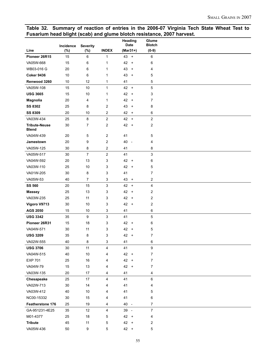## **Table 32. Summary of reaction of entries in the 2006-07 Virginia Tech State Wheat Test to Fusarium head blight (scab) and glume blotch resistance, 2007 harvest.**

|                                      | Incidence | <b>Severity</b> |                | Heading<br><b>Date</b>                 | Glume<br><b>Blotch</b>  |  |
|--------------------------------------|-----------|-----------------|----------------|----------------------------------------|-------------------------|--|
| Line                                 | (%)       | (%)             | <b>INDEX</b>   | $(Mar31+)$                             | $(0-9)$                 |  |
| Pioneer 26R15                        | 15        | 6               | 1              | 43<br>$\begin{array}{c} + \end{array}$ | 6                       |  |
| VA05W-668                            | 15        | 6               | 1              | 42<br>$\ddot{}$                        | 6                       |  |
| WB03-016 G                           | 20        | 6               | 1              | 43<br>$\ddot{}$                        | 4                       |  |
| <b>Coker 9436</b>                    | 10        | 6               | 1              | 43<br>$\ddot{}$                        | 5                       |  |
| Renwood 3260                         | 10        | 12              | 1              | 41                                     | 5                       |  |
| VA05W-108                            | 15        | 10              | 1              | $42 +$                                 | 5                       |  |
| <b>USG 3665</b>                      | 15        | 10              | 1              | 42<br>$\ddot{}$                        | 3                       |  |
| Magnolia                             | 20        | 4               | 1              | 42<br>$+$                              | 7                       |  |
| <b>SS 8302</b>                       | 25        | 8               | 2              | 43<br>$\ddot{}$                        | 8                       |  |
| <b>SS 8309</b>                       | 20        | 10              | 2              | $42 +$                                 | 6                       |  |
| VA03W-434                            | 25        | 8               | $\overline{c}$ | 42<br>$\pmb{+}$                        | $\overline{\mathbf{c}}$ |  |
| <b>Tribute-Neuse</b><br><b>Blend</b> | 30        | 7               | 2              | 42 +                                   | 2                       |  |
| VA04W-439                            | 20        | 5               | 2              | 41                                     | 5                       |  |
| Jamestown                            | 20        | 9               | $\overline{c}$ | 40<br>$\overline{\phantom{a}}$         | 4                       |  |
| VA05W-125                            | 30        | 8               | 2              | 41                                     | 8                       |  |
| VA05W-517                            | 30        | $\overline{7}$  | $\overline{c}$ | 41                                     | 3                       |  |
| VA04W-592                            | 20        | 13              | 3              | 42<br>$\ddot{}$                        | 6                       |  |
| VA03W-110                            | 25        | 10              | 3              | 42<br>$\ddot{}$                        | 5                       |  |
| VA01W-205                            | 30        | 8               | 3              | 41                                     | 7                       |  |
| VA05W-53                             | 40        | $\overline{7}$  | 3              | 43<br>$\ddot{}$                        | $\boldsymbol{2}$        |  |
| <b>SS 560</b>                        | 20        | 15              | 3              | 42<br>$\ddot{}$                        | 4                       |  |
| <b>Massey</b>                        | 25        | 13              | 3              | 42<br>$\ddot{}$                        | 2                       |  |
| VA03W-235                            | 25        | 11              | 3              | 42<br>$\ddot{}$                        | $\boldsymbol{2}$        |  |
| Vigoro V9713                         | 30        | 10              | 3              | $42 +$                                 | $\boldsymbol{2}$        |  |
| <b>AGS 2050</b>                      | 15        | 10              | 3              | 41                                     | 6                       |  |
| <b>USG 3342</b>                      | 35        | 9               | 3              | 41                                     | 5                       |  |
| Pioneer 26R31                        | 15        | 18              | 3              | 42<br>$\ddot{}$                        | 6                       |  |
| VA04W-571                            | 30        | 11              | 3              | 42<br>$\ddot{}$                        | 5                       |  |
| <b>USG 3209</b>                      | 35        | 8               | 3              | 42 +                                   | 7                       |  |
| VA02W-555                            | 40        | 8               | 3              | 41                                     | 6                       |  |
| <b>USG 3706</b>                      | 30        | 11              | 4              | 41                                     | $\boldsymbol{9}$        |  |
| VA04W-515                            | 40        | 10              | 4              | 42 +                                   | $\overline{7}$          |  |
| <b>EXP 701</b>                       | 25        | $16\,$          | 4              | $42 +$                                 | $\overline{7}$          |  |
| VA04W-79                             | 15        | 13              | 4              | 42 +                                   | $\boldsymbol{7}$        |  |
| VA03W-135                            | 20        | 17              | 4              | 41                                     | $\overline{\mathbf{4}}$ |  |
| Chesapeake                           | 25        | $17\,$          | 4              | 41                                     | 6                       |  |
| VA02W-713                            | $30\,$    | 14              | 4              | 41                                     | 4                       |  |
| VA03W-412                            | 40        | $10$            | 4              | 41                                     | $\mathbf 5$             |  |
| NC00-15332                           | $30\,$    | 15              | 4              | 41                                     | 6                       |  |
| Featherstone 176                     | 25        | 19              | 4              | 40 -                                   | $\overline{7}$          |  |
| GA-951231-4E25                       | 35        | 12              | 4              | 39 -                                   | $\overline{7}$          |  |
| M01-4377                             | 25        | $18\,$          | 5              | $42 +$                                 | 4                       |  |
| <b>Tribute</b>                       | 45        | 11              | 5              | 42 +                                   | $\boldsymbol{2}$        |  |
| VA05W-436                            | $50\,$    | 9               | 5              | 42 +                                   | $\,$ 5 $\,$             |  |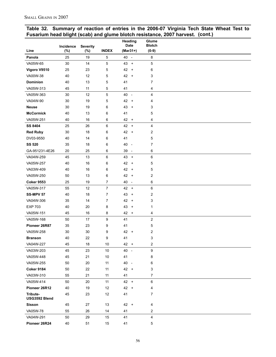|  | Table 32. Summary of reaction of entries in the 2006-07 Virginia Tech State Wheat Test to |  |  |  |  |
|--|-------------------------------------------------------------------------------------------|--|--|--|--|
|  | Fusarium head blight (scab) and glume blotch resistance, 2007 harvest. (cont.)            |  |  |  |  |

|                           |                  |                           |                | Heading                                | Glume                    |  |
|---------------------------|------------------|---------------------------|----------------|----------------------------------------|--------------------------|--|
| Line                      | Incidence<br>(%) | <b>Severity</b><br>$(\%)$ | <b>INDEX</b>   | <b>Date</b><br>$(Mar31+)$              | <b>Blotch</b><br>$(0-9)$ |  |
| Panola                    | 25               | 19                        | 5              | 40 -                                   | 8                        |  |
| VA05W-65                  | 30               | 14                        | 5              | 43<br>$\ddot{}$                        | 5                        |  |
| Vigoro V9510              | 25               | 23                        | 5              | 42<br>$+$                              | 6                        |  |
| VA00W-38                  | 40               | 12                        | 5              | 42 +                                   | 3                        |  |
| <b>Dominion</b>           | 40               | 13                        | 5              | 41                                     | 7                        |  |
| VA05W-313                 | 45               | 11                        | 5              | 41                                     | 4                        |  |
| VA05W-363                 | 30               | 12                        | 5              | 40<br>$\overline{\phantom{a}}$         | 4                        |  |
| VA04W-90                  | 30               | 19                        | 5              | 42<br>$\ddot{}$                        | 4                        |  |
| <b>Neuse</b>              | 30               | 19                        | 6              | 43<br>$\ddot{}$                        | 3                        |  |
| <b>McCormick</b>          | 40               | 13                        | 6              | 41                                     | 5                        |  |
| VA05W-251                 | 40               | 16                        | 6              | 42 +                                   | 4                        |  |
| <b>SS 8404</b>            | 25               | 26                        | 6              | 42<br>$\begin{array}{c} + \end{array}$ | 4                        |  |
| <b>Red Ruby</b>           | 30               | 18                        | 6              | 42<br>$\ddot{}$                        | $\overline{\mathbf{c}}$  |  |
| DV03-9550                 | 40               | 14                        | 6              | 41                                     | 5                        |  |
| <b>SS 520</b>             | 35               | 18                        | 6              | 40<br>$\overline{\phantom{a}}$         | 7                        |  |
| GA-951231-4E26            | 20               | 25                        | 6              | 39<br>$\overline{\phantom{a}}$         | 6                        |  |
| VA04W-259                 | 45               | 13                        | 6              | 43<br>$+$                              | 6                        |  |
| VA05W-257                 | 40               | 16                        | 6              | 42<br>$\ddot{}$                        | 5                        |  |
| VA03W-409                 | 40               | 16                        | 6              | 42<br>$+$                              | 5                        |  |
| VA05W-250                 | 50               | 13                        | 6              | 42 +                                   | $\overline{\mathbf{c}}$  |  |
| <b>Coker 9553</b>         | 25               | 19                        | 7              | 40<br>$\sim$                           | 6                        |  |
| VA05W-317                 | 55               | 12                        | $\overline{7}$ | 42<br>$+$                              | 6                        |  |
| <b>SS-MPV 57</b>          | 40               | 18                        | 7              | 43<br>$\ddot{}$                        | $\overline{\mathbf{c}}$  |  |
| VA04W-306                 | 35               | 14                        | 7              | 42<br>$^{+}$                           | 3                        |  |
| <b>EXP 703</b>            | 40               | 20                        | 8              | 43<br>$\ddot{}$                        | 1                        |  |
| VA05W-151                 | 45               | 16                        | 8              | 42<br>$\ddot{}$                        | 4                        |  |
| VA05W-168                 | 50               | 17                        | 9              | 41                                     | $\overline{\mathbf{c}}$  |  |
| Pioneer 26R87             | 35               | 23                        | 9              | 41                                     | 5                        |  |
| VA05W-258                 | 30               | 30                        | 9              | 42 +                                   | 2                        |  |
| <b>Branson</b>            | 40               | 22                        | 9              | 41                                     | 3                        |  |
| VA04W-227                 | 45               | 18                        | $10$           | 42 +                                   | 2                        |  |
| VA03W-203                 | 45               | 23                        | $10$           | 40<br>$\overline{a}$                   | 9                        |  |
| VA05W-448                 | 45               | 21                        | 10             | 41                                     | 8                        |  |
| VA05W-255                 | 50               | 20                        | 11             | 40 -                                   | 6                        |  |
| <b>Coker 9184</b>         | 50               | 22                        | 11             | $42 +$                                 | 3                        |  |
| VA03W-310                 | 55               | 21                        | 11             | 41                                     | 7                        |  |
| VA05W-414                 | 50               | 20                        | 11             | 42 +                                   | 6                        |  |
| Pioneer 26R12             | 40               | 19                        | 12             | $42 +$                                 | 4                        |  |
| Tribute-<br>USG3592 Blend | 45               | 23                        | 12             | 41                                     | 7                        |  |
| <b>Sisson</b>             | 45               | 27                        | 13             | $42 +$                                 | 4                        |  |
| VA05W-78                  | 55               | 26                        | 14             | 41                                     | 2                        |  |
| VA04W-291                 | 50               | 29                        | 15             | 41                                     | 4                        |  |
| Pioneer 26R24             | 40               | 51                        | 15             | 41                                     | 5                        |  |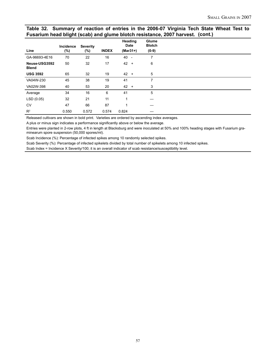#### **Table 32. Summary of reaction of entries in the 2006-07 Virginia Tech State Wheat Test to Fusarium head blight (scab) and glume blotch resistance, 2007 harvest. (cont.)**

| Line                          | Incidence<br>$(\%)$ | <b>Severity</b><br>(%) | <b>INDEX</b> | Heading<br>Date<br>$(Mar31+)$ |                          | Glume<br><b>Blotch</b><br>$(0-9)$ |
|-------------------------------|---------------------|------------------------|--------------|-------------------------------|--------------------------|-----------------------------------|
| GA-96693-4E16                 | 70                  | 22                     | 16           | 40                            | $\overline{\phantom{a}}$ | 7                                 |
| Neuse-USG3592<br><b>Blend</b> | 50                  | 32                     | 17           | 42                            | $\overline{+}$           | 6                                 |
| <b>USG 3592</b>               | 65                  | 32                     | 19           | $42 +$                        |                          | $\overline{5}$                    |
| VA04W-230                     | 45                  | 38                     | 19           | 41                            |                          | 7                                 |
| VA02W-398                     | 40                  | 53                     | 20           | $42 +$                        |                          | 3                                 |
| Average                       | 34                  | 16                     | 6            | 41                            |                          | 5                                 |
| LSD(0.05)                     | 32                  | 21                     | 11           | 1                             |                          |                                   |
| <b>CV</b>                     | 47                  | 66                     | 87           |                               |                          |                                   |
| $R^2$                         | 0.550               | 0.572                  | 0.574        | 0.824                         |                          |                                   |

Released cultivars are shown in bold print. Varieties are ordered by ascending index averages.

A plus or minus sign indicates a performance significantly above or below the average.

Entries were planted in 2-row plots, 4 ft in length at Blacksburg and were inoculated at 50% and 100% heading stages with Fusarium graminearum spore suspension (50,000 spores/ml).

Scab Incidence (%): Percentage of infected spikes among 10 randomly selected spikes.

Scab Severity (%): Percentage of infected spikelets divided by total number of spikelets among 10 infected spikes.

Scab Index = Incidence X Severity/100; it is an overall indicator of scab resistance/susceptibility level.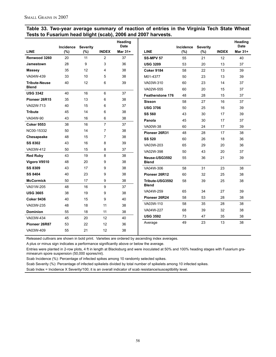#### **Table 33. Two-year average summary of reaction of entries in the Virginia Tech State Wheat Tests to Fusarium head blight (scab), 2006 and 2007 harvests.**

|                               | <b>Incidence</b> | <b>Severity</b> |                | Heading<br><b>Date</b> |                         | <b>Incidence</b> | <b>Severity</b> |              | Heading<br><b>Date</b> |
|-------------------------------|------------------|-----------------|----------------|------------------------|-------------------------|------------------|-----------------|--------------|------------------------|
| <b>LINE</b>                   | (%)              | (%)             | <b>INDEX</b>   | Mar $31+$              | <b>LINE</b>             | (%)              | (%)             | <b>INDEX</b> | Mar 31+                |
| Renwood 3260                  | 20               | 11              | $\overline{2}$ | 37                     | <b>SS-MPV 57</b>        | 55               | 21              | 12           | 40                     |
| Jamestown                     | 28               | 9               | 3              | 36                     | <b>USG 3209</b>         | 53               | 20              | 13           | 37                     |
| <b>Massey</b>                 | 35               | 12              | 4              | 38                     | <b>Coker 9184</b>       | 58               | 22              | 13           | 39                     |
| VA04W-439                     | 33               | 10              | 5              | 38                     | M01-4377                | 50               | 23              | 13           | 39                     |
| Tribute-Neuse<br><b>Blend</b> | 40               | 12              | 6              | 39                     | VA03W-310               | 60               | 23              | 14           | 37                     |
| <b>USG 3342</b>               | 40               | 16              | 6              | 37                     | VA02W-555               | 60               | 20              | 15           | 37                     |
| Pioneer 26R15                 | 35               | 13              | 6              | 38                     | <b>Featherstone 176</b> | 48               | 28              | 15           | 37                     |
| VA02W-713                     | 40               | 15              | 6              | 37                     | Sisson                  | 58               | 27              | 16           | 37                     |
| <b>Tribute</b>                | 45               | 14              | 6              | 38                     | <b>USG 3706</b>         | 50               | 25              | 16           | 39                     |
|                               |                  |                 |                |                        | <b>SS 560</b>           | 43               | 30              | 17           | 39                     |
| VA04W-90                      | 43               | 16              | 6              | 38                     | Panola                  | 45               | 30              | 17           | 37                     |
| <b>Coker 9553</b>             | 38               | 16              | $\overline{7}$ | 37                     | VA00W-38                | 60               | 24              | 17           | 39                     |
| NC00-15332                    | 50               | 14              | 7              | 38                     | Pioneer 26R31           | 48               | 28              | 17           | 38                     |
| Chesapeake                    | 48               | 15              | 7              | 38                     | <b>SS 520</b>           | 60               | 26              | 18           | 36                     |
| <b>SS 8302</b>                | 43               | 16              | 8              | 39                     | VA03W-203               | 65               | 29              | 20           | 36                     |
| VA03W-412                     | 50               | 15              | 8              | 37                     | VA02W-398               | 50               | 43              | 20           | 37                     |
| <b>Red Ruby</b>               | 43               | 19              | 8              | 38                     | Neuse-USG3592           | 55               | 36              | 21           | 39                     |
| Vigoro V9510                  | 48               | 20              | 9              | 38                     | <b>Blend</b>            |                  |                 |              |                        |
| <b>SS 8309</b>                | 43               | 17              | 9              | 38                     | VA04W-306               | 58               | 31              | 23           | 38                     |
| <b>SS 8404</b>                | 40               | 23              | 9              | 38                     | Pioneer 26R12           | 60               | 32              | 25           | 38                     |
| <b>McCormick</b>              | 50               | 17              | 9              | 38                     | Tribute-USG3592         | 58               | 39              | 25           | 38                     |
| VA01W-205                     | 48               | 16              | 9              | 37                     | <b>Blend</b>            |                  |                 |              |                        |
| <b>USG 3665</b>               | 38               | 19              | 9              | 38                     | VA04W-259               | 65               | 34              | 27           | 39                     |
| <b>Coker 9436</b>             | 40               | 15              | 9              | 40                     | Pioneer 26R24           | 58               | 53              | 28           | 38                     |
| VA03W-235                     | 48               | 18              | 11             | 38                     | VA03W-110               | 58               | 35              | 28           | 38                     |
| <b>Dominion</b>               | 55               | 18              | 11             | 38                     | VA04W-227               | 68               | 39              | 32           | 38                     |
| VA03W-434                     | 45               | 20              | 12             | 40                     | <b>USG 3592</b>         | 73               | 47              | 35           | 38                     |
| Pioneer 26R87                 | 53               | 22              | 12             | 36                     | Average                 | 49               | 23              | 13           | 38                     |
| VA03W-409                     | 55               | 21              | 12             | 38                     |                         |                  |                 |              |                        |

Released cultivars are shown in bold print. Varieties are ordered by ascending index averages.

A plus or minus sign indicates a performance significantly above or below the average.

Entries were planted in 2-row plots, 4 ft in length at Blacksburg and were inoculated at 50% and 100% heading stages with Fusarium graminearum spore suspension (50,000 spores/ml).

Scab Incidence (%): Percentage of infected spikes among 10 randomly selected spikes.

Scab Severity (%): Percentage of infected spikelets divided by total number of spikelets among 10 infected spikes.

Scab Index = Incidence X Severity/100; it is an overall indicator of scab resistance/susceptibility level.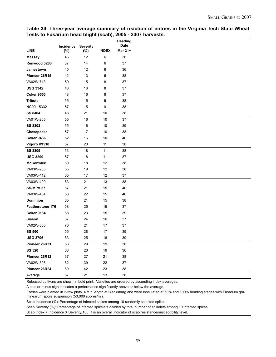#### **Table 34. Three-year average summary of reaction of entries in the Virginia Tech State Wheat Tests to Fusarium head blight (scab), 2005 - 2007 harvests.**

|                         |                  |                        |              | Heading<br><b>Date</b> |
|-------------------------|------------------|------------------------|--------------|------------------------|
| <b>LINE</b>             | Incidence<br>(%) | <b>Severity</b><br>(%) | <b>INDEX</b> | Mar 31+                |
| <b>Massey</b>           | 45               | 12                     | $\,6\,$      | 38                     |
| Renwood 3260            | 37               | 14                     | 6            | 37                     |
| Jamestown               | 45               | 12                     | 6            | 36                     |
| Pioneer 26R15           | 42               | 13                     | 6            | 38                     |
| VA02W-713               | 50               | 15                     | 8            | 37                     |
| <b>USG 3342</b>         | 48               | 16                     | 8            | 37                     |
| <b>Coker 9553</b>       | 48               | 16                     | 8            | 37                     |
| <b>Tribute</b>          | 55               | 15                     | 9            | 38                     |
| NC00-15332              | 57               | 15                     | 9            | 38                     |
| <b>SS 8404</b>          | 48               | 21                     | 10           | 38                     |
| VA01W-205               | 55               | 16                     | 10           | 37                     |
| <b>SS 8302</b>          | 55               | 16                     | 10           | 39                     |
| Chesapeake              | 57               | 17                     | 10           | 38                     |
| <b>Coker 9436</b>       | 52               | 16                     | 10           | 40                     |
| Vigoro V9510            | 57               | 20                     | 11           | 38                     |
| <b>SS 8309</b>          | 53               | 18                     | 11           | 38                     |
| <b>USG 3209</b>         | 57               | 18                     | 11           | 37                     |
| <b>McCormick</b>        | 60               | 18                     | 12           | 38                     |
| VA03W-235               | 55               | 19                     | 12           | 38                     |
| VA03W-412               | 65               | 17                     | 12           | 37                     |
| VA03W-409               | 63               | 21                     | 13           | 38                     |
| <b>SS-MPV 57</b>        | 67               | 21                     | 15           | 40                     |
| VA03W-434               | 58               | 22                     | 15           | 40                     |
| <b>Dominion</b>         | 65               | 21                     | 15           | 38                     |
| <b>Featherstone 176</b> | 58               | 25                     | 15           | 37                     |
| <b>Coker 9184</b>       | 68               | 23                     | 15           | 39                     |
| <b>Sisson</b>           | 67               | 24                     | 16           | 37                     |
| VA02W-555               | 70               | 21                     | 17           | 37                     |
| <b>SS 560</b>           | 55               | 28                     | 17           | 39                     |
| <b>USG 3706</b>         | 63               | 25                     | 18           | 39                     |
| Pioneer 26R31           | 58               | 29                     | 19           | 38                     |
| <b>SS 520</b>           | 68               | 26                     | 19           | 36                     |
| Pioneer 26R12           | 67               | 27                     | 21           | 38                     |
| VA02W-398               | 62               | 39                     | 22           | 37                     |
| Pioneer 26R24           | 60               | 42                     | 23           | 38                     |
| Average                 | 57               | 21                     | 13           | 38                     |

Released cultivars are shown in bold print. Varieties are ordered by ascending index averages.

A plus or minus sign indicates a performance significantly above or below the average.

Entries were planted in 2-row plots, 4 ft in length at Blacksburg and were inoculated at 50% and 100% heading stages with Fusarium graminearum spore suspension (50,000 spores/ml).

Scab Incidence (%): Percentage of infected spikes among 10 randomly selected spikes.

Scab Severity (%): Percentage of infected spikelets divided by total number of spikelets among 10 infected spikes.

Scab Index = Incidence X Severity/100; it is an overall indicator of scab resistance/susceptibility level.